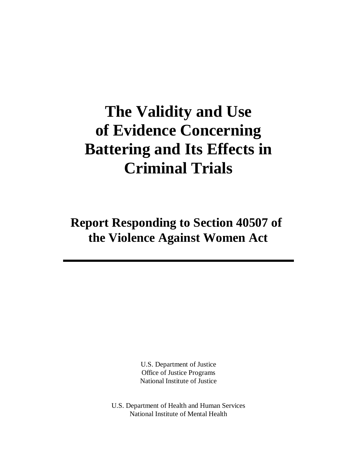# **The Validity and Use of Evidence Concerning Battering and Its Effects in Criminal Trials**

**Report Responding to Section 40507 of the Violence Against Women Act**

> U.S. Department of Justice Office of Justice Programs National Institute of Justice

U.S. Department of Health and Human Services National Institute of Mental Health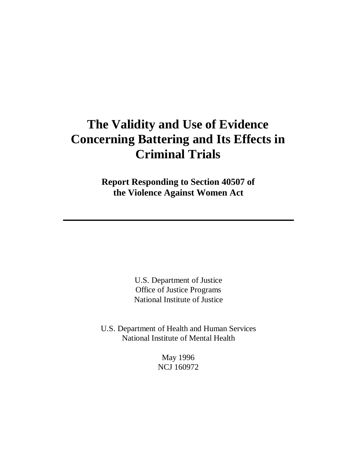# **The Validity and Use of Evidence Concerning Battering and Its Effects in Criminal Trials**

**Report Responding to Section 40507 of the Violence Against Women Act**

> U.S. Department of Justice Office of Justice Programs National Institute of Justice

U.S. Department of Health and Human Services National Institute of Mental Health

> May 1996 NCJ 160972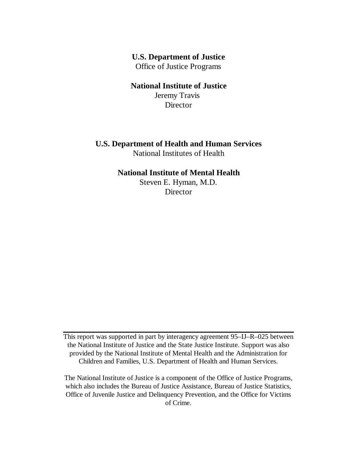# **U.S. Department of Justice**

Office of Justice Programs

# **National Institute of Justice**

Jeremy Travis Director

### **U.S. Department of Health and Human Services** National Institutes of Health

### **National Institute of Mental Health**

Steven E. Hyman, M.D. Director

This report was supported in part by interagency agreement 95–IJ–R–025 between the National Institute of Justice and the State Justice Institute. Support was also provided by the National Institute of Mental Health and the Administration for Children and Families, U.S. Department of Health and Human Services.

The National Institute of Justice is a component of the Office of Justice Programs, which also includes the Bureau of Justice Assistance, Bureau of Justice Statistics, Office of Juvenile Justice and Delinquency Prevention, and the Office for Victims of Crime.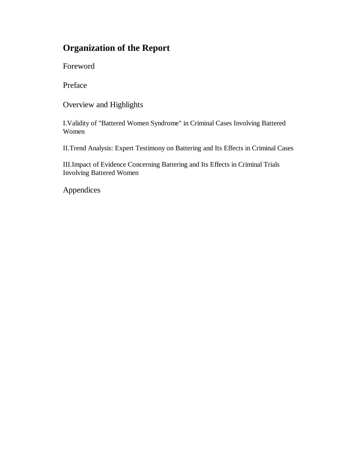# **Organization of the Report**

Foreword

Preface

Overview and Highlights

I.Validity of "Battered Women Syndrome" in Criminal Cases Involving Battered Women

II.Trend Analysis: Expert Testimony on Battering and Its Effects in Criminal Cases

III.Impact of Evidence Concerning Battering and Its Effects in Criminal Trials Involving Battered Women

Appendices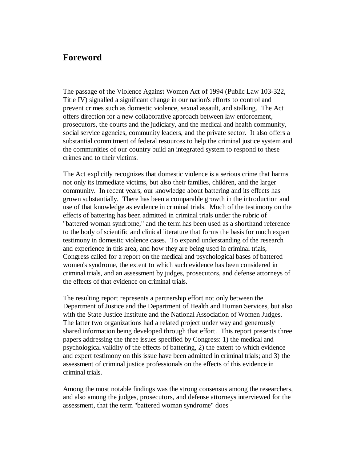# **Foreword**

The passage of the Violence Against Women Act of 1994 (Public Law 103-322, Title IV) signalled a significant change in our nation's efforts to control and prevent crimes such as domestic violence, sexual assault, and stalking. The Act offers direction for a new collaborative approach between law enforcement, prosecutors, the courts and the judiciary, and the medical and health community, social service agencies, community leaders, and the private sector. It also offers a substantial commitment of federal resources to help the criminal justice system and the communities of our country build an integrated system to respond to these crimes and to their victims.

The Act explicitly recognizes that domestic violence is a serious crime that harms not only its immediate victims, but also their families, children, and the larger community. In recent years, our knowledge about battering and its effects has grown substantially. There has been a comparable growth in the introduction and use of that knowledge as evidence in criminal trials. Much of the testimony on the effects of battering has been admitted in criminal trials under the rubric of "battered woman syndrome," and the term has been used as a shorthand reference to the body of scientific and clinical literature that forms the basis for much expert testimony in domestic violence cases. To expand understanding of the research and experience in this area, and how they are being used in criminal trials, Congress called for a report on the medical and psychological bases of battered women's syndrome, the extent to which such evidence has been considered in criminal trials, and an assessment by judges, prosecutors, and defense attorneys of the effects of that evidence on criminal trials.

The resulting report represents a partnership effort not only between the Department of Justice and the Department of Health and Human Services, but also with the State Justice Institute and the National Association of Women Judges. The latter two organizations had a related project under way and generously shared information being developed through that effort. This report presents three papers addressing the three issues specified by Congress: 1) the medical and psychological validity of the effects of battering, 2) the extent to which evidence and expert testimony on this issue have been admitted in criminal trials; and 3) the assessment of criminal justice professionals on the effects of this evidence in criminal trials.

Among the most notable findings was the strong consensus among the researchers, and also among the judges, prosecutors, and defense attorneys interviewed for the assessment, that the term "battered woman syndrome" does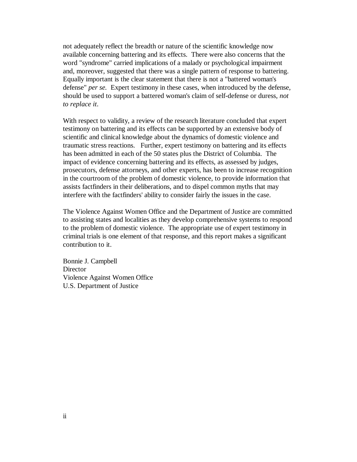not adequately reflect the breadth or nature of the scientific knowledge now available concerning battering and its effects. There were also concerns that the word "syndrome" carried implications of a malady or psychological impairment and, moreover, suggested that there was a single pattern of response to battering. Equally important is the clear statement that there is not a "battered woman's defense" *per se.* Expert testimony in these cases, when introduced by the defense, should be used to support a battered woman's claim of self-defense or duress, *not to replace it*.

With respect to validity, a review of the research literature concluded that expert testimony on battering and its effects can be supported by an extensive body of scientific and clinical knowledge about the dynamics of domestic violence and traumatic stress reactions. Further, expert testimony on battering and its effects has been admitted in each of the 50 states plus the District of Columbia. The impact of evidence concerning battering and its effects, as assessed by judges, prosecutors, defense attorneys, and other experts, has been to increase recognition in the courtroom of the problem of domestic violence, to provide information that assists factfinders in their deliberations, and to dispel common myths that may interfere with the factfinders' ability to consider fairly the issues in the case.

The Violence Against Women Office and the Department of Justice are committed to assisting states and localities as they develop comprehensive systems to respond to the problem of domestic violence. The appropriate use of expert testimony in criminal trials is one element of that response, and this report makes a significant contribution to it.

Bonnie J. Campbell **Director** Violence Against Women Office U.S. Department of Justice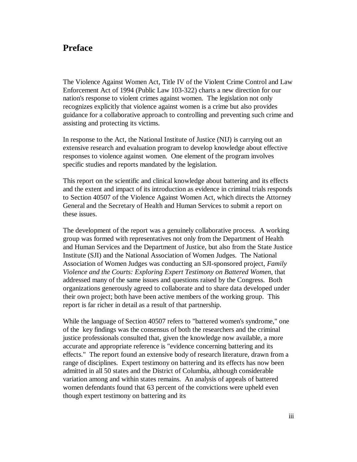# **Preface**

The Violence Against Women Act, Title IV of the Violent Crime Control and Law Enforcement Act of 1994 (Public Law 103-322) charts a new direction for our nation's response to violent crimes against women. The legislation not only recognizes explicitly that violence against women is a crime but also provides guidance for a collaborative approach to controlling and preventing such crime and assisting and protecting its victims.

In response to the Act, the National Institute of Justice (NIJ) is carrying out an extensive research and evaluation program to develop knowledge about effective responses to violence against women. One element of the program involves specific studies and reports mandated by the legislation.

This report on the scientific and clinical knowledge about battering and its effects and the extent and impact of its introduction as evidence in criminal trials responds to Section 40507 of the Violence Against Women Act, which directs the Attorney General and the Secretary of Health and Human Services to submit a report on these issues.

The development of the report was a genuinely collaborative process. A working group was formed with representatives not only from the Department of Health and Human Services and the Department of Justice, but also from the State Justice Institute (SJI) and the National Association of Women Judges. The National Association of Women Judges was conducting an SJI-sponsored project, *Family Violence and the Courts: Exploring Expert Testimony on Battered Women*, that addressed many of the same issues and questions raised by the Congress. Both organizations generously agreed to collaborate and to share data developed under their own project; both have been active members of the working group. This report is far richer in detail as a result of that partnership.

While the language of Section 40507 refers to "battered women's syndrome," one of the key findings was the consensus of both the researchers and the criminal justice professionals consulted that, given the knowledge now available, a more accurate and appropriate reference is "evidence concerning battering and its effects." The report found an extensive body of research literature, drawn from a range of disciplines. Expert testimony on battering and its effects has now been admitted in all 50 states and the District of Columbia, although considerable variation among and within states remains. An analysis of appeals of battered women defendants found that 63 percent of the convictions were upheld even though expert testimony on battering and its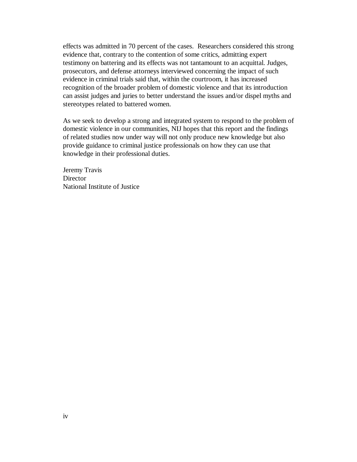effects was admitted in 70 percent of the cases. Researchers considered this strong evidence that, contrary to the contention of some critics, admitting expert testimony on battering and its effects was not tantamount to an acquittal. Judges, prosecutors, and defense attorneys interviewed concerning the impact of such evidence in criminal trials said that, within the courtroom, it has increased recognition of the broader problem of domestic violence and that its introduction can assist judges and juries to better understand the issues and/or dispel myths and stereotypes related to battered women.

As we seek to develop a strong and integrated system to respond to the problem of domestic violence in our communities, NIJ hopes that this report and the findings of related studies now under way will not only produce new knowledge but also provide guidance to criminal justice professionals on how they can use that knowledge in their professional duties.

Jeremy Travis **Director** National Institute of Justice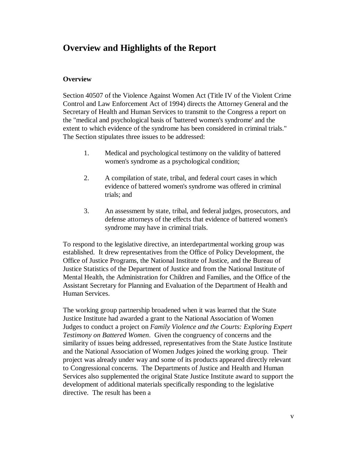# **Overview and Highlights of the Report**

### **Overview**

Section 40507 of the Violence Against Women Act (Title IV of the Violent Crime Control and Law Enforcement Act of 1994) directs the Attorney General and the Secretary of Health and Human Services to transmit to the Congress a report on the "medical and psychological basis of 'battered women's syndrome' and the extent to which evidence of the syndrome has been considered in criminal trials." The Section stipulates three issues to be addressed:

- 1. Medical and psychological testimony on the validity of battered women's syndrome as a psychological condition;
- 2. A compilation of state, tribal, and federal court cases in which evidence of battered women's syndrome was offered in criminal trials; and
- 3. An assessment by state, tribal, and federal judges, prosecutors, and defense attorneys of the effects that evidence of battered women's syndrome may have in criminal trials.

To respond to the legislative directive, an interdepartmental working group was established. It drew representatives from the Office of Policy Development, the Office of Justice Programs, the National Institute of Justice, and the Bureau of Justice Statistics of the Department of Justice and from the National Institute of Mental Health, the Administration for Children and Families, and the Office of the Assistant Secretary for Planning and Evaluation of the Department of Health and Human Services.

The working group partnership broadened when it was learned that the State Justice Institute had awarded a grant to the National Association of Women Judges to conduct a project on *Family Violence and the Courts: Exploring Expert Testimony on Battered Women*. Given the congruency of concerns and the similarity of issues being addressed, representatives from the State Justice Institute and the National Association of Women Judges joined the working group. Their project was already under way and some of its products appeared directly relevant to Congressional concerns. The Departments of Justice and Health and Human Services also supplemented the original State Justice Institute award to support the development of additional materials specifically responding to the legislative directive. The result has been a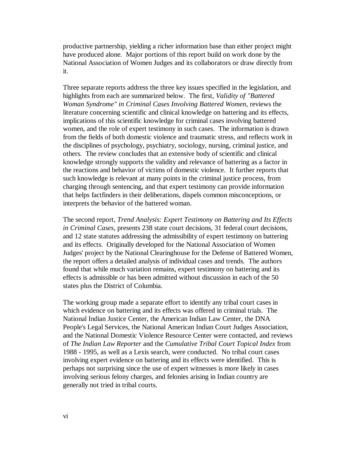productive partnership, yielding a richer information base than either project might have produced alone. Major portions of this report build on work done by the National Association of Women Judges and its collaborators or draw directly from it.

Three separate reports address the three key issues specified in the legislation, and highlights from each are summarized below. The first, *Validity of "Battered Woman Syndrome" in Criminal Cases Involving Battered Women*, reviews the literature concerning scientific and clinical knowledge on battering and its effects, implications of this scientific knowledge for criminal cases involving battered women, and the role of expert testimony in such cases. The information is drawn from the fields of both domestic violence and traumatic stress, and reflects work in the disciplines of psychology, psychiatry, sociology, nursing, criminal justice, and others. The review concludes that an extensive body of scientific and clinical knowledge strongly supports the validity and relevance of battering as a factor in the reactions and behavior of victims of domestic violence. It further reports that such knowledge is relevant at many points in the criminal justice process, from charging through sentencing, and that expert testimony can provide information that helps factfinders in their deliberations, dispels common misconceptions, or interprets the behavior of the battered woman.

The second report, *Trend Analysis: Expert Testimony on Battering and Its Effects in Criminal Cases*, presents 238 state court decisions, 31 federal court decisions, and 12 state statutes addressing the admissibility of expert testimony on battering and its effects. Originally developed for the National Association of Women Judges' project by the National Clearinghouse for the Defense of Battered Women, the report offers a detailed analysis of individual cases and trends. The authors found that while much variation remains, expert testimony on battering and its effects is admissible or has been admitted without discussion in each of the 50 states plus the District of Columbia.

The working group made a separate effort to identify any tribal court cases in which evidence on battering and its effects was offered in criminal trials. The National Indian Justice Center, the American Indian Law Center, the DNA People's Legal Services, the National American Indian Court Judges Association, and the National Domestic Violence Resource Center were contacted, and reviews of *The Indian Law Reporter* and the *Cumulative Tribal Court Topical Index* from 1988 - 1995, as well as a Lexis search, were conducted. No tribal court cases involving expert evidence on battering and its effects were identified. This is perhaps not surprising since the use of expert witnesses is more likely in cases involving serious felony charges, and felonies arising in Indian country are generally not tried in tribal courts.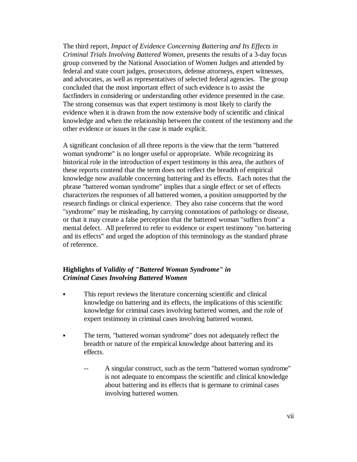The third report, *Impact of Evidence Concerning Battering and Its Effects in Criminal Trials Involving Battered Women*, presents the results of a 3-day focus group convened by the National Association of Women Judges and attended by federal and state court judges, prosecutors, defense attorneys, expert witnesses, and advocates, as well as representatives of selected federal agencies. The group concluded that the most important effect of such evidence is to assist the factfinders in considering or understanding other evidence presented in the case. The strong consensus was that expert testimony is most likely to clarify the evidence when it is drawn from the now extensive body of scientific and clinical knowledge and when the relationship between the content of the testimony and the other evidence or issues in the case is made explicit.

A significant conclusion of all three reports is the view that the term "battered woman syndrome" is no longer useful or appropriate. While recognizing its historical role in the introduction of expert testimony in this area, the authors of these reports contend that the term does not reflect the breadth of empirical knowledge now available concerning battering and its effects. Each notes that the phrase "battered woman syndrome" implies that a single effect or set of effects characterizes the responses of all battered women, a position unsupported by the research findings or clinical experience. They also raise concerns that the word "syndrome" may be misleading, by carrying connotations of pathology or disease, or that it may create a false perception that the battered woman "suffers from" a mental defect. All preferred to refer to evidence or expert testimony "on battering and its effects" and urged the adoption of this terminology as the standard phrase of reference.

### **Highlights of** *Validity of "Battered Woman Syndrome" in Criminal Cases Involving Battered Women*

- This report reviews the literature concerning scientific and clinical knowledge on battering and its effects, the implications of this scientific knowledge for criminal cases involving battered women, and the role of expert testimony in criminal cases involving battered women.
- The term, "battered woman syndrome" does not adequately reflect the breadth or nature of the empirical knowledge about battering and its effects.
	- A singular construct, such as the term "battered woman syndrome" is not adequate to encompass the scientific and clinical knowledge about battering and its effects that is germane to criminal cases involving battered women.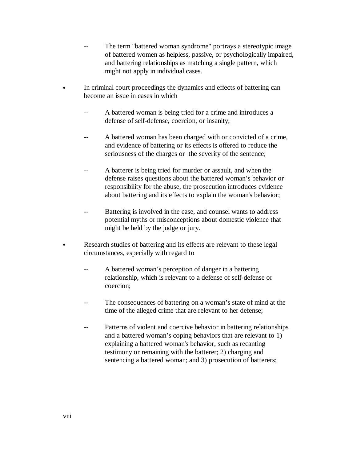- The term "battered woman syndrome" portrays a stereotypic image of battered women as helpless, passive, or psychologically impaired, and battering relationships as matching a single pattern, which might not apply in individual cases.
- In criminal court proceedings the dynamics and effects of battering can become an issue in cases in which
	- A battered woman is being tried for a crime and introduces a defense of self-defense, coercion, or insanity;
	- -- A battered woman has been charged with or convicted of a crime, and evidence of battering or its effects is offered to reduce the seriousness of the charges or the severity of the sentence;
	- -- A batterer is being tried for murder or assault, and when the defense raises questions about the battered woman's behavior or responsibility for the abuse, the prosecution introduces evidence about battering and its effects to explain the woman's behavior;
	- -- Battering is involved in the case, and counsel wants to address potential myths or misconceptions about domestic violence that might be held by the judge or jury.
- Research studies of battering and its effects are relevant to these legal  $\bullet$ circumstances, especially with regard to
	- A battered woman's perception of danger in a battering relationship, which is relevant to a defense of self-defense or coercion;
	- The consequences of battering on a woman's state of mind at the time of the alleged crime that are relevant to her defense;
	- Patterns of violent and coercive behavior in battering relationships and a battered woman's coping behaviors that are relevant to 1) explaining a battered woman's behavior, such as recanting testimony or remaining with the batterer; 2) charging and sentencing a battered woman; and 3) prosecution of batterers;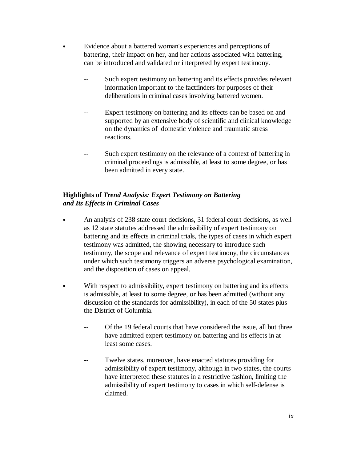- Evidence about a battered woman's experiences and perceptions of battering, their impact on her, and her actions associated with battering, can be introduced and validated or interpreted by expert testimony.
	- Such expert testimony on battering and its effects provides relevant information important to the factfinders for purposes of their deliberations in criminal cases involving battered women.
	- Expert testimony on battering and its effects can be based on and supported by an extensive body of scientific and clinical knowledge on the dynamics of domestic violence and traumatic stress reactions.
	- Such expert testimony on the relevance of a context of battering in criminal proceedings is admissible, at least to some degree, or has been admitted in every state.

# **Highlights of** *Trend Analysis: Expert Testimony on Battering and Its Effects in Criminal Cases*

- An analysis of 238 state court decisions, 31 federal court decisions, as well  $\bullet$ as 12 state statutes addressed the admissibility of expert testimony on battering and its effects in criminal trials, the types of cases in which expert testimony was admitted, the showing necessary to introduce such testimony, the scope and relevance of expert testimony, the circumstances under which such testimony triggers an adverse psychological examination, and the disposition of cases on appeal.
- With respect to admissibility, expert testimony on battering and its effects  $\bullet$ is admissible, at least to some degree, or has been admitted (without any discussion of the standards for admissibility), in each of the 50 states plus the District of Columbia.
	- Of the 19 federal courts that have considered the issue, all but three have admitted expert testimony on battering and its effects in at least some cases.
	- Twelve states, moreover, have enacted statutes providing for admissibility of expert testimony, although in two states, the courts have interpreted these statutes in a restrictive fashion, limiting the admissibility of expert testimony to cases in which self-defense is claimed.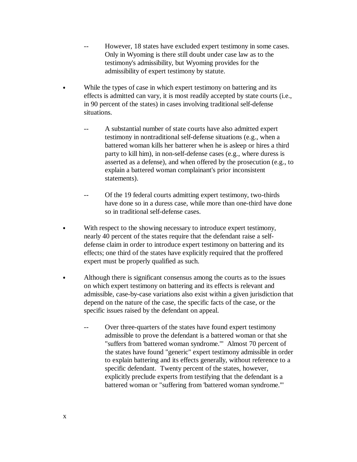- However, 18 states have excluded expert testimony in some cases. Only in Wyoming is there still doubt under case law as to the testimony's admissibility, but Wyoming provides for the admissibility of expert testimony by statute.
- While the types of case in which expert testimony on battering and its effects is admitted can vary, it is most readily accepted by state courts (i.e., in 90 percent of the states) in cases involving traditional self-defense situations.
	- A substantial number of state courts have also admitted expert testimony in nontraditional self-defense situations (e.g., when a battered woman kills her batterer when he is asleep or hires a third party to kill him), in non-self-defense cases (e.g., where duress is asserted as a defense), and when offered by the prosecution (e.g., to explain a battered woman complainant's prior inconsistent statements).
	- Of the 19 federal courts admitting expert testimony, two-thirds have done so in a duress case, while more than one-third have done so in traditional self-defense cases.
- With respect to the showing necessary to introduce expert testimony,  $\bullet$ nearly 40 percent of the states require that the defendant raise a selfdefense claim in order to introduce expert testimony on battering and its effects; one third of the states have explicitly required that the proffered expert must be properly qualified as such.
- Although there is significant consensus among the courts as to the issues  $\bullet$ on which expert testimony on battering and its effects is relevant and admissible, case-by-case variations also exist within a given jurisdiction that depend on the nature of the case, the specific facts of the case, or the specific issues raised by the defendant on appeal.
	- Over three-quarters of the states have found expert testimony admissible to prove the defendant is a battered woman or that she "suffers from 'battered woman syndrome.'" Almost 70 percent of the states have found "generic" expert testimony admissible in order to explain battering and its effects generally, without reference to a specific defendant. Twenty percent of the states, however, explicitly preclude experts from testifying that the defendant is a battered woman or "suffering from 'battered woman syndrome.'"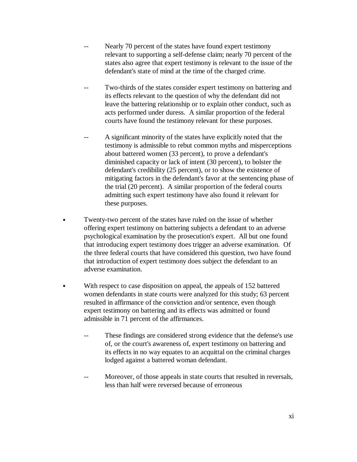- Nearly 70 percent of the states have found expert testimony relevant to supporting a self-defense claim; nearly 70 percent of the states also agree that expert testimony is relevant to the issue of the defendant's state of mind at the time of the charged crime.
- Two-thirds of the states consider expert testimony on battering and its effects relevant to the question of why the defendant did not leave the battering relationship or to explain other conduct, such as acts performed under duress. A similar proportion of the federal courts have found the testimony relevant for these purposes.
- A significant minority of the states have explicitly noted that the testimony is admissible to rebut common myths and misperceptions about battered women (33 percent), to prove a defendant's diminished capacity or lack of intent (30 percent), to bolster the defendant's credibility (25 percent), or to show the existence of mitigating factors in the defendant's favor at the sentencing phase of the trial (20 percent). A similar proportion of the federal courts admitting such expert testimony have also found it relevant for these purposes.
- Twenty-two percent of the states have ruled on the issue of whether  $\bullet$ offering expert testimony on battering subjects a defendant to an adverse psychological examination by the prosecution's expert. All but one found that introducing expert testimony does trigger an adverse examination. Of the three federal courts that have considered this question, two have found that introduction of expert testimony does subject the defendant to an adverse examination.
- With respect to case disposition on appeal, the appeals of 152 battered  $\bullet$ women defendants in state courts were analyzed for this study; 63 percent resulted in affirmance of the conviction and/or sentence, even though expert testimony on battering and its effects was admitted or found admissible in 71 percent of the affirmances.
	- These findings are considered strong evidence that the defense's use of, or the court's awareness of, expert testimony on battering and its effects in no way equates to an acquittal on the criminal charges lodged against a battered woman defendant.
	- -- Moreover, of those appeals in state courts that resulted in reversals, less than half were reversed because of erroneous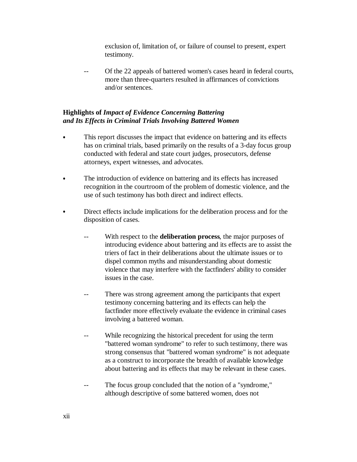exclusion of, limitation of, or failure of counsel to present, expert testimony.

Of the 22 appeals of battered women's cases heard in federal courts, more than three-quarters resulted in affirmances of convictions and/or sentences.

### **Highlights of** *Impact of Evidence Concerning Battering and Its Effects in Criminal Trials Involving Battered Women*

- $\bullet$ This report discusses the impact that evidence on battering and its effects has on criminal trials, based primarily on the results of a 3-day focus group conducted with federal and state court judges, prosecutors, defense attorneys, expert witnesses, and advocates.
- $\bullet$ The introduction of evidence on battering and its effects has increased recognition in the courtroom of the problem of domestic violence, and the use of such testimony has both direct and indirect effects.
- Direct effects include implications for the deliberation process and for the disposition of cases.
	- With respect to the **deliberation process**, the major purposes of introducing evidence about battering and its effects are to assist the triers of fact in their deliberations about the ultimate issues or to dispel common myths and misunderstanding about domestic violence that may interfere with the factfinders' ability to consider issues in the case.
	- There was strong agreement among the participants that expert testimony concerning battering and its effects can help the factfinder more effectively evaluate the evidence in criminal cases involving a battered woman.
	- While recognizing the historical precedent for using the term "battered woman syndrome" to refer to such testimony, there was strong consensus that "battered woman syndrome" is not adequate as a construct to incorporate the breadth of available knowledge about battering and its effects that may be relevant in these cases.
	- The focus group concluded that the notion of a "syndrome," although descriptive of some battered women, does not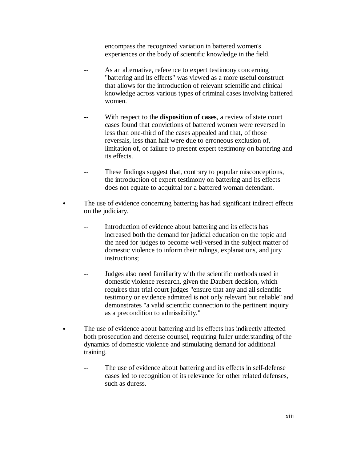encompass the recognized variation in battered women's experiences or the body of scientific knowledge in the field.

- As an alternative, reference to expert testimony concerning "battering and its effects" was viewed as a more useful construct that allows for the introduction of relevant scientific and clinical knowledge across various types of criminal cases involving battered women.
- With respect to the **disposition of cases**, a review of state court cases found that convictions of battered women were reversed in less than one-third of the cases appealed and that, of those reversals, less than half were due to erroneous exclusion of, limitation of, or failure to present expert testimony on battering and its effects.
- These findings suggest that, contrary to popular misconceptions, the introduction of expert testimony on battering and its effects does not equate to acquittal for a battered woman defendant.
- The use of evidence concerning battering has had significant indirect effects on the judiciary.
	- Introduction of evidence about battering and its effects has increased both the demand for judicial education on the topic and the need for judges to become well-versed in the subject matter of domestic violence to inform their rulings, explanations, and jury instructions;
	- Judges also need familiarity with the scientific methods used in domestic violence research, given the Daubert decision, which requires that trial court judges "ensure that any and all scientific testimony or evidence admitted is not only relevant but reliable" and demonstrates "a valid scientific connection to the pertinent inquiry as a precondition to admissibility."
- The use of evidence about battering and its effects has indirectly affected both prosecution and defense counsel, requiring fuller understanding of the dynamics of domestic violence and stimulating demand for additional training.
	- -- The use of evidence about battering and its effects in self-defense cases led to recognition of its relevance for other related defenses, such as duress.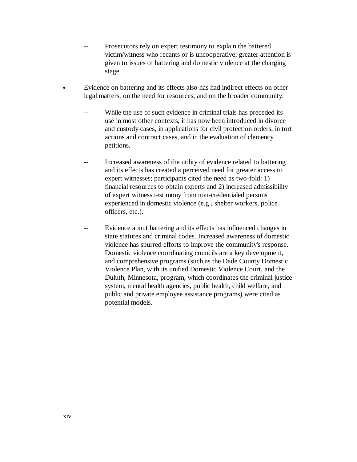- Prosecutors rely on expert testimony to explain the battered victim/witness who recants or is uncooperative; greater attention is given to issues of battering and domestic violence at the charging stage.
- Evidence on battering and its effects also has had indirect effects on other legal matters, on the need for resources, and on the broader community.
	- While the use of such evidence in criminal trials has preceded its use in most other contexts, it has now been introduced in divorce and custody cases, in applications for civil protection orders, in tort actions and contract cases, and in the evaluation of clemency petitions.
	- -- Increased awareness of the utility of evidence related to battering and its effects has created a perceived need for greater access to expert witnesses; participants cited the need as two-fold: 1) financial resources to obtain experts and 2) increased admissibility of expert witness testimony from non-credentialed persons experienced in domestic violence (e.g., shelter workers, police officers, etc.).
	- Evidence about battering and its effects has influenced changes in state statutes and criminal codes. Increased awareness of domestic violence has spurred efforts to improve the community's response. Domestic violence coordinating councils are a key development, and comprehensive programs (such as the Dade County Domestic Violence Plan, with its unified Domestic Violence Court, and the Duluth, Minnesota, program, which coordinates the criminal justice system, mental health agencies, public health, child welfare, and public and private employee assistance programs) were cited as potential models.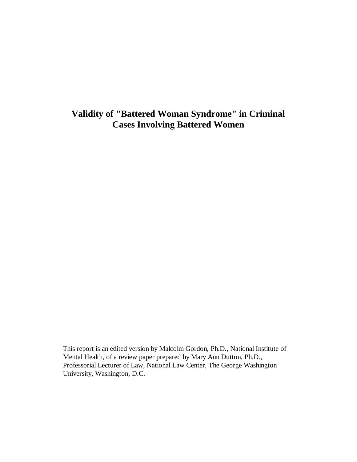# **Validity of "Battered Woman Syndrome" in Criminal Cases Involving Battered Women**

This report is an edited version by Malcolm Gordon, Ph.D., National Institute of Mental Health, of a review paper prepared by Mary Ann Dutton, Ph.D., Professorial Lecturer of Law, National Law Center, The George Washington University, Washington, D.C.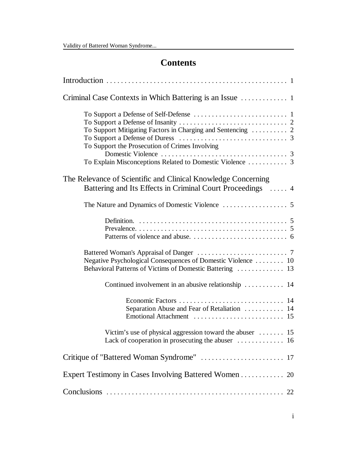# **Contents**

| To Support Mitigating Factors in Charging and Sentencing  2<br>To Support the Prosecution of Crimes Involving               |
|-----------------------------------------------------------------------------------------------------------------------------|
| The Relevance of Scientific and Clinical Knowledge Concerning<br>Battering and Its Effects in Criminal Court Proceedings  4 |
|                                                                                                                             |
|                                                                                                                             |
| Negative Psychological Consequences of Domestic Violence  10<br>Behavioral Patterns of Victims of Domestic Battering  13    |
| Continued involvement in an abusive relationship  14                                                                        |
| Separation Abuse and Fear of Retaliation  14                                                                                |
| Victim's use of physical aggression toward the abuser $\dots \dots$ 15<br>Lack of cooperation in prosecuting the abuser  16 |
|                                                                                                                             |
| Expert Testimony in Cases Involving Battered Women 20                                                                       |
|                                                                                                                             |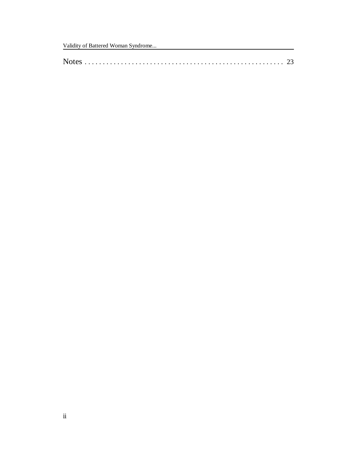Validity of Battered Woman Syndrome...

|--|--|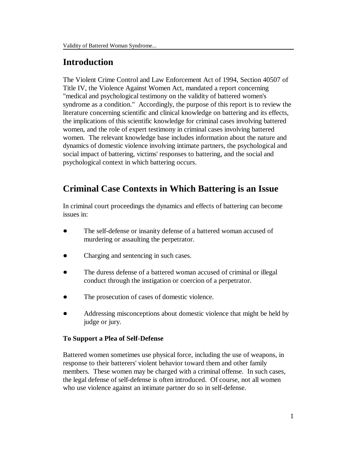# **Introduction**

The Violent Crime Control and Law Enforcement Act of 1994, Section 40507 of Title IV, the Violence Against Women Act, mandated a report concerning "medical and psychological testimony on the validity of battered women's syndrome as a condition." Accordingly, the purpose of this report is to review the literature concerning scientific and clinical knowledge on battering and its effects, the implications of this scientific knowledge for criminal cases involving battered women, and the role of expert testimony in criminal cases involving battered women. The relevant knowledge base includes information about the nature and dynamics of domestic violence involving intimate partners, the psychological and social impact of battering, victims' responses to battering, and the social and psychological context in which battering occurs.

# **Criminal Case Contexts in Which Battering is an Issue**

In criminal court proceedings the dynamics and effects of battering can become issues in:

- The self-defense or insanity defense of a battered woman accused of murdering or assaulting the perpetrator.
- Charging and sentencing in such cases.
- The duress defense of a battered woman accused of criminal or illegal conduct through the instigation or coercion of a perpetrator.
- The prosecution of cases of domestic violence.
- Addressing misconceptions about domestic violence that might be held by judge or jury.

### **To Support a Plea of Self-Defense**

Battered women sometimes use physical force, including the use of weapons, in response to their batterers' violent behavior toward them and other family members. These women may be charged with a criminal offense. In such cases, the legal defense of self-defense is often introduced. Of course, not all women who use violence against an intimate partner do so in self-defense.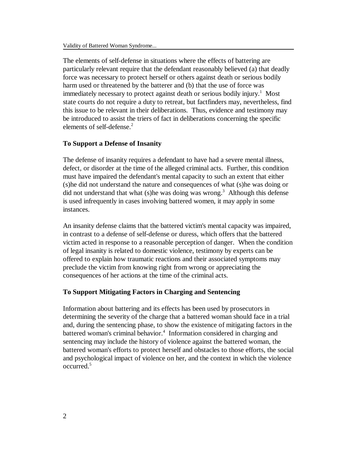The elements of self-defense in situations where the effects of battering are particularly relevant require that the defendant reasonably believed (a) that deadly force was necessary to protect herself or others against death or serious bodily harm used or threatened by the batterer and (b) that the use of force was immediately necessary to protect against death or serious bodily injury.<sup>1</sup> Most state courts do not require a duty to retreat, but factfinders may, nevertheless, find this issue to be relevant in their deliberations. Thus, evidence and testimony may be introduced to assist the triers of fact in deliberations concerning the specific elements of self-defense. $<sup>2</sup>$ </sup>

#### **To Support a Defense of Insanity**

The defense of insanity requires a defendant to have had a severe mental illness, defect, or disorder at the time of the alleged criminal acts. Further, this condition must have impaired the defendant's mental capacity to such an extent that either (s)he did not understand the nature and consequences of what (s)he was doing or did not understand that what (s) he was doing was wrong.<sup>3</sup> Although this defense is used infrequently in cases involving battered women, it may apply in some instances.

An insanity defense claims that the battered victim's mental capacity was impaired, in contrast to a defense of self-defense or duress, which offers that the battered victim acted in response to a reasonable perception of danger. When the condition of legal insanity is related to domestic violence, testimony by experts can be offered to explain how traumatic reactions and their associated symptoms may preclude the victim from knowing right from wrong or appreciating the consequences of her actions at the time of the criminal acts.

#### **To Support Mitigating Factors in Charging and Sentencing**

Information about battering and its effects has been used by prosecutors in determining the severity of the charge that a battered woman should face in a trial and, during the sentencing phase, to show the existence of mitigating factors in the battered woman's criminal behavior.<sup>4</sup> Information considered in charging and sentencing may include the history of violence against the battered woman, the battered woman's efforts to protect herself and obstacles to those efforts, the social and psychological impact of violence on her, and the context in which the violence occurred.5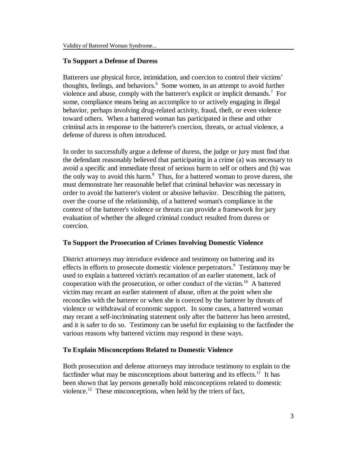#### **To Support a Defense of Duress**

Batterers use physical force, intimidation, and coercion to control their victims' thoughts, feelings, and behaviors. $<sup>6</sup>$  Some women, in an attempt to avoid further</sup> violence and abuse, comply with the batterer's explicit or implicit demands.<sup>7</sup> For some, compliance means being an accomplice to or actively engaging in illegal behavior, perhaps involving drug-related activity, fraud, theft, or even violence toward others. When a battered woman has participated in these and other criminal acts in response to the batterer's coercion, threats, or actual violence, a defense of duress is often introduced.

In order to successfully argue a defense of duress, the judge or jury must find that the defendant reasonably believed that participating in a crime (a) was necessary to avoid a specific and immediate threat of serious harm to self or others and (b) was the only way to avoid this harm. $<sup>8</sup>$  Thus, for a battered woman to prove duress, she</sup> must demonstrate her reasonable belief that criminal behavior was necessary in order to avoid the batterer's violent or abusive behavior. Describing the pattern, over the course of the relationship, of a battered woman's compliance in the context of the batterer's violence or threats can provide a framework for jury evaluation of whether the alleged criminal conduct resulted from duress or coercion.

#### **To Support the Prosecution of Crimes Involving Domestic Violence**

District attorneys may introduce evidence and testimony on battering and its effects in efforts to prosecute domestic violence perpetrators.<sup>9</sup> Testimony may be used to explain a battered victim's recantation of an earlier statement, lack of cooperation with the prosecution, or other conduct of the victim.<sup>10</sup> A battered victim may recant an earlier statement of abuse, often at the point when she reconciles with the batterer or when she is coerced by the batterer by threats of violence or withdrawal of economic support. In some cases, a battered woman may recant a self-incriminating statement only after the batterer has been arrested, and it is safer to do so. Testimony can be useful for explaining to the factfinder the various reasons why battered victims may respond in these ways.

#### **To Explain Misconceptions Related to Domestic Violence**

Both prosecution and defense attorneys may introduce testimony to explain to the factfinder what may be misconceptions about battering and its effects.<sup>11</sup> It has been shown that lay persons generally hold misconceptions related to domestic violence.<sup>12</sup> These misconceptions, when held by the triers of fact,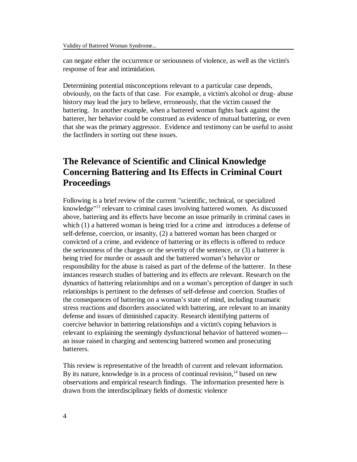can negate either the occurrence or seriousness of violence, as well as the victim's response of fear and intimidation.

Determining potential misconceptions relevant to a particular case depends, obviously, on the facts of that case. For example, a victim's alcohol or drug- abuse history may lead the jury to believe, erroneously, that the victim caused the battering. In another example, when a battered woman fights back against the batterer, her behavior could be construed as evidence of mutual battering, or even that she was the primary aggressor. Evidence and testimony can be useful to assist the factfinders in sorting out these issues.

# **The Relevance of Scientific and Clinical Knowledge Concerning Battering and Its Effects in Criminal Court Proceedings**

Following is a brief review of the current "scientific, technical, or specialized knowledge"<sup>13</sup> relevant to criminal cases involving battered women. As discussed above, battering and its effects have become an issue primarily in criminal cases in which (1) a battered woman is being tried for a crime and introduces a defense of self-defense, coercion, or insanity, (2) a battered woman has been charged or convicted of a crime, and evidence of battering or its effects is offered to reduce the seriousness of the charges or the severity of the sentence, or (3) a batterer is being tried for murder or assault and the battered woman's behavior or responsibility for the abuse is raised as part of the defense of the batterer. In these instances research studies of battering and its effects are relevant. Research on the dynamics of battering relationships and on a woman's perception of danger in such relationships is pertinent to the defenses of self-defense and coercion. Studies of the consequences of battering on a woman's state of mind, including traumatic stress reactions and disorders associated with battering, are relevant to an insanity defense and issues of diminished capacity. Research identifying patterns of coercive behavior in battering relationships and a victim's coping behaviors is relevant to explaining the seemingly dysfunctional behavior of battered women an issue raised in charging and sentencing battered women and prosecuting batterers.

This review is representative of the breadth of current and relevant information. By its nature, knowledge is in a process of continual revision,  $h^4$  based on new observations and empirical research findings. The information presented here is drawn from the interdisciplinary fields of domestic violence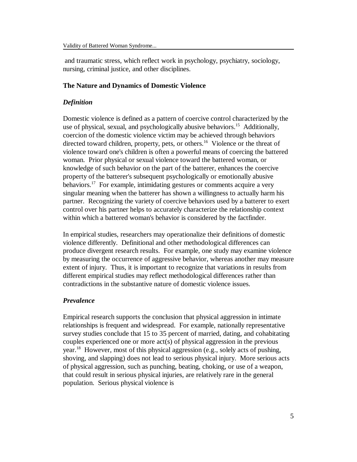and traumatic stress, which reflect work in psychology, psychiatry, sociology, nursing, criminal justice, and other disciplines.

### **The Nature and Dynamics of Domestic Violence**

### *Definition*

Domestic violence is defined as a pattern of coercive control characterized by the use of physical, sexual, and psychologically abusive behaviors.<sup>15</sup> Additionally, coercion of the domestic violence victim may be achieved through behaviors directed toward children, property, pets, or others.<sup>16</sup> Violence or the threat of violence toward one's children is often a powerful means of coercing the battered woman. Prior physical or sexual violence toward the battered woman, or knowledge of such behavior on the part of the batterer, enhances the coercive property of the batterer's subsequent psychologically or emotionally abusive behaviors.<sup>17</sup> For example, intimidating gestures or comments acquire a very singular meaning when the batterer has shown a willingness to actually harm his partner. Recognizing the variety of coercive behaviors used by a batterer to exert control over his partner helps to accurately characterize the relationship context within which a battered woman's behavior is considered by the factfinder.

In empirical studies, researchers may operationalize their definitions of domestic violence differently. Definitional and other methodological differences can produce divergent research results. For example, one study may examine violence by measuring the occurrence of aggressive behavior, whereas another may measure extent of injury. Thus, it is important to recognize that variations in results from different empirical studies may reflect methodological differences rather than contradictions in the substantive nature of domestic violence issues.

### *Prevalence*

Empirical research supports the conclusion that physical aggression in intimate relationships is frequent and widespread. For example, nationally representative survey studies conclude that 15 to 35 percent of married, dating, and cohabitating couples experienced one or more act(s) of physical aggression in the previous year.<sup>18</sup> However, most of this physical aggression (e.g., solely acts of pushing, shoving, and slapping) does not lead to serious physical injury. More serious acts of physical aggression, such as punching, beating, choking, or use of a weapon, that could result in serious physical injuries, are relatively rare in the general population. Serious physical violence is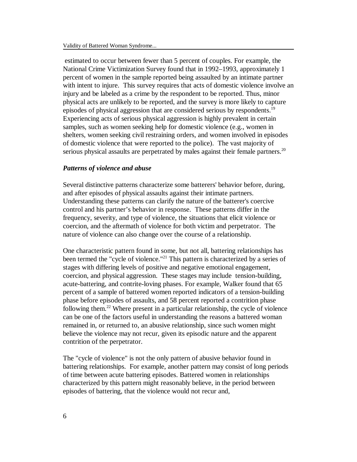estimated to occur between fewer than 5 percent of couples. For example, the National Crime Victimization Survey found that in 1992–1993, approximately 1 percent of women in the sample reported being assaulted by an intimate partner with intent to injure. This survey requires that acts of domestic violence involve an injury and be labeled as a crime by the respondent to be reported. Thus, minor physical acts are unlikely to be reported, and the survey is more likely to capture episodes of physical aggression that are considered serious by respondents.<sup>19</sup> Experiencing acts of serious physical aggression is highly prevalent in certain samples, such as women seeking help for domestic violence (e.g., women in shelters, women seeking civil restraining orders, and women involved in episodes of domestic violence that were reported to the police). The vast majority of serious physical assaults are perpetrated by males against their female partners.<sup>20</sup>

#### *Patterns of violence and abuse*

Several distinctive patterns characterize some batterers' behavior before, during, and after episodes of physical assaults against their intimate partners. Understanding these patterns can clarify the nature of the batterer's coercive control and his partner's behavior in response. These patterns differ in the frequency, severity, and type of violence, the situations that elicit violence or coercion, and the aftermath of violence for both victim and perpetrator. The nature of violence can also change over the course of a relationship.

One characteristic pattern found in some, but not all, battering relationships has been termed the "cycle of violence."<sup>21</sup> This pattern is characterized by a series of stages with differing levels of positive and negative emotional engagement, coercion, and physical aggression. These stages may include tension-building, acute-battering, and contrite-loving phases. For example, Walker found that 65 percent of a sample of battered women reported indicators of a tension-building phase before episodes of assaults, and 58 percent reported a contrition phase following them.<sup>22</sup> Where present in a particular relationship, the cycle of violence can be one of the factors useful in understanding the reasons a battered woman remained in, or returned to, an abusive relationship, since such women might believe the violence may not recur, given its episodic nature and the apparent contrition of the perpetrator.

The "cycle of violence" is not the only pattern of abusive behavior found in battering relationships. For example, another pattern may consist of long periods of time between acute battering episodes. Battered women in relationships characterized by this pattern might reasonably believe, in the period between episodes of battering, that the violence would not recur and,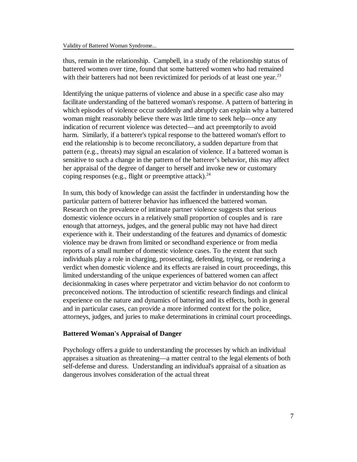thus, remain in the relationship. Campbell, in a study of the relationship status of battered women over time, found that some battered women who had remained with their batterers had not been revictimized for periods of at least one year.<sup>23</sup>

Identifying the unique patterns of violence and abuse in a specific case also may facilitate understanding of the battered woman's response. A pattern of battering in which episodes of violence occur suddenly and abruptly can explain why a battered woman might reasonably believe there was little time to seek help—once any indication of recurrent violence was detected—and act preemptorily to avoid harm. Similarly, if a batterer's typical response to the battered woman's effort to end the relationship is to become reconciliatory, a sudden departure from that pattern (e.g., threats) may signal an escalation of violence. If a battered woman is sensitive to such a change in the pattern of the batterer's behavior, this may affect her appraisal of the degree of danger to herself and invoke new or customary coping responses (e.g., flight or preemptive attack). $^{24}$ 

In sum, this body of knowledge can assist the factfinder in understanding how the particular pattern of batterer behavior has influenced the battered woman. Research on the prevalence of intimate partner violence suggests that serious domestic violence occurs in a relatively small proportion of couples and is rare enough that attorneys, judges, and the general public may not have had direct experience with it. Their understanding of the features and dynamics of domestic violence may be drawn from limited or secondhand experience or from media reports of a small number of domestic violence cases. To the extent that such individuals play a role in charging, prosecuting, defending, trying, or rendering a verdict when domestic violence and its effects are raised in court proceedings, this limited understanding of the unique experiences of battered women can affect decisionmaking in cases where perpetrator and victim behavior do not conform to preconceived notions. The introduction of scientific research findings and clinical experience on the nature and dynamics of battering and its effects, both in general and in particular cases, can provide a more informed context for the police, attorneys, judges, and juries to make determinations in criminal court proceedings.

#### **Battered Woman's Appraisal of Danger**

Psychology offers a guide to understanding the processes by which an individual appraises a situation as threatening—a matter central to the legal elements of both self-defense and duress. Understanding an individual's appraisal of a situation as dangerous involves consideration of the actual threat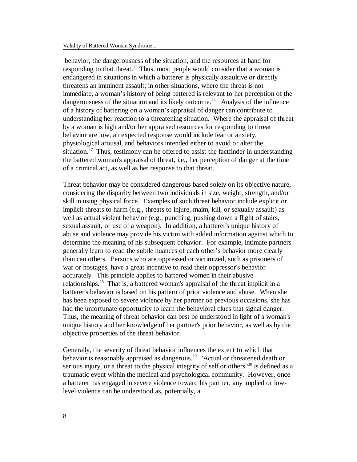behavior, the dangerousness of the situation, and the resources at hand for responding to that threat.<sup>25</sup> Thus, most people would consider that a woman is endangered in situations in which a batterer is physically assaultive or directly threatens an imminent assault; in other situations, where the threat is not immediate, a woman's history of being battered is relevant to her perception of the dangerousness of the situation and its likely outcome.<sup>26</sup> Analysis of the influence of a history of battering on a woman's appraisal of danger can contribute to understanding her reaction to a threatening situation. Where the appraisal of threat by a woman is high and/or her appraised resources for responding to threat behavior are low, an expected response would include fear or anxiety, physiological arousal, and behaviors intended either to avoid or alter the situation.<sup>27</sup> Thus, testimony can be offered to assist the factfinder in understanding the battered woman's appraisal of threat, i.e., her perception of danger at the time of a criminal act, as well as her response to that threat.

Threat behavior may be considered dangerous based solely on its objective nature, considering the disparity between two individuals in size, weight, strength, and/or skill in using physical force. Examples of such threat behavior include explicit or implicit threats to harm (e.g., threats to injure, maim, kill, or sexually assault) as well as actual violent behavior (e.g., punching, pushing down a flight of stairs, sexual assault, or use of a weapon). In addition, a batterer's unique history of abuse and violence may provide his victim with added information against which to determine the meaning of his subsequent behavior. For example, intimate partners generally learn to read the subtle nuances of each other's behavior more clearly than can others. Persons who are oppressed or victimized, such as prisoners of war or hostages, have a great incentive to read their oppressor's behavior accurately. This principle applies to battered women in their abusive relationships.<sup>28</sup> That is, a battered woman's appraisal of the threat implicit in a batterer's behavior is based on his pattern of prior violence and abuse. When she has been exposed to severe violence by her partner on previous occasions, she has had the unfortunate opportunity to learn the behavioral clues that signal danger. Thus, the meaning of threat behavior can best be understood in light of a woman's unique history and her knowledge of her partner's prior behavior, as well as by the objective properties of the threat behavior.

Generally, the severity of threat behavior influences the extent to which that behavior is reasonably appraised as dangerous.<sup>29</sup> "Actual or threatened death or serious injury, or a threat to the physical integrity of self or others<sup> $130$ </sup> is defined as a traumatic event within the medical and psychological community. However, once a batterer has engaged in severe violence toward his partner, any implied or lowlevel violence can be understood as, potentially, a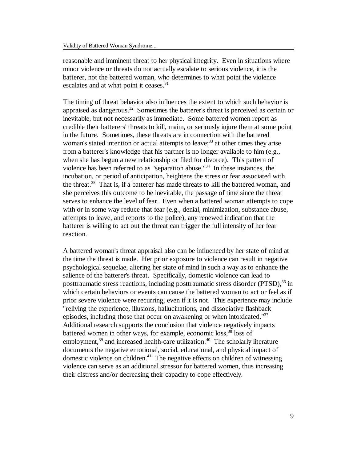reasonable and imminent threat to her physical integrity. Even in situations where minor violence or threats do not actually escalate to serious violence, it is the batterer, not the battered woman, who determines to what point the violence escalates and at what point it ceases.<sup>31</sup>

The timing of threat behavior also influences the extent to which such behavior is appraised as dangerous.<sup>32</sup> Sometimes the batterer's threat is perceived as certain or inevitable, but not necessarily as immediate. Some battered women report as credible their batterers' threats to kill, maim, or seriously injure them at some point in the future. Sometimes, these threats are in connection with the battered woman's stated intention or actual attempts to leave; $^{33}$  at other times they arise from a batterer's knowledge that his partner is no longer available to him (e.g., when she has begun a new relationship or filed for divorce). This pattern of violence has been referred to as "separation abuse." $34$  In these instances, the incubation, or period of anticipation, heightens the stress or fear associated with the threat.<sup>35</sup> That is, if a batterer has made threats to kill the battered woman, and she perceives this outcome to be inevitable, the passage of time since the threat serves to enhance the level of fear. Even when a battered woman attempts to cope with or in some way reduce that fear (e.g., denial, minimization, substance abuse, attempts to leave, and reports to the police), any renewed indication that the batterer is willing to act out the threat can trigger the full intensity of her fear reaction.

A battered woman's threat appraisal also can be influenced by her state of mind at the time the threat is made. Her prior exposure to violence can result in negative psychological sequelae, altering her state of mind in such a way as to enhance the salience of the batterer's threat. Specifically, domestic violence can lead to posttraumatic stress reactions, including posttraumatic stress disorder (PTSD),  $36$  in which certain behaviors or events can cause the battered woman to act or feel as if prior severe violence were recurring, even if it is not. This experience may include "reliving the experience, illusions, hallucinations, and dissociative flashback episodes, including those that occur on awakening or when intoxicated."<sup>37</sup> Additional research supports the conclusion that violence negatively impacts battered women in other ways, for example, economic  $loss<sub>38</sub>$  loss of employment,  $39$  and increased health-care utilization.  $40$  The scholarly literature documents the negative emotional, social, educational, and physical impact of domestic violence on children. $41$  The negative effects on children of witnessing violence can serve as an additional stressor for battered women, thus increasing their distress and/or decreasing their capacity to cope effectively.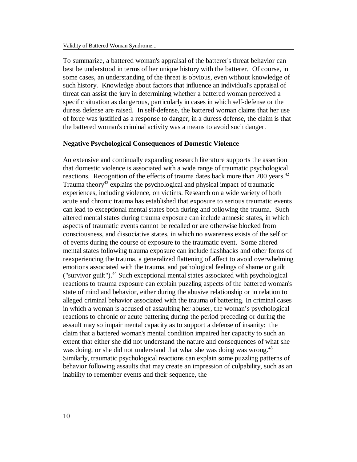To summarize, a battered woman's appraisal of the batterer's threat behavior can best be understood in terms of her unique history with the batterer. Of course, in some cases, an understanding of the threat is obvious, even without knowledge of such history. Knowledge about factors that influence an individual's appraisal of threat can assist the jury in determining whether a battered woman perceived a specific situation as dangerous, particularly in cases in which self-defense or the duress defense are raised. In self-defense, the battered woman claims that her use of force was justified as a response to danger; in a duress defense, the claim is that the battered woman's criminal activity was a means to avoid such danger.

#### **Negative Psychological Consequences of Domestic Violence**

An extensive and continually expanding research literature supports the assertion that domestic violence is associated with a wide range of traumatic psychological reactions. Recognition of the effects of trauma dates back more than 200 years.<sup>42</sup> Trauma theory<sup>43</sup> explains the psychological and physical impact of traumatic experiences, including violence, on victims. Research on a wide variety of both acute and chronic trauma has established that exposure to serious traumatic events can lead to exceptional mental states both during and following the trauma. Such altered mental states during trauma exposure can include amnesic states, in which aspects of traumatic events cannot be recalled or are otherwise blocked from consciousness, and dissociative states, in which no awareness exists of the self or of events during the course of exposure to the traumatic event. Some altered mental states following trauma exposure can include flashbacks and other forms of reexperiencing the trauma, a generalized flattening of affect to avoid overwhelming emotions associated with the trauma, and pathological feelings of shame or guilt ("survivor guilt").<sup>44</sup> Such exceptional mental states associated with psychological reactions to trauma exposure can explain puzzling aspects of the battered woman's state of mind and behavior, either during the abusive relationship or in relation to alleged criminal behavior associated with the trauma of battering. In criminal cases in which a woman is accused of assaulting her abuser, the woman's psychological reactions to chronic or acute battering during the period preceding or during the assault may so impair mental capacity as to support a defense of insanity: the claim that a battered woman's mental condition impaired her capacity to such an extent that either she did not understand the nature and consequences of what she was doing, or she did not understand that what she was doing was wrong.<sup>45</sup> Similarly, traumatic psychological reactions can explain some puzzling patterns of behavior following assaults that may create an impression of culpability, such as an inability to remember events and their sequence, the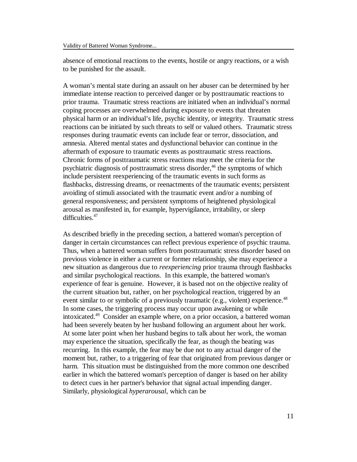absence of emotional reactions to the events, hostile or angry reactions, or a wish to be punished for the assault.

A woman's mental state during an assault on her abuser can be determined by her immediate intense reaction to perceived danger or by posttraumatic reactions to prior trauma. Traumatic stress reactions are initiated when an individual's normal coping processes are overwhelmed during exposure to events that threaten physical harm or an individual's life, psychic identity, or integrity. Traumatic stress reactions can be initiated by such threats to self or valued others. Traumatic stress responses during traumatic events can include fear or terror, dissociation, and amnesia. Altered mental states and dysfunctional behavior can continue in the aftermath of exposure to traumatic events as posttraumatic stress reactions. Chronic forms of posttraumatic stress reactions may meet the criteria for the psychiatric diagnosis of posttraumatic stress disorder,<sup>46</sup> the symptoms of which include persistent reexperiencing of the traumatic events in such forms as flashbacks, distressing dreams, or reenactments of the traumatic events; persistent avoiding of stimuli associated with the traumatic event and/or a numbing of general responsiveness; and persistent symptoms of heightened physiological arousal as manifested in, for example, hypervigilance, irritability, or sleep difficulties.<sup>47</sup>

As described briefly in the preceding section, a battered woman's perception of danger in certain circumstances can reflect previous experience of psychic trauma. Thus, when a battered woman suffers from posttraumatic stress disorder based on previous violence in either a current or former relationship, she may experience a new situation as dangerous due to *reexperiencing* prior trauma through flashbacks and similar psychological reactions. In this example, the battered woman's experience of fear is genuine. However, it is based not on the objective reality of the current situation but, rather, on her psychological reaction, triggered by an event similar to or symbolic of a previously traumatic (e.g., violent) experience.<sup>48</sup> In some cases, the triggering process may occur upon awakening or while intoxicated.<sup>49</sup> Consider an example where, on a prior occasion, a battered woman had been severely beaten by her husband following an argument about her work. At some later point when her husband begins to talk about her work, the woman may experience the situation, specifically the fear, as though the beating was recurring. In this example, the fear may be due not to any actual danger of the moment but, rather, to a triggering of fear that originated from previous danger or harm. This situation must be distinguished from the more common one described earlier in which the battered woman's perception of danger is based on her ability to detect cues in her partner's behavior that signal actual impending danger. Similarly, physiological *hyperarousal*, which can be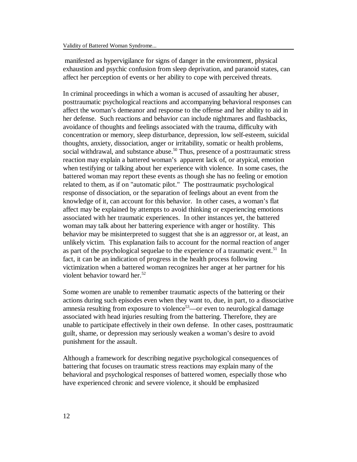manifested as hypervigilance for signs of danger in the environment, physical exhaustion and psychic confusion from sleep deprivation, and paranoid states, can affect her perception of events or her ability to cope with perceived threats.

In criminal proceedings in which a woman is accused of assaulting her abuser, posttraumatic psychological reactions and accompanying behavioral responses can affect the woman's demeanor and response to the offense and her ability to aid in her defense. Such reactions and behavior can include nightmares and flashbacks, avoidance of thoughts and feelings associated with the trauma, difficulty with concentration or memory, sleep disturbance, depression, low self-esteem, suicidal thoughts, anxiety, dissociation, anger or irritability, somatic or health problems, social withdrawal, and substance abuse.<sup>50</sup> Thus, presence of a posttraumatic stress reaction may explain a battered woman's apparent lack of, or atypical, emotion when testifying or talking about her experience with violence. In some cases, the battered woman may report these events as though she has no feeling or emotion related to them, as if on "automatic pilot." The posttraumatic psychological response of dissociation, or the separation of feelings about an event from the knowledge of it, can account for this behavior. In other cases, a woman's flat affect may be explained by attempts to avoid thinking or experiencing emotions associated with her traumatic experiences. In other instances yet, the battered woman may talk about her battering experience with anger or hostility. This behavior may be misinterpreted to suggest that she is an aggressor or, at least, an unlikely victim. This explanation fails to account for the normal reaction of anger as part of the psychological sequelae to the experience of a traumatic event.<sup>51</sup> In fact, it can be an indication of progress in the health process following victimization when a battered woman recognizes her anger at her partner for his violent behavior toward her. $52$ 

Some women are unable to remember traumatic aspects of the battering or their actions during such episodes even when they want to, due, in part, to a dissociative amnesia resulting from exposure to violence<sup>53</sup>—or even to neurological damage associated with head injuries resulting from the battering. Therefore, they are unable to participate effectively in their own defense. In other cases, posttraumatic guilt, shame, or depression may seriously weaken a woman's desire to avoid punishment for the assault.

Although a framework for describing negative psychological consequences of battering that focuses on traumatic stress reactions may explain many of the behavioral and psychological responses of battered women, especially those who have experienced chronic and severe violence, it should be emphasized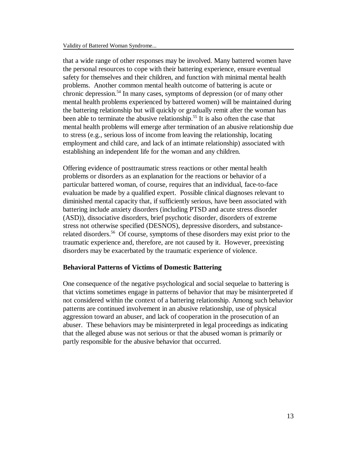that a wide range of other responses may be involved. Many battered women have the personal resources to cope with their battering experience, ensure eventual safety for themselves and their children, and function with minimal mental health problems. Another common mental health outcome of battering is acute or chronic depression.<sup>54</sup> In many cases, symptoms of depression (or of many other mental health problems experienced by battered women) will be maintained during the battering relationship but will quickly or gradually remit after the woman has been able to terminate the abusive relationship.<sup>55</sup> It is also often the case that mental health problems will emerge after termination of an abusive relationship due to stress (e.g., serious loss of income from leaving the relationship, locating employment and child care, and lack of an intimate relationship) associated with establishing an independent life for the woman and any children.

Offering evidence of posttraumatic stress reactions or other mental health problems or disorders as an explanation for the reactions or behavior of a particular battered woman, of course, requires that an individual, face-to-face evaluation be made by a qualified expert. Possible clinical diagnoses relevant to diminished mental capacity that, if sufficiently serious, have been associated with battering include anxiety disorders (including PTSD and acute stress disorder (ASD)), dissociative disorders, brief psychotic disorder, disorders of extreme stress not otherwise specified (DESNOS), depressive disorders, and substancerelated disorders.<sup>56</sup> Of course, symptoms of these disorders may exist prior to the traumatic experience and, therefore, are not caused by it. However, preexisting disorders may be exacerbated by the traumatic experience of violence.

#### **Behavioral Patterns of Victims of Domestic Battering**

One consequence of the negative psychological and social sequelae to battering is that victims sometimes engage in patterns of behavior that may be misinterpreted if not considered within the context of a battering relationship. Among such behavior patterns are continued involvement in an abusive relationship, use of physical aggression toward an abuser, and lack of cooperation in the prosecution of an abuser. These behaviors may be misinterpreted in legal proceedings as indicating that the alleged abuse was not serious or that the abused woman is primarily or partly responsible for the abusive behavior that occurred.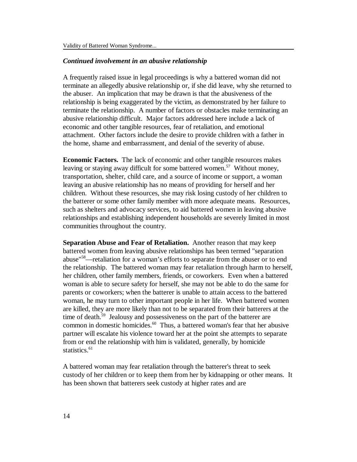#### *Continued involvement in an abusive relationship*

A frequently raised issue in legal proceedings is why a battered woman did not terminate an allegedly abusive relationship or, if she did leave, why she returned to the abuser. An implication that may be drawn is that the abusiveness of the relationship is being exaggerated by the victim, as demonstrated by her failure to terminate the relationship. A number of factors or obstacles make terminating an abusive relationship difficult. Major factors addressed here include a lack of economic and other tangible resources, fear of retaliation, and emotional attachment. Other factors include the desire to provide children with a father in the home, shame and embarrassment, and denial of the severity of abuse.

**Economic Factors.** The lack of economic and other tangible resources makes leaving or staying away difficult for some battered women.<sup>57</sup> Without money, transportation, shelter, child care, and a source of income or support, a woman leaving an abusive relationship has no means of providing for herself and her children. Without these resources, she may risk losing custody of her children to the batterer or some other family member with more adequate means. Resources, such as shelters and advocacy services, to aid battered women in leaving abusive relationships and establishing independent households are severely limited in most communities throughout the country.

**Separation Abuse and Fear of Retaliation.** Another reason that may keep battered women from leaving abusive relationships has been termed "separation abuse"<sup>58</sup>—retaliation for a woman's efforts to separate from the abuser or to end the relationship. The battered woman may fear retaliation through harm to herself, her children, other family members, friends, or coworkers. Even when a battered woman is able to secure safety for herself, she may not be able to do the same for parents or coworkers; when the batterer is unable to attain access to the battered woman, he may turn to other important people in her life. When battered women are killed, they are more likely than not to be separated from their batterers at the time of death.<sup>59</sup> Jealousy and possessiveness on the part of the batterer are common in domestic homicides. $60$  Thus, a battered woman's fear that her abusive partner will escalate his violence toward her at the point she attempts to separate from or end the relationship with him is validated, generally, by homicide statistics. 61

A battered woman may fear retaliation through the batterer's threat to seek custody of her children or to keep them from her by kidnapping or other means. It has been shown that batterers seek custody at higher rates and are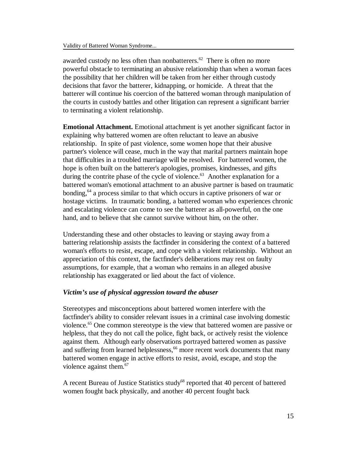awarded custody no less often than nonbatterers. $62$  There is often no more powerful obstacle to terminating an abusive relationship than when a woman faces the possibility that her children will be taken from her either through custody decisions that favor the batterer, kidnapping, or homicide. A threat that the batterer will continue his coercion of the battered woman through manipulation of the courts in custody battles and other litigation can represent a significant barrier to terminating a violent relationship.

**Emotional Attachment.** Emotional attachment is yet another significant factor in explaining why battered women are often reluctant to leave an abusive relationship. In spite of past violence, some women hope that their abusive partner's violence will cease, much in the way that marital partners maintain hope that difficulties in a troubled marriage will be resolved. For battered women, the hope is often built on the batterer's apologies, promises, kindnesses, and gifts during the contrite phase of the cycle of violence.<sup>63</sup> Another explanation for a battered woman's emotional attachment to an abusive partner is based on traumatic bonding,  $64$  a process similar to that which occurs in captive prisoners of war or hostage victims. In traumatic bonding, a battered woman who experiences chronic and escalating violence can come to see the batterer as all-powerful, on the one hand, and to believe that she cannot survive without him, on the other.

Understanding these and other obstacles to leaving or staying away from a battering relationship assists the factfinder in considering the context of a battered woman's efforts to resist, escape, and cope with a violent relationship. Without an appreciation of this context, the factfinder's deliberations may rest on faulty assumptions, for example, that a woman who remains in an alleged abusive relationship has exaggerated or lied about the fact of violence.

#### *Victim's use of physical aggression toward the abuser*

Stereotypes and misconceptions about battered women interfere with the factfinder's ability to consider relevant issues in a criminal case involving domestic violence.  $65$  One common stereotype is the view that battered women are passive or helpless, that they do not call the police, fight back, or actively resist the violence against them. Although early observations portrayed battered women as passive and suffering from learned helplessness,  $66$  more recent work documents that many battered women engage in active efforts to resist, avoid, escape, and stop the violence against them.<sup>67</sup>

A recent Bureau of Justice Statistics study<sup>68</sup> reported that 40 percent of battered women fought back physically, and another 40 percent fought back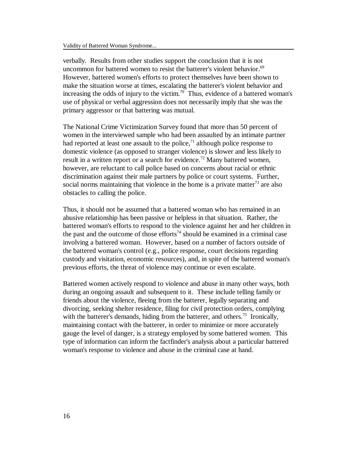verbally. Results from other studies support the conclusion that it is not uncommon for battered women to resist the batterer's violent behavior. $69$ However, battered women's efforts to protect themselves have been shown to make the situation worse at times, escalating the batterer's violent behavior and increasing the odds of injury to the victim.<sup>70</sup> Thus, evidence of a battered woman's use of physical or verbal aggression does not necessarily imply that she was the primary aggressor or that battering was mutual.

The National Crime Victimization Survey found that more than 50 percent of women in the interviewed sample who had been assaulted by an intimate partner had reported at least one assault to the police, $71$  although police response to domestic violence (as opposed to stranger violence) is slower and less likely to result in a written report or a search for evidence.<sup>72</sup> Many battered women, however, are reluctant to call police based on concerns about racial or ethnic discrimination against their male partners by police or court systems. Further, social norms maintaining that violence in the home is a private matter  $7<sup>3</sup>$  are also obstacles to calling the police.

Thus, it should not be assumed that a battered woman who has remained in an abusive relationship has been passive or helpless in that situation. Rather, the battered woman's efforts to respond to the violence against her and her children in the past and the outcome of those efforts<sup> $74$ </sup> should be examined in a criminal case involving a battered woman. However, based on a number of factors outside of the battered woman's control (e.g., police response, court decisions regarding custody and visitation, economic resources), and, in spite of the battered woman's previous efforts, the threat of violence may continue or even escalate.

Battered women actively respond to violence and abuse in many other ways, both during an ongoing assault and subsequent to it. These include telling family or friends about the violence, fleeing from the batterer, legally separating and divorcing, seeking shelter residence, filing for civil protection orders, complying with the batterer's demands, hiding from the batterer, and others.<sup>75</sup> Ironically, maintaining contact with the batterer, in order to minimize or more accurately gauge the level of danger, is a strategy employed by some battered women. This type of information can inform the factfinder's analysis about a particular battered woman's response to violence and abuse in the criminal case at hand.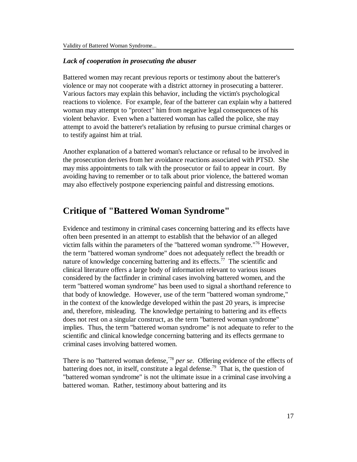#### *Lack of cooperation in prosecuting the abuser*

Battered women may recant previous reports or testimony about the batterer's violence or may not cooperate with a district attorney in prosecuting a batterer. Various factors may explain this behavior, including the victim's psychological reactions to violence. For example, fear of the batterer can explain why a battered woman may attempt to "protect" him from negative legal consequences of his violent behavior. Even when a battered woman has called the police, she may attempt to avoid the batterer's retaliation by refusing to pursue criminal charges or to testify against him at trial.

Another explanation of a battered woman's reluctance or refusal to be involved in the prosecution derives from her avoidance reactions associated with PTSD. She may miss appointments to talk with the prosecutor or fail to appear in court. By avoiding having to remember or to talk about prior violence, the battered woman may also effectively postpone experiencing painful and distressing emotions.

# **Critique of "Battered Woman Syndrome"**

Evidence and testimony in criminal cases concerning battering and its effects have often been presented in an attempt to establish that the behavior of an alleged victim falls within the parameters of the "battered woman syndrome."<sup>76</sup> However, the term "battered woman syndrome" does not adequately reflect the breadth or nature of knowledge concerning battering and its effects.<sup> $77$ </sup> The scientific and clinical literature offers a large body of information relevant to various issues considered by the factfinder in criminal cases involving battered women, and the term "battered woman syndrome" has been used to signal a shorthand reference to that body of knowledge. However, use of the term "battered woman syndrome," in the context of the knowledge developed within the past 20 years, is imprecise and, therefore, misleading. The knowledge pertaining to battering and its effects does not rest on a singular construct, as the term "battered woman syndrome" implies. Thus, the term "battered woman syndrome" is not adequate to refer to the scientific and clinical knowledge concerning battering and its effects germane to criminal cases involving battered women.

There is no "battered woman defense,<sup>"78</sup> per se. Offering evidence of the effects of battering does not, in itself, constitute a legal defense.<sup>79</sup> That is, the question of "battered woman syndrome" is not the ultimate issue in a criminal case involving a battered woman. Rather, testimony about battering and its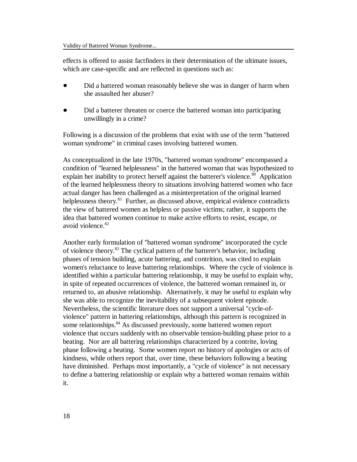effects is offered to assist factfinders in their determination of the ultimate issues, which are case-specific and are reflected in questions such as:

- Did a battered woman reasonably believe she was in danger of harm when she assaulted her abuser?
- Did a batterer threaten or coerce the battered woman into participating unwillingly in a crime?

Following is a discussion of the problems that exist with use of the term "battered woman syndrome" in criminal cases involving battered women.

As conceptualized in the late 1970s, "battered woman syndrome" encompassed a condition of "learned helplessness" in the battered woman that was hypothesized to explain her inability to protect herself against the batterer's violence.<sup>80</sup> Application of the learned helplessness theory to situations involving battered women who face actual danger has been challenged as a misinterpretation of the original learned helplessness theory. $81$  Further, as discussed above, empirical evidence contradicts the view of battered women as helpless or passive victims; rather, it supports the idea that battered women continue to make active efforts to resist, escape, or avoid violence.<sup>82</sup>

Another early formulation of "battered woman syndrome" incorporated the cycle of violence theory.<sup>83</sup> The cyclical pattern of the batterer's behavior, including phases of tension building, acute battering, and contrition, was cited to explain women's reluctance to leave battering relationships. Where the cycle of violence is identified within a particular battering relationship, it may be useful to explain why, in spite of repeated occurrences of violence, the battered woman remained in, or returned to, an abusive relationship. Alternatively, it may be useful to explain why she was able to recognize the inevitability of a subsequent violent episode. Nevertheless, the scientific literature does not support a universal "cycle-ofviolence" pattern in battering relationships, although this pattern is recognized in some relationships.<sup>84</sup> As discussed previously, some battered women report violence that occurs suddenly with no observable tension-building phase prior to a beating. Nor are all battering relationships characterized by a contrite, loving phase following a beating. Some women report no history of apologies or acts of kindness, while others report that, over time, these behaviors following a beating have diminished. Perhaps most importantly, a "cycle of violence" is not necessary to define a battering relationship or explain why a battered woman remains within it.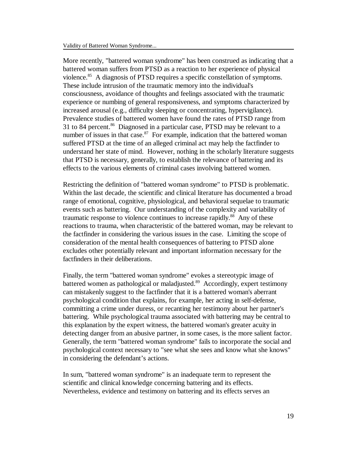More recently, "battered woman syndrome" has been construed as indicating that a battered woman suffers from PTSD as a reaction to her experience of physical violence.  $85$  A diagnosis of PTSD requires a specific constellation of symptoms. These include intrusion of the traumatic memory into the individual's consciousness, avoidance of thoughts and feelings associated with the traumatic experience or numbing of general responsiveness, and symptoms characterized by increased arousal (e.g., difficulty sleeping or concentrating, hypervigilance). Prevalence studies of battered women have found the rates of PTSD range from 31 to 84 percent. $86$  Diagnosed in a particular case, PTSD may be relevant to a number of issues in that case. $87$  For example, indication that the battered woman suffered PTSD at the time of an alleged criminal act may help the factfinder to understand her state of mind. However, nothing in the scholarly literature suggests that PTSD is necessary, generally, to establish the relevance of battering and its effects to the various elements of criminal cases involving battered women.

Restricting the definition of "battered woman syndrome" to PTSD is problematic. Within the last decade, the scientific and clinical literature has documented a broad range of emotional, cognitive, physiological, and behavioral sequelae to traumatic events such as battering. Our understanding of the complexity and variability of traumatic response to violence continues to increase rapidly.<sup>88</sup> Any of these reactions to trauma, when characteristic of the battered woman, may be relevant to the factfinder in considering the various issues in the case. Limiting the scope of consideration of the mental health consequences of battering to PTSD alone excludes other potentially relevant and important information necessary for the factfinders in their deliberations.

Finally, the term "battered woman syndrome" evokes a stereotypic image of battered women as pathological or maladjusted.<sup>89</sup> Accordingly, expert testimony can mistakenly suggest to the factfinder that it is a battered woman's aberrant psychological condition that explains, for example, her acting in self-defense, committing a crime under duress, or recanting her testimony about her partner's battering. While psychological trauma associated with battering may be central to this explanation by the expert witness, the battered woman's greater acuity in detecting danger from an abusive partner, in some cases, is the more salient factor. Generally, the term "battered woman syndrome" fails to incorporate the social and psychological context necessary to "see what she sees and know what she knows" in considering the defendant's actions.

In sum, "battered woman syndrome" is an inadequate term to represent the scientific and clinical knowledge concerning battering and its effects. Nevertheless, evidence and testimony on battering and its effects serves an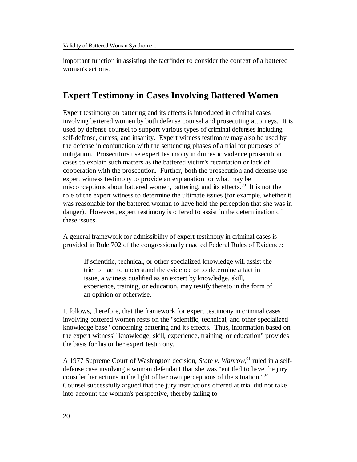important function in assisting the factfinder to consider the context of a battered woman's actions.

# **Expert Testimony in Cases Involving Battered Women**

Expert testimony on battering and its effects is introduced in criminal cases involving battered women by both defense counsel and prosecuting attorneys. It is used by defense counsel to support various types of criminal defenses including self-defense, duress, and insanity. Expert witness testimony may also be used by the defense in conjunction with the sentencing phases of a trial for purposes of mitigation. Prosecutors use expert testimony in domestic violence prosecution cases to explain such matters as the battered victim's recantation or lack of cooperation with the prosecution. Further, both the prosecution and defense use expert witness testimony to provide an explanation for what may be misconceptions about battered women, battering, and its effects.<sup>90</sup> It is not the role of the expert witness to determine the ultimate issues (for example, whether it was reasonable for the battered woman to have held the perception that she was in danger). However, expert testimony is offered to assist in the determination of these issues.

A general framework for admissibility of expert testimony in criminal cases is provided in Rule 702 of the congressionally enacted Federal Rules of Evidence:

If scientific, technical, or other specialized knowledge will assist the trier of fact to understand the evidence or to determine a fact in issue, a witness qualified as an expert by knowledge, skill, experience, training, or education, may testify thereto in the form of an opinion or otherwise.

It follows, therefore, that the framework for expert testimony in criminal cases involving battered women rests on the "scientific, technical, and other specialized knowledge base" concerning battering and its effects. Thus, information based on the expert witness' "knowledge, skill, experience, training, or education" provides the basis for his or her expert testimony.

A 1977 Supreme Court of Washington decision, *State v. Wanrow*<sup>91</sup> ruled in a selfdefense case involving a woman defendant that she was "entitled to have the jury consider her actions in the light of her own perceptions of the situation."<sup>92</sup> Counsel successfully argued that the jury instructions offered at trial did not take into account the woman's perspective, thereby failing to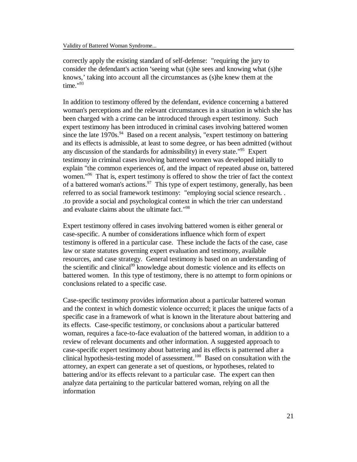correctly apply the existing standard of self-defense: "requiring the jury to consider the defendant's action 'seeing what (s)he sees and knowing what (s)he knows,' taking into account all the circumstances as (s)he knew them at the time."<sup>93</sup>

In addition to testimony offered by the defendant, evidence concerning a battered woman's perceptions and the relevant circumstances in a situation in which she has been charged with a crime can be introduced through expert testimony. Such expert testimony has been introduced in criminal cases involving battered women since the late  $1970s^{94}$  Based on a recent analysis, "expert testimony on battering and its effects is admissible, at least to some degree, or has been admitted (without any discussion of the standards for admissibility) in every state."<sup>95</sup> Expert testimony in criminal cases involving battered women was developed initially to explain "the common experiences of, and the impact of repeated abuse on, battered women."<sup>96</sup> That is, expert testimony is offered to show the trier of fact the context of a battered woman's actions.  $97$  This type of expert testimony, generally, has been referred to as social framework testimony: "employing social science research. . .to provide a social and psychological context in which the trier can understand and evaluate claims about the ultimate fact."<sup>98</sup>

Expert testimony offered in cases involving battered women is either general or case-specific. A number of considerations influence which form of expert testimony is offered in a particular case. These include the facts of the case, case law or state statutes governing expert evaluation and testimony, available resources, and case strategy. General testimony is based on an understanding of the scientific and clinical<sup>99</sup> knowledge about domestic violence and its effects on battered women. In this type of testimony, there is no attempt to form opinions or conclusions related to a specific case.

Case-specific testimony provides information about a particular battered woman and the context in which domestic violence occurred; it places the unique facts of a specific case in a framework of what is known in the literature about battering and its effects. Case-specific testimony, or conclusions about a particular battered woman, requires a face-to-face evaluation of the battered woman, in addition to a review of relevant documents and other information. A suggested approach to case-specific expert testimony about battering and its effects is patterned after a clinical hypothesis-testing model of assessment.<sup>100</sup> Based on consultation with the attorney, an expert can generate a set of questions, or hypotheses, related to battering and/or its effects relevant to a particular case. The expert can then analyze data pertaining to the particular battered woman, relying on all the information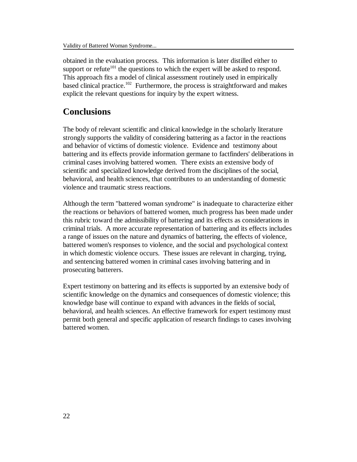obtained in the evaluation process. This information is later distilled either to support or refute<sup> $101$ </sup> the questions to which the expert will be asked to respond. This approach fits a model of clinical assessment routinely used in empirically based clinical practice.<sup>102</sup> Furthermore, the process is straightforward and makes explicit the relevant questions for inquiry by the expert witness.

# **Conclusions**

The body of relevant scientific and clinical knowledge in the scholarly literature strongly supports the validity of considering battering as a factor in the reactions and behavior of victims of domestic violence. Evidence and testimony about battering and its effects provide information germane to factfinders' deliberations in criminal cases involving battered women. There exists an extensive body of scientific and specialized knowledge derived from the disciplines of the social, behavioral, and health sciences, that contributes to an understanding of domestic violence and traumatic stress reactions.

Although the term "battered woman syndrome" is inadequate to characterize either the reactions or behaviors of battered women, much progress has been made under this rubric toward the admissibility of battering and its effects as considerations in criminal trials. A more accurate representation of battering and its effects includes a range of issues on the nature and dynamics of battering, the effects of violence, battered women's responses to violence, and the social and psychological context in which domestic violence occurs. These issues are relevant in charging, trying, and sentencing battered women in criminal cases involving battering and in prosecuting batterers.

Expert testimony on battering and its effects is supported by an extensive body of scientific knowledge on the dynamics and consequences of domestic violence; this knowledge base will continue to expand with advances in the fields of social, behavioral, and health sciences. An effective framework for expert testimony must permit both general and specific application of research findings to cases involving battered women.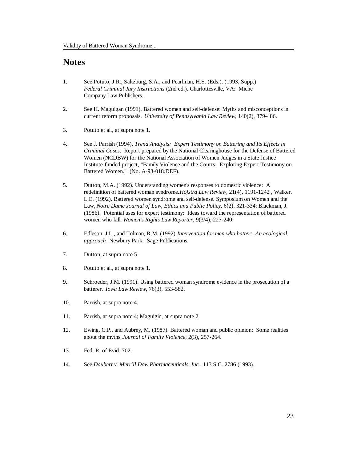## **Notes**

- 1. See Potuto, J.R., Saltzburg, S.A., and Pearlman, H.S. (Eds.). (1993, Supp.) *Federal Criminal Jury Instructions* (2nd ed.). Charlottesville, VA: Miche Company Law Publishers.
- 2. See H. Maguigan (1991). Battered women and self-defense: Myths and misconceptions in current reform proposals. *University of Pennsylvania Law Review*, 140(2), 379-486.
- 3. Potuto et al., at supra note 1.
- 4. See J. Parrish (1994). *Trend Analysis: Expert Testimony on Battering and Its Effects in Criminal Cases*. Report prepared by the National Clearinghouse for the Defense of Battered Women (NCDBW) for the National Association of Women Judges in a State Justice Institute-funded project, "Family Violence and the Courts: Exploring Expert Testimony on Battered Women." (No. A-93-018.DEF).
- 5. Dutton, M.A. (1992). Understanding women's responses to domestic violence: A redefinition of battered woman syndrome. *Hofstra Law Review*, 21(4), 1191-1242 , Walker, L.E. (1992). Battered women syndrome and self-defense. Symposium on Women and the Law, *Notre Dame Journal of Law, Ethics and Public Policy*, 6(2), 321-334; Blackman, J. (1986). Potential uses for expert testimony: Ideas toward the representation of battered women who kill. *Women's Rights Law Reporter*, 9(3/4), 227-240.
- 6. Edleson, J.L., and Tolman, R.M. (1992). *Intervention for men who batter: An ecological approach*. Newbury Park: Sage Publications.
- 7. Dutton, at supra note 5.
- 8. Potuto et al., at supra note 1.
- 9. Schroeder, J.M. (1991). Using battered woman syndrome evidence in the prosecution of a batterer. *Iowa Law Review*, 76(3), 553-582.
- 10. Parrish, at supra note 4.
- 11. Parrish, at supra note 4; Maguigin, at supra note 2.
- 12. Ewing, C.P., and Aubrey, M. (1987). Battered woman and public opinion: Some realities about the myths. *Journal of Family Violence*, 2(3), 257-264.
- 13. Fed. R. of Evid. 702.
- 14. See *Daubert v. Merrill Dow Pharmaceuticals, Inc.*, 113 S.C. 2786 (1993).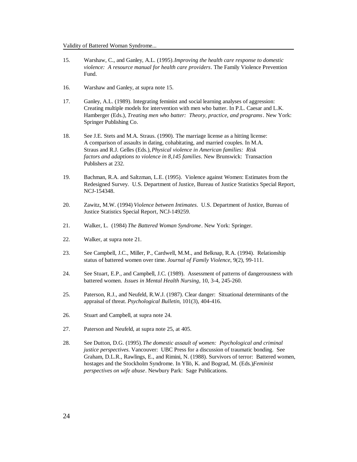- 15. Warshaw, C., and Ganley, A.L. (1995). *Improving the health care response to domestic violence: A resource manual for health care providers*. The Family Violence Prevention Fund.
- 16. Warshaw and Ganley, at supra note 15.
- 17. Ganley, A.L. (1989). Integrating feminist and social learning analyses of aggression: Creating multiple models for intervention with men who batter. In P.L. Caesar and L.K. Hamberger (Eds.), *Treating men who batter: Theory, practice, and programs*. New York: Springer Publishing Co.
- 18. See J.E. Stets and M.A. Straus. (1990). The marriage license as a hitting license: A comparison of assaults in dating, cohabitating, and married couples. In M.A. Straus and R.J. Gelles (Eds.), *Physical violence in American families: Risk factors and adaptions to violence in 8,145 families*. New Brunswick: Transaction Publishers at 232.
- 19. Bachman, R.A. and Saltzman, L.E. (1995). Violence against Women: Estimates from the Redesigned Survey. U.S. Department of Justice, Bureau of Justice Statistics Special Report, NCJ-154348.
- 20. Zawitz, M.W. (1994) *Violence between Intimates*. U.S. Department of Justice, Bureau of Justice Statistics Special Report, NCJ-149259.
- 21. Walker, L. (1984) *The Battered Woman Syndrome*. New York: Springer.
- 22. Walker, at supra note 21.
- 23. See Campbell, J.C., Miller, P., Cardwell, M.M., and Belknap, R.A. (1994). Relationship status of battered women over time. *Journal of Family Violence*, 9(2), 99-111.
- 24. See Stuart, E.P., and Campbell, J.C. (1989). Assessment of patterns of dangerousness with battered women. *Issues in Mental Health Nursing*, 10, 3-4, 245-260.
- 25. Paterson, R.J., and Neufeld, R.W.J. (1987). Clear danger: Situational determinants of the appraisal of threat. *Psychological Bulletin*, 101(3), 404-416.
- 26. Stuart and Campbell, at supra note 24.
- 27. Paterson and Neufeld, at supra note 25, at 405.
- 28. See Dutton, D.G. (1995). *The domestic assault of women: Psychological and criminal justice perspectives*. Vancouver: UBC Press for a discussion of traumatic bonding. See Graham, D.L.R., Rawlings, E., and Rimini, N. (1988). Survivors of terror: Battered women, hostages and the Stockholm Syndrome. In Yllö, K. and Bograd, M. (Eds.) *Feminist perspectives on wife abuse*. Newbury Park: Sage Publications.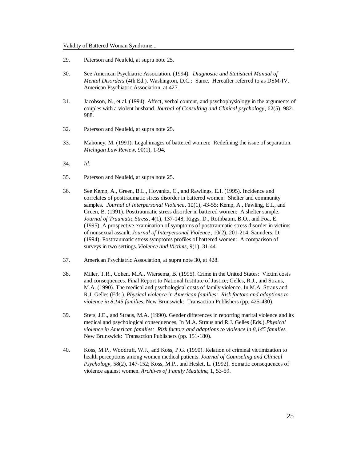- 29. Paterson and Neufeld, at supra note 25.
- 30. See American Psychiatric Association. (1994). *Diagnostic and Statistical Manual of Mental Disorders* (4th Ed.). Washington, D.C.: Same. Hereafter referred to as DSM-IV. American Psychiatric Association, at 427.
- 31. Jacobson, N., et al. (1994). Affect, verbal content, and psychophysiology in the arguments of couples with a violent husband. *Journal of Consulting and Clinical psychology*, 62(5), 982- 988.
- 32. Paterson and Neufeld, at supra note 25.
- 33. Mahoney, M. (1991). Legal images of battered women: Redefining the issue of separation. *Michigan Law Review*, 90(1), 1-94,
- 34. *Id.*
- 35. Paterson and Neufeld, at supra note 25.
- 36. See Kemp, A., Green, B.L., Hovanitz, C., and Rawlings, E.I. (1995). Incidence and correlates of posttraumatic stress disorder in battered women: Shelter and community samples. *Journal of Interpersonal Violence*, 10(1), 43-55; Kemp, A., Fawling, E.I., and Green, B. (1991). Posttraumatic stress disorder in battered women: A shelter sample. *Journal of Traumatic Stress*, 4(1), 137-148; Riggs, D., Rothbaum, B.O., and Foa, E. (1995). A prospective examination of symptoms of posttraumatic stress disorder in victims of nonsexual assault. *Journal of Interpersonal Violence*, 10(2), 201-214; Saunders, D. (1994). Posttraumatic stress symptoms profiles of battered women: A comparison of surveys in two settings. *Violence and Victims*, 9(1), 31-44.
- 37. American Psychiatric Association, at supra note 30, at 428.
- 38. Miller, T.R., Cohen, M.A., Wiersema, B. (1995). Crime in the United States: Victim costs and consequences. Final Report to National Institute of Justice; Gelles, R.J., and Straus, M.A. (1990). The medical and psychological costs of family violence. In M.A. Straus and R.J. Gelles (Eds.), *Physical violence in American families: Risk factors and adaptions to violence in 8,145 families*. New Brunswick: Transaction Publishers (pp. 425-430).
- 39. Stets, J.E., and Straus, M.A. (1990). Gender differences in reporting marital violence and its medical and psychological consequences. In M.A. Straus and R.J. Gelles (Eds.), *Physical violence in American families: Risk factors and adaptions to violence in 8,145 families*. New Brunswick: Transaction Publishers (pp. 151-180).
- 40. Koss, M.P., Woodruff, W.J., and Koss, P.G. (1990). Relation of criminal victimization to health perceptions among women medical patients. *Journal of Counseling and Clinical Psychology*, 58(2), 147-152; Koss, M.P., and Heslet, L. (1992). Somatic consequences of violence against women. *Archives of Family Medicine*, 1, 53-59.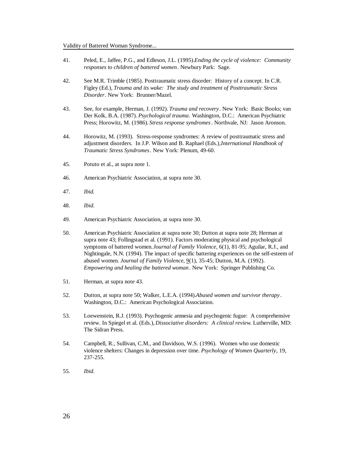- 41. Peled, E., Jaffee, P.G., and Edleson, J.L. (1995). *Ending the cycle of violence: Community responses to children of battered women*. Newbury Park: Sage.
- 42. See M.R. Trimble (1985). Posttraumatic stress disorder: History of a concept. In C.R. Figley (Ed.), *Trauma and its wake: The study and treatment of Posttraumatic Stress Disorder*. New York: Brunner/Mazel.
- 43. See, for example, Herman, J. (1992). *Trauma and recovery*. New York: Basic Books; van Der Kolk, B.A. (1987). *Psychological trauma*. Washington, D.C.: American Psychiatric Press; Horowitz, M. (1986). *Stress response syndromes*. Northvale, NJ: Jason Aronson.
- 44. Horowitz, M. (1993). Stress-response syndromes: A review of posttraumatic stress and adjustment disorders. In J.P. Wilson and B. Raphael (Eds.), *International Handbook of Traumatic Stress Syndromes*. New York: Plenum, 49-60.
- 45. Potuto et al., at supra note 1.
- 46. American Psychiatric Association, at supra note 30.
- 47. *Ibid.*
- 48. *Ibid.*
- 49. American Psychiatric Association, at supra note 30.
- 50. American Psychiatric Association at supra note 30; Dutton at supra note 28; Herman at supra note 43; Follingstad et al. (1991). Factors moderating physical and psychological symptoms of battered women. *Journal of Family Violence*, 6(1), 81-95; Aguilar, R.J., and Nightingale, N.N. (1994). The impact of specific battering experiences on the self-esteem of abused women. *Journal of Family Violence*, 9(1), 35-45; Dutton, M.A. (1992). *Empowering and healing the battered woman* . New York: Springer Publishing Co.
- 51. Herman, at supra note 43.
- 52. Dutton, at supra note 50; Walker, L.E.A. (1994). *Abused women and survivor therapy* . Washington, D.C.: American Psychological Association.
- 53. Loewenstein, R.J. (1993). Psychogenic amnesia and psychogenic fugue: A comprehensive review. In Spiegel et al. (Eds.), *Dissociative disorders: A clinical review*. Lutherville, MD: The Sidran Press.
- 54. Campbell, R., Sullivan, C.M., and Davidson, W.S. (1996). Women who use domestic violence shelters: Changes in depression over time. *Psychology of Women Quarterly*, 19, 237-255.
- 55. *Ibid.*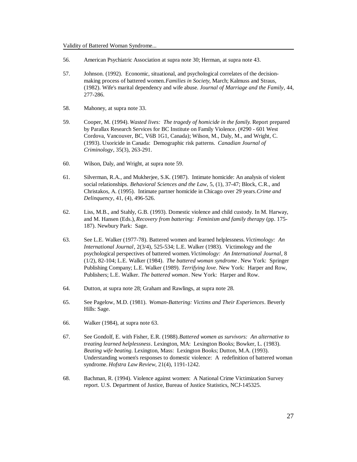- 56. American Psychiatric Association at supra note 30; Herman, at supra note 43.
- 57. Johnson. (1992). Economic, situational, and psychological correlates of the decisionmaking process of battered women. *Families in Society*, March; Kalmuss and Straus, (1982). Wife's marital dependency and wife abuse. *Journal of Marriage and the Family*, 44, 277-286.
- 58. Mahoney, at supra note 33.
- 59. Cooper, M. (1994). *Wasted lives: The tragedy of homicide in the family*. Report prepared by Parallax Research Services for BC Institute on Family Violence. (#290 - 601 West Cordova, Vancouver, BC, V6B 1G1, Canada); Wilson, M., Daly, M., and Wright, C. (1993). Uxoricide in Canada: Demographic risk patterns. *Canadian Journal of Criminology*, 35(3), 263-291.
- 60. Wilson, Daly, and Wright, at supra note 59.
- 61. Silverman, R.A., and Mukherjee, S.K. (1987). Intimate homicide: An analysis of violent social relationships. *Behavioral Sciences and the Law*, 5, (1), 37-47; Block, C.R., and Christakos, A. (1995). Intimate partner homicide in Chicago over 29 years. *Crime and Delinquency*, 41, (4), 496-526.
- 62. Liss, M.B., and Stahly, G.B. (1993). Domestic violence and child custody. In M. Harway, and M. Hansen (Eds.), *Recovery from battering: Feminism and family therapy* (pp. 175- 187). Newbury Park: Sage.
- 63. See L.E. Walker (1977-78). Battered women and learned helplessness. *Victimology: An International Journal*, 2(3/4), 525-534; L.E. Walker (1983). Victimology and the psychological perspectives of battered women. *Victimology: An International Journal*, 8 (1/2), 82-104; L.E. Walker (1984). *The battered woman syndrome* . New York: Springer Publishing Company; L.E. Walker (1989). *Terrifying love*. New York: Harper and Row, Publishers; L.E. Walker. *The battered woman*. New York: Harper and Row.
- 64. Dutton, at supra note 28; Graham and Rawlings, at supra note 28.
- 65. See Pagelow, M.D. (1981). *Woman-Battering: Victims and Their Experiences*. Beverly Hills: Sage.
- 66. Walker (1984), at supra note 63.
- 67. See Gondolf, E. with Fisher, E.R. (1988). *Battered women as survivors: An alternative to treating learned helplessness*. Lexington, MA: Lexington Books; Bowker, L. (1983). *Beating wife beating*. Lexington, Mass: Lexington Books; Dutton, M.A. (1993). Understanding women's responses to domestic violence: A redefinition of battered woman syndrome. *Hofstra Law Review*, 21(4), 1191-1242.
- 68. Bachman, R. (1994). Violence against women: A National Crime Victimization Survey report. U.S. Department of Justice, Bureau of Justice Statistics, NCJ-145325.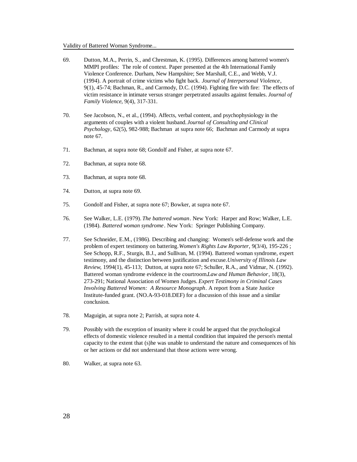- 69. Dutton, M.A., Perrin, S., and Chrestman, K. (1995). Differences among battered women's MMPI profiles: The role of context. Paper presented at the 4th International Family Violence Conference. Durham, New Hampshire; See Marshall, C.E., and Webb, V.J. (1994). A portrait of crime victims who fight back. *Journal of Interpersonal Violence*, 9(1), 45-74; Bachman, R., and Carmody, D.C. (1994). Fighting fire with fire: The effects of victim resistance in intimate versus stranger perpetrated assaults against females. *Journal of Family Violence*, 9(4), 317-331.
- 70. See Jacobson, N., et al., (1994). Affects, verbal content, and psychophysiology in the arguments of couples with a violent husband. *Journal of Consulting and Clinical Psychology*, 62(5), 982-988; Bachman at supra note 66; Bachman and Carmody at supra note 67.
- 71. Bachman, at supra note 68; Gondolf and Fisher, at supra note 67.
- 72. Bachman, at supra note 68.
- 73. Bachman, at supra note 68.
- 74. Dutton, at supra note 69.
- 75. Gondolf and Fisher, at supra note 67; Bowker, at supra note 67.
- 76. See Walker, L.E. (1979). *The battered woman*. New York: Harper and Row; Walker, L.E. (1984). *Battered woman syndrome*. New York: Springer Publishing Company.
- 77. See Schneider, E.M., (1986). Describing and changing: Women's self-defense work and the problem of expert testimony on battering. *Women's Rights Law Reporter*, 9(3/4), 195-226 ; See Schopp, R.F., Sturgis, B.J., and Sullivan, M. (1994). Battered woman syndrome, expert testimony, and the distinction between justification and excuse. *University of Illinois Law Review*, 1994(1), 45-113; Dutton, at supra note 67; Schuller, R.A., and Vidmar, N. (1992). Battered woman syndrome evidence in the courtroom. *Law and Human Behavior*, 18(3), 273-291; National Association of Women Judges. *Expert Testimony in Criminal Cases Involving Battered Women: A Resource Monograph*. A report from a State Justice Institute-funded grant. (NO.A-93-018.DEF) for a discussion of this issue and a similar conclusion.
- 78. Maguigin, at supra note 2; Parrish, at supra note 4.
- 79. Possibly with the exception of insanity where it could be argued that the psychological effects of domestic violence resulted in a mental condition that impaired the person's mental capacity to the extent that (s)he was unable to understand the nature and consequences of his or her actions or did not understand that those actions were wrong.
- 80. Walker, at supra note 63.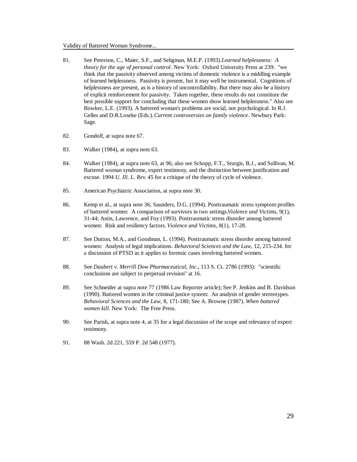- 81. See Peterson, C., Maier, S.F., and Seligman, M.E.P. (1993). *Learned helplessness: A theory for the age of personal control*. New York: Oxford University Press at 239: "we think that the passivity observed among victims of domestic violence is a middling example of learned helplessness. Passivity is present, but it may well be instrumental. Cognitions of helplessness are present, as is a history of uncontrollability. But there may also be a history of explicit reinforcement for passivity. Taken together, these results do not constitute the best possible support for concluding that these women show learned helplessness." Also see Bowker, L.E. (1993). A battered woman's problems are social, not psychological. In R.J. Gelles and D.R.Loseke (Eds.). *Current controversies on family violence*. Newbury Park: Sage.
- 82. Gondolf, at supra note 67.
- 83. Walker (1984), at supra note 63.
- 84. Walker (1984), at supra note 63, at 96; also see Schopp, F.T., Sturgis, B.J., and Sullivan, M. Battered woman syndrome, expert testimony, and the distinction between justification and excuse. 1994 *U. Ill. L. Rev*. 45 for a critique of the theory of cycle of violence.
- 85. American Psychiatric Association, at supra note 30.
- 86. Kemp et al., at supra note 36; Saunders, D.G. (1994). Posttraumatic stress symptom profiles of battered women: A comparison of survivors in two settings. *Violence and Victims*, 9(1), 31-44; Astin, Lawrence, and Foy (1993). Posttraumatic stress disorder among battered women: Risk and resiliency factors. *Violence and Victims*, 8(1), 17-28.
- 87. See Dutton, M.A., and Goodman, L. (1994). Posttraumatic stress disorder among battered women: Analysis of legal implications. *Behavioral Sciences and the Law*, 12, 215-234. for a discussion of PTSD as it applies to forensic cases involving battered women.
- 88. See *Daubert v. Merrill Dow Pharmaceutical, Inc.*, 113 S. Ct. 2786 (1993): "scientific conclusions are subject to perpetual revision" at 16.
- 89. See Schneider at supra note 77 (1986 Law Reporter article); See P. Jenkins and B. Davidson (1990). Battered women in the criminal justice system: An analysis of gender stereotypes. *Behavioral Sciences and the Law*, 8, 171-180; See A. Browne (1987). *When battered women kill*. New York: The Free Press.
- 90. See Parish, at supra note 4, at 35 for a legal discussion of the scope and relevance of expert testimony.
- 91. 88 Wash. 2d 221, 559 P. 2d 548 (1977).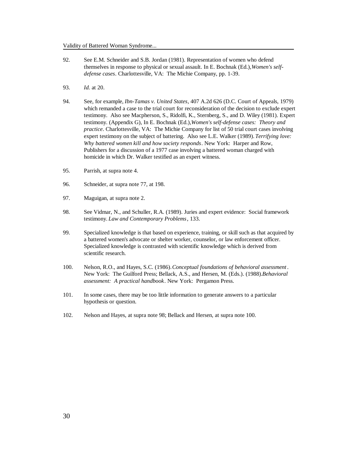- 92. See E.M. Schneider and S.B. Jordan (1981). Representation of women who defend themselves in response to physical or sexual assault. In E. Bochnak (Ed.), *Women's selfdefense cases*. Charlottesville, VA: The Michie Company, pp. 1-39.
- 93. *Id.* at 20.
- 94. See, for example, *Ibn-Tamas v. United States*, 407 A.2d 626 (D.C. Court of Appeals, 1979) which remanded a case to the trial court for reconsideration of the decision to exclude expert testimony. Also see Macpherson, S., Ridolfi, K., Sternberg, S., and D. Wiley (1981). Expert testimony. (Appendix G), In E. Bochnak (Ed.), *Women's self-defense cases: Theory and practice*. Charlottesville, VA: The Michie Company for list of 50 trial court cases involving expert testimony on the subject of battering. Also see L.E. Walker (1989). *Terrifying love: Why battered women kill and how society responds*. New York: Harper and Row, Publishers for a discussion of a 1977 case involving a battered woman charged with homicide in which Dr. Walker testified as an expert witness.
- 95. Parrish, at supra note 4.
- 96. Schneider, at supra note 77, at 198.
- 97. Maguigan, at supra note 2.
- 98. See Vidmar, N., and Schuller, R.A. (1989). Juries and expert evidence: Social framework testimony. *Law and Contemporary Problems*, 133.
- 99. Specialized knowledge is that based on experience, training, or skill such as that acquired by a battered women's advocate or shelter worker, counselor, or law enforcement officer. Specialized knowledge is contrasted with scientific knowledge which is derived from scientific research.
- 100. Nelson, R.O., and Hayes, S.C. (1986). *Conceptual foundations of behavioral assessment* . New York: The Guilford Press; Bellack, A.S., and Hersen, M. (Eds.). (1988). *Behavioral assessment: A practical handbook*. New York: Pergamon Press.
- 101. In some cases, there may be too little information to generate answers to a particular hypothesis or question.
- 102. Nelson and Hayes, at supra note 98; Bellack and Hersen, at supra note 100.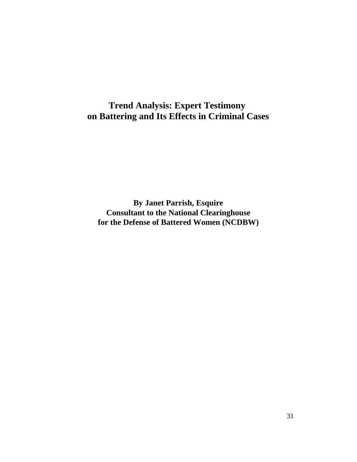# **Trend Analysis: Expert Testimony on Battering and Its Effects in Criminal Cases**

**By Janet Parrish, Esquire Consultant to the National Clearinghouse for the Defense of Battered Women (NCDBW)**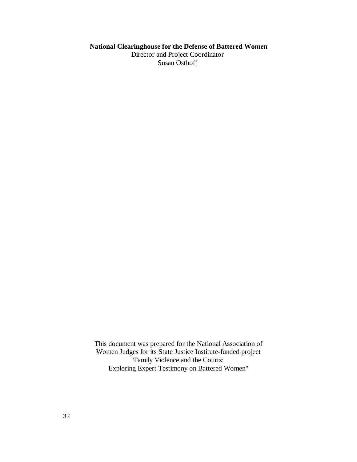### **National Clearinghouse for the Defense of Battered Women**

Director and Project Coordinator Susan Osthoff

This document was prepared for the National Association of Women Judges for its State Justice Institute-funded project "Family Violence and the Courts: Exploring Expert Testimony on Battered Women"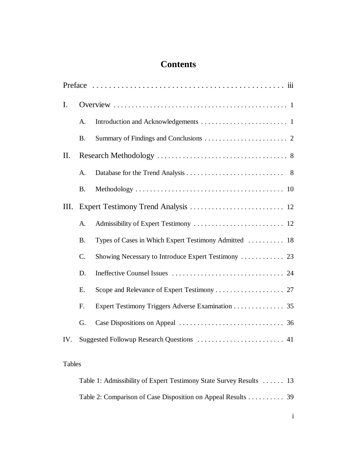# **Contents**

| <b>B.</b> |                                                       |
|-----------|-------------------------------------------------------|
|           |                                                       |
| A.        |                                                       |
| <b>B.</b> |                                                       |
|           |                                                       |
| A.        | Admissibility of Expert Testimony  12                 |
| <b>B.</b> | Types of Cases in Which Expert Testimony Admitted  18 |
| C.        |                                                       |
| D.        |                                                       |
| Ε.        |                                                       |
| F.        | Expert Testimony Triggers Adverse Examination 35      |
| G.        |                                                       |
|           |                                                       |
|           | A.                                                    |

## Tables

| Table 1: Admissibility of Expert Testimony State Survey Results  13 |  |
|---------------------------------------------------------------------|--|
| Table 2: Comparison of Case Disposition on Appeal Results 39        |  |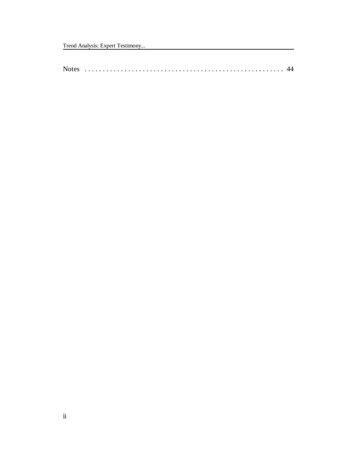Trend Analysis: Expert Testimony...

|--|--|--|--|--|--|--|--|--|--|--|--|--|--|--|--|--|--|--|--|--|--|--|--|--|--|--|--|--|--|--|--|--|--|--|--|--|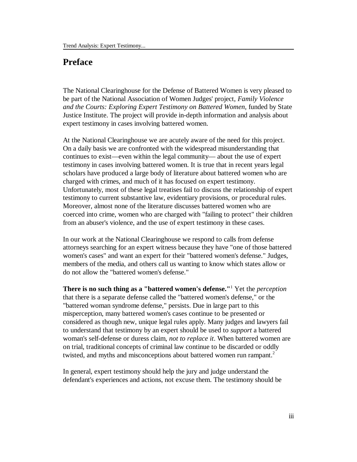## **Preface**

The National Clearinghouse for the Defense of Battered Women is very pleased to be part of the National Association of Women Judges' project, *Family Violence and the Courts: Exploring Expert Testimony on Battered Women,* funded by State Justice Institute. The project will provide in-depth information and analysis about expert testimony in cases involving battered women.

At the National Clearinghouse we are acutely aware of the need for this project. On a daily basis we are confronted with the widespread misunderstanding that continues to exist—even within the legal community— about the use of expert testimony in cases involving battered women. It is true that in recent years legal scholars have produced a large body of literature about battered women who are charged with crimes, and much of it has focused on expert testimony. Unfortunately, most of these legal treatises fail to discuss the relationship of expert testimony to current substantive law, evidentiary provisions, or procedural rules. Moreover, almost none of the literature discusses battered women who are coerced into crime, women who are charged with "failing to protect" their children from an abuser's violence, and the use of expert testimony in these cases.

In our work at the National Clearinghouse we respond to calls from defense attorneys searching for an expert witness because they have "one of those battered women's cases" and want an expert for their "battered women's defense." Judges, members of the media, and others call us wanting to know which states allow or do not allow the "battered women's defense."

There is no such thing as a "battered women's defense."<sup>1</sup> Yet the *perception* that there is a separate defense called the "battered women's defense," or the "battered woman syndrome defense," persists. Due in large part to this misperception, many battered women's cases continue to be presented or considered as though new, unique legal rules apply. Many judges and lawyers fail to understand that testimony by an expert should be used to *support* a battered woman's self-defense or duress claim, *not to replace it*. When battered women are on trial, traditional concepts of criminal law continue to be discarded or oddly twisted, and myths and misconceptions about battered women run rampant.<sup>2</sup>

In general, expert testimony should help the jury and judge understand the defendant's experiences and actions, not excuse them. The testimony should be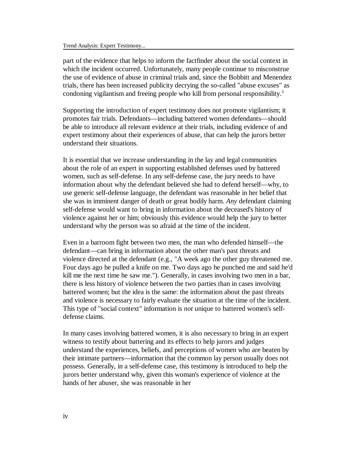part of the evidence that helps to inform the factfinder about the social context in which the incident occurred. Unfortunately, many people continue to misconstrue the use of evidence of abuse in criminal trials and, since the Bobbitt and Menendez trials, there has been increased publicity decrying the so-called "abuse excuses" as condoning vigilantism and freeing people who kill from personal responsibility.<sup>3</sup>

Supporting the introduction of expert testimony does not promote vigilantism; it promotes fair trials. Defendants—including battered women defendants—should be able to introduce all relevant evidence at their trials, including evidence of and expert testimony about their experiences of abuse, that can help the jurors better understand their situations.

It is essential that we increase understanding in the lay and legal communities about the role of an expert in supporting established defenses used by battered women, such as self-defense. In any self-defense case, the jury needs to have information about why the defendant believed she had to defend herself—why, to use generic self-defense language, the defendant was reasonable in her belief that she was in imminent danger of death or great bodily harm. *Any* defendant claiming self-defense would want to bring in information about the deceased's history of violence against her or him; obviously this evidence would help the jury to better understand why the person was so afraid at the time of the incident.

Even in a barroom fight between two men, the man who defended himself—the defendant—can bring in information about the other man's past threats and violence directed at the defendant (e.g., "A week ago the other guy threatened me. Four days ago he pulled a knife on me. Two days ago he punched me and said he'd kill me the next time he saw me."). Generally, in cases involving two men in a bar, there is less history of violence between the two parties than in cases involving battered women; but the idea is the same: the information about the past threats and violence is necessary to fairly evaluate the situation at the time of the incident. This type of "social context" information is *not* unique to battered women's selfdefense claims.

In many cases involving battered women, it is also necessary to bring in an expert witness to testify about battering and its effects to help jurors and judges understand the experiences, beliefs, and perceptions of women who are beaten by their intimate partners—information that the common lay person usually does not possess. Generally, in a self-defense case, this testimony is introduced to help the jurors better understand why, given this woman's experience of violence at the hands of her abuser, she was reasonable in her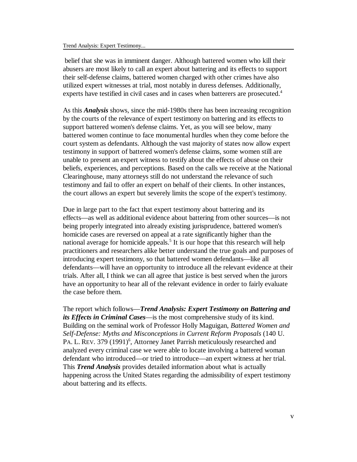belief that she was in imminent danger. Although battered women who kill their abusers are most likely to call an expert about battering and its effects to support their self-defense claims, battered women charged with other crimes have also utilized expert witnesses at trial, most notably in duress defenses. Additionally, experts have testified in civil cases and in cases when batterers are prosecuted.<sup>4</sup>

As this *Analysis* shows, since the mid-1980s there has been increasing recognition by the courts of the relevance of expert testimony on battering and its effects to support battered women's defense claims. Yet, as you will see below, many battered women continue to face monumental hurdles when they come before the court system as defendants. Although the vast majority of states now allow expert testimony in support of battered women's defense claims, some women still are unable to present an expert witness to testify about the effects of abuse on their beliefs, experiences, and perceptions. Based on the calls we receive at the National Clearinghouse, many attorneys still do not understand the relevance of such testimony and fail to offer an expert on behalf of their clients. In other instances, the court allows an expert but severely limits the scope of the expert's testimony.

Due in large part to the fact that expert testimony about battering and its effects—as well as additional evidence about battering from other sources—is not being properly integrated into already existing jurisprudence, battered women's homicide cases are reversed on appeal at a rate significantly higher than the national average for homicide appeals.<sup>5</sup> It is our hope that this research will help practitioners and researchers alike better understand the true goals and purposes of introducing expert testimony, so that battered women defendants—like all defendants—will have an opportunity to introduce all the relevant evidence at their trials. After all, I think we can all agree that justice is best served when the jurors have an opportunity to hear all of the relevant evidence in order to fairly evaluate the case before them.

The report which follows—*Trend Analysis: Expert Testimony on Battering and its Effects in Criminal Cases*—is the most comprehensive study of its kind. Building on the seminal work of Professor Holly Maguigan, *Battered Women and Self-Defense: Myths and Misconceptions in Current Reform Proposals* (140 U. PA. L. REV. 379 (1991)<sup>6</sup>, Attorney Janet Parrish meticulously researched and analyzed every criminal case we were able to locate involving a battered woman defendant who introduced—or tried to introduce—an expert witness at her trial. This *Trend Analysis* provides detailed information about what is actually happening across the United States regarding the admissibility of expert testimony about battering and its effects.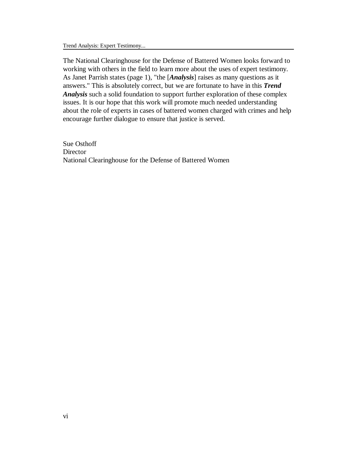The National Clearinghouse for the Defense of Battered Women looks forward to working with others in the field to learn more about the uses of expert testimony. As Janet Parrish states (page 1), "the [*Analysis*] raises as many questions as it answers." This is absolutely correct, but we are fortunate to have in this *Trend Analysis* such a solid foundation to support further exploration of these complex issues. It is our hope that this work will promote much needed understanding about the role of experts in cases of battered women charged with crimes and help encourage further dialogue to ensure that justice is served.

Sue Osthoff Director National Clearinghouse for the Defense of Battered Women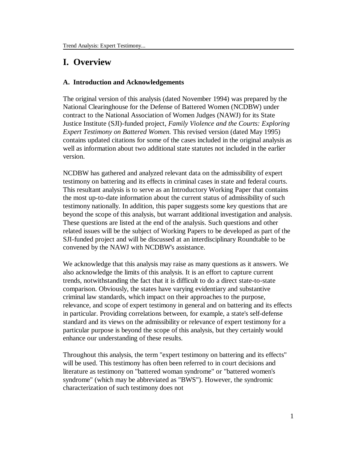# **I. Overview**

### **A. Introduction and Acknowledgements**

The original version of this analysis (dated November 1994) was prepared by the National Clearinghouse for the Defense of Battered Women (NCDBW) under contract to the National Association of Women Judges (NAWJ) for its State Justice Institute (SJI)-funded project, *Family Violence and the Courts: Exploring Expert Testimony on Battered Women.* This revised version (dated May 1995) contains updated citations for some of the cases included in the original analysis as well as information about two additional state statutes not included in the earlier version.

NCDBW has gathered and analyzed relevant data on the admissibility of expert testimony on battering and its effects in criminal cases in state and federal courts. This resultant analysis is to serve as an Introductory Working Paper that contains the most up-to-date information about the current status of admissibility of such testimony nationally. In addition, this paper suggests some key questions that are beyond the scope of this analysis, but warrant additional investigation and analysis. These questions are listed at the end of the analysis. Such questions and other related issues will be the subject of Working Papers to be developed as part of the SJI-funded project and will be discussed at an interdisciplinary Roundtable to be convened by the NAWJ with NCDBW's assistance.

We acknowledge that this analysis may raise as many questions as it answers. We also acknowledge the limits of this analysis. It is an effort to capture current trends, notwithstanding the fact that it is difficult to do a direct state-to-state comparison. Obviously, the states have varying evidentiary and substantive criminal law standards, which impact on their approaches to the purpose, relevance, and scope of expert testimony in general and on battering and its effects in particular. Providing correlations between, for example, a state's self-defense standard and its views on the admissibility or relevance of expert testimony for a particular purpose is beyond the scope of this analysis, but they certainly would enhance our understanding of these results.

Throughout this analysis, the term "expert testimony on battering and its effects" will be used. This testimony has often been referred to in court decisions and literature as testimony on "battered woman syndrome" or "battered women's syndrome" (which may be abbreviated as "BWS"). However, the syndromic characterization of such testimony does not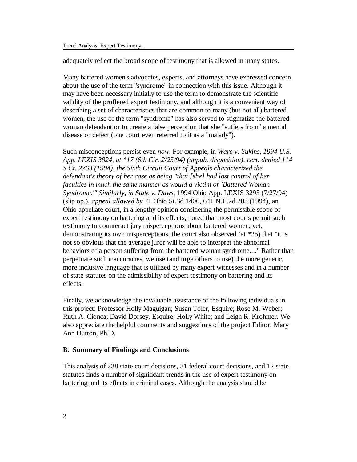adequately reflect the broad scope of testimony that is allowed in many states.

Many battered women's advocates, experts, and attorneys have expressed concern about the use of the term "syndrome" in connection with this issue. Although it may have been necessary initially to use the term to demonstrate the scientific validity of the proffered expert testimony, and although it is a convenient way of describing a set of characteristics that are common to many (but not all) battered women, the use of the term "syndrome" has also served to stigmatize the battered woman defendant or to create a false perception that she "suffers from" a mental disease or defect (one court even referred to it as a "malady").

Such misconceptions persist even *now*. For example, in *Ware v. Yukins, 1994 U.S. App. LEXIS 3824, at \*17 (6th Cir. 2/25/94) (unpub. disposition), cert. denied 114 S.Ct. 2763 (1994), the Sixth Circuit Court of Appeals characterized the defendant's theory of her case as being "that [she] had lost control of her faculties in much the same manner as would a victim of `Battered Woman Syndrome.'" Similarly, in State v. Daws*, 1994 Ohio App. LEXIS 3295 (7/27/94) (slip op.), *appeal allowed by* 71 Ohio St.3d 1406, 641 N.E.2d 203 (1994), an Ohio appellate court, in a lengthy opinion considering the permissible scope of expert testimony on battering and its effects, noted that most courts permit such testimony to counteract jury misperceptions about battered women; yet, demonstrating its own misperceptions, the court also observed (at \*25) that "it is not so obvious that the average juror will be able to interpret the abnormal behaviors of a person suffering from the battered woman syndrome...." Rather than perpetuate such inaccuracies, we use (and urge others to use) the more generic, more inclusive language that is utilized by many expert witnesses and in a number of state statutes on the admissibility of expert testimony on battering and its effects.

Finally, we acknowledge the invaluable assistance of the following individuals in this project: Professor Holly Maguigan; Susan Toler, Esquire; Rose M. Weber; Ruth A. Cionca; David Dorsey, Esquire; Holly White; and Leigh R. Krohmer. We also appreciate the helpful comments and suggestions of the project Editor, Mary Ann Dutton, Ph.D.

### **B. Summary of Findings and Conclusions**

This analysis of 238 state court decisions, 31 federal court decisions, and 12 state statutes finds a number of significant trends in the use of expert testimony on battering and its effects in criminal cases. Although the analysis should be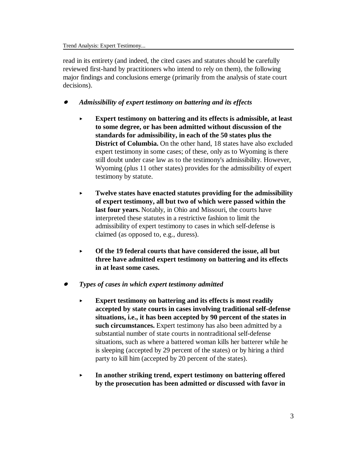read in its entirety (and indeed, the cited cases and statutes should be carefully reviewed first-hand by practitioners who intend to rely on them), the following major findings and conclusions emerge (primarily from the analysis of state court decisions).

- *Admissibility of expert testimony on battering and its effects*
	- **Expert testimony on battering and its effects is admissible, at least to some degree, or has been admitted without discussion of the standards for admissibility, in each of the 50 states plus the District of Columbia.** On the other hand, 18 states have also excluded expert testimony in some cases; of these, only as to Wyoming is there still doubt under case law as to the testimony's admissibility. However, Wyoming (plus 11 other states) provides for the admissibility of expert testimony by statute.
	- **Twelve states have enacted statutes providing for the admissibility of expert testimony, all but two of which were passed within the last four years.** Notably, in Ohio and Missouri, the courts have interpreted these statutes in a restrictive fashion to limit the admissibility of expert testimony to cases in which self-defense is claimed (as opposed to, e.g., duress).
	- **Of the 19 federal courts that have considered the issue, all but**  $\blacktriangleright$ **three have admitted expert testimony on battering and its effects in at least some cases.**
- *Types of cases in which expert testimony admitted*
	- **Expert testimony on battering and its effects is most readily**  $\ddot{\phantom{1}}$ **accepted by state courts in cases involving traditional self-defense situations, i.e., it has been accepted by 90 percent of the states in such circumstances.** Expert testimony has also been admitted by a substantial number of state courts in nontraditional self-defense situations, such as where a battered woman kills her batterer while he is sleeping (accepted by 29 percent of the states) or by hiring a third party to kill him (accepted by 20 percent of the states).
	- **In another striking trend, expert testimony on battering offered**  $\blacktriangleright$ **by the prosecution has been admitted or discussed with favor in**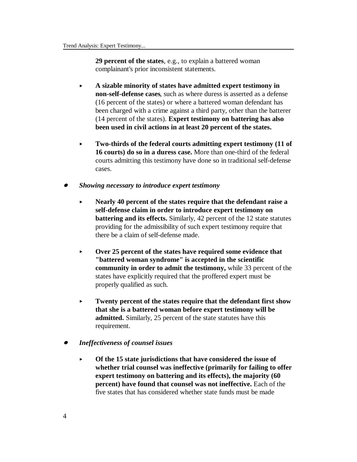**29 percent of the states**, e.g., to explain a battered woman complainant's prior inconsistent statements.

- $\blacktriangleright$ **A sizable minority of states have admitted expert testimony in non-self-defense cases**, such as where duress is asserted as a defense (16 percent of the states) or where a battered woman defendant has been charged with a crime against a third party, other than the batterer (14 percent of the states). **Expert testimony on battering has also been used in civil actions in at least 20 percent of the states.**
- $\blacktriangleright$ **Two-thirds of the federal courts admitting expert testimony (11 of 16 courts) do so in a duress case.** More than one-third of the federal courts admitting this testimony have done so in traditional self-defense cases.
- *Showing necessary to introduce expert testimony*
	- **Nearly 40 percent of the states require that the defendant raise a**  $\blacktriangleright$ **self-defense claim in order to introduce expert testimony on battering and its effects.** Similarly, 42 percent of the 12 state statutes providing for the admissibility of such expert testimony require that there be a claim of self-defense made.
	- **Over 25 percent of the states have required some evidence that**  $\blacktriangleright$ **"battered woman syndrome" is accepted in the scientific community in order to admit the testimony,** while 33 percent of the states have explicitly required that the proffered expert must be properly qualified as such.
	- **Twenty percent of the states require that the defendant first show**  $\blacktriangleright$ **that she is a battered woman before expert testimony will be admitted.** Similarly, 25 percent of the state statutes have this requirement.
- *Ineffectiveness of counsel issues*
	- $\ddot{\phantom{1}}$ **Of the 15 state jurisdictions that have considered the issue of whether trial counsel was ineffective (primarily for failing to offer expert testimony on battering and its effects), the majority (60 percent) have found that counsel was not ineffective.** Each of the five states that has considered whether state funds must be made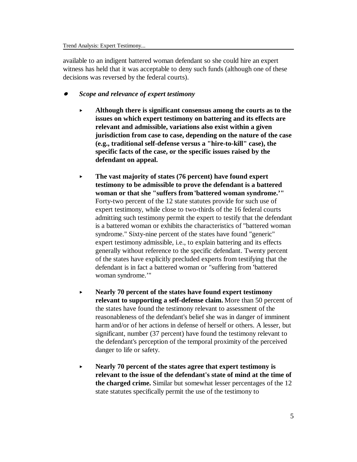available to an indigent battered woman defendant so she could hire an expert witness has held that it was acceptable to deny such funds (although one of these decisions was reversed by the federal courts).

- *Scope and relevance of expert testimony*
	- **Although there is significant consensus among the courts as to the issues on which expert testimony on battering and its effects are relevant and admissible, variations also exist within a given jurisdiction from case to case, depending on the nature of the case (e.g., traditional self-defense versus a "hire-to-kill" case), the specific facts of the case, or the specific issues raised by the defendant on appeal.**
	- **The vast majority of states (76 percent) have found expert**  $\blacktriangleright$ **testimony to be admissible to prove the defendant is a battered woman or that she "suffers from battered woman syndrome.'"** Forty-two percent of the 12 state statutes provide for such use of expert testimony, while close to two-thirds of the 16 federal courts admitting such testimony permit the expert to testify that the defendant is a battered woman or exhibits the characteristics of "battered woman syndrome." Sixty-nine percent of the states have found "generic" expert testimony admissible, i.e., to explain battering and its effects generally without reference to the specific defendant. Twenty percent of the states have explicitly precluded experts from testifying that the defendant is in fact a battered woman or "suffering from battered woman syndrome.'"
	- **Nearly 70 percent of the states have found expert testimony**  $\blacktriangleright$ **relevant to supporting a self-defense claim.** More than 50 percent of the states have found the testimony relevant to assessment of the reasonableness of the defendant's belief she was in danger of imminent harm and/or of her actions in defense of herself or others. A lesser, but significant, number (37 percent) have found the testimony relevant to the defendant's perception of the temporal proximity of the perceived danger to life or safety.
	- **Nearly 70 percent of the states agree that expert testimony is**  $\blacktriangleright$ **relevant to the issue of the defendant's state of mind at the time of the charged crime.** Similar but somewhat lesser percentages of the 12 state statutes specifically permit the use of the testimony to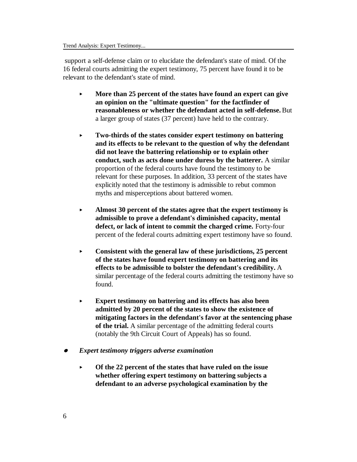support a self-defense claim or to elucidate the defendant's state of mind. Of the 16 federal courts admitting the expert testimony, 75 percent have found it to be relevant to the defendant's state of mind.

- **More than 25 percent of the states have found an expert can give an opinion on the "ultimate question" for the factfinder of reasonableness or whether the defendant acted in self-defense.** But a larger group of states (37 percent) have held to the contrary.
- **Two-thirds of the states consider expert testimony on battering**  $\blacktriangleright$ **and its effects to be relevant to the question of why the defendant did not leave the battering relationship or to explain other conduct, such as acts done under duress by the batterer.** A similar proportion of the federal courts have found the testimony to be relevant for these purposes. In addition, 33 percent of the states have explicitly noted that the testimony is admissible to rebut common myths and misperceptions about battered women.
- **Almost 30 percent of the states agree that the expert testimony is**  $\blacktriangleright$ **admissible to prove a defendant's diminished capacity, mental defect, or lack of intent to commit the charged crime.** Forty-four percent of the federal courts admitting expert testimony have so found.
- **Consistent with the general law of these jurisdictions, 25 percent**  $\blacktriangleright$ **of the states have found expert testimony on battering and its effects to be admissible to bolster the defendant's credibility.** A similar percentage of the federal courts admitting the testimony have so found.
- $\blacktriangleright$ **Expert testimony on battering and its effects has also been admitted by 20 percent of the states to show the existence of mitigating factors in the defendant's favor at the sentencing phase of the trial.** A similar percentage of the admitting federal courts (notably the 9th Circuit Court of Appeals) has so found.
- *Expert testimony triggers adverse examination*
	- **Of the 22 percent of the states that have ruled on the issue whether offering expert testimony on battering subjects a defendant to an adverse psychological examination by the**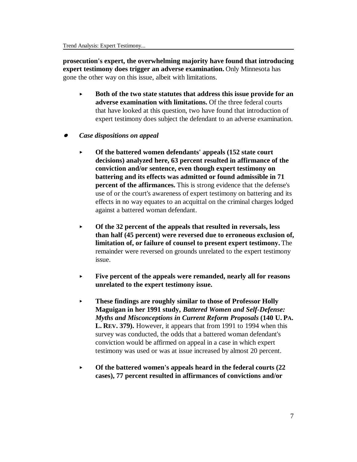**prosecution's expert, the overwhelming majority have found that introducing expert testimony does trigger an adverse examination.** Only Minnesota has gone the other way on this issue, albeit with limitations.

- **Both of the two state statutes that address this issue provide for an adverse examination with limitations.** Of the three federal courts that have looked at this question, two have found that introduction of expert testimony does subject the defendant to an adverse examination.
- *Case dispositions on appeal*
	- **Of the battered women defendants' appeals (152 state court**  $\blacktriangleright$ **decisions) analyzed here, 63 percent resulted in affirmance of the conviction and/or sentence, even though expert testimony on battering and its effects was admitted or found admissible in 71 percent of the affirmances.** This is strong evidence that the defense's use of or the court's awareness of expert testimony on battering and its effects in no way equates to an acquittal on the criminal charges lodged against a battered woman defendant.
	- $\blacktriangleright$ **Of the 32 percent of the appeals that resulted in reversals, less than half (45 percent) were reversed due to erroneous exclusion of, limitation of, or failure of counsel to present expert testimony.** The remainder were reversed on grounds unrelated to the expert testimony issue.
	- **Five percent of the appeals were remanded, nearly all for reasons**  $\blacktriangleright$ **unrelated to the expert testimony issue.**
	- $\blacktriangleright$ **These findings are roughly similar to those of Professor Holly Maguigan in her 1991 study,** *Battered Women and Self-Defense: Myths and Misconceptions in Current Reform Proposals* **(140 U. PA. L. REV. 379).** However, it appears that from 1991 to 1994 when this survey was conducted, the odds that a battered woman defendant's conviction would be affirmed on appeal in a case in which expert testimony was used or was at issue increased by almost 20 percent.
	- **Of the battered women's appeals heard in the federal courts (22**  $\blacktriangleright$ **cases), 77 percent resulted in affirmances of convictions and/or**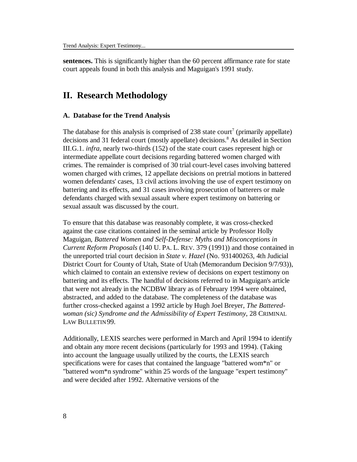**sentences.** This is significantly higher than the 60 percent affirmance rate for state court appeals found in both this analysis and Maguigan's 1991 study.

## **II. Research Methodology**

#### **A. Database for the Trend Analysis**

The database for this analysis is comprised of 238 state court<sup>7</sup> (primarily appellate) decisions and 31 federal court (mostly appellate) decisions.<sup>8</sup> As detailed in Section III.G.1. *infra*, nearly two-thirds (152) of the state court cases represent high or intermediate appellate court decisions regarding battered women charged with crimes. The remainder is comprised of 30 trial court-level cases involving battered women charged with crimes, 12 appellate decisions on pretrial motions in battered women defendants' cases, 13 civil actions involving the use of expert testimony on battering and its effects, and 31 cases involving prosecution of batterers or male defendants charged with sexual assault where expert testimony on battering or sexual assault was discussed by the court.

To ensure that this database was reasonably complete, it was cross-checked against the case citations contained in the seminal article by Professor Holly Maguigan, *Battered Women and Self-Defense: Myths and Misconceptions in Current Reform Proposals* (140 U. PA. L. REV. 379 (1991)) and those contained in the unreported trial court decision in *State v. Hazel* (No. 931400263, 4th Judicial District Court for County of Utah, State of Utah (Memorandum Decision 9/7/93)), which claimed to contain an extensive review of decisions on expert testimony on battering and its effects. The handful of decisions referred to in Maguigan's article that were not already in the NCDBW library as of February 1994 were obtained, abstracted, and added to the database. The completeness of the database was further cross-checked against a 1992 article by Hugh Joel Breyer, *The Batteredwoman (sic) Syndrome and the Admissibility of Expert Testimony*, 28 CRIMINAL LAW BULLETIN 99.

Additionally, LEXIS searches were performed in March and April 1994 to identify and obtain any more recent decisions (particularly for 1993 and 1994). (Taking into account the language usually utilized by the courts, the LEXIS search specifications were for cases that contained the language "battered wom\*n" or "battered wom\*n syndrome" within 25 words of the language "expert testimony" and were decided after 1992. Alternative versions of the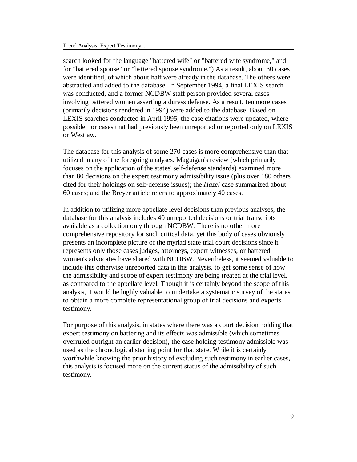search looked for the language "battered wife" or "battered wife syndrome," and for "battered spouse" or "battered spouse syndrome.") As a result, about 30 cases were identified, of which about half were already in the database. The others were abstracted and added to the database. In September 1994, a final LEXIS search was conducted, and a former NCDBW staff person provided several cases involving battered women asserting a duress defense. As a result, ten more cases (primarily decisions rendered in 1994) were added to the database. Based on LEXIS searches conducted in April 1995, the case citations were updated, where possible, for cases that had previously been unreported or reported only on LEXIS or Westlaw.

The database for this analysis of some 270 cases is more comprehensive than that utilized in any of the foregoing analyses. Maguigan's review (which primarily focuses on the application of the states' self-defense standards) examined more than 80 decisions on the expert testimony admissibility issue (plus over 180 others cited for their holdings on self-defense issues); the *Hazel* case summarized about 60 cases; and the Breyer article refers to approximately 40 cases.

In addition to utilizing more appellate level decisions than previous analyses, the database for this analysis includes 40 unreported decisions or trial transcripts available as a collection only through NCDBW. There is no other more comprehensive repository for such critical data, yet this body of cases obviously presents an incomplete picture of the myriad state trial court decisions since it represents only those cases judges, attorneys, expert witnesses, or battered women's advocates have shared with NCDBW. Nevertheless, it seemed valuable to include this otherwise unreported data in this analysis, to get some sense of how the admissibility and scope of expert testimony are being treated at the trial level, as compared to the appellate level. Though it is certainly beyond the scope of this analysis, it would be highly valuable to undertake a systematic survey of the states to obtain a more complete representational group of trial decisions and experts' testimony.

For purpose of this analysis, in states where there was a court decision holding that expert testimony on battering and its effects was admissible (which sometimes overruled outright an earlier decision), the case holding testimony admissible was used as the chronological starting point for that state. While it is certainly worthwhile knowing the prior history of excluding such testimony in earlier cases, this analysis is focused more on the current status of the admissibility of such testimony.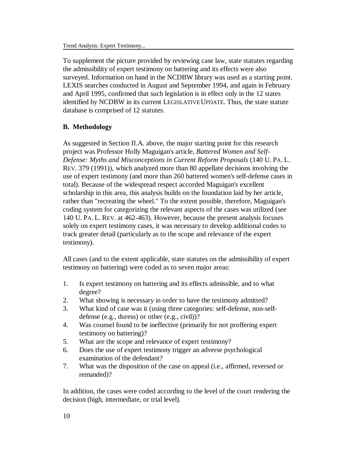To supplement the picture provided by reviewing case law, state statutes regarding the admissibility of expert testimony on battering and its effects were also surveyed. Information on hand in the NCDBW library was used as a starting point. LEXIS searches conducted in August and September 1994, and again in February and April 1995, confirmed that such legislation is in effect only in the 12 states identified by NCDBW in its current LEGISLATIVE UPDATE. Thus, the state statute database is comprised of 12 statutes.

### **B. Methodology**

As suggested in Section II.A. above, the major starting point for this research project was Professor Holly Maguigan's article, *Battered Women and Self-Defense: Myths and Misconceptions in Current Reform Proposals* (140 U. PA. L. REV. 379 (1991)), which analyzed more than 80 appellate decisions involving the use of expert testimony (and more than 260 battered women's self-defense cases in total). Because of the widespread respect accorded Maguigan's excellent scholarship in this area, this analysis builds on the foundation laid by her article, rather than "recreating the wheel." To the extent possible, therefore, Maguigan's coding system for categorizing the relevant aspects of the cases was utilized (see 140 U. PA. L. REV. at 462-463). However, because the present analysis focuses solely on expert testimony cases, it was necessary to develop additional codes to track greater detail (particularly as to the scope and relevance of the expert testimony).

All cases (and to the extent applicable, state statutes on the admissibility of expert testimony on battering) were coded as to seven major areas:

- 1. Is expert testimony on battering and its effects admissible, and to what degree?
- 2. What showing is necessary in order to have the testimony admitted?
- 3. What kind of case was it (using three categories: self-defense, non-selfdefense (e.g., duress) or other (e.g., civil))?
- 4. Was counsel found to be ineffective (primarily for not proffering expert testimony on battering)?
- 5. What are the scope and relevance of expert testimony?
- 6. Does the use of expert testimony trigger an adverse psychological examination of the defendant?
- 7. What was the disposition of the case on appeal (i.e., affirmed, reversed or remanded)?

In addition, the cases were coded according to the level of the court rendering the decision (high, intermediate, or trial level).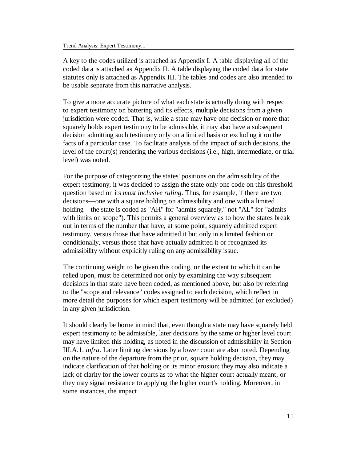A key to the codes utilized is attached as Appendix I. A table displaying all of the coded data is attached as Appendix II. A table displaying the coded data for state statutes only is attached as Appendix III. The tables and codes are also intended to be usable separate from this narrative analysis.

To give a more accurate picture of what each state is actually doing with respect to expert testimony on battering and its effects, multiple decisions from a given jurisdiction were coded. That is, while a state may have one decision or more that squarely holds expert testimony to be admissible, it may also have a subsequent decision admitting such testimony only on a limited basis or excluding it on the facts of a particular case. To facilitate analysis of the impact of such decisions, the level of the court(s) rendering the various decisions (i.e., high, intermediate, or trial level) was noted.

For the purpose of categorizing the states' positions on the admissibility of the expert testimony, it was decided to assign the state only one code on this threshold question based on its *most inclusive ruling*. Thus, for example, if there are two decisions—one with a square holding on admissibility and one with a limited holding—the state is coded as "AH" for "admits squarely," not "AL" for "admits with limits on scope"). This permits a general overview as to how the states break out in terms of the number that have, at some point, squarely admitted expert testimony, versus those that have admitted it but only in a limited fashion or conditionally, versus those that have actually admitted it or recognized its admissibility without explicitly ruling on any admissibility issue.

The continuing weight to be given this coding, or the extent to which it can be relied upon, must be determined not only by examining the way subsequent decisions in that state have been coded, as mentioned above, but also by referring to the "scope and relevance" codes assigned to each decision, which reflect in more detail the purposes for which expert testimony will be admitted (or excluded) in any given jurisdiction.

It should clearly be borne in mind that, even though a state may have squarely held expert testimony to be admissible, later decisions by the same or higher level court may have limited this holding, as noted in the discussion of admissibility in Section III.A.1. *infra*. Later limiting decisions by a lower court are also noted. Depending on the nature of the departure from the prior, square holding decision, they may indicate clarification of that holding or its minor erosion; they may also indicate a lack of clarity for the lower courts as to what the higher court actually meant, or they may signal resistance to applying the higher court's holding. Moreover, in some instances, the impact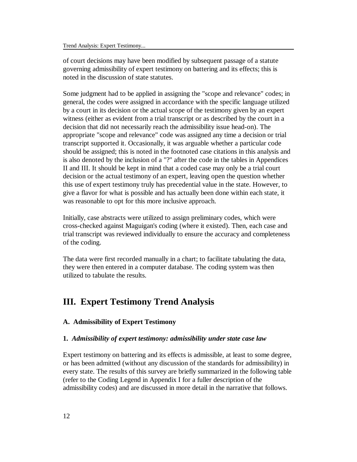of court decisions may have been modified by subsequent passage of a statute governing admissibility of expert testimony on battering and its effects; this is noted in the discussion of state statutes.

Some judgment had to be applied in assigning the "scope and relevance" codes; in general, the codes were assigned in accordance with the specific language utilized by a court in its decision or the actual scope of the testimony given by an expert witness (either as evident from a trial transcript or as described by the court in a decision that did not necessarily reach the admissibility issue head-on). The appropriate "scope and relevance" code was assigned any time a decision or trial transcript supported it. Occasionally, it was arguable whether a particular code should be assigned; this is noted in the footnoted case citations in this analysis and is also denoted by the inclusion of a "?" after the code in the tables in Appendices II and III. It should be kept in mind that a coded case may only be a trial court decision or the actual testimony of an expert, leaving open the question whether this use of expert testimony truly has precedential value in the state. However, to give a flavor for what is possible and has actually been done within each state, it was reasonable to opt for this more inclusive approach.

Initially, case abstracts were utilized to assign preliminary codes, which were cross-checked against Maguigan's coding (where it existed). Then, each case and trial transcript was reviewed individually to ensure the accuracy and completeness of the coding.

The data were first recorded manually in a chart; to facilitate tabulating the data, they were then entered in a computer database. The coding system was then utilized to tabulate the results.

# **III. Expert Testimony Trend Analysis**

### **A. Admissibility of Expert Testimony**

#### **1.** *Admissibility of expert testimony: admissibility under state case law*

Expert testimony on battering and its effects is admissible, at least to some degree, or has been admitted (without any discussion of the standards for admissibility) in every state. The results of this survey are briefly summarized in the following table (refer to the Coding Legend in Appendix I for a fuller description of the admissibility codes) and are discussed in more detail in the narrative that follows.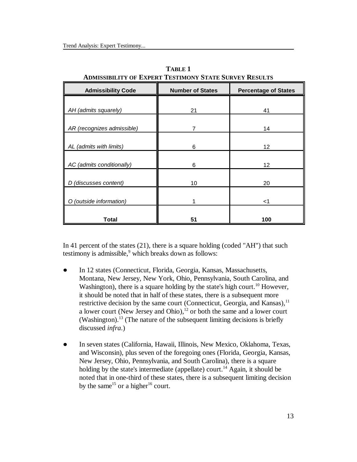| <b>Admissibility Code</b>  | <b>Number of States</b> | <b>Percentage of States</b> |
|----------------------------|-------------------------|-----------------------------|
|                            |                         |                             |
| AH (admits squarely)       | 21                      | 41                          |
| AR (recognizes admissible) | 7                       | 14                          |
| AL (admits with limits)    | 6                       | 12                          |
| AC (admits conditionally)  | 6                       | 12                          |
| D (discusses content)      | 10                      | 20                          |
| O (outside information)    |                         | <1                          |
| Total                      | 51                      | 100                         |

**TABLE 1 ADMISSIBILITY OF EXPERT TESTIMONY STATE SURVEY RESULTS**

In 41 percent of the states (21), there is a square holding (coded "AH") that such testimony is admissible, $9$  which breaks down as follows:

- In 12 states (Connecticut, Florida, Georgia, Kansas, Massachusetts,  $\bullet$ Montana, New Jersey, New York, Ohio, Pennsylvania, South Carolina, and Washington), there is a square holding by the state's high court.<sup>10</sup> However, it should be noted that in half of these states, there is a subsequent more restrictive decision by the same court (Connecticut, Georgia, and Kansas),  $11$ a lower court (New Jersey and Ohio), $^{12}$  or both the same and a lower court (Washington).<sup>13</sup> (The nature of the subsequent limiting decisions is briefly discussed *infra*.)
- In seven states (California, Hawaii, Illinois, New Mexico, Oklahoma, Texas,  $\bullet$ and Wisconsin), plus seven of the foregoing ones (Florida, Georgia, Kansas, New Jersey, Ohio, Pennsylvania, and South Carolina), there is a square holding by the state's intermediate (appellate) court.<sup>14</sup> Again, it should be noted that in one-third of these states, there is a subsequent limiting decision by the same<sup>15</sup> or a higher<sup>16</sup> court.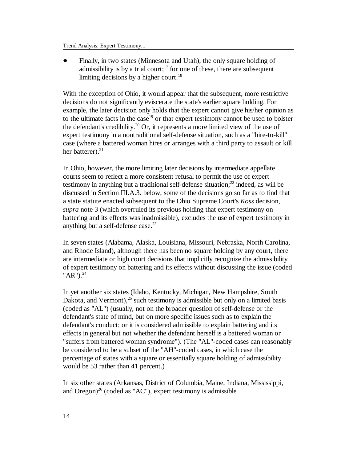Finally, in two states (Minnesota and Utah), the only square holding of admissibility is by a trial court;<sup>17</sup> for one of these, there are subsequent limiting decisions by a higher court.<sup>18</sup>

With the exception of Ohio, it would appear that the subsequent, more restrictive decisions do not significantly eviscerate the state's earlier square holding. For example, the later decision only holds that the expert cannot give his/her opinion as to the ultimate facts in the case<sup>19</sup> or that expert testimony cannot be used to bolster the defendant's credibility.<sup>20</sup> Or, it represents a more limited view of the use of expert testimony in a nontraditional self-defense situation, such as a "hire-to-kill" case (where a battered woman hires or arranges with a third party to assault or kill her batterer). $^{21}$ 

In Ohio, however, the more limiting later decisions by intermediate appellate courts seem to reflect a more consistent refusal to permit the use of expert testimony in anything but a traditional self-defense situation; $^{22}$  indeed, as will be discussed in Section III.A.3. below, some of the decisions go so far as to find that a state statute enacted subsequent to the Ohio Supreme Court's *Koss* decision, *supra* note 3 (which overruled its previous holding that expert testimony on battering and its effects was inadmissible), excludes the use of expert testimony in anything but a self-defense case.<sup>23</sup>

In seven states (Alabama, Alaska, Louisiana, Missouri, Nebraska, North Carolina, and Rhode Island), although there has been no square holding by any court, there are intermediate or high court decisions that implicitly recognize the admissibility of expert testimony on battering and its effects without discussing the issue (coded " $AR$ ").<sup>24</sup>

In yet another six states (Idaho, Kentucky, Michigan, New Hampshire, South Dakota, and Vermont),  $25$  such testimony is admissible but only on a limited basis (coded as "AL") (usually, not on the broader question of self-defense or the defendant's state of mind, but on more specific issues such as to explain the defendant's conduct; or it is considered admissible to explain battering and its effects in general but not whether the defendant herself is a battered woman or "suffers from battered woman syndrome"). (The "AL"-coded cases can reasonably be considered to be a subset of the "AH"-coded cases, in which case the percentage of states with a square or essentially square holding of admissibility would be 53 rather than 41 percent.)

In six other states (Arkansas, District of Columbia, Maine, Indiana, Mississippi, and Oregon) $^{26}$  (coded as "AC"), expert testimony is admissible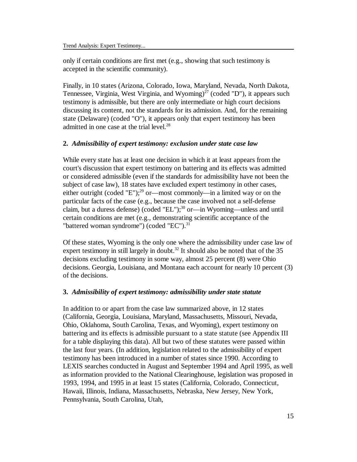only if certain conditions are first met (e.g., showing that such testimony is accepted in the scientific community).

Finally, in 10 states (Arizona, Colorado, Iowa, Maryland, Nevada, North Dakota, Tennessee, Virginia, West Virginia, and Wyoming)<sup>27</sup> (coded "D"), it appears such testimony is admissible, but there are only intermediate or high court decisions discussing its content, not the standards for its admission. And, for the remaining state (Delaware) (coded "O"), it appears only that expert testimony has been admitted in one case at the trial level.<sup>28</sup>

# **2.** *Admissibility of expert testimony: exclusion under state case law*

While every state has at least one decision in which it at least appears from the court's discussion that expert testimony on battering and its effects was admitted or considered admissible (even if the standards for admissibility have not been the subject of case law), 18 states have excluded expert testimony in other cases, either outright (coded "E");<sup>29</sup> or—most commonly—in a limited way or on the particular facts of the case (e.g., because the case involved not a self-defense claim, but a duress defense) (coded "EL");<sup>30</sup> or—in Wyoming—unless and until certain conditions are met (e.g., demonstrating scientific acceptance of the "battered woman syndrome") (coded "EC"). $31$ 

Of these states, Wyoming is the only one where the admissibility under case law of expert testimony in still largely in doubt.<sup>32</sup> It should also be noted that of the  $35$ decisions excluding testimony in some way, almost 25 percent (8) were Ohio decisions. Georgia, Louisiana, and Montana each account for nearly 10 percent (3) of the decisions.

# **3.** *Admissibility of expert testimony: admissibility under state statute*

In addition to or apart from the case law summarized above, in 12 states (California, Georgia, Louisiana, Maryland, Massachusetts, Missouri, Nevada, Ohio, Oklahoma, South Carolina, Texas, and Wyoming), expert testimony on battering and its effects is admissible pursuant to a state statute (see Appendix III for a table displaying this data). All but two of these statutes were passed within the last four years. (In addition, legislation related to the admissibility of expert testimony has been introduced in a number of states since 1990. According to LEXIS searches conducted in August and September 1994 and April 1995, as well as information provided to the National Clearinghouse, legislation was proposed in 1993, 1994, and 1995 in at least 15 states (California, Colorado, Connecticut, Hawaii, Illinois, Indiana, Massachusetts, Nebraska, New Jersey, New York, Pennsylvania, South Carolina, Utah,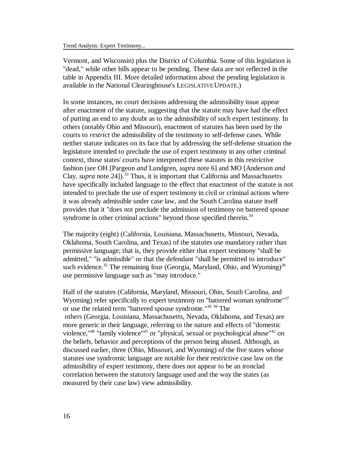Vermont, and Wisconsin) plus the District of Columbia. Some of this legislation is "dead," while other bills appear to be pending. These data are not reflected in the table in Appendix III. More detailed information about the pending legislation is available in the National Clearinghouse's LEGISLATIVE UPDATE.)

In some instances, no court decisions addressing the admissibility issue appear after enactment of the statute, suggesting that the statute may have had the effect of putting an end to any doubt as to the admissibility of such expert testimony. In others (notably Ohio and Missouri), enactment of statutes has been used by the courts to *restrict* the admissibility of the testimony to self-defense cases. While neither statute indicates on its face that by addressing the self-defense situation the legislature intended to preclude the use of expert testimony in any other criminal context, those states' courts have interpreted these statutes in this restrictive fashion (*see* OH [Pargeon *and* Lundgren, *supra* note 6] and MO [Anderson *and* Clay, *supra* note 24<sup>[1]</sup>.<sup>33</sup> Thus, it is important that California and Massachusetts have specifically included language to the effect that enactment of the statute is not intended to preclude the use of expert testimony in civil or criminal actions where it was already admissible under case law, and the South Carolina statute itself provides that it "does not preclude the admission of testimony on battered spouse syndrome in other criminal actions" beyond those specified therein.<sup>34</sup>

The majority (eight) (California, Louisiana, Massachusetts, Missouri, Nevada, Oklahoma, South Carolina, and Texas) of the statutes use mandatory rather than permissive language; that is, they provide either that expert testimony "shall be admitted," "is admissible" or that the defendant "shall be permitted to introduce" such evidence.<sup>35</sup> The remaining four (Georgia, Maryland, Ohio, and Wyoming)<sup>36</sup> use permissive language such as "may introduce."

Half of the statutes (California, Maryland, Missouri, Ohio, South Carolina, and Wyoming) refer specifically to expert testimony on "battered woman syndrome"<sup>37</sup> or use the related term "battered spouse syndrome."<sup>38 39</sup> The others (Georgia, Louisiana, Massachusetts, Nevada, Oklahoma, and Texas) are more generic in their language, referring to the nature and effects of "domestic violence," $40$  "family violence" $41$  or "physical, sexual or psychological abuse" $42$  on the beliefs, behavior and perceptions of the person being abused. Although, as discussed earlier, three (Ohio, Missouri, and Wyoming) of the five states whose statutes use syndromic language are notable for their restrictive case law on the admissibility of expert testimony, there does not appear to be an ironclad correlation between the statutory language used and the way the states (as measured by their case law) view admissibility.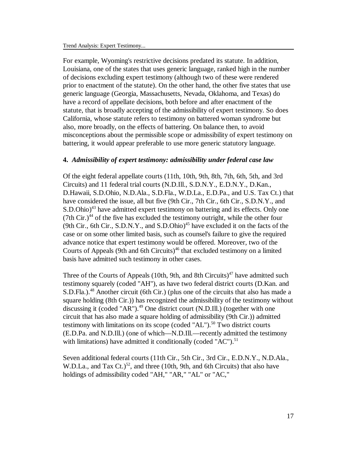For example, Wyoming's restrictive decisions predated its statute. In addition, Louisiana, one of the states that uses generic language, ranked high in the number of decisions excluding expert testimony (although two of these were rendered prior to enactment of the statute). On the other hand, the other five states that use generic language (Georgia, Massachusetts, Nevada, Oklahoma, and Texas) do have a record of appellate decisions, both before and after enactment of the statute, that is broadly accepting of the admissibility of expert testimony. So does California, whose statute refers to testimony on battered woman syndrome but also, more broadly, on the effects of battering. On balance then, to avoid misconceptions about the permissible scope or admissibility of expert testimony on battering, it would appear preferable to use more generic statutory language.

# **4.** *Admissibility of expert testimony: admissibility under federal case law*

Of the eight federal appellate courts (11th, 10th, 9th, 8th, 7th, 6th, 5th, and 3rd Circuits) and 11 federal trial courts (N.D.Ill., S.D.N.Y., E.D.N.Y., D.Kan., D.Hawaii, S.D.Ohio, N.D.Ala., S.D.Fla., W.D.La., E.D.Pa., and U.S. Tax Ct.) that have considered the issue, all but five (9th Cir., 7th Cir., 6th Cir., S.D.N.Y., and S.D.Ohio)<sup>43</sup> have admitted expert testimony on battering and its effects. Only one (7th Cir.)<sup>44</sup> of the five has excluded the testimony outright, while the other four (9th Cir., 6th Cir., S.D.N.Y., and S.D.Ohio)<sup>45</sup> have excluded it on the facts of the case or on some other limited basis, such as counsel's failure to give the required advance notice that expert testimony would be offered. Moreover, two of the Courts of Appeals (9th and 6th Circuits)<sup>46</sup> that excluded testimony on a limited basis have admitted such testimony in other cases.

Three of the Courts of Appeals (10th, 9th, and 8th Circuits)<sup> $47$ </sup> have admitted such testimony squarely (coded "AH"), as have two federal district courts (D.Kan. and S.D.Fla.).<sup>48</sup> Another circuit (6th Cir.) (plus one of the circuits that also has made a square holding (8th Cir.)) has recognized the admissibility of the testimony without discussing it (coded "AR"). $49$  One district court (N.D.Ill.) (together with one circuit that has also made a square holding of admissibility (9th Cir.)) admitted testimony with limitations on its scope (coded "AL").<sup>50</sup> Two district courts (E.D.Pa. and N.D.Ill.) (one of which—N.D.Ill.—recently admitted the testimony with limitations) have admitted it conditionally (coded "AC").<sup>51</sup>

Seven additional federal courts (11th Cir., 5th Cir., 3rd Cir., E.D.N.Y., N.D.Ala., W.D.La., and Tax Ct.)<sup>52</sup>, and three (10th, 9th, and 6th Circuits) that also have holdings of admissibility coded "AH," "AR," "AL" or "AC,"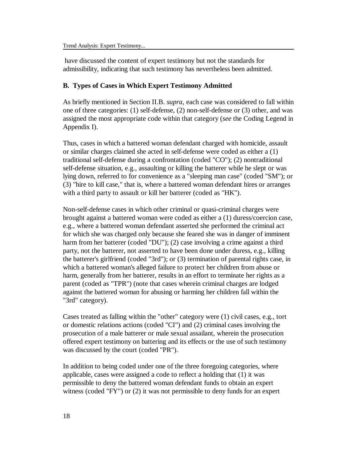have discussed the content of expert testimony but not the standards for admissibility, indicating that such testimony has nevertheless been admitted.

# **B. Types of Cases in Which Expert Testimony Admitted**

As briefly mentioned in Section II.B. *supra*, each case was considered to fall within one of three categories: (1) self-defense, (2) non-self-defense or (3) other, and was assigned the most appropriate code within that category (*see* the Coding Legend in Appendix I).

Thus, cases in which a battered woman defendant charged with homicide, assault or similar charges claimed she acted in self-defense were coded as either a (1) traditional self-defense during a confrontation (coded "CO"); (2) nontraditional self-defense situation, e.g., assaulting or killing the batterer while he slept or was lying down, referred to for convenience as a "sleeping man case" (coded "SM"); or (3) "hire to kill case," that is, where a battered woman defendant hires or arranges with a third party to assault or kill her batterer (coded as "HK").

Non-self-defense cases in which other criminal or quasi-criminal charges were brought against a battered woman were coded as either a (1) duress/coercion case, e.g., where a battered woman defendant asserted she performed the criminal act for which she was charged only because she feared she was in danger of imminent harm from her batterer (coded "DU"); (2) case involving a crime against a third party, not the batterer, not asserted to have been done under duress, e.g., killing the batterer's girlfriend (coded "3rd"); or (3) termination of parental rights case, in which a battered woman's alleged failure to protect her children from abuse or harm, generally from her batterer, results in an effort to terminate her rights as a parent (coded as "TPR") (note that cases wherein criminal charges are lodged against the battered woman for abusing or harming her children fall within the "3rd" category).

Cases treated as falling within the "other" category were (1) civil cases, e.g., tort or domestic relations actions (coded "CI") and (2) criminal cases involving the prosecution of a male batterer or male sexual assailant, wherein the prosecution offered expert testimony on battering and its effects or the use of such testimony was discussed by the court (coded "PR").

In addition to being coded under one of the three foregoing categories, where applicable, cases were assigned a code to reflect a holding that (1) it was permissible to deny the battered woman defendant funds to obtain an expert witness (coded "FY") or (2) it was not permissible to deny funds for an expert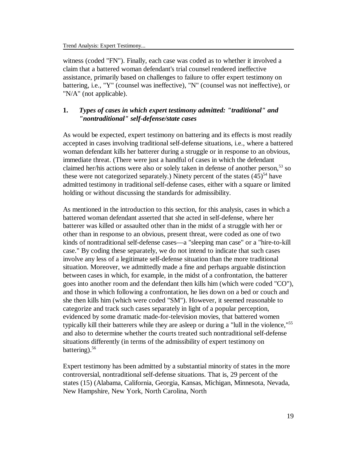witness (coded "FN"). Finally, each case was coded as to whether it involved a claim that a battered woman defendant's trial counsel rendered ineffective assistance, primarily based on challenges to failure to offer expert testimony on battering, i.e., "Y" (counsel was ineffective), "N" (counsel was not ineffective), or "N/A" (not applicable).

# **1.** *Types of cases in which expert testimony admitted: "traditional" and "nontraditional" self-defense/state cases*

As would be expected, expert testimony on battering and its effects is most readily accepted in cases involving traditional self-defense situations, i.e., where a battered woman defendant kills her batterer during a struggle or in response to an obvious, immediate threat. (There were just a handful of cases in which the defendant claimed her/his actions were also or solely taken in defense of another person,  $53$  so these were not categorized separately.) Ninety percent of the states  $(45)^{54}$  have admitted testimony in traditional self-defense cases, either with a square or limited holding or without discussing the standards for admissibility.

As mentioned in the introduction to this section, for this analysis, cases in which a battered woman defendant asserted that she acted in self-defense, where her batterer was killed or assaulted other than in the midst of a struggle with her or other than in response to an obvious, present threat, were coded as one of two kinds of nontraditional self-defense cases—a "sleeping man case" or a "hire-to-kill case." By coding these separately, we do not intend to indicate that such cases involve any less of a legitimate self-defense situation than the more traditional situation. Moreover, we admittedly made a fine and perhaps arguable distinction between cases in which, for example, in the midst of a confrontation, the batterer goes into another room and the defendant then kills him (which were coded "CO"), and those in which following a confrontation, he lies down on a bed or couch and she then kills him (which were coded "SM"). However, it seemed reasonable to categorize and track such cases separately in light of a popular perception, evidenced by some dramatic made-for-television movies, that battered women typically kill their batterers while they are asleep or during a "lull in the violence,"<sup>55</sup> and also to determine whether the courts treated such nontraditional self-defense situations differently (in terms of the admissibility of expert testimony on battering). $56$ 

Expert testimony has been admitted by a substantial minority of states in the more controversial, nontraditional self-defense situations. That is, 29 percent of the states (15) (Alabama, California, Georgia, Kansas, Michigan, Minnesota, Nevada, New Hampshire, New York, North Carolina, North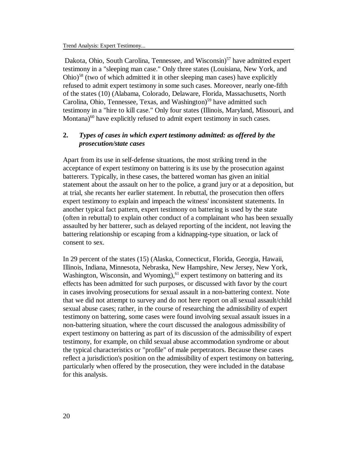Dakota, Ohio, South Carolina, Tennessee, and Wisconsin)<sup>57</sup> have admitted expert testimony in a "sleeping man case." Only three states (Louisiana, New York, and  $\Omega$ ohio)<sup>58</sup> (two of which admitted it in other sleeping man cases) have explicitly refused to admit expert testimony in some such cases. Moreover, nearly one-fifth of the states (10) (Alabama, Colorado, Delaware, Florida, Massachusetts, North Carolina, Ohio, Tennessee, Texas, and Washington)<sup>59</sup> have admitted such testimony in a "hire to kill case." Only four states (Illinois, Maryland, Missouri, and Montana) $<sup>60</sup>$  have explicitly refused to admit expert testimony in such cases.</sup>

# **2.** *Types of cases in which expert testimony admitted: as offered by the prosecution/state cases*

Apart from its use in self-defense situations, the most striking trend in the acceptance of expert testimony on battering is its use by the prosecution against batterers. Typically, in these cases, the battered woman has given an initial statement about the assault on her to the police, a grand jury or at a deposition, but at trial, she recants her earlier statement. In rebuttal, the prosecution then offers expert testimony to explain and impeach the witness' inconsistent statements. In another typical fact pattern, expert testimony on battering is used by the state (often in rebuttal) to explain other conduct of a complainant who has been sexually assaulted by her batterer, such as delayed reporting of the incident, not leaving the battering relationship or escaping from a kidnapping-type situation, or lack of consent to sex.

In 29 percent of the states (15) (Alaska, Connecticut, Florida, Georgia, Hawaii, Illinois, Indiana, Minnesota, Nebraska, New Hampshire, New Jersey, New York, Washington, Wisconsin, and Wyoming), $<sup>61</sup>$  expert testimony on battering and its</sup> effects has been admitted for such purposes, or discussed with favor by the court in cases involving prosecutions for sexual assault in a non-battering context. Note that we did not attempt to survey and do not here report on all sexual assault/child sexual abuse cases; rather, in the course of researching the admissibility of expert testimony on battering, some cases were found involving sexual assault issues in a non-battering situation, where the court discussed the analogous admissibility of expert testimony on battering as part of its discussion of the admissibility of expert testimony, for example, on child sexual abuse accommodation syndrome or about the typical characteristics or "profile" of male perpetrators. Because these cases reflect a jurisdiction's position on the admissibility of expert testimony on battering, particularly when offered by the prosecution, they were included in the database for this analysis.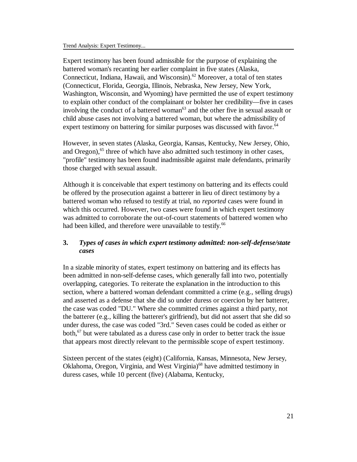Expert testimony has been found admissible for the purpose of explaining the battered woman's recanting her earlier complaint in five states (Alaska, Connecticut, Indiana, Hawaii, and Wisconsin).  $62$  Moreover, a total of ten states (Connecticut, Florida, Georgia, Illinois, Nebraska, New Jersey, New York, Washington, Wisconsin, and Wyoming) have permitted the use of expert testimony to explain other conduct of the complainant or bolster her credibility—five in cases involving the conduct of a battered woman<sup> $63$ </sup> and the other five in sexual assault or child abuse cases not involving a battered woman, but where the admissibility of expert testimony on battering for similar purposes was discussed with favor.  $64$ 

However, in seven states (Alaska, Georgia, Kansas, Kentucky, New Jersey, Ohio, and Oregon),  $65$  three of which have also admitted such testimony in other cases, "profile" testimony has been found inadmissible against male defendants, primarily those charged with sexual assault.

Although it is conceivable that expert testimony on battering and its effects could be offered by the prosecution against a batterer in lieu of direct testimony by a battered woman who refused to testify at trial, no *reported* cases were found in which this occurred. However, two cases were found in which expert testimony was admitted to corroborate the out-of-court statements of battered women who had been killed, and therefore were unavailable to testify.<sup>66</sup>

# **3.** *Types of cases in which expert testimony admitted: non-self-defense/state cases*

In a sizable minority of states, expert testimony on battering and its effects has been admitted in non-self-defense cases, which generally fall into two, potentially overlapping, categories. To reiterate the explanation in the introduction to this section, where a battered woman defendant committed a crime (e.g., selling drugs) and asserted as a defense that she did so under duress or coercion by her batterer, the case was coded "DU." Where she committed crimes against a third party, not the batterer (e.g., killing the batterer's girlfriend), but did not assert that she did so under duress, the case was coded "3rd." Seven cases could be coded as either or both,  $\epsilon$ <sup>7</sup> but were tabulated as a duress case only in order to better track the issue that appears most directly relevant to the permissible scope of expert testimony.

Sixteen percent of the states (eight) (California, Kansas, Minnesota, New Jersey, Oklahoma, Oregon, Virginia, and West Virginia)<sup>68</sup> have admitted testimony in duress cases, while 10 percent (five) (Alabama, Kentucky,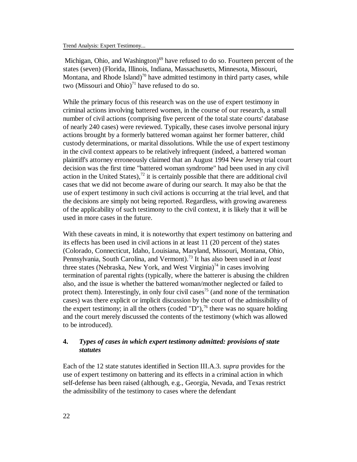Michigan, Ohio, and Washington) $<sup>69</sup>$  have refused to do so. Fourteen percent of the</sup> states (seven) (Florida, Illinois, Indiana, Massachusetts, Minnesota, Missouri, Montana, and Rhode Island)<sup>70</sup> have admitted testimony in third party cases, while two (Missouri and Ohio) $^{71}$  have refused to do so.

While the primary focus of this research was on the use of expert testimony in criminal actions involving battered women, in the course of our research, a small number of civil actions (comprising five percent of the total state courts' database of nearly 240 cases) were reviewed. Typically, these cases involve personal injury actions brought by a formerly battered woman against her former batterer, child custody determinations, or marital dissolutions. While the use of expert testimony in the civil context appears to be relatively infrequent (indeed, a battered woman plaintiff's attorney erroneously claimed that an August 1994 New Jersey trial court decision was the first time "battered woman syndrome" had been used in any civil action in the United States),<sup>72</sup> it is certainly possible that there are additional civil cases that we did not become aware of during our search. It may also be that the use of expert testimony in such civil actions is occurring at the trial level, and that the decisions are simply not being reported. Regardless, with growing awareness of the applicability of such testimony to the civil context, it is likely that it will be used in more cases in the future.

With these caveats in mind, it is noteworthy that expert testimony on battering and its effects has been used in civil actions in at least 11 (20 percent of the) states (Colorado, Connecticut, Idaho, Louisiana, Maryland, Missouri, Montana, Ohio, Pennsylvania, South Carolina, and Vermont).<sup>73</sup> It has also been used in *at least* three states (Nebraska, New York, and West Virginia)<sup>74</sup> in cases involving termination of parental rights (typically, where the batterer is abusing the children also, and the issue is whether the battered woman/mother neglected or failed to protect them). Interestingly, in only four civil cases<sup>75</sup> (and none of the termination cases) was there explicit or implicit discussion by the court of the admissibility of the expert testimony; in all the others (coded "D"),  $^{76}$  there was no square holding and the court merely discussed the contents of the testimony (which was allowed to be introduced).

# **4.** *Types of cases in which expert testimony admitted: provisions of state statutes*

Each of the 12 state statutes identified in Section III.A.3. *supra* provides for the use of expert testimony on battering and its effects in a criminal action in which self-defense has been raised (although, e.g., Georgia, Nevada, and Texas restrict the admissibility of the testimony to cases where the defendant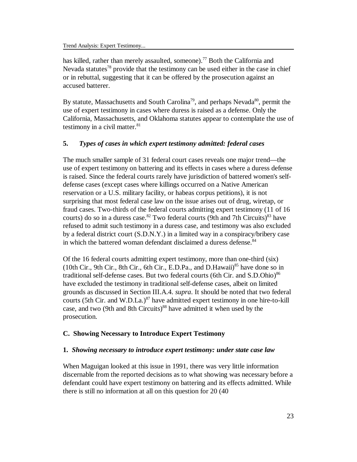has killed, rather than merely assaulted, someone).<sup>77</sup> Both the California and Nevada statutes<sup>78</sup> provide that the testimony can be used either in the case in chief or in rebuttal, suggesting that it can be offered by the prosecution against an accused batterer.

By statute, Massachusetts and South Carolina<sup>79</sup>, and perhaps Nevada<sup>80</sup>, permit the use of expert testimony in cases where duress is raised as a defense. Only the California, Massachusetts, and Oklahoma statutes appear to contemplate the use of testimony in a civil matter.<sup>81</sup>

# **5.** *Types of cases in which expert testimony admitted: federal cases*

The much smaller sample of 31 federal court cases reveals one major trend—the use of expert testimony on battering and its effects in cases where a duress defense is raised. Since the federal courts rarely have jurisdiction of battered women's selfdefense cases (except cases where killings occurred on a Native American reservation or a U.S. military facility, or habeas corpus petitions), it is not surprising that most federal case law on the issue arises out of drug, wiretap, or fraud cases. Two-thirds of the federal courts admitting expert testimony (11 of 16 courts) do so in a duress case. <sup>82</sup> Two federal courts (9th and 7th Circuits)<sup>83</sup> have refused to admit such testimony in a duress case, and testimony was also excluded by a federal district court (S.D.N.Y.) in a limited way in a conspiracy/bribery case in which the battered woman defendant disclaimed a duress defense.<sup>84</sup>

Of the 16 federal courts admitting expert testimony, more than one-third (six) (10th Cir., 9th Cir., 8th Cir., 6th Cir., E.D.Pa., and D.Hawaii)<sup>85</sup> have done so in traditional self-defense cases. But two federal courts (6th Cir. and  $S.D. Ohio$ <sup>86</sup> have excluded the testimony in traditional self-defense cases, albeit on limited grounds as discussed in Section III.A.4. *supra*. It should be noted that two federal courts (5th Cir. and W.D.La.) $87$  have admitted expert testimony in one hire-to-kill case, and two (9th and 8th Circuits)<sup>88</sup> have admitted it when used by the prosecution.

# **C. Showing Necessary to Introduce Expert Testimony**

# **1.** *Showing necessary to introduce expert testimony: under state case law*

When Maguigan looked at this issue in 1991, there was very little information discernable from the reported decisions as to what showing was necessary before a defendant could have expert testimony on battering and its effects admitted. While there is still no information at all on this question for 20 (40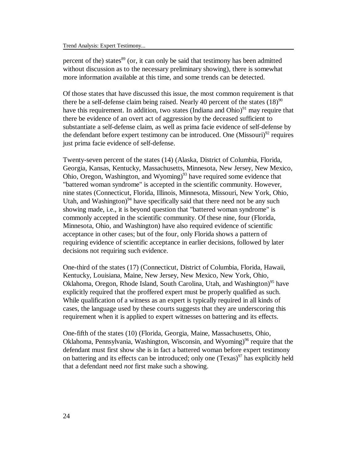percent of the) states $^{89}$  (or, it can only be said that testimony has been admitted without discussion as to the necessary preliminary showing), there is somewhat more information available at this time, and some trends can be detected.

Of those states that have discussed this issue, the most common requirement is that there be a self-defense claim being raised. Nearly 40 percent of the states  $(18)^{90}$ have this requirement. In addition, two states (Indiana and Ohio)<sup>91</sup> may require that there be evidence of an overt act of aggression by the deceased sufficient to substantiate a self-defense claim, as well as prima facie evidence of self-defense by the defendant before expert testimony can be introduced. One (Missouri)<sup>92</sup> requires just prima facie evidence of self-defense.

Twenty-seven percent of the states (14) (Alaska, District of Columbia, Florida, Georgia, Kansas, Kentucky, Massachusetts, Minnesota, New Jersey, New Mexico, Ohio, Oregon, Washington, and Wyoming)<sup>93</sup> have required some evidence that "battered woman syndrome" is accepted in the scientific community. However, nine states (Connecticut, Florida, Illinois, Minnesota, Missouri, New York, Ohio, Utah, and Washington)<sup>94</sup> have specifically said that there need not be any such showing made, i.e., it is beyond question that "battered woman syndrome" is commonly accepted in the scientific community. Of these nine, four (Florida, Minnesota, Ohio, and Washington) have also required evidence of scientific acceptance in other cases; but of the four, only Florida shows a pattern of requiring evidence of scientific acceptance in earlier decisions, followed by later decisions not requiring such evidence.

One-third of the states (17) (Connecticut, District of Columbia, Florida, Hawaii, Kentucky, Louisiana, Maine, New Jersey, New Mexico, New York, Ohio, Oklahoma, Oregon, Rhode Island, South Carolina, Utah, and Washington)<sup>95</sup> have explicitly required that the proffered expert must be properly qualified as such. While qualification of a witness as an expert is typically required in all kinds of cases, the language used by these courts suggests that they are underscoring this requirement when it is applied to expert witnesses on battering and its effects.

One-fifth of the states (10) (Florida, Georgia, Maine, Massachusetts, Ohio, Oklahoma, Pennsylvania, Washington, Wisconsin, and Wyoming)<sup>96</sup> require that the defendant must first show she is in fact a battered woman before expert testimony on battering and its effects can be introduced; only one  $(Texas)^{97}$  has explicitly held that a defendant need *not* first make such a showing.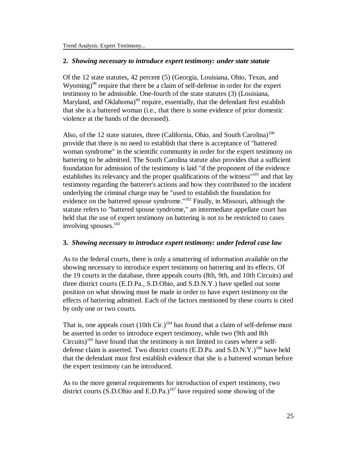# **2.** *Showing necessary to introduce expert testimony: under state statute*

Of the 12 state statutes, 42 percent (5) (Georgia, Louisiana, Ohio, Texas, and Wyoming)<sup>98</sup> require that there be a claim of self-defense in order for the expert testimony to be admissible. One-fourth of the state statutes (3) (Louisiana, Maryland, and Oklahoma)<sup>99</sup> require, essentially, that the defendant first establish that she is a battered woman (i.e., that there is some evidence of prior domestic violence at the hands of the deceased).

Also, of the 12 state statutes, three (California, Ohio, and South Carolina)<sup>100</sup> provide that there is no need to establish that there is acceptance of "battered woman syndrome" in the scientific community in order for the expert testimony on battering to be admitted. The South Carolina statute also provides that a sufficient foundation for admission of the testimony is laid "if the proponent of the evidence establishes its relevancy and the proper qualifications of the witness<sup> $101$ </sup> and that lay testimony regarding the batterer's actions and how they contributed to the incident underlying the criminal charge may be "used to establish the foundation for evidence on the battered spouse syndrome." $102$  Finally, in Missouri, although the statute refers to "battered spouse syndrome," an intermediate appellate court has held that the use of expert testimony on battering is not to be restricted to cases involving spouses.<sup>103</sup>

# **3.** *Showing necessary to introduce expert testimony: under federal case law*

As to the federal courts, there is only a smattering of information available on the showing necessary to introduce expert testimony on battering and its effects. Of the 19 courts in the database, three appeals courts (8th, 9th, and 10th Circuits) and three district courts (E.D.Pa., S.D.Ohio, and S.D.N.Y.) have spelled out some position on what showing must be made in order to have expert testimony on the effects of battering admitted. Each of the factors mentioned by these courts is cited by only one or two courts.

That is, one appeals court  $(10th Cir.)^{104}$  has found that a claim of self-defense must be asserted in order to introduce expert testimony, while two (9th and 8th Circuits)<sup>105</sup> have found that the testimony is not limited to cases where a selfdefense claim is asserted. Two district courts  $(E.D.Pa.$  and  $S.D.N.Y.)<sup>106</sup>$  have held that the defendant must first establish evidence that she is a battered woman before the expert testimony can be introduced.

As to the more general requirements for introduction of expert testimony, two district courts (S.D.Ohio and E.D.Pa.)<sup>107</sup> have required some showing of the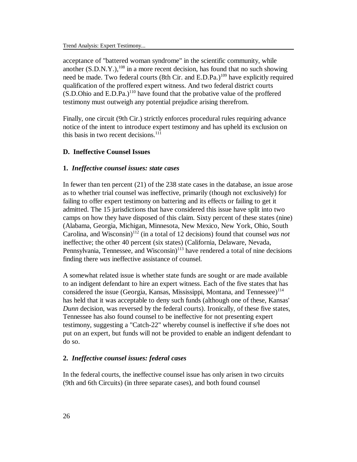acceptance of "battered woman syndrome" in the scientific community, while another  $(S.D.N.Y.)$ , <sup>108</sup> in a more recent decision, has found that no such showing need be made. Two federal courts (8th Cir. and E.D.Pa.)<sup>109</sup> have explicitly required qualification of the proffered expert witness. And two federal district courts  $(S.D. Ohio and E.D.Pa.)$ <sup>110</sup> have found that the probative value of the proffered testimony must outweigh any potential prejudice arising therefrom.

Finally, one circuit (9th Cir.) strictly enforces procedural rules requiring advance notice of the intent to introduce expert testimony and has upheld its exclusion on this basis in two recent decisions. $111$ 

# **D. Ineffective Counsel Issues**

#### **1.** *Ineffective counsel issues: state cases*

In fewer than ten percent (21) of the 238 state cases in the database, an issue arose as to whether trial counsel was ineffective, primarily (though not exclusively) for failing to offer expert testimony on battering and its effects or failing to get it admitted. The 15 jurisdictions that have considered this issue have split into two camps on how they have disposed of this claim. Sixty percent of these states (nine) (Alabama, Georgia, Michigan, Minnesota, New Mexico, New York, Ohio, South Carolina, and Wisconsin)<sup>112</sup> (in a total of 12 decisions) found that counsel *was not* ineffective; the other 40 percent (six states) (California, Delaware, Nevada, Pennsylvania, Tennessee, and Wisconsin)<sup>113</sup> have rendered a total of nine decisions finding there *was* ineffective assistance of counsel.

A somewhat related issue is whether state funds are sought or are made available to an indigent defendant to hire an expert witness. Each of the five states that has considered the issue (Georgia, Kansas, Mississippi, Montana, and Tennessee)<sup>114</sup> has held that it was acceptable to deny such funds (although one of these, Kansas' *Dunn* decision, was reversed by the federal courts). Ironically, of these five states, Tennessee has also found counsel to be ineffective for not presenting expert testimony, suggesting a "Catch-22" whereby counsel is ineffective if s/he does not put on an expert, but funds will not be provided to enable an indigent defendant to do so.

# **2.** *Ineffective counsel issues: federal cases*

In the federal courts, the ineffective counsel issue has only arisen in two circuits (9th and 6th Circuits) (in three separate cases), and both found counsel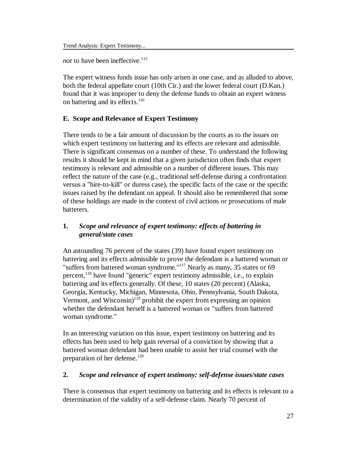*not* to have been ineffective.<sup>115</sup>

The expert witness funds issue has only arisen in one case, and as alluded to above, both the federal appellate court (10th Cir.) and the lower federal court (D.Kan.) found that it was improper to deny the defense funds to obtain an expert witness on battering and its effects.<sup>116</sup>

# **E. Scope and Relevance of Expert Testimony**

There tends to be a fair amount of discussion by the courts as to the issues on which expert testimony on battering and its effects are relevant and admissible. There is significant consensus on a number of these. To understand the following results it should be kept in mind that a given jurisdiction often finds that expert testimony is relevant and admissible on a number of different issues. This may reflect the nature of the case (e.g., traditional self-defense during a confrontation versus a "hire-to-kill" or duress case), the specific facts of the case or the specific issues raised by the defendant on appeal. It should also be remembered that some of these holdings are made in the context of civil actions or prosecutions of male batterers.

# **1.** *Scope and relevance of expert testimony: effects of battering in general/state cases*

An astounding 76 percent of the states (39) have found expert testimony on battering and its effects admissible to prove the defendant is a battered woman or "suffers from battered woman syndrome."<sup>117</sup> Nearly as many, 35 states or 69 percent,  $h^{118}$  have found "generic" expert testimony admissible, i.e., to explain battering and its effects generally. Of these, 10 states (20 percent) (Alaska, Georgia, Kentucky, Michigan, Minnesota, Ohio, Pennsylvania, South Dakota, Vermont, and Wisconsin)<sup>119</sup> prohibit the expert from expressing an opinion whether the defendant herself is a battered woman or "suffers from battered woman syndrome."

In an interesting variation on this issue, expert testimony on battering and its effects has been used to help gain reversal of a conviction by showing that a battered woman defendant had been unable to assist her trial counsel with the preparation of her defense.<sup>120</sup>

# **2.** *Scope and relevance of expert testimony: self-defense issues/state cases*

There is consensus that expert testimony on battering and its effects is relevant to a determination of the validity of a self-defense claim. Nearly 70 percent of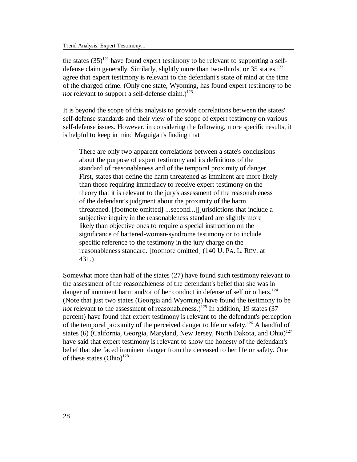the states  $(35)^{121}$  have found expert testimony to be relevant to supporting a selfdefense claim generally. Similarly, slightly more than two-thirds, or  $35$  states,<sup>122</sup> agree that expert testimony is relevant to the defendant's state of mind at the time of the charged crime. (Only one state, Wyoming, has found expert testimony to be *not* relevant to support a self-defense claim.)<sup>123</sup>

It is beyond the scope of this analysis to provide correlations between the states' self-defense standards and their view of the scope of expert testimony on various self-defense issues. However, in considering the following, more specific results, it is helpful to keep in mind Maguigan's finding that

There are only two apparent correlations between a state's conclusions about the purpose of expert testimony and its definitions of the standard of reasonableness and of the temporal proximity of danger. First, states that define the harm threatened as imminent are more likely than those requiring immediacy to receive expert testimony on the theory that it is relevant to the jury's assessment of the reasonableness of the defendant's judgment about the proximity of the harm threatened. [footnote omitted] ...second...[j]urisdictions that include a subjective inquiry in the reasonableness standard are slightly more likely than objective ones to require a special instruction on the significance of battered-woman-syndrome testimony or to include specific reference to the testimony in the jury charge on the reasonableness standard. [footnote omitted] (140 U. PA. L. REV. at 431.)

Somewhat more than half of the states (27) have found such testimony relevant to the assessment of the reasonableness of the defendant's belief that she was in danger of imminent harm and/or of her conduct in defense of self or others.<sup>124</sup> (Note that just two states (Georgia and Wyoming) have found the testimony to be *not* relevant to the assessment of reasonableness.)<sup>125</sup> In addition, 19 states (37 percent) have found that expert testimony is relevant to the defendant's perception of the temporal proximity of the perceived danger to life or safety.<sup>126</sup> A handful of states (6) (California, Georgia, Maryland, New Jersey, North Dakota, and Ohio)<sup>127</sup> have said that expert testimony is relevant to show the honesty of the defendant's belief that she faced imminent danger from the deceased to her life or safety. One of these states  $(Ohio)<sup>128</sup>$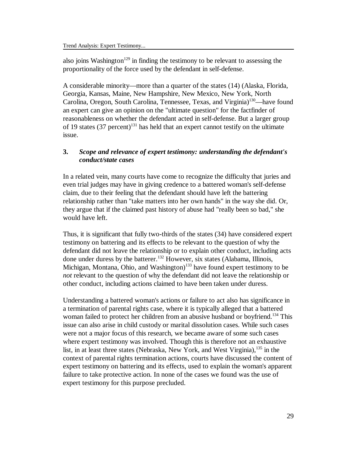also joins Washington<sup>129</sup> in finding the testimony to be relevant to assessing the proportionality of the force used by the defendant in self-defense.

A considerable minority—more than a quarter of the states (14) (Alaska, Florida, Georgia, Kansas, Maine, New Hampshire, New Mexico, New York, North Carolina, Oregon, South Carolina, Tennessee, Texas, and Virginia)<sup>130</sup>—have found an expert can give an opinion on the "ultimate question" for the factfinder of reasonableness on whether the defendant acted in self-defense. But a larger group of 19 states (37 percent)<sup>131</sup> has held that an expert cannot testify on the ultimate issue.

# **3.** *Scope and relevance of expert testimony: understanding the defendant's conduct/state cases*

In a related vein, many courts have come to recognize the difficulty that juries and even trial judges may have in giving credence to a battered woman's self-defense claim, due to their feeling that the defendant should have left the battering relationship rather than "take matters into her own hands" in the way she did. Or, they argue that if the claimed past history of abuse had "really been so bad," she would have left.

Thus, it is significant that fully two-thirds of the states (34) have considered expert testimony on battering and its effects to be relevant to the question of why the defendant did not leave the relationship or to explain other conduct, including acts done under duress by the batterer.  $^{132}$  However, six states (Alabama, Illinois, Michigan, Montana, Ohio, and Washington)<sup>133</sup> have found expert testimony to be *not* relevant to the question of why the defendant did not leave the relationship or other conduct, including actions claimed to have been taken under duress.

Understanding a battered woman's actions or failure to act also has significance in a termination of parental rights case, where it is typically alleged that a battered woman failed to protect her children from an abusive husband or boyfriend.<sup>134</sup> This issue can also arise in child custody or marital dissolution cases. While such cases were not a major focus of this research, we became aware of some such cases where expert testimony was involved. Though this is therefore not an exhaustive list, in at least three states (Nebraska, New York, and West Virginia),  $^{135}$  in the context of parental rights termination actions, courts have discussed the content of expert testimony on battering and its effects, used to explain the woman's apparent failure to take protective action. In none of the cases we found was the use of expert testimony for this purpose precluded.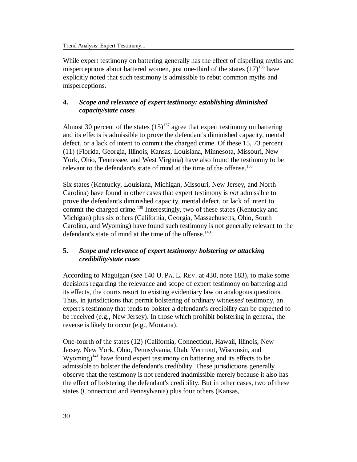Trend Analysis: Expert Testimony...

While expert testimony on battering generally has the effect of dispelling myths and misperceptions about battered women, just one-third of the states  $(17)^{136}$  have explicitly noted that such testimony is admissible to rebut common myths and misperceptions.

# **4.** *Scope and relevance of expert testimony: establishing diminished capacity/state cases*

Almost 30 percent of the states  $(15)^{137}$  agree that expert testimony on battering and its effects is admissible to prove the defendant's diminished capacity, mental defect, or a lack of intent to commit the charged crime. Of these 15, 73 percent (11) (Florida, Georgia, Illinois, Kansas, Louisiana, Minnesota, Missouri, New York, Ohio, Tennessee, and West Virginia) have also found the testimony to be relevant to the defendant's state of mind at the time of the offense.<sup>138</sup>

Six states (Kentucky, Louisiana, Michigan, Missouri, New Jersey, and North Carolina) have found in other cases that expert testimony is *not* admissible to prove the defendant's diminished capacity, mental defect, or lack of intent to commit the charged crime.<sup>139</sup> Interestingly, two of these states (Kentucky and Michigan) plus six others (California, Georgia, Massachusetts, Ohio, South Carolina, and Wyoming) have found such testimony is not generally relevant to the defendant's state of mind at the time of the offense.<sup>140</sup>

# **5.** *Scope and relevance of expert testimony: bolstering or attacking credibility/state cases*

According to Maguigan (*see* 140 U. PA. L. REV. at 430, note 183), to make some decisions regarding the relevance and scope of expert testimony on battering and its effects, the courts resort to existing evidentiary law on analogous questions. Thus, in jurisdictions that permit bolstering of ordinary witnesses' testimony, an expert's testimony that tends to bolster a defendant's credibility can be expected to be received (e.g., New Jersey). In those which prohibit bolstering in general, the reverse is likely to occur (e.g., Montana).

One-fourth of the states (12) (California, Connecticut, Hawaii, Illinois, New Jersey, New York, Ohio, Pennsylvania, Utah, Vermont, Wisconsin, and Wyoming)<sup> $141$ </sup> have found expert testimony on battering and its effects to be admissible to bolster the defendant's credibility. These jurisdictions generally observe that the testimony is not rendered inadmissible merely because it also has the effect of bolstering the defendant's credibility. But in other cases, two of these states (Connecticut and Pennsylvania) plus four others (Kansas,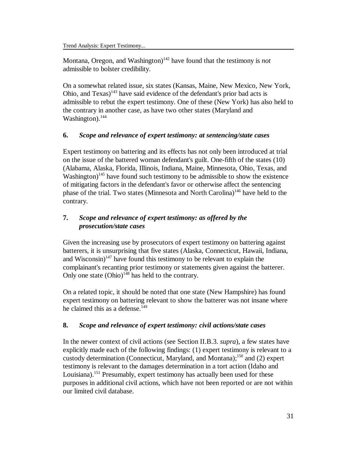Montana, Oregon, and Washington)<sup>142</sup> have found that the testimony is *not* admissible to bolster credibility.

On a somewhat related issue, six states (Kansas, Maine, New Mexico, New York, Ohio, and  $T$ exas)<sup>143</sup> have said evidence of the defendant's prior bad acts is admissible to rebut the expert testimony. One of these (New York) has also held to the contrary in another case, as have two other states (Maryland and Washington). $144$ 

# **6.** *Scope and relevance of expert testimony: at sentencing/state cases*

Expert testimony on battering and its effects has not only been introduced at trial on the issue of the battered woman defendant's guilt. One-fifth of the states (10) (Alabama, Alaska, Florida, Illinois, Indiana, Maine, Minnesota, Ohio, Texas, and Washington)<sup>145</sup> have found such testimony to be admissible to show the existence of mitigating factors in the defendant's favor or otherwise affect the sentencing phase of the trial. Two states (Minnesota and North Carolina) $146$  have held to the contrary.

# **7.** *Scope and relevance of expert testimony: as offered by the prosecution/state cases*

Given the increasing use by prosecutors of expert testimony on battering against batterers, it is unsurprising that five states (Alaska, Connecticut, Hawaii, Indiana, and Wisconsin)<sup>147</sup> have found this testimony to be relevant to explain the complainant's recanting prior testimony or statements given against the batterer. Only one state  $(Ohio)^{148}$  has held to the contrary.

On a related topic, it should be noted that one state (New Hampshire) has found expert testimony on battering relevant to show the batterer was not insane where he claimed this as a defense. $149$ 

# **8.** *Scope and relevance of expert testimony: civil actions/state cases*

In the newer context of civil actions (see Section II.B.3. *supra*), a few states have explicitly made each of the following findings: (1) expert testimony is relevant to a custody determination (Connecticut, Maryland, and Montana); $^{150}$  and (2) expert testimony is relevant to the damages determination in a tort action (Idaho and Louisiana).<sup>151</sup> Presumably, expert testimony has actually been used for these purposes in additional civil actions, which have not been reported or are not within our limited civil database.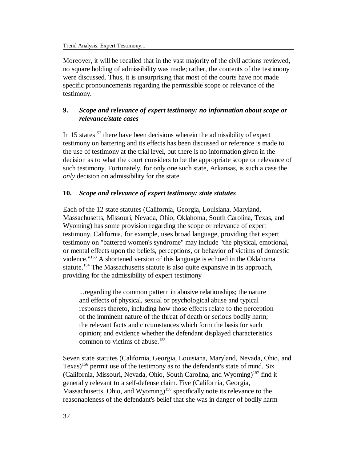Moreover, it will be recalled that in the vast majority of the civil actions reviewed, no square holding of admissibility was made; rather, the contents of the testimony were discussed. Thus, it is unsurprising that most of the courts have not made specific pronouncements regarding the permissible scope or relevance of the testimony.

# **9.** *Scope and relevance of expert testimony: no information about scope or relevance/state cases*

In 15 states<sup>152</sup> there have been decisions wherein the admissibility of expert testimony on battering and its effects has been discussed or reference is made to the use of testimony at the trial level, but there is no information given in the decision as to what the court considers to be the appropriate scope or relevance of such testimony. Fortunately, for only one such state, Arkansas, is such a case the *only* decision on admissibility for the state.

# **10.** *Scope and relevance of expert testimony: state statutes*

Each of the 12 state statutes (California, Georgia, Louisiana, Maryland, Massachusetts, Missouri, Nevada, Ohio, Oklahoma, South Carolina, Texas, and Wyoming) has some provision regarding the scope or relevance of expert testimony. California, for example, uses broad language, providing that expert testimony on "battered women's syndrome" may include "the physical, emotional, or mental effects upon the beliefs, perceptions, or behavior of victims of domestic violence." $153$  A shortened version of this language is echoed in the Oklahoma statute. <sup>154</sup> The Massachusetts statute is also quite expansive in its approach, providing for the admissibility of expert testimony

...regarding the common pattern in abusive relationships; the nature and effects of physical, sexual or psychological abuse and typical responses thereto, including how those effects relate to the perception of the imminent nature of the threat of death or serious bodily harm; the relevant facts and circumstances which form the basis for such opinion; and evidence whether the defendant displayed characteristics common to victims of abuse.<sup>155</sup>

Seven state statutes (California, Georgia, Louisiana, Maryland, Nevada, Ohio, and Texas)<sup>156</sup> permit use of the testimony as to the defendant's state of mind. Six (California, Missouri, Nevada, Ohio, South Carolina, and Wyoming)<sup>157</sup> find it generally relevant to a self-defense claim. Five (California, Georgia, Massachusetts, Ohio, and Wyoming)<sup>158</sup> specifically note its relevance to the reasonableness of the defendant's belief that she was in danger of bodily harm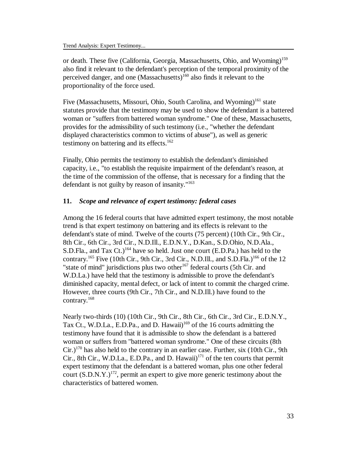or death. These five (California, Georgia, Massachusetts, Ohio, and Wyoming)<sup>159</sup> also find it relevant to the defendant's perception of the temporal proximity of the perceived danger, and one (Massachusetts)<sup> $160$ </sup> also finds it relevant to the proportionality of the force used.

Five (Massachusetts, Missouri, Ohio, South Carolina, and Wyoming)<sup>161</sup> state statutes provide that the testimony may be used to show the defendant is a battered woman or "suffers from battered woman syndrome." One of these, Massachusetts, provides for the admissibility of such testimony (i.e., "whether the defendant displayed characteristics common to victims of abuse"), as well as generic testimony on battering and its effects.<sup>162</sup>

Finally, Ohio permits the testimony to establish the defendant's diminished capacity, i.e., "to establish the requisite impairment of the defendant's reason, at the time of the commission of the offense, that is necessary for a finding that the defendant is not guilty by reason of insanity."<sup>163</sup>

# **11.** *Scope and relevance of expert testimony: federal cases*

Among the 16 federal courts that have admitted expert testimony, the most notable trend is that expert testimony on battering and its effects is relevant to the defendant's state of mind. Twelve of the courts (75 percent) (10th Cir., 9th Cir., 8th Cir., 6th Cir., 3rd Cir., N.D.Ill., E.D.N.Y., D.Kan., S.D.Ohio, N.D.Ala., S.D.Fla., and Tax Ct.)<sup>164</sup> have so held. Just one court (E.D.Pa.) has held to the contrary. <sup>165</sup> Five (10th Cir., 9th Cir., 3rd Cir., N.D.Ill., and S.D.Fla.)<sup>166</sup> of the 12 "state of mind" jurisdictions plus two other  $167$  federal courts (5th Cir. and W.D.La.) have held that the testimony is admissible to prove the defendant's diminished capacity, mental defect, or lack of intent to commit the charged crime. However, three courts (9th Cir., 7th Cir., and N.D.Ill.) have found to the contrary.<sup>168</sup>

Nearly two-thirds (10) (10th Cir., 9th Cir., 8th Cir., 6th Cir., 3rd Cir., E.D.N.Y., Tax Ct., W.D.La., E.D.Pa., and D. Hawaii)<sup>169</sup> of the 16 courts admitting the testimony have found that it is admissible to show the defendant is a battered woman or suffers from "battered woman syndrome." One of these circuits (8th Cir.)<sup>170</sup> has also held to the contrary in an earlier case. Further, six (10th Cir., 9th Cir., 8th Cir., W.D.La., E.D.Pa., and D. Hawaii)<sup> $171$ </sup> of the ten courts that permit expert testimony that the defendant is a battered woman, plus one other federal court  $(S.D.N.Y.)^{172}$ , permit an expert to give more generic testimony about the characteristics of battered women.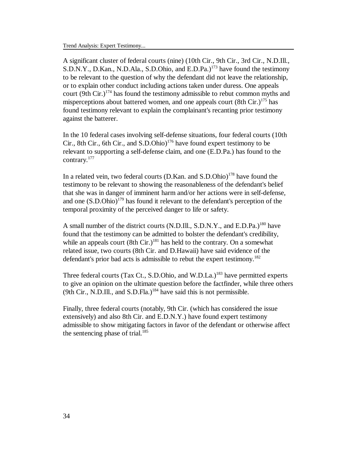A significant cluster of federal courts (nine) (10th Cir., 9th Cir., 3rd Cir., N.D.Ill., S.D.N.Y., D.Kan., N.D.Ala., S.D.Ohio, and E.D.Pa.)<sup>173</sup> have found the testimony to be relevant to the question of why the defendant did not leave the relationship, or to explain other conduct including actions taken under duress. One appeals court (9th Cir.)<sup>174</sup> has found the testimony admissible to rebut common myths and misperceptions about battered women, and one appeals court  $(8th Cir.)^{175}$  has found testimony relevant to explain the complainant's recanting prior testimony against the batterer.

In the 10 federal cases involving self-defense situations, four federal courts (10th Cir., 8th Cir., 6th Cir., and S.D.Ohio)<sup> $176$ </sup> have found expert testimony to be relevant to supporting a self-defense claim, and one (E.D.Pa.) has found to the contrary.<sup>177</sup>

In a related vein, two federal courts (D.Kan. and  $S.D.Ohio$ <sup>178</sup> have found the testimony to be relevant to showing the reasonableness of the defendant's belief that she was in danger of imminent harm and/or her actions were in self-defense, and one  $(S.D.Ohio)^{179}$  has found it relevant to the defendant's perception of the temporal proximity of the perceived danger to life or safety.

A small number of the district courts (N.D.Ill., S.D.N.Y., and E.D.Pa.)<sup>180</sup> have found that the testimony can be admitted to bolster the defendant's credibility, while an appeals court  $(8th Cir.)^{181}$  has held to the contrary. On a somewhat related issue, two courts (8th Cir. and D.Hawaii) have said evidence of the defendant's prior bad acts is admissible to rebut the expert testimony.<sup>182</sup>

Three federal courts (Tax Ct., S.D.Ohio, and W.D.La.)<sup>183</sup> have permitted experts to give an opinion on the ultimate question before the factfinder, while three others (9th Cir., N.D.Ill., and S.D.Fla.)<sup>184</sup> have said this is not permissible.

Finally, three federal courts (notably, 9th Cir. (which has considered the issue extensively) and also 8th Cir. and E.D.N.Y.) have found expert testimony admissible to show mitigating factors in favor of the defendant or otherwise affect the sentencing phase of trial.<sup>185</sup>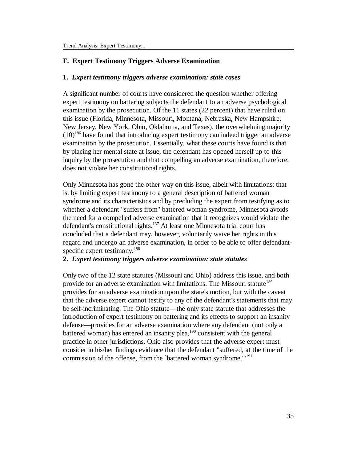# **F. Expert Testimony Triggers Adverse Examination**

#### **1.** *Expert testimony triggers adverse examination: state cases*

A significant number of courts have considered the question whether offering expert testimony on battering subjects the defendant to an adverse psychological examination by the prosecution. Of the 11 states (22 percent) that have ruled on this issue (Florida, Minnesota, Missouri, Montana, Nebraska, New Hampshire, New Jersey, New York, Ohio, Oklahoma, and Texas), the overwhelming majority  $(10)^{186}$  have found that introducing expert testimony can indeed trigger an adverse examination by the prosecution. Essentially, what these courts have found is that by placing her mental state at issue, the defendant has opened herself up to this inquiry by the prosecution and that compelling an adverse examination, therefore, does not violate her constitutional rights.

Only Minnesota has gone the other way on this issue, albeit with limitations; that is, by limiting expert testimony to a general description of battered woman syndrome and its characteristics and by precluding the expert from testifying as to whether a defendant "suffers from" battered woman syndrome, Minnesota avoids the need for a compelled adverse examination that it recognizes would violate the defendant's constitutional rights.<sup>187</sup> At least one Minnesota trial court has concluded that a defendant may, however, voluntarily waive her rights in this regard and undergo an adverse examination, in order to be able to offer defendantspecific expert testimony.<sup>188</sup>

#### **2.** *Expert testimony triggers adverse examination: state statutes*

Only two of the 12 state statutes (Missouri and Ohio) address this issue, and both provide for an adverse examination with limitations. The Missouri statute<sup>189</sup> provides for an adverse examination upon the state's motion, but with the caveat that the adverse expert cannot testify to any of the defendant's statements that may be self-incriminating. The Ohio statute—the only state statute that addresses the introduction of expert testimony on battering and its effects to support an insanity defense—provides for an adverse examination where any defendant (not only a battered woman) has entered an insanity plea,  $190$  consistent with the general practice in other jurisdictions. Ohio also provides that the adverse expert must consider in his/her findings evidence that the defendant "suffered, at the time of the commission of the offense, from the `battered woman syndrome.'"191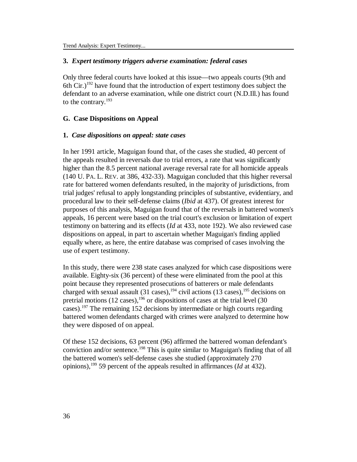# **3.** *Expert testimony triggers adverse examination: federal cases*

Only three federal courts have looked at this issue—two appeals courts (9th and 6th Cir.)<sup>192</sup> have found that the introduction of expert testimony does subject the defendant to an adverse examination, while one district court (N.D.Ill.) has found to the contrary. $193$ 

#### **G. Case Dispositions on Appeal**

#### **1.** *Case dispositions on appeal: state cases*

In her 1991 article, Maguigan found that, of the cases she studied, 40 percent of the appeals resulted in reversals due to trial errors, a rate that was significantly higher than the 8.5 percent national average reversal rate for all homicide appeals (140 U. PA. L. REV. at 386, 432-33). Maguigan concluded that this higher reversal rate for battered women defendants resulted, in the majority of jurisdictions, from trial judges' refusal to apply longstanding principles of substantive, evidentiary, and procedural law to their self-defense claims (*Ibid* at 437). Of greatest interest for purposes of this analysis, Maguigan found that of the reversals in battered women's appeals, 16 percent were based on the trial court's exclusion or limitation of expert testimony on battering and its effects (*Id* at 433, note 192). We also reviewed case dispositions on appeal, in part to ascertain whether Maguigan's finding applied equally where, as here, the entire database was comprised of cases involving the use of expert testimony.

In this study, there were 238 state cases analyzed for which case dispositions were available. Eighty-six (36 percent) of these were eliminated from the pool at this point because they represented prosecutions of batterers or male defendants charged with sexual assault  $(31 \text{ cases})$ , <sup>194</sup> civil actions  $(13 \text{ cases})$ , <sup>195</sup> decisions on pretrial motions (12 cases),  $^{196}$  or dispositions of cases at the trial level (30 cases).<sup>197</sup> The remaining 152 decisions by intermediate or high courts regarding battered women defendants charged with crimes were analyzed to determine how they were disposed of on appeal.

Of these 152 decisions, 63 percent (96) affirmed the battered woman defendant's conviction and/or sentence.  $198$  This is quite similar to Maguigan's finding that of all the battered women's self-defense cases she studied (approximately 270 opinions),  $199$  59 percent of the appeals resulted in affirmances (*Id* at 432).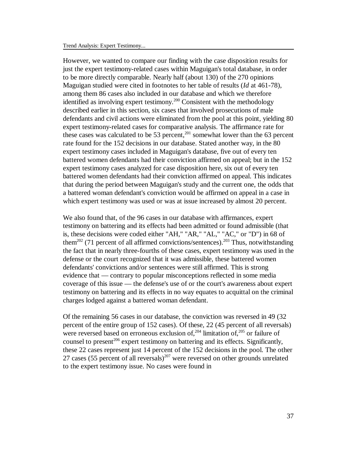However, we wanted to compare our finding with the case disposition results for just the expert testimony-related cases within Maguigan's total database, in order to be more directly comparable. Nearly half (about 130) of the 270 opinions Maguigan studied were cited in footnotes to her table of results (*Id* at 461-78), among them 86 cases also included in our database and which we therefore identified as involving expert testimony.<sup>200</sup> Consistent with the methodology described earlier in this section, six cases that involved prosecutions of male defendants and civil actions were eliminated from the pool at this point, yielding 80 expert testimony-related cases for comparative analysis. The affirmance rate for these cases was calculated to be 53 percent,  $201$  somewhat lower than the 63 percent rate found for the 152 decisions in our database. Stated another way, in the 80 expert testimony cases included in Maguigan's database, five out of every ten battered women defendants had their conviction affirmed on appeal; but in the 152 expert testimony cases analyzed for case disposition here, six out of every ten battered women defendants had their conviction affirmed on appeal. This indicates that during the period between Maguigan's study and the current one, the odds that a battered woman defendant's conviction would be affirmed on appeal in a case in which expert testimony was used or was at issue increased by almost 20 percent.

We also found that, of the 96 cases in our database with affirmances, expert testimony on battering and its effects had been admitted or found admissible (that is, these decisions were coded either "AH," "AR," "AL," "AC," or "D") in 68 of them<sup>202</sup> (71 percent of all affirmed convictions/sentences). <sup>203</sup> Thus, notwithstanding the fact that in nearly three-fourths of these cases, expert testimony was used in the defense or the court recognized that it was admissible, these battered women defendants' convictions and/or sentences were still affirmed. This is strong evidence that — contrary to popular misconceptions reflected in some media coverage of this issue — the defense's use of or the court's awareness about expert testimony on battering and its effects in no way equates to acquittal on the criminal charges lodged against a battered woman defendant.

Of the remaining 56 cases in our database, the conviction was reversed in 49 (32 percent of the entire group of 152 cases). Of these, 22 (45 percent of all reversals) were reversed based on erroneous exclusion of,  $204$  limitation of,  $205$  or failure of counsel to present<sup>206</sup> expert testimony on battering and its effects. Significantly, these 22 cases represent just 14 percent of the 152 decisions in the pool. The other 27 cases (55 percent of all reversals)<sup>207</sup> were reversed on other grounds unrelated to the expert testimony issue. No cases were found in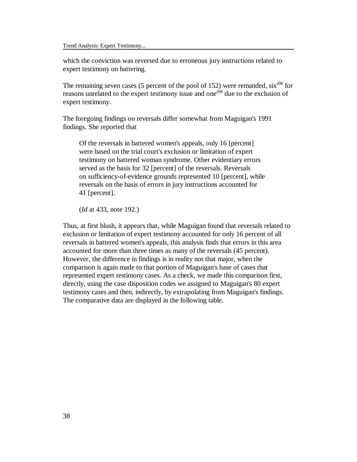#### Trend Analysis: Expert Testimony...

which the conviction was reversed due to erroneous jury instructions related to expert testimony on battering.

The remaining seven cases (5 percent of the pool of 152) were remanded,  $\sin^{208}$  for reasons unrelated to the expert testimony issue and one<sup> $209$ </sup> due to the exclusion of expert testimony.

The foregoing findings on reversals differ somewhat from Maguigan's 1991 findings. She reported that

Of the reversals in battered women's appeals, only 16 [percent] were based on the trial court's exclusion or limitation of expert testimony on battered woman syndrome. Other evidentiary errors served as the basis for 32 [percent] of the reversals. Reversals on sufficiency-of-evidence grounds represented 10 [percent], while reversals on the basis of errors in jury instructions accounted for 41 [percent].

(*Id* at 433, note 192.)

Thus, at first blush, it appears that, while Maguigan found that reversals related to exclusion or limitation of expert testimony accounted for only 16 percent of all reversals in battered women's appeals, this analysis finds that errors in this area accounted for more than three times as many of the reversals (45 percent). However, the difference in findings is in reality not that major, when the comparison is again made to that portion of Maguigan's base of cases that represented expert testimony cases. As a check, we made this comparison first, directly, using the case disposition codes we assigned to Maguigan's 80 expert testimony cases and then, indirectly, by extrapolating from Maguigan's findings. The comparative data are displayed in the following table.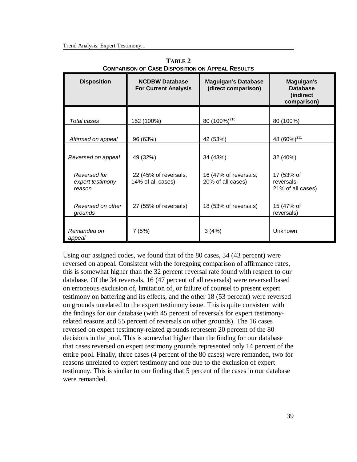| <b>Disposition</b>                         | <b>NCDBW Database</b><br><b>For Current Analysis</b> | <b>Maguigan's Database</b><br>(direct comparison) | Maguigan's<br><b>Database</b><br>(indirect<br>comparison) |
|--------------------------------------------|------------------------------------------------------|---------------------------------------------------|-----------------------------------------------------------|
| Total cases                                | 152 (100%)                                           | 80 (100%) <sup>210</sup>                          | 80 (100%)                                                 |
| Affirmed on appeal                         | 96 (63%)                                             | 42 (53%)                                          | 48 (60%) <sup>211</sup>                                   |
| Reversed on appeal                         | 49 (32%)                                             | 34 (43%)                                          | 32 (40%)                                                  |
| Reversed for<br>expert testimony<br>reason | 22 (45% of reversals;<br>14% of all cases)           | 16 (47% of reversals;<br>20% of all cases)        | 17 (53% of<br>reversals;<br>21% of all cases)             |
| Reversed on other<br>grounds               | 27 (55% of reversals)                                | 18 (53% of reversals)                             | 15 (47% of<br>reversals)                                  |
| Remanded on<br>appeal                      | 7(5%)                                                | 3(4%)                                             | Unknown                                                   |

**TABLE 2 COMPARISON OF CASE DISPOSITION ON APPEAL RESULTS**

Using our assigned codes, we found that of the 80 cases, 34 (43 percent) were reversed on appeal. Consistent with the foregoing comparison of affirmance rates, this is somewhat higher than the 32 percent reversal rate found with respect to our database. Of the 34 reversals, 16 (47 percent of all reversals) were reversed based on erroneous exclusion of, limitation of, or failure of counsel to present expert testimony on battering and its effects, and the other 18 (53 percent) were reversed on grounds unrelated to the expert testimony issue. This is quite consistent with the findings for our database (with 45 percent of reversals for expert testimonyrelated reasons and 55 percent of reversals on other grounds). The 16 cases reversed on expert testimony-related grounds represent 20 percent of the 80 decisions in the pool. This is somewhat higher than the finding for our database that cases reversed on expert testimony grounds represented only 14 percent of the entire pool. Finally, three cases (4 percent of the 80 cases) were remanded, two for reasons unrelated to expert testimony and one due to the exclusion of expert testimony. This is similar to our finding that 5 percent of the cases in our database were remanded.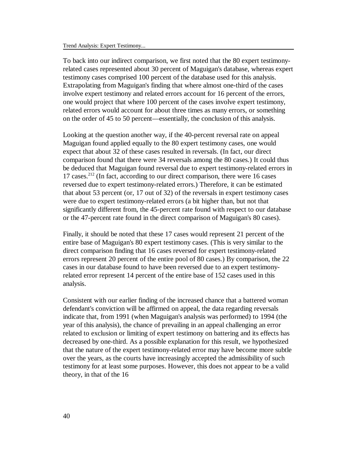#### Trend Analysis: Expert Testimony...

To back into our indirect comparison, we first noted that the 80 expert testimonyrelated cases represented about 30 percent of Maguigan's database, whereas expert testimony cases comprised 100 percent of the database used for this analysis. Extrapolating from Maguigan's finding that where almost one-third of the cases involve expert testimony and related errors account for 16 percent of the errors, one would project that where 100 percent of the cases involve expert testimony, related errors would account for about three times as many errors, or something on the order of 45 to 50 percent—essentially, the conclusion of this analysis.

Looking at the question another way, if the 40-percent reversal rate on appeal Maguigan found applied equally to the 80 expert testimony cases, one would expect that about 32 of these cases resulted in reversals. (In fact, our direct comparison found that there were 34 reversals among the 80 cases.) It could thus be deduced that Maguigan found reversal due to expert testimony-related errors in 17 cases.<sup>212</sup> (In fact, according to our direct comparison, there were 16 cases reversed due to expert testimony-related errors.) Therefore, it can be estimated that about 53 percent (or, 17 out of 32) of the reversals in expert testimony cases were due to expert testimony-related errors (a bit higher than, but not that significantly different from, the 45-percent rate found with respect to our database or the 47-percent rate found in the direct comparison of Maguigan's 80 cases).

Finally, it should be noted that these 17 cases would represent 21 percent of the entire base of Maguigan's 80 expert testimony cases. (This is very similar to the direct comparison finding that 16 cases reversed for expert testimony-related errors represent 20 percent of the entire pool of 80 cases.) By comparison, the 22 cases in our database found to have been reversed due to an expert testimonyrelated error represent 14 percent of the entire base of 152 cases used in this analysis.

Consistent with our earlier finding of the increased chance that a battered woman defendant's conviction will be affirmed on appeal, the data regarding reversals indicate that, from 1991 (when Maguigan's analysis was performed) to 1994 (the year of this analysis), the chance of prevailing in an appeal challenging an error related to exclusion or limiting of expert testimony on battering and its effects has decreased by one-third. As a possible explanation for this result, we hypothesized that the nature of the expert testimony-related error may have become more subtle over the years, as the courts have increasingly accepted the admissibility of such testimony for at least some purposes. However, this does not appear to be a valid theory, in that of the 16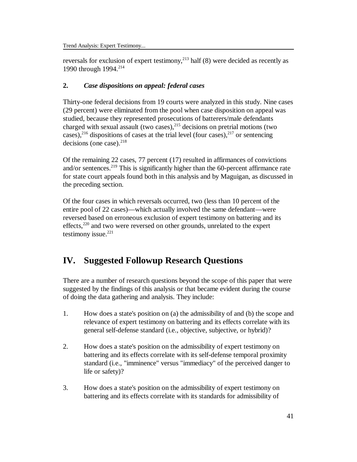Trend Analysis: Expert Testimony...

reversals for exclusion of expert testimony,  $213$  half (8) were decided as recently as 1990 through 1994.<sup>214</sup>

# **2.** *Case dispositions on appeal: federal cases*

Thirty-one federal decisions from 19 courts were analyzed in this study. Nine cases (29 percent) were eliminated from the pool when case disposition on appeal was studied, because they represented prosecutions of batterers/male defendants charged with sexual assault (two cases),  $2^{15}$  decisions on pretrial motions (two cases),  $^{216}$  dispositions of cases at the trial level (four cases),  $^{217}$  or sentencing decisions (one case).<sup>218</sup>

Of the remaining 22 cases, 77 percent (17) resulted in affirmances of convictions and/or sentences.<sup>219</sup> This is significantly higher than the 60-percent affirmance rate for state court appeals found both in this analysis and by Maguigan, as discussed in the preceding section.

Of the four cases in which reversals occurred, two (less than 10 percent of the entire pool of 22 cases)—which actually involved the same defendant—were reversed based on erroneous exclusion of expert testimony on battering and its effects, $220$  and two were reversed on other grounds, unrelated to the expert testimony issue. $221$ 

# **IV. Suggested Followup Research Questions**

There are a number of research questions beyond the scope of this paper that were suggested by the findings of this analysis or that became evident during the course of doing the data gathering and analysis. They include:

- 1. How does a state's position on (a) the admissibility of and (b) the scope and relevance of expert testimony on battering and its effects correlate with its general self-defense standard (i.e., objective, subjective, or hybrid)?
- 2. How does a state's position on the admissibility of expert testimony on battering and its effects correlate with its self-defense temporal proximity standard (i.e., "imminence" versus "immediacy" of the perceived danger to life or safety)?
- 3. How does a state's position on the admissibility of expert testimony on battering and its effects correlate with its standards for admissibility of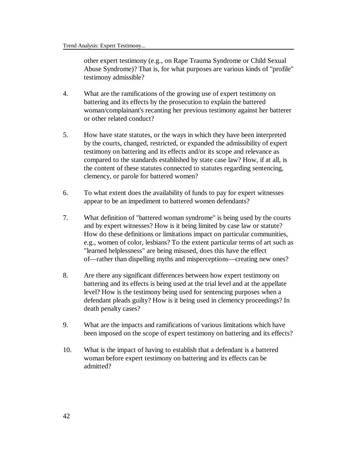other expert testimony (e.g., on Rape Trauma Syndrome or Child Sexual Abuse Syndrome)? That is, for what purposes are various kinds of "profile" testimony admissible?

- 4. What are the ramifications of the growing use of expert testimony on battering and its effects by the prosecution to explain the battered woman/complainant's recanting her previous testimony against her batterer or other related conduct?
- 5. How have state statutes, or the ways in which they have been interpreted by the courts, changed, restricted, or expanded the admissibility of expert testimony on battering and its effects and/or its scope and relevance as compared to the standards established by state case law? How, if at all, is the content of these statutes connected to statutes regarding sentencing, clemency, or parole for battered women?
- 6. To what extent does the availability of funds to pay for expert witnesses appear to be an impediment to battered women defendants?
- 7. What definition of "battered woman syndrome" is being used by the courts and by expert witnesses? How is it being limited by case law or statute? How do these definitions or limitations impact on particular communities, e.g., women of color, lesbians? To the extent particular terms of art such as "learned helplessness" are being misused, does this have the effect of—rather than dispelling myths and misperceptions—creating new ones?
- 8. Are there any significant differences between how expert testimony on battering and its effects is being used at the trial level and at the appellate level? How is the testimony being used for sentencing purposes when a defendant pleads guilty? How is it being used in clemency proceedings? In death penalty cases?
- 9. What are the impacts and ramifications of various limitations which have been imposed on the scope of expert testimony on battering and its effects?
- 10. What is the impact of having to establish that a defendant is a battered woman before expert testimony on battering and its effects can be admitted?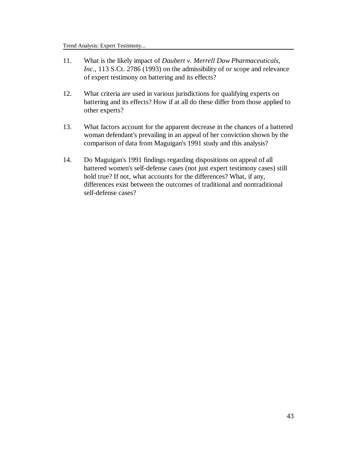- 11. What is the likely impact of *Daubert v. Merrell Dow Pharmaceuticals, Inc.*, 113 S.Ct. 2786 (1993) on the admissibility of or scope and relevance of expert testimony on battering and its effects?
- 12. What criteria are used in various jurisdictions for qualifying experts on battering and its effects? How if at all do these differ from those applied to other experts?
- 13. What factors account for the apparent decrease in the chances of a battered woman defendant's prevailing in an appeal of her conviction shown by the comparison of data from Maguigan's 1991 study and this analysis?
- 14. Do Maguigan's 1991 findings regarding dispositions on appeal of all battered women's self-defense cases (not just expert testimony cases) still hold true? If not, what accounts for the differences? What, if any, differences exist between the outcomes of traditional and nontraditional self-defense cases?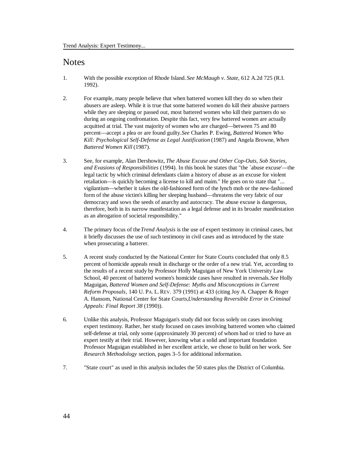# **Notes**

- 1. With the possible exception of Rhode Island. *See McMaugh v. State*, 612 A.2d 725 (R.I. 1992).
- 2. For example, many people believe that when battered women kill they do so when their abusers are asleep. While it is true that some battered women do kill their abusive partners while they are sleeping or passed out, most battered women who kill their partners do so during an ongoing confrontation. Despite this fact, very few battered women are actually acquitted at trial. The vast majority of women who are charged—between 75 and 80 percent—accept a plea or are found guilty. *See* Charles P. Ewing, *Battered Women Who Kill: Psychological Self-Defense as Legal Justification* (1987) and Angela Browne, *When Battered Women Kill* (1987).
- 3. See, for example, Alan Dershowitz, *The Abuse Excuse and Other Cop-Outs, Sob Stories, and Evasions of Responsibilities* (1994). In this book he states that "the `abuse excuse'—the legal tactic by which criminal defendants claim a history of abuse as an excuse for violent retaliation—is quickly becoming a license to kill and maim." He goes on to state that "... vigilantism—whether it takes the old-fashioned form of the lynch mob or the new-fashioned form of the abuse victim's killing her sleeping husband—threatens the very fabric of our democracy and sows the seeds of anarchy and autocracy. The abuse excuse is dangerous, therefore, both in its narrow manifestation as a legal defense and in its broader manifestation as an abrogation of societal responsibility."
- 4. The primary focus of the *Trend Analysis* is the use of expert testimony in criminal cases, but it briefly discusses the use of such testimony in civil cases and as introduced by the state when prosecuting a batterer.
- 5. A recent study conducted by the National Center for State Courts concluded that only 8.5 percent of homicide appeals result in discharge or the order of a new trial. Yet, according to the results of a recent study by Professor Holly Maguigan of New York University Law School, 40 percent of battered women's homicide cases have resulted in reversals. *See* Holly Maguigan, *Battered Women and Self-Defense: Myths and Misconceptions in Current Reform Proposals*, 140 U. PA. L.REV. 379 (1991) at 433 (citing Joy A. Chapper & Roger A. Hansom, National Center for State Courts, *Understanding Reversible Error in Criminal Appeals: Final Report 38* (1990)).
- 6. Unlike this analysis, Professor Maguigan's study did not focus solely on cases involving expert testimony. Rather, her study focused on cases involving battered women who claimed self-defense at trial, only some (approximately 30 percent) of whom had or tried to have an expert testify at their trial. However, knowing what a solid and important foundation Professor Maguigan established in her excellent article, we chose to build on her work. See *Research Methodology* section, pages 3–5 for additional information.
- 7. "State court" as used in this analysis includes the 50 states plus the District of Columbia.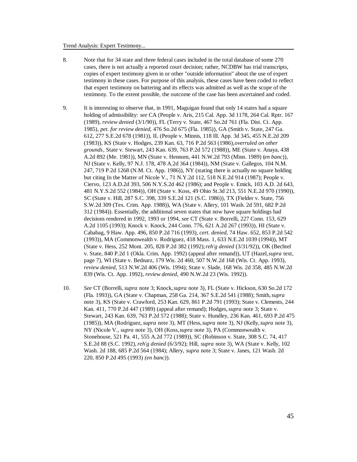Trend Analysis: Expert Testimony...

- 8. Note that for 34 state and three federal cases included in the total database of some 270 cases, there is not actually a reported court decision; rather, NCDBW has trial transcripts, copies of expert testimony given in or other "outside information" about the use of expert testimony in these cases. For purpose of this analysis, these cases have been coded to reflect that expert testimony on battering and its effects was admitted as well as the scope of the testimony. To the extent possible, the outcome of the case has been ascertained and coded.
- 9. It is interesting to observe that, in 1991, Maguigan found that only 14 states had a square holding of admissibility: *see* CA (People v. Aris, 215 Cal. App. 3d 1178, 264 Cal. Rptr. 167 (1989), *review denied* (3/1/90)), FL (Terry v. State, 467 So.2d 761 (Fla. Dist. Ct. App. 1985), *pet. for review denied*, 476 So.2d 675 (Fla. 1985)), GA (Smith v. State, 247 Ga. 612, 277 S.E.2d 678 (1981)), IL (People v. Minnis, 118 Ill. App. 3d 345, 455 N.E.2d 209 (1983)), KS (State v. Hodges, 239 Kan. 63, 716 P.2d 563 (1986), *overruled on other grounds*, State v. Stewart, 243 Kan. 639, 763 P.2d 572 (1988)), ME (State v. Anaya, 438 A.2d 892 (Me. 1981)), MN (State v. Hennum, 441 N.W.2d 793 (Minn. 1989) (*en banc*)), NJ (State v. Kelly, 97 N.J. 178, 478 A.2d 364 (1984)), NM (State v. Gallegos, 104 N.M. 247, 719 P.2d 1268 (N.M. Ct. App. 1986)), NY (stating there is actually no square holding but citing In the Matter of Nicole V., 71 N.Y.2d 112, 518 N.E.2d 914 (1987); People v. Ciervo, 123 A.D.2d 393, 506 N.Y.S.2d 462 (1986); and People v. Emick, 103 A.D. 2d 643, 481 N.Y.S.2d 552 (1984)), OH (State v. Koss, 49 Ohio St.3d 213, 551 N.E.2d 970 (1990)), SC (State v. Hill, 287 S.C. 398, 339 S.E.2d 121 (S.C. 1986)), TX (Fielder v. State, 756 S.W.2d 309 (Tex. Crim. App. 1988)), WA (State v. Allery, 101 Wash. 2d 591, 682 P.2d 312 (1984)). Essentially, the additional seven states that now have square holdings had decisions rendered in 1992, 1993 or 1994, *see* CT (State v. Borrelli, 227 Conn. 153, 629 A.2d 1105 (1993); Knock v. Knock, 244 Conn. 776, 621 A.2d 267 (1993)), HI (State v. Cababag, 9 Haw. App. 496, 850 P.2d 716 (1993), *cert. denied*, 74 Haw. 652, 853 P.2d 542 (1993)), MA (Commonwealth v. Rodriguez, 418 Mass. 1, 633 N.E.2d 1039 (1994)), MT (State v. Hess, 252 Mont. 205, 828 P.2d 382 (1992); *reh'g denied* (3/31/92)), OK (Bechtel v. State, 840 P.2d 1 (Okla. Crim. App. 1992) (appeal after remand)), UT (Hazel, *supra* text, page 7), WI (State v. Bednarz, 179 Wis. 2d 460, 507 N.W.2d 168 (Wis. Ct. App. 1993), *review denied*, 513 N.W.2d 406 (Wis. 1994); State v. Slade, 168 Wis. 2d 358, 485 N.W.2d 839 (Wis. Ct. App. 1992), *review denied*, 490 N.W.2d 23 (Wis. 1992)).
- 10. *See* CT (Borrelli, *supra* note 3; Knock, *supra* note 3), FL (State v. Hickson, 630 So.2d 172 (Fla. 1993)), GA (State v. Chapman, 258 Ga. 214, 367 S.E.2d 541 (1988); Smith, *supra* note 3), KS (State v. Crawford, 253 Kan. 629, 861 P.2d 791 (1993); State v. Clements, 244 Kan. 411, 770 P.2d 447 (1989) (appeal after remand); Hodges, *supra* note 3; State v. Stewart, 243 Kan. 639, 763 P.2d 572 (1988); State v. Hundley, 236 Kan. 461, 693 P.2d 475 (1985)), MA (Rodriguez, *supra* note 3), MT (Hess, *supra* note 3), NJ (Kelly, *supra* note 3), NY (Nicole V., *supra* note 3), OH (Koss, *supra* note 3), PA (Commonwealth v. Stonehouse, 521 Pa. 41, 555 A.2d 772 (1989)), SC (Robinson v. State, 308 S.C. 74, 417 S.E.2d 88 (S.C. 1992), *reh'g denied* (6/3/92); Hill, *supra* note 3), WA (State v. Kelly, 102 Wash. 2d 188, 685 P.2d 564 (1984); Allery, *supra* note 3; State v. Janes, 121 Wash. 2d 220, 850 P.2d 495 (1993) *(en banc)*).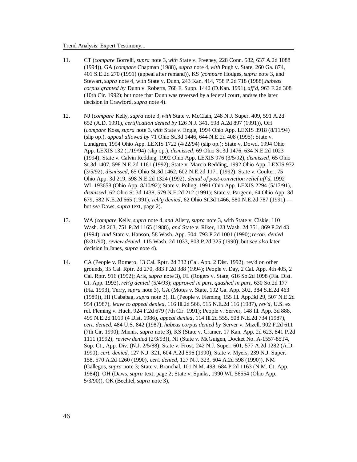- 11. CT (*compare* Borrelli, *supra* note 3, *with* State v. Freeney, 228 Conn. 582, 637 A.2d 1088 (1994)), GA (*compare* Chapman (1988), *supra* note 4, *with* Pugh v. State, 260 Ga. 874, 401 S.E.2d 270 (1991) (appeal after remand)), KS (*compare* Hodges, *supra* note 3, and Stewart, *supra* note 4, with State v. Dunn, 243 Kan. 414, 758 P.2d 718 (1988), *habeas corpus granted by* Dunn v. Roberts, 768 F. Supp. 1442 (D.Kan. 1991), *aff'd*, 963 F.2d 308 (10th Cir. 1992); but note that Dunn was reversed by a federal court, and *see* the later decision in Crawford, *supra* note 4).
- 12. NJ (*compare* Kelly, *supra* note 3, *with* State v. McClain, 248 N.J. Super. 409, 591 A.2d 652 (A.D. 1991), *certification denied by* 126 N.J. 341, 598 A.2d 897 (1991)), OH (*compare* Koss, *supra* note 3, *with* State v. Engle, 1994 Ohio App. LEXIS 3918 (8/11/94) (slip op.), *appeal allowed by* 71 Ohio St.3d 1446, 644 N.E.2d 408 (1995); State v. Lundgren, 1994 Ohio App. LEXIS 1722 (4/22/94) (slip op.); State v. Dowd, 1994 Ohio App. LEXIS 132 (1/19/94) (slip op.), *dismissed*, 69 Ohio St.3d 1476, 634 N.E.2d 1023 (1994); State v. Calvin Redding, 1992 Ohio App. LEXIS 976 (3/5/92), *dismissed*, 65 Ohio St.3d 1407, 598 N.E.2d 1161 (1992); State v. Marcia Redding, 1992 Ohio App. LEXIS 972 (3/5/92), *dismissed*, 65 Ohio St.3d 1462, 602 N.E.2d 1171 (1992); State v. Coulter, 75 Ohio App. 3d 219, 598 N.E.2d 1324 (1992), *denial of post-conviction relief aff'd*, 1992 WL 193658 (Ohio App. 8/10/92); State v. Poling, 1991 Ohio App. LEXIS 2294 (5/17/91), *dismissed*, 62 Ohio St.3d 1438, 579 N.E.2d 212 (1991); State v. Pargeon, 64 Ohio App. 3d 679, 582 N.E.2d 665 (1991), *reh'g denied*, 62 Ohio St.3d 1466, 580 N.E.2d 787 (1991) but *see* Daws, *supra* text, page 2).
- 13. WA (*compare* Kelly, *supra* note 4, *and* Allery, *supra* note 3, with State v. Ciskie, 110 Wash. 2d 263, 751 P.2d 1165 (1988), *and* State v. Riker, 123 Wash. 2d 351, 869 P.2d 43 (1994), *and* State v. Hanson, 58 Wash. App. 504, 793 P.2d 1001 (1990); *recon. denied* (8/31/90), *review denied*, 115 Wash. 2d 1033, 803 P.2d 325 (1990); but *see also* later decision in Janes, *supra* note 4).
- 14. CA (People v. Romero, 13 Cal. Rptr. 2d 332 (Cal. App. 2 Dist. 1992), rev'd on other grounds, 35 Cal. Rptr. 2d 270, 883 P.2d 388 (1994); People v. Day, 2 Cal. App. 4th 405, 2 Cal. Rptr. 916 (1992); Aris, *supra* note 3), FL (Rogers v. State, 616 So.2d 1098 (Fla. Dist. Ct. App. 1993), *reh'g denied* (5/4/93); *approved in part, quashed in part,* 630 So.2d 177 (Fla. 1993), Terry, *supra* note 3), GA (Motes v. State, 192 Ga. App. 302, 384 S.E.2d 463 (1989)), HI (Cababag, *supra* note 3), IL (People v. Fleming, 155 Ill. App.3d 29, 507 N.E.2d 954 (1987), *leave to appeal denied*, 116 Ill.2d 566, 515 N.E.2d 116 (1987), *rev'd*, U.S. ex rel. Fleming v. Huch, 924 F.2d 679 (7th Cir. 1991); People v. Server, 148 Ill. App. 3d 888, 499 N.E.2d 1019 (4 Dist. 1986), *appeal denied*, 114 Ill.2d 555, 508 N.E.2d 734 (1987), *cert. denied*, 484 U.S. 842 (1987), *habeas corpus denied by* Server v. Mizell, 902 F.2d 611 (7th Cir. 1990); Minnis, *supra* note 3), KS (State v. Cramer, 17 Kan. App. 2d 623, 841 P.2d 1111 (1992), *review denied* (2/3/93)), NJ (State v. McGuigen, Docket No. A-1557-85T4, Sup. Ct., App. Div. (N.J. 2/5/88); State v. Frost, 242 N.J. Super. 601, 577 A.2d 1282 (A.D. 1990), *cert. denied*, 127 N.J. 321, 604 A.2d 596 (1990); State v. Myers, 239 N.J. Super. 158, 570 A.2d 1260 (1990), *cert. denied*, 127 N.J. 323, 604 A.2d 598 (1990)), NM (Gallegos, *supra* note 3; State v. Branchal, 101 N.M. 498, 684 P.2d 1163 (N.M. Ct. App. 1984)), OH (Daws, *supra* text, page 2; State v. Spinks, 1990 WL 56554 (Ohio App. 5/3/90)), OK (Bechtel, *supra* note 3),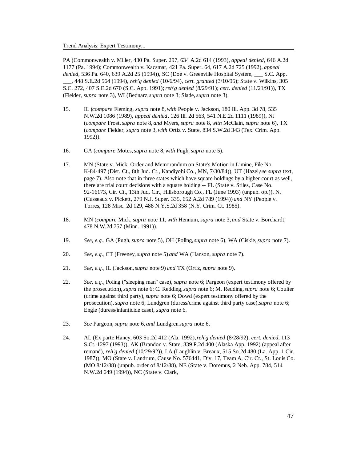PA (Commonwealth v. Miller, 430 Pa. Super. 297, 634 A.2d 614 (1993), *appeal denied*, 646 A.2d 1177 (Pa. 1994); Commonwealth v. Kacsmar, 421 Pa. Super. 64, 617 A.2d 725 (1992), *appeal denied*, 536 Pa. 640, 639 A.2d 25 (1994)), SC (Doe v. Greenville Hospital System, \_\_\_ S.C. App. \_\_\_, 448 S.E.2d 564 (1994), *reh'g denied* (10/6/94), *cert. granted* (3/10/95); State v. Wilkins, 305 S.C. 272, 407 S.E.2d 670 (S.C. App. 1991); *reh'g denied* (8/29/91); *cert. denied* (11/21/91)), TX (Fielder, *supra* note 3), WI (Bednarz, *supra* note 3; Slade, *supra* note 3).

- 15. IL (*compare* Fleming, *supra* note 8, *with* People v. Jackson, 180 Ill. App. 3d 78, 535 N.W.2d 1086 (1989), *appeal denied*, 126 Ill. 2d 563, 541 N.E.2d 1111 (1989)), NJ (*compare* Frost, *supra* note 8, *and* Myers, *supra* note 8, *with* McClain, *supra* note 6), TX (*compare* Fielder, *supra* note 3, *with* Ortiz v. State, 834 S.W.2d 343 (Tex. Crim. App. 1992)).
- 16. GA (*compare* Motes, *supra* note 8, *with* Pugh, *supra* note 5).
- 17. MN (State v. Mick, Order and Memorandum on State's Motion in Limine, File No. K-84-497 (Dist. Ct., 8th Jud. Ct., Kandiyohi Co., MN, 7/30/84)), UT (Hazel, *see supra* text, page 7). Also note that in three states which have square holdings by a higher court as well, there are trial court decisions with a square holding -- FL (State v. Stiles, Case No. 92-16173, Cir. Ct., 13th Jud. Cir., Hillsborough Co., FL (June 1993) (unpub. op.)), NJ (Cusseaux v. Pickett, 279 N.J. Super. 335, 652 A.2d 789 (1994)) *and* NY (People v. Torres, 128 Misc. 2d 129, 488 N.Y.S.2d 358 (N.Y. Crim. Ct. 1985).
- 18. MN (*compare* Mick, *supra* note 11, *with* Hennum, *supra* note 3, *and* State v. Borchardt, 478 N.W.2d 757 (Minn. 1991)).
- 19. *See, e.g.,* GA (Pugh, *supra* note 5), OH (Poling, *supra* note 6), WA (Ciskie, *supra* note 7).
- 20. *See, e.g.,* CT (Freeney, *supra* note 5) *and* WA (Hanson, *supra* note 7).
- 21. *See, e.g.,* IL (Jackson, *supra* note 9) *and* TX (Ortiz, *supra* note 9).
- 22. *See, e.g.,* Poling ("sleeping man" case), *supra* note 6; Pargeon (expert testimony offered by the prosecution), *supra* note 6; C. Redding, *supra* note 6; M. Redding, *supra* note 6; Coulter (crime against third party), *supra* note 6; Dowd (expert testimony offered by the prosecution), *supra* note 6; Lundgren (duress/crime against third party case), *supra* note 6; Engle (duress/infanticide case), *supra* note 6.
- 23. *See* Pargeon, *supra* note 6, *and* Lundgren *supra* note 6.
- 24. AL (Ex parte Haney, 603 So.2d 412 (Ala. 1992), *reh'g denied* (8/28/92), *cert. denied*, 113 S.Ct. 1297 (1993)), AK (Brandon v. State, 839 P.2d 400 (Alaska App. 1992) (appeal after remand), *reh'g denied* (10/29/92)), LA (Laughlin v. Breaux, 515 So.2d 480 (La. App. 1 Cir. 1987)), MO (State v. Landrum, Cause No. 576441, Div. 17, Team A, Cir. Ct., St. Louis Co. (MO 8/12/88) (unpub. order of 8/12/88), NE (State v. Doremus, 2 Neb. App. 784, 514 N.W.2d 649 (1994)), NC (State v. Clark,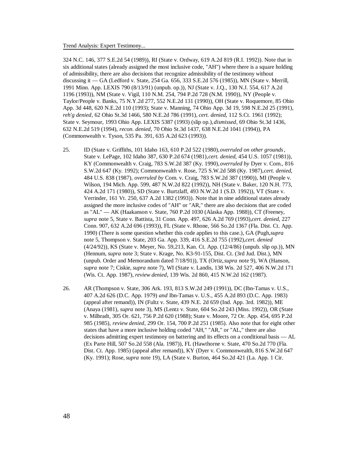324 N.C. 146, 377 S.E.2d 54 (1989)), RI (State v. Ordway, 619 A.2d 819 (R.I. 1992)). Note that in six additional states (already assigned the most inclusive code, "AH") where there is a square holding of admissibility, there are also decisions that recognize admissibility of the testimony without discussing it — GA (Ledford v. State, 254 Ga. 656, 333 S.E.2d 576 (1985)), MN (State v. Merrill, 1991 Minn. App. LEXIS 790 (8/13/91) (unpub. op.)), NJ (State v. J.Q., 130 N.J. 554, 617 A.2d 1196 (1993)), NM (State v. Vigil, 110 N.M. 254, 794 P.2d 728 (N.M. 1990)), NY (People v. Taylor/People v. Banks, 75 N.Y.2d 277, 552 N.E.2d 131 (1990)), OH (State v. Roquemore, 85 Ohio App. 3d 448, 620 N.E.2d 110 (1993); State v. Manning, 74 Ohio App. 3d 19, 598 N.E.2d 25 (1991), *reh'g denied*, 62 Ohio St.3d 1466, 580 N.E.2d 786 (1991), *cert. denied*, 112 S.Ct. 1961 (1992); State v. Seymour, 1993 Ohio App. LEXIS 5387 (1993) (slip op.), *dismissed*, 69 Ohio St.3d 1436, 632 N.E.2d 519 (1994), *recon. denied*, 70 Ohio St.3d 1437, 638 N.E.2d 1041 (1994)), PA (Commonwealth v. Tyson, 535 Pa. 391, 635 A.2d 623 (1993)).

- 25. ID (State v. Griffiths, 101 Idaho 163, 610 P.2d 522 (1980), *overruled on other grounds*, State v. LePage, 102 Idaho 387, 630 P.2d 674 (1981), *cert. denied*, 454 U.S. 1057 (1981)), KY (Commonwealth v. Craig, 783 S.W.2d 387 (Ky. 1990), *overruled by* Dyer v. Com., 816 S.W.2d 647 (Ky. 1992); Commonwealth v. Rose, 725 S.W.2d 588 (Ky. 1987), *cert. denied*, 484 U.S. 838 (1987), *overruled by* Com. v. Craig, 783 S.W.2d 387 (1990)), MI (People v. Wilson, 194 Mich. App. 599, 487 N.W.2d 822 (1992)), NH (State v. Baker, 120 N.H. 773, 424 A.2d 171 (1980)), SD (State v. Burtzlaff, 493 N.W.2d 1 (S.D. 1992)), VT (State v. Verrinder, 161 Vt. 250, 637 A.2d 1382 (1993)). Note that in nine additional states already assigned the more inclusive codes of "AH" or "AR," there are also decisions that are coded as "AL" — AK (Haakanson v. State, 760 P.2d 1030 (Alaska App. 1988)), CT (Freeney, *supra* note 5, State v. Battista, 31 Conn. App. 497, 626 A.2d 769 (1993), *cert. denied*, 227 Conn. 907, 632 A.2d 696 (1993)), FL (State v. Rhone, 566 So.2d 1367 (Fla. Dist. Ct. App. 1990) (There is some question whether this code applies to this case.), GA (Pugh, *supra* note 5, Thompson v. State, 203 Ga. App. 339, 416 S.E.2d 755 (1992), *cert. denied* (4/24/92)), KS (State v. Meyer, No. 59,213, Kan. Ct. App. (12/4/86) (unpub. slip op.)), MN (Hennum, *supra* note 3; State v. Krage, No. K3-91-155, Dist. Ct. (3rd Jud. Dist.), MN (unpub. Order and Memorandum dated 7/18/91)), TX (Ortiz, *supra* note 9), WA (Hanson, *supra* note 7; Ciskie, *supra* note 7), WI (State v. Landis, 138 Wis. 2d 527, 406 N.W.2d 171 (Wis. Ct. App. 1987), *review denied*, 139 Wis. 2d 860, 415 N.W.2d 162 (1987).
- 26. AR (Thompson v. State, 306 Ark. 193, 813 S.W.2d 249 (1991)), DC (Ibn-Tamas v. U.S., 407 A.2d 626 (D.C. App. 1979) *and* Ibn-Tamas v. U.S., 455 A.2d 893 (D.C. App. 1983) (appeal after remand)), IN (Fultz v. State, 439 N.E. 2d 659 (Ind. App. 3rd. 1982)), ME (Anaya (1981), *supra* note 3), MS (Lentz v. State, 604 So.2d 243 (Miss. 1992)), OR (State v. Milbradt, 305 Or. 621, 756 P.2d 620 (1988); State v. Moore, 72 Or. App. 454, 695 P.2d 985 (1985), *review denied*, 299 Or. 154, 700 P.2d 251 (1985). Also note that for eight other states that have a more inclusive holding coded "AH," "AR," or "AL," there are also decisions admitting expert testimony on battering and its effects on a conditional basis — AL (Ex Parte Hill, 507 So.2d 558 (Ala. 1987)), FL (Hawthorne v. State, 470 So.2d 770 (Fla. Dist. Ct. App. 1985) (appeal after remand)), KY (Dyer v. Commonwealth, 816 S.W.2d 647 (Ky. 1991); Rose, *supra* note 19), LA (State v. Burton, 464 So.2d 421 (La. App. 1 Cir.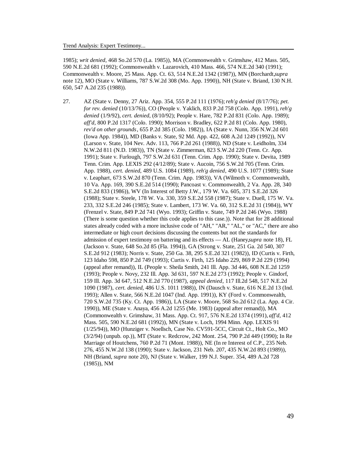#### Trend Analysis: Expert Testimony...

1985); *writ denied*, 468 So.2d 570 (La. 1985)), MA (Commonwealth v. Grimshaw, 412 Mass. 505, 590 N.E.2d 681 (1992); Commonwealth v. Lazarovich, 410 Mass. 466, 574 N.E.2d 340 (1991); Commonwealth v. Moore, 25 Mass. App. Ct. 63, 514 N.E.2d 1342 (1987)), MN (Borchardt, *supra* note 12), MO (State v. Williams, 787 S.W.2d 308 (Mo. App. 1990)), NH (State v. Briand, 130 N.H. 650, 547 A.2d 235 (1988)).

27. AZ (State v. Denny, 27 Ariz. App. 354, 555 P.2d 111 (1976); *reh'g denied* (8/17/76); *pet. for rev. denied* (10/13/76)), CO (People v. Yaklich, 833 P.2d 758 (Colo. App. 1991), *reh'g denied* (1/9/92), *cert. denied*, (8/10/92); People v. Hare, 782 P.2d 831 (Colo. App. 1989); *aff'd*, 800 P.2d 1317 (Colo. 1990); Morrison v. Bradley, 622 P.2d 81 (Colo. App. 1980), *rev'd on other grounds*, 655 P.2d 385 (Colo. 1982)), IA (State v. Nunn, 356 N.W.2d 601 (Iowa App. 1984)), MD (Banks v. State, 92 Md. App. 422, 608 A.2d 1249 (1992)), NV (Larson v. State, 104 Nev. Adv. 113, 766 P.2d 261 (1988)), ND (State v. Leidholm, 334 N.W.2d 811 (N.D. 1983)), TN (State v. Zimmerman, 823 S.W.2d 220 (Tenn. Cr. App. 1991); State v. Furlough, 797 S.W.2d 631 (Tenn. Crim. App. 1990); State v. Devita, 1989 Tenn. Crim. App. LEXIS 292 (4/12/89); State v. Aucoin, 756 S.W.2d 705 (Tenn. Crim. App. 1988), *cert. denied*, 489 U.S. 1084 (1989), *reh'g denied*, 490 U.S. 1077 (1989); State v. Leaphart, 673 S.W.2d 870 (Tenn. Crim. App. 1983)), VA (Wilmoth v. Commonwealth, 10 Va. App. 169, 390 S.E.2d 514 (1990); Pancoast v. Commonwealth, 2 Va. App. 28, 340 S.E.2d 833 (1986)), WV (In Interest of Betty J.W., 179 W. Va. 605, 371 S.E.2d 326 (1988); State v. Steele, 178 W. Va. 330, 359 S.E.2d 558 (1987); State v. Duell, 175 W. Va. 233, 332 S.E.2d 246 (1985); State v. Lambert, 173 W. Va. 60, 312 S.E.2d 31 (1984)), WY (Frenzel v. State, 849 P.2d 741 (Wyo. 1993); Griffin v. State, 749 P.2d 246 (Wyo. 1988) (There is some question whether this code applies to this case.)). Note that for 28 additional states already coded with a more inclusive code of "AH," "AR," "AL," or "AC," there are also intermediate or high court decisions discussing the contents but not the standards for admission of expert testimony on battering and its effects — AL (Haney, *supra* note 18), FL (Jackson v. State, 648 So.2d 85 (Fla. 1994)), GA (Strong v. State, 251 Ga. 2d 540, 307 S.E.2d 912 (1983); Norris v. State, 250 Ga. 38, 295 S.E.2d 321 (1982)), ID (Curtis v. Firth, 123 Idaho 598, 850 P.2d 749 (1993); Curtis v. Firth, 125 Idaho 229, 869 P.2d 229 (1994) (appeal after remand)), IL (People v. Sheila Smith, 241 Ill. App. 3d 446, 608 N.E.2d 1259 (1993); People v. Novy, 232 Ill. App. 3d 631, 597 N.E.2d 273 (1992); People v. Gindorf, 159 Ill. App. 3d 647, 512 N.E.2d 770 (1987), *appeal denied*, 117 Ill.2d 548, 517 N.E.2d 1090 (1987), *cert. denied*, 486 U.S. 1011 1988)), IN (Dausch v. State, 616 N.E.2d 13 (Ind. 1993); Allen v. State, 566 N.E.2d 1047 (Ind. App. 1991)), KY (Ford v. Commonwealth, 720 S.W.2d 735 (Ky. Ct. App. 1986)), LA (State v. Moore, 568 So.2d 612 (La. App. 4 Cir. 1990)), ME (State v. Anaya, 456 A.2d 1255 (Me. 1983) (appeal after remand)), MA (Commonwealth v. Grimshaw, 31 Mass. App. Ct. 917, 576 N.E.2d 1374 (1991), *aff'd*, 412 Mass. 505, 590 N.E.2d 681 (1992)), MN (State v. Loch, 1994 Minn. App. LEXIS 91 (1/25/94)), MO (Hunziger v. Noellsch, Case No. CV591-5CC, Circuit Ct., Holt Co., MO (3/2/94) (unpub. op.)), MT (State v. Redcrow, 242 Mont. 254, 790 P.2d 449 (1990); In Re Marriage of Houtchens, 760 P.2d 71 (Mont. 1988)), NE (In re Interest of C.P., 235 Neb. 276, 455 N.W.2d 138 (1990); State v. Jackson, 231 Neb. 207, 435 N.W.2d 893 (1989)), NH (Briand, *supra* note 20), NJ (State v. Walker, 199 N.J. Super. 354, 489 A.2d 728 (1985)), NM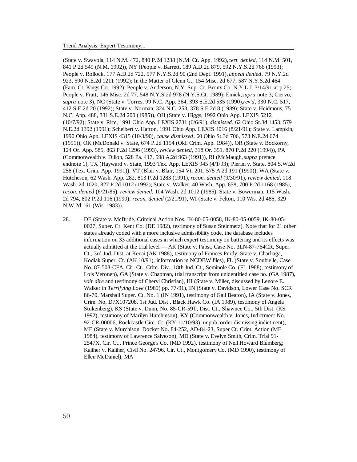(State v. Swavola, 114 N.M. 472, 840 P.2d 1238 (N.M. Ct. App. 1992), *cert. denied*, 114 N.M. 501, 841 P.2d 549 (N.M. 1992)), NY (People v. Barrett, 189 A.D.2d 879, 592 N.Y.S.2d 766 (1993); People v. Rollock, 177 A.D.2d 722, 577 N.Y.S.2d 90 (2nd Dept. 1991), *appeal denied*, 79 N.Y.2d 923, 590 N.E.2d 1211 (1992); In the Matter of Glenn G., 154 Misc. 2d 677, 587 N.Y.S.2d 464 (Fam. Ct. Kings Co. 1992); People v. Anderson, N.Y. Sup. Ct. Bronx Co. N.Y.L.J. 3/14/91 at p.25; People v. Fratt, 146 Misc. 2d 77, 548 N.Y.S.2d 978 (N.Y.S.Ct. 1989); Emick, *supra* note 3; Ciervo, *supra* note 3), NC (State v. Torres, 99 N.C. App. 364, 393 S.E.2d 535 (1990), *rev'd*, 330 N.C. 517, 412 S.E.2d 20 (1992); State v. Norman, 324 N.C. 253, 378 S.E.2d 8 (1989); State v. Heidmous, 75 N.C. App. 488, 331 S.E.2d 200 (1985)), OH (State v. Higgs, 1992 Ohio App. LEXIS 5212 (10/7/92); State v. Rice, 1991 Ohio App. LEXIS 2731 (6/6/91), *dismissed*, 62 Ohio St.3d 1453, 579 N.E.2d 1392 (1991); Scheibert v. Hatton, 1991 Ohio App. LEXIS 4016 (8/21/91); State v. Lampkin, 1990 Ohio App. LEXIS 4315 (10/3/90), *cause dismissed*, 60 Ohio St.3d 706, 573 N.E.2d 674 (1991)), OK (McDonald v. State, 674 P.2d 1154 (Okl. Crim. App. 1984)), OR (State v. Bockorny, 124 Or. App. 585, 863 P.2d 1296 (1993), *review denied*, 318 Or. 351, 870 P.2d 220 (1994)), PA (Commonwealth v. Dillon, 528 Pa. 417, 598 A.2d 963 (1991)), RI (McMaugh, *supra* preface endnote 1), TX (Hayward v. State, 1993 Tex. App. LEXIS 945 (4/1/93); Pierini v. State, 804 S.W.2d 258 (Tex. Crim. App. 1991)), VT (Blair v. Blair, 154 Vt. 201, 575 A.2d 191 (1990)), WA (State v. Hutcheson, 62 Wash. App. 282, 813 P.2d 1283 (1991), *recon. denied* (9/30/91), *review denied*, 118 Wash. 2d 1020, 827 P.2d 1012 (1992); State v. Walker, 40 Wash. App. 658, 700 P.2d 1168 (1985), *recon. denied* (6/21/85), *review denied*, 104 Wash. 2d 1012 (1985); State v. Bowerman, 115 Wash. 2d 794, 802 P.2d 116 (1990); *recon. denied* (2/21/91), WI (State v. Felton, 110 Wis. 2d 485, 329 N.W.2d 161 (Wis. 1983)).

28. DE (State v. McBride, Criminal Action Nos. IK-80-05-0058, IK-80-05-0059, IK-80-05- 0027, Super. Ct. Kent Co. (DE 1982), testimony of Susan Steinmetz). Note that for 21 other states already coded with a more inclusive admissibility code, the database includes information on 33 additional cases in which expert testimony on battering and its effects was actually admitted at the trial level — AK (State v. Pabst, Case No. 3LN-87-764CR, Super. Ct., 3rd Jud. Dist. at Kenai (AK 1988), testimony of Frances Purdy; State v. Charliaga, Kodiak Super. Ct. (AK 10/91), information in NCDBW files), FL (State v. Soubielle, Case No. 87-508-CFA, Cir. Ct., Crim. Div., 18th Jud. Ct., Seminole Co. (FL 1988), testimony of Lois Veronen), GA (State v. Chapman, trial transcript from unidentified case no. (GA 1987), *voir dire* and testimony of Cheryl Christian), HI (State v. Miller, discussed by Lenore E. Walker in *Terrifying Love* (1989) pp. 77-91), IN (State v. Davidson, Lower Case No. SCR 86-70, Marshall Super. Ct. No. 1 (IN 1991), testimony of Gail Beaton), IA (State v. Jones, Crim. No. D7X107208, 1st Jud. Dist., Black Hawk Co. (IA 1989), testimony of Angela Stukenberg), KS (State v. Dunn, No. 85-CR-59T, Dist. Ct., Shawnee Co., 5th Dist. (KS 1992), testimony of Marilyn Hutchinson), KY (Commonwealth v. Jones, Indictment No. 92-CR-00006, Rockcastle Circ. Ct. (KY 11/10/93), unpub. order dismissing indictment), ME (State v. Murchison, Docket No. 84-252, AD-84-23, Super Ct. Crim. Action (ME 1984), testimony of Lawrence Salveson), MD (State v. Evelyn Smith, Crim. Trial 91- 2547X, Cir. Ct., Prince George's Co. (MD 1992), testimony of Neil Howard Blumberg; Kaliher v. Kaliher, Civil No. 24796, Cir. Ct., Montgomery Co. (MD 1990), testimony of Ellen McDaniel), MA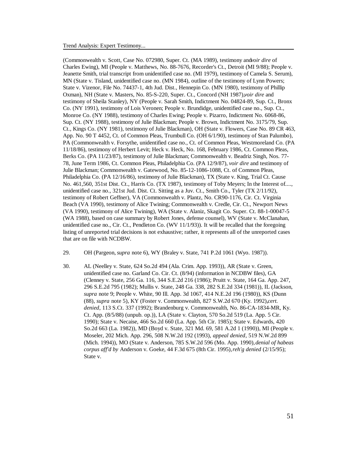(Commonwealth v. Scott, Case No. 072980, Super. Ct. (MA 1989), testimony and*voir dire* of Charles Ewing), MI (People v. Matthews, No. 88-7676, Recorder's Ct., Detroit (MI 9/88); People v. Jeanette Smith, trial transcript from unidentified case no. (MI 1979), testimony of Camela S. Serum), MN (State v. Tisland, unidentified case no. (MN 1984), outline of the testimony of Lynn Powers; State v. Vizenor, File No. 74437-1, 4th Jud. Dist., Hennepin Co. (MN 1980), testimony of Phillip Oxman), NH (State v. Masters, No. 85-S-220, Super. Ct., Concord (NH 1987), *voir dire* and testimony of Sheila Stanley), NY (People v. Sarah Smith, Indictment No. 04824-89, Sup. Ct., Bronx Co. (NY 1991), testimony of Lois Veronen; People v. Brundidge, unidentified case no., Sup. Ct., Monroe Co. (NY 1988), testimony of Charles Ewing; People v. Pizarro, Indictment No. 6068-86, Sup. Ct. (NY 1988), testimony of Julie Blackman; People v. Brown, Indictment No. 3175/79, Sup. Ct., Kings Co. (NY 1981), testimony of Julie Blackman), OH (State v. Flowers, Case No. 89 CR 463, App. No. 90 T 4452, Ct. of Common Pleas, Trumbull Co. (OH 6/1/90), testimony of Stan Palumbo), PA (Commonwealth v. Forsythe, unidentified case no., Ct. of Common Pleas, Westmoreland Co. (PA 11/18/86), testimony of Herbert Levit; Heck v. Heck, No. 168, February 1986, Ct. Common Pleas, Berks Co. (PA 11/23/87), testimony of Julie Blackman; Commonwealth v. Beadriz Singh, Nos. 77- 78, June Term 1986, Ct. Common Pleas, Philadelphia Co. (PA 12/9/87), *voir dire* and testimony of Julie Blackman; Commonwealth v. Gatewood, No. 85-12-1086-1088, Ct. of Common Pleas, Philadelphia Co. (PA 12/16/86), testimony of Julie Blackman), TX (State v. King, Trial Ct. Cause No. 461,560, 351st Dist. Ct., Harris Co. (TX 1987), testimony of Toby Meyers; In the Interest of...., unidentified case no., 321st Jud. Dist. Ct. Sitting as a Juv. Ct., Smith Co., Tyler (TX 2/11/92), testimony of Robert Geffner), VA (Commonwealth v. Plantz, No. CR90-1176, Cir. Ct. Virginia Beach (VA 1990), testimony of Alice Twining; Commonwealth v. Credle, Cir. Ct., Newport News (VA 1990), testimony of Alice Twining), WA (State v. Alaniz, Skagit Co. Super. Ct. 88-1-00047-5 (WA 1988), based on case summary by Robert Jones, defense counsel), WV (State v. McClanahan, unidentified case no., Cir. Ct., Pendleton Co. (WV 11/1/93)). It will be recalled that the foregoing listing of unreported trial decisions is not exhaustive; rather, it represents all of the unreported cases that are on file with NCDBW.

- 29. OH (Pargeon, *supra* note 6), WY (Braley v. State, 741 P.2d 1061 (Wyo. 1987)).
- 30. AL (Neelley v. State, 624 So.2d 494 (Ala. Crim. App. 1993)), AR (State v. Green, unidentified case no. Garland Co. Cir. Ct. (8/94) (information in NCDBW files), GA (Clenney v. State, 256 Ga. 116, 344 S.E.2d 216 (1986); Pruitt v. State, 164 Ga. App. 247, 296 S.E.2d 795 (1982); Mullis v. State, 248 Ga. 338, 282 S.E.2d 334 (1981)), IL (Jackson, *supra* note 9; People v. White, 90 Ill. App. 3d 1067, 414 N.E.2d 196 (1980)), KS (Dunn (88), *supra* note 5), KY (Foster v. Commonwealth, 827 S.W.2d 670 (Ky. 1992), *cert*. *denied*, 113 S.Ct. 337 (1992); Brandenburg v. Commonwealth, No. 86-CA-1834-MR, Ky. Ct. App. (8/5/88) (unpub. op.)), LA (State v. Clayton, 570 So.2d 519 (La. App. 5 Cir. 1990); State v. Necaise, 466 So.2d 660 (La. App. 5th Cir. 1985); State v. Edwards, 420 So.2d 663 (La. 1982)), MD (Boyd v. State, 321 Md. 69, 581 A.2d 1 (1990)), MI (People v. Moseler, 202 Mich. App. 296, 508 N.W.2d 192 (1993), *appeal denied*, 519 N.W.2d 899 (Mich. 1994)), MO (State v. Anderson, 785 S.W.2d 596 (Mo. App. 1990), *denial of habeas corpus aff'd by* Anderson v. Goeke, 44 F.3d 675 (8th Cir. 1995), *reh'g denied* (2/15/95); State v.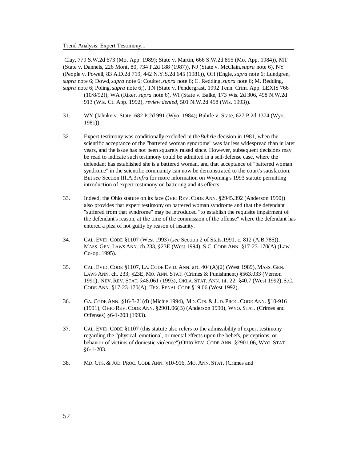Clay, 779 S.W.2d 673 (Mo. App. 1989); State v. Martin, 666 S.W.2d 895 (Mo. App. 1984)), MT (State v. Dannels, 226 Mont. 80, 734 P.2d 188 (1987)), NJ (State v. McClain, *supra* note 6), NY (People v. Powell, 83 A.D.2d 719, 442 N.Y.S.2d 645 (1981)), OH (Engle, *supra* note 6; Lundgren, *supra* note 6; Dowd, *supra* note 6; Coulter, *supra* note 6; C. Redding, *supra* note 6; M. Redding, *supra* note 6; Poling, *supra* note 6;), TN (State v. Pendergrast, 1992 Tenn. Crim. App. LEXIS 766 (10/8/92)), WA (Riker, *supra* note 6), WI (State v. Balke, 173 Wis. 2d 306, 498 N.W.2d 913 (Wis. Ct. App. 1992), *review denied*, 501 N.W.2d 458 (Wis. 1993)).

- 31. WY (Jahnke v. State, 682 P.2d 991 (Wyo. 1984); Buhrle v. State, 627 P.2d 1374 (Wyo. 1981)).
- 32. Expert testimony was conditionally excluded in the *Buhrle* decision in 1981, when the scientific acceptance of the "battered woman syndrome" was far less widespread than in later years, and the issue has not been squarely raised since. However, subsequent decisions may be read to indicate such testimony could be admitted in a self-defense case, where the defendant has established she is a battered woman, and that acceptance of "battered woman syndrome" in the scientific community can now be demonstrated to the court's satisfaction. But *see* Section III.A.3 *infra* for more information on Wyoming's 1993 statute permitting introduction of expert testimony on battering and its effects.
- 33. Indeed, the Ohio statute on its face (OHIO REV. CODE ANN. §2945.392 (Anderson 1990)) also provides that expert testimony on battered woman syndrome and that the defendant "suffered from that syndrome" may be introduced "to establish the requisite impairment of the defendant's reason, at the time of the commission of the offense" where the defendant has entered a plea of not guilty by reason of insanity.
- 34. CAL. EVID. CODE §1107 (West 1993) (*see* Section 2 of Stats.1991, c. 812 (A.B.785)), MASS. GEN. LAWS ANN. ch.233, §23E (West 1994), S.C.CODE ANN. §17-23-170(A) (Law. Co-op. 1995).
- 35. CAL. EVID. CODE §1107, LA. CODE EVID. ANN. art. 404(A)(2) (West 1989), MASS. GEN. LAWS ANN. ch. 233, §23E, MO. ANN. STAT. (Crimes & Punishment) §563.033 (Vernon 1991), NEV. REV. STAT. §48.061 (1993), OKLA. STAT. ANN. tit. 22, §40.7 (West 1992), S.C. CODE ANN. §17-23-170(A), TEX. PENAL CODE §19.06 (West 1992).
- 36. GA. CODE ANN. §16-3-21(d) (Michie 1994), MD. CTS. & JUD. PROC. CODE ANN. §10-916 (1991), OHIO REV. CODE ANN. §2901.06(B) (Anderson 1990), WYO. STAT. (Crimes and Offenses) §6-1-203 (1993).
- 37. CAL. EVID. CODE §1107 (this statute also refers to the admissibility of expert testimony regarding the "physical, emotional, or mental effects upon the beliefs, perceptions, or behavior of victims of domestic violence"),OHIO REV. CODE ANN. §2901.06, WYO. STAT. §6-1-203.
- 38. MD. CTS. & JUD. PROC. CODE ANN. §10-916, MO. ANN. STAT. (Crimes and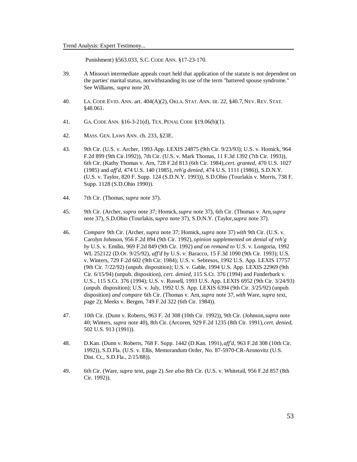Punishment) §563.033, S.C.CODE ANN. §17-23-170.

- 39. A Missouri intermediate appeals court held that application of the statute is not dependent on the parties' marital status, notwithstanding its use of the term "battered spouse syndrome." See Williams, *supra* note 20.
- 40. LA. CODE EVID. ANN. art. 404(A)(2), OKLA. STAT. ANN. tit. 22, §40.7, NEV. REV. STAT. §48.061.
- 41. GA. CODE ANN. §16-3-21(d), TEX. PENAL CODE §19.06(b)(1).
- 42. MASS. GEN. LAWS ANN. ch. 233, §23E.
- 43. 9th Cir. (U.S. v. Archer, 1993 App. LEXIS 24875 (9th Cir. 9/23/93); U.S. v. Homick, 964 F.2d 899 (9th Cir.1992)), 7th Cir. (U.S. v. Mark Thomas, 11 F.3d 1392 (7th Cir. 1993)), 6th Cir. (Kathy Thomas v. Arn, 728 F.2d 813 (6th Cir. 1984), *cert. granted*, 470 U.S. 1027 (1985) and *aff'd*, 474 U.S. 140 (1985), *reh'g denied*, 474 U.S. 1111 (1986)), S.D.N.Y. (U.S. v. Taylor, 820 F. Supp. 124 (S.D.N.Y. 1993)), S.D.Ohio (Tourlakis v. Morris, 738 F. Supp. 1128 (S.D.Ohio 1990)).
- 44. 7th Cir. (Thomas, *supra* note 37).
- 45. 9th Cir. (Archer, *supra* note 37; Homick, *supra* note 37), 6th Cir. (Thomas v. Arn, *supra* note 37), S.D.Ohio (Tourlakis, *supra* note 37), S.D.N.Y. (Taylor, *supra* note 37).
- 46. *Compare* 9th Cir. (Archer, *supra* note 37; Homick, *supra* note 37) *with* 9th Cir. (U.S. v. Carolyn Johnson, 956 F.2d 894 (9th Cir. 1992), *opinion supplemented on denial of reh'g by* U.S. v. Emilio, 969 F.2d 849 (9th Cir. 1992) *and on remand to* U.S. v. Longoria, 1992 WL 252122 (D.Or. 9/25/92), *aff'd by* U.S. v. Baracco, 15 F.3d 1090 (9th Cir. 1993); U.S. v. Winters, 729 F.2d 602 (9th Cir. 1984); U.S. v. Sebresos, 1992 U.S. App. LEXIS 17757 (9th Cir. 7/22/92) (unpub. disposition); U.S. v. Gable, 1994 U.S. App. LEXIS 22969 (9th Cir. 6/15/94) (unpub. disposition), *cert. denied*, 115 S.Ct. 376 (1994) and Funderburk v. U.S., 115 S.Ct. 376 (1994); U.S. v. Russell, 1993 U.S. App. LEXIS 6952 (9th Cir. 3/24/93) (unpub. disposition); U.S. v. July, 1992 U.S. App. LEXIS 6394 (9th Cir. 3/25/92) (unpub. disposition) *and compare* 6th Cir. (Thomas v. Arn, *supra* note 37, *with* Ware, *supra* text, page 2); Meeks v. Bergen, 749 F.2d 322 (6th Cir. 1984)).
- 47. 10th Cir. (Dunn v. Roberts, 963 F. 2d 308 (10th Cir. 1992)), 9th Cir. (Johnson, *supra* note 40; Winters, *supra* note 40), 8th Cir. (Arcoren, 929 F.2d 1235 (8th Cir. 1991), *cert. denied*, 502 U.S. 913 (1991)).
- 48. D.Kan. (Dunn v. Roberts, 768 F. Supp. 1442 (D.Kan. 1991), *aff'd*, 963 F.2d 308 (10th Cir. 1992)), S.D.Fla. (U.S. v. Ellis, Memorandum Order, No. 87-5970-CR-Aronovitz (U.S. Dist. Ct., S.D.Fla., 2/15/88)).
- 49. 6th Cir. (Ware, *supra* text, page 2). *See also* 8th Cir. (U.S. v. Whitetail, 956 F.2d 857 (8th Cir. 1992)).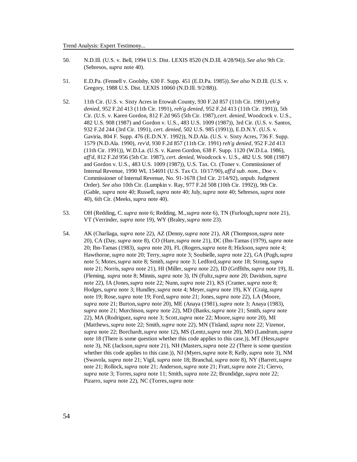- 50. N.D.Ill. (U.S. v. Bell, 1994 U.S. Dist. LEXIS 8520 (N.D.Ill. 4/28/94)). *See also* 9th Cir. (Sebresos, *supra* note 40).
- 51. E.D.Pa. (Fennell v. Goolsby, 630 F. Supp. 451 (E.D.Pa. 1985)). *See also* N.D.Ill. (U.S. v. Gregory, 1988 U.S. Dist. LEXIS 10060 (N.D.Ill. 9/2/88)).
- 52. 11th Cir. (U.S. v. Sixty Acres in Etowah County, 930 F.2d 857 (11th Cir. 1991), *reh'g denied*, 952 F.2d 413 (11th Cir. 1991), *reh'g denied*, 952 F.2d 413 (11th Cir. 1991)), 5th Cir. (U.S. v. Karen Gordon, 812 F.2d 965 (5th Cir. 1987), *cert. denied*, Woodcock v. U.S., 482 U.S. 908 (1987) and Gordon v. U.S., 483 U.S. 1009 (1987)), 3rd Cir. (U.S. v. Santos, 932 F.2d 244 (3rd Cir. 1991), *cert. denied*, 502 U.S. 985 (1991)), E.D.N.Y. (U.S. v. Gaviria, 804 F. Supp. 476 (E.D.N.Y. 1992)), N.D.Ala. (U.S. v. Sixty Acres, 736 F. Supp. 1579 (N.D.Ala. 1990), *rev'd*, 930 F.2d 857 (11th Cir. 1991) *reh'g denied*, 952 F.2d 413 (11th Cir. 1991)), W.D.La. (U.S. v. Karen Gordon, 638 F. Supp. 1120 (W.D.La. 1986), *aff'd*, 812 F.2d 956 (5th Cir. 1987), *cert. denied*, Woodcock v. U.S., 482 U.S. 908 (1987) and Gordon v. U.S., 483 U.S. 1009 (1987)), U.S. Tax. Ct. (Toner v. Commissioner of Internal Revenue, 1990 WL 154691 (U.S. Tax Ct. 10/17/90), *aff'd sub. nom.*, Doe v. Commissioner of Internal Revenue, No. 91-1678 (3rd Cir. 2/14/92), unpub. Judgment Order). *See also* 10th Cir. (Lumpkin v. Ray, 977 F.2d 508 (10th Cir. 1992)), 9th Cir. (Gable, *supra* note 40; Russell, *supra* note 40; July, *supra* note 40; Sebresos, *supra* note 40), 6th Cir. (Meeks, *supra* note 40).
- 53. OH (Redding, C. *supra* note 6; Redding, M., *supra* note 6), TN (Furlough, *supra* note 21), VT (Verrinder, *supra* note 19), WY (Braley, *supra* note 23).
- 54. AK (Charliaga, *supra* note 22), AZ (Denny, *supra* note 21), AR (Thompson, *supra* note 20), CA (Day, *supra* note 8), CO (Hare, *supra* note 21), DC (Ibn-Tamas (1979), *supra* note 20; Ibn-Tamas (1983), *supra* note 20), FL (Rogers, *supra* note 8; Hickson, *supra* note 4; Hawthorne, *supra* note 20; Terry, *supra* note 3; Soubielle, *supra* note 22), GA (Pugh, *supra* note 5; Motes, *supra* note 8; Smith, *supra* note 3; Ledford, *supra* note 18; Strong, *supra* note 21; Norris, *supra* note 21), HI (Miller, *supra* note 22), ID (Griffiths, *supra* note 19), IL (Fleming, *supra* note 8; Minnis, *supra* note 3), IN (Fultz, *supra* note 20; Davidson, *supra* note 22), IA (Jones, *supra* note 22; Nunn, *supra* note 21), KS (Cramer, *supra* note 8; Hodges, *supra* note 3; Hundley, *supra* note 4; Meyer, *supra* note 19), KY (Craig, *supra* note 19; Rose, *supra* note 19; Ford, *supra* note 21; Jones, *supra* note 22), LA (Moore, *supra* note 21; Burton, *supra* note 20), ME (Anaya (1981), *supra* note 3; Anaya (1983), *supra* note 21; Murchison, *supra* note 22), MD (Banks, *supra* note 21; Smith, *supra* note 22), MA (Rodriguez, *supra* note 3; Scott, *supra* note 22; Moore, *supra* note 20), MI (Matthews, *supra* note 22; Smith, *supra* note 22), MN (Tisland, *supra* note 22; Vizenor, *supra* note 22; Borchardt, *supra* note 12), MS (Lentz, *supra* note 20), MO (Landrum, *supra* note 18 (There is some question whether this code applies to this case.)), MT (Hess, *supra* note 3), NE (Jackson, *supra* note 21), NH (Masters, *supra* note 22 (There is some question whether this code applies to this case.)), NJ (Myers, *supra* note 8; Kelly, *supra* note 3), NM (Swavola, *supra* note 21; Vigil, *supra* note 18; Branchal, *supra* note 8), NY (Barrett, *supra* note 21; Rollock, *supra* note 21; Anderson, *supra* note 21; Fratt, *supra* note 21; Ciervo, *supra* note 3; Torres, *supra* note 11; Smith, *supra* note 22; Brundidge, *supra* note 22; Pizarro, *supra* note 22), NC (Torres, *supra* note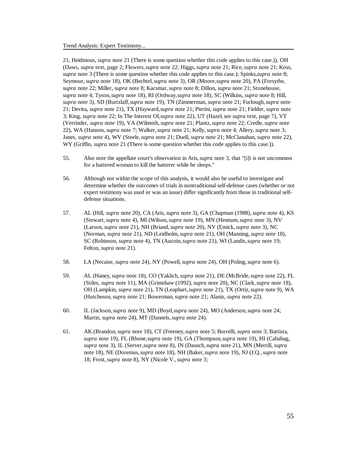21; Heidmous, *supra* note 21 (There is some question whether this code applies to this case.)), OH (Daws, *supra* text, page 2; Flowers, *supra* note 22; Higgs, *supra* note 21; Rice, *supra* note 21; Koss, *supra* note 3 (There is some question whether this code applies to this case.); Spinks, *supra* note 8; Seymour, *supra* note 18), OK (Bechtel, *supra* note 3), OR (Moore, *supra* note 20), PA (Forsythe, *supra* note 22; Miller, *supra* note 8; Kacsmar, *supra* note 8; Dillon, *supra* note 21; Stonehouse, *supra* note 4; Tyson, *supra* note 18), RI (Ordway, *supra* note 18), SC (Wilkins, *supra* note 8; Hill, *supra* note 3), SD (Burtzlaff, *supra* note 19), TN (Zimmerman, *supra* note 21; Furlough, *supra* note 21; Devita, *supra* note 21), TX (Hayward, *supra* note 21; Pierini, *supra* note 21; Fielder, *supra* note 3; King, *supra* note 22; In The Interest Of, *supra* note 22), UT (Hazel, *see supra* text, page 7), VT (Verrinder, *supra* note 19), VA (Wilmoth, *supra* note 21; Plantz, *supra* note 22; Credle, *supra* note 22), WA (Hanson, *supra* note 7; Walker, *supra* note 21; Kelly, *supra* note 4; Allery, *supra* note 3; Janes, *supra* note 4), WV (Steele, *supra* note 21; Duell, *supra* note 21; McClanahan, *supra* note 22), WY (Griffin, *supra* note 21 (There is some question whether this code applies to this case.)).

- 55. Also note the appellate court's observation in Aris, *supra* note 3, that "[i]t is not uncommon for a battered woman to kill the batterer while he sleeps."
- 56. Although not within the scope of this analysis, it would also be useful to investigate and determine whether the outcomes of trials in nontraditional self-defense cases (whether or not expert testimony was used or was an issue) differ significantly from those in traditional selfdefense situations.
- 57. AL (Hill, *supra* note 20), CA (Aris, *supra* note 3), GA (Chapman (1988), *supra* note 4), KS (Stewart, *supra* note 4), MI (Wilson, *supra* note 19), MN (Hennum, *supra* note 3), NV (Larson, *supra* note 21), NH (Briand, *supra* note 20), NY (Emick, *supra* note 3), NC (Norman, *supra* note 21), ND (Leidholm, *supra* note 21), OH (Manning, *supra* note 18), SC (Robinson, *supra* note 4), TN (Aucoin, *supra* note 21), WI (Landis, *supra* note 19; Felton, *supra* note 21).
- 58. LA (Necaise, *supra* note 24), NY (Powell, *supra* note 24), OH (Poling, *supra* note 6).
- 59. AL (Haney, *supra* note 18), CO (Yaklich, *supra* note 21), DE (McBride, *supra* note 22), FL (Stiles, *supra* note 11), MA (Grimshaw (1992), *supra* note 20), NC (Clark, *supra* note 18), OH (Lampkin, *supra* note 21), TN (Leaphart, *supra* note 21), TX (Ortiz, *supra* note 9), WA (Hutcheson, *supra* note 21; Bowerman, *supra* note 21; Alaniz, *supra* note 22).
- 60. IL (Jackson, *supra* note 9), MD (Boyd, *supra* note 24), MO (Anderson, *supra* note 24; Martin, *supra* note 24), MT (Dannels, *supra* note 24).
- 61. AK (Brandon, *supra* note 18), CT (Freeney, *supra* note 5; Borrelli, *supra* note 3; Battista, *supra* note 19), FL (Rhone, *supra* note 19), GA (Thompson, *supra* note 19), HI (Cababag, *supra* note 3), IL (Server, *supra* note 8), IN (Dausch, *supra* note 21), MN (Merrill, *supra* note 18), NE (Doremus, *supra* note 18), NH (Baker, *supra* note 19), NJ (J.Q., *supra* note 18; Frost, *supra* note 8), NY (Nicole V., *supra* note 3;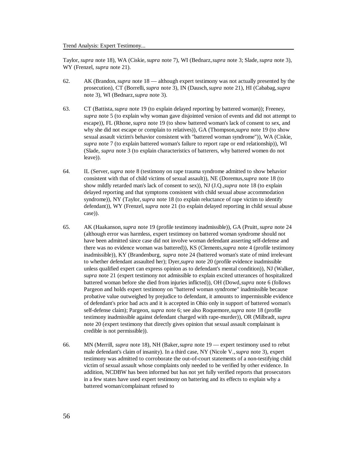Taylor, *supra* note 18), WA (Ciskie, *supra* note 7), WI (Bednarz, *supra* note 3; Slade, *supra* note 3), WY (Frenzel, *supra* note 21).

- 62. AK (Brandon, *supra* note 18 although expert testimony was not actually presented by the prosecution), CT (Borrelli, *supra* note 3), IN (Dausch, *supra* note 21), HI (Cababag, *supra* note 3), WI (Bednarz, *supra* note 3).
- 63. CT (Battista, *supra* note 19 (to explain delayed reporting by battered woman)); Freeney, *supra* note 5 (to explain why woman gave disjointed version of events and did not attempt to escape)), FL (Rhone, *supra* note 19 (to show battered woman's lack of consent to sex, and why she did not escape or complain to relatives)), GA (Thompson, *supra* note 19 (to show sexual assault victim's behavior consistent with "battered woman syndrome")), WA (Ciskie, *supra* note 7 (to explain battered woman's failure to report rape or end relationship)), WI (Slade, *supra* note 3 (to explain characteristics of batterers, why battered women do not leave)).
- 64. IL (Server, *supra* note 8 (testimony on rape trauma syndrome admitted to show behavior consistent with that of child victims of sexual assault)), NE (Doremus, *supra* note 18 (to show mildly retarded man's lack of consent to sex)), NJ (J.Q., *supra* note 18 (to explain delayed reporting and that symptoms consistent with child sexual abuse accommodation syndrome)), NY (Taylor, *supra* note 18 (to explain reluctance of rape victim to identify defendant)), WY (Frenzel, *supra* note 21 (to explain delayed reporting in child sexual abuse case)).
- 65. AK (Haakanson, *supra* note 19 (profile testimony inadmissible)), GA (Pruitt, *supra* note 24 (although error was harmless, expert testimony on battered woman syndrome should not have been admitted since case did not involve woman defendant asserting self-defense and there was no evidence woman was battered)), KS (Clements, *supra* note 4 (profile testimony inadmissible)), KY (Brandenburg, *supra* note 24 (battered woman's state of mind irrelevant to whether defendant assaulted her); Dyer, *supra* note 20 (profile evidence inadmissible unless qualified expert can express opinion as to defendant's mental condition)), NJ (Walker, *supra* note 21 (expert testimony not admissible to explain excited utterances of hospitalized battered woman before she died from injuries inflicted)), OH (Dowd, *supra* note 6 (follows Pargeon and holds expert testimony on "battered woman syndrome" inadmissible because probative value outweighed by prejudice to defendant, it amounts to impermissible evidence of defendant's prior bad acts and it is accepted in Ohio only in support of battered woman's self-defense claim); Pargeon, *supra* note 6; see also Roquemore, *supra* note 18 (profile testimony inadmissible against defendant charged with rape-murder)), OR (Milbradt, *supra* note 20 (expert testimony that directly gives opinion that sexual assault complainant is credible is not permissible)).
- 66. MN (Merrill, *supra* note 18), NH (Baker, *supra* note 19 expert testimony used to rebut male defendant's claim of insanity). In a third case, NY (Nicole V., *supra* note 3), expert testimony was admitted to corroborate the out-of-court statements of a non-testifying child victim of sexual assault whose complaints only needed to be verified by other evidence. In addition, NCDBW has been informed but has not yet fully verified reports that prosecutors in a few states have used expert testimony on battering and its effects to explain why a battered woman/complainant refused to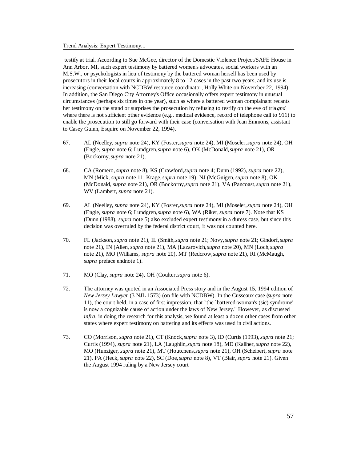testify at trial. According to Sue McGee, director of the Domestic Violence Project/SAFE House in Ann Arbor, MI, such expert testimony by battered women's advocates, social workers with an M.S.W., or psychologists in lieu of testimony by the battered woman herself has been used by prosecutors in their local courts in approximately 8 to 12 cases in the past two years, and its use is increasing (conversation with NCDBW resource coordinator, Holly White on November 22, 1994). In addition, the San Diego City Attorney's Office occasionally offers expert testimony in unusual circumstances (perhaps six times in one year), such as where a battered woman complainant recants her testimony on the stand or surprises the prosecution by refusing to testify on the eve of trial, *and* where there is not sufficient other evidence (e.g., medical evidence, record of telephone call to 911) to enable the prosecution to still go forward with their case (conversation with Jean Emmons, assistant to Casey Guinn, Esquire on November 22, 1994).

- 67. AL (Neelley, *supra* note 24), KY (Foster, *supra* note 24), MI (Moseler, *supra* note 24), OH (Engle, *supra* note 6; Lundgren, *supra* note 6), OK (McDonald, *supra* note 21), OR (Bockorny, *supra* note 21).
- 68. CA (Romero, *supra* note 8), KS (Crawford, *supra* note 4; Dunn (1992), *supra* note 22), MN (Mick, *supra* note 11; Krage, *supra* note 19), NJ (McGuigen, *supra* note 8), OK (McDonald, *supra* note 21), OR (Bockorny, *supra* note 21), VA (Pancoast, *supra* note 21), WV (Lambert, *supra* note 21).
- 69. AL (Neelley, *supra* note 24), KY (Foster, *supra* note 24), MI (Moseler, *supra* note 24), OH (Engle, *supra* note 6; Lundgren, *supra* note 6), WA (Riker, *supra* note 7). Note that KS (Dunn (1988), *supra* note 5) also excluded expert testimony in a duress case, but since this decision was overruled by the federal district court, it was not counted here.
- 70. FL (Jackson, *supra* note 21), IL (Smith, *supra* note 21; Novy, *supra* note 21; Gindorf, *supra* note 21), IN (Allen, *supra* note 21), MA (Lazarovich, *supra* note 20), MN (Loch, *supra* note 21), MO (Williams, *supra* note 20), MT (Redcrow, *supra* note 21), RI (McMaugh, *supra* preface endnote 1).
- 71. MO (Clay, *supra* note 24), OH (Coulter, *supra* note 6).
- 72. The attorney was quoted in an Associated Press story and in the August 15, 1994 edition of *New Jersey Lawyer* (3 NJL 1573) (on file with NCDBW). In the Cusseaux case (*supra* note 11), the court held, in a case of first impression, that "the `battered-woman's (sic) syndrome' is now a cognizable cause of action under the laws of New Jersey." However, as discussed *infra*, in doing the research for this analysis, we found at least a dozen other cases from other states where expert testimony on battering and its effects was used in civil actions.
- 73. CO (Morrison, *supra* note 21), CT (Knock, *supra* note 3), ID (Curtis (1993), *supra* note 21; Curtis (1994), *supra* note 21), LA (Laughlin, *supra* note 18), MD (Kaliher, *supra* note 22), MO (Hunziger, *supra* note 21), MT (Houtchens, *supra* note 21), OH (Scheibert, *supra* note 21), PA (Heck, *supra* note 22), SC (Doe, *supra* note 8), VT (Blair, *supra* note 21). Given the August 1994 ruling by a New Jersey court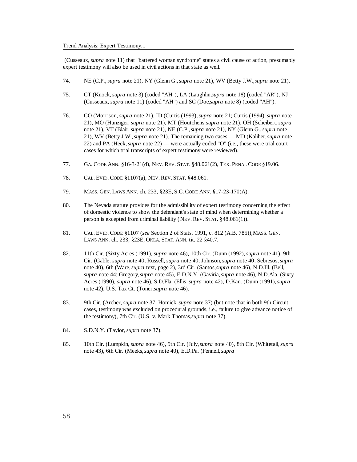(Cusseaux, *supra* note 11) that "battered woman syndrome" states a civil cause of action, presumably expert testimony will also be used in civil actions in that state as well.

- 74. NE (C.P., *supra* note 21), NY (Glenn G., *supra* note 21), WV (Betty J.W., *supra* note 21).
- 75. CT (Knock, *supra* note 3) (coded "AH"), LA (Laughlin, *supra* note 18) (coded "AR"), NJ (Cusseaux, *supra* note 11) (coded "AH") and SC (Doe, *supra* note 8) (coded "AH").
- 76. CO (Morrison, *supra* note 21), ID (Curtis (1993), *supra* note 21; Curtis (1994), *supra* note 21), MO (Hunziger, *supra* note 21), MT (Houtchens, *supra* note 21), OH (Scheibert, *supra* note 21), VT (Blair, *supra* note 21), NE (C.P., *supra* note 21), NY (Glenn G., *supra* note 21), WV (Betty J.W., *supra* note 21). The remaining two cases — MD (Kaliher, *supra* note 22) and PA (Heck, *supra* note 22) — were actually coded "O" (i.e., these were trial court cases for which trial transcripts of expert testimony were reviewed).
- 77. GA. CODE ANN. §16-3-21(d), NEV. REV. STAT. §48.061(2), TEX. PENAL CODE §19.06.
- 78. CAL. EVID. CODE §1107(a), NEV. REV. STAT. §48.061.
- 79. MASS. GEN. LAWS ANN. ch. 233, §23E, S.C.CODE ANN. §17-23-170(A).
- 80. The Nevada statute provides for the admissibility of expert testimony concerning the effect of domestic violence to show the defendant's state of mind when determining whether a person is excepted from criminal liability (NEV. REV. STAT. §48.061(1)).
- 81. CAL. EVID. CODE §1107 (*see* Section 2 of Stats. 1991, c. 812 (A.B. 785)), MASS. GEN. LAWS ANN. ch. 233, §23E, OKLA. STAT. ANN. tit. 22 §40.7.
- 82. 11th Cir. (Sixty Acres (1991), *supra* note 46), 10th Cir. (Dunn (1992), *supra* note 41), 9th Cir. (Gable, *supra* note 40; Russell, *supra* note 40; Johnson, *supra* note 40; Sebresos, *supra* note 40), 6th (Ware, *supra* text, page 2), 3rd Cir. (Santos, *supra* note 46), N.D.Ill. (Bell, *supra* note 44; Gregory, *supra* note 45), E.D.N.Y. (Gaviria, *supra* note 46), N.D.Ala. (Sixty Acres (1990), *supra* note 46), S.D.Fla. (Ellis, *supra* note 42), D.Kan. (Dunn (1991), *supra* note 42), U.S. Tax Ct. (Toner, *supra* note 46).
- 83. 9th Cir. (Archer, *supra* note 37; Homick, *supra* note 37) (but note that in both 9th Circuit cases, testimony was excluded on procedural grounds, i.e., failure to give advance notice of the testimony), 7th Cir. (U.S. v. Mark Thomas, *supra* note 37).
- 84. S.D.N.Y. (Taylor, *supra* note 37).
- 85. 10th Cir. (Lumpkin, *supra* note 46), 9th Cir. (July, *supra* note 40), 8th Cir. (Whitetail, *supra* note 43), 6th Cir. (Meeks, *supra* note 40), E.D.Pa. (Fennell, *supra*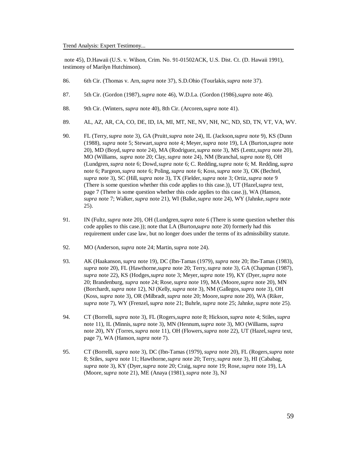note 45), D.Hawaii (U.S. v. Wilson, Crim. No. 91-01502ACK, U.S. Dist. Ct. (D. Hawaii 1991), testimony of Marilyn Hutchinson).

- 86. 6th Cir. (Thomas v. Arn, *supra* note 37), S.D.Ohio (Tourlakis, *supra* note 37).
- 87. 5th Cir. (Gordon (1987), *supra* note 46), W.D.La. (Gordon (1986), *supra* note 46).
- 88. 9th Cir. (Winters, *supra* note 40), 8th Cir. (Arcoren, *supra* note 41).
- 89. AL, AZ, AR, CA, CO, DE, ID, IA, MI, MT, NE, NV, NH, NC, ND, SD, TN, VT, VA, WV.
- 90. FL (Terry, *supra* note 3), GA (Pruitt, *supra* note 24), IL (Jackson, *supra* note 9), KS (Dunn (1988), *supra* note 5; Stewart, *supra* note 4; Meyer, *supra* note 19), LA (Burton, *supra* note 20), MD (Boyd, *supra* note 24), MA (Rodriguez, *supra* note 3), MS (Lentz, *supra* note 20), MO (Williams, *supra* note 20; Clay, *supra* note 24), NM (Branchal, *supra* note 8), OH (Lundgren, *supra* note 6; Dowd, *supra* note 6; C. Redding, *supra* note 6; M. Redding, *supra* note 6; Pargeon, *supra* note 6; Poling, *supra* note 6; Koss, *supra* note 3), OK (Bechtel, *supra* note 3), SC (Hill, *supra* note 3), TX (Fielder, *supra* note 3; Ortiz, *supra* note 9 (There is some question whether this code applies to this case.)), UT (Hazel, *supra* text, page 7 (There is some question whether this code applies to this case.)), WA (Hanson, *supra* note 7; Walker, *supra* note 21), WI (Balke, *supra* note 24), WY (Jahnke, *supra* note 25).
- 91. IN (Fultz, *supra* note 20), OH (Lundgren, *supra* note 6 (There is some question whether this code applies to this case.)); note that LA (Burton, *supra* note 20) formerly had this requirement under case law, but no longer does under the terms of its admissibility statute.
- 92. MO (Anderson, *supra* note 24; Martin, *supra* note 24).
- 93. AK (Haakanson, *supra* note 19), DC (Ibn-Tamas (1979), *supra* note 20; Ibn-Tamas (1983), *supra* note 20), FL (Hawthorne, *supra* note 20; Terry, *supra* note 3), GA (Chapman (1987), *supra* note 22), KS (Hodges, *supra* note 3; Meyer, *supra* note 19), KY (Dyer, *supra* note 20; Brandenburg, *supra* note 24; Rose, *supra* note 19), MA (Moore, *supra* note 20), MN (Borchardt, *supra* note 12), NJ (Kelly, *supra* note 3), NM (Gallegos, *supra* note 3), OH (Koss, *supra* note 3), OR (Milbradt, *supra* note 20; Moore, *supra* note 20), WA (Riker, *supra* note 7), WY (Frenzel, *supra* note 21; Buhrle, *supra* note 25; Jahnke, *supra* note 25).
- 94. CT (Borrelli, *supra* note 3), FL (Rogers, *supra* note 8; Hickson, *supra* note 4; Stiles, *supra* note 11), IL (Minnis, *supra* note 3), MN (Hennum, *supra* note 3), MO (Williams, *supra* note 20), NY (Torres, *supra* note 11), OH (Flowers, *supra* note 22), UT (Hazel, *supra* text, page 7), WA (Hanson, *supra* note 7).
- 95. CT (Borrelli, *supra* note 3), DC (Ibn-Tamas (1979), *supra* note 20), FL (Rogers, *supra* note 8; Stiles, *supra* note 11; Hawthorne, *supra* note 20; Terry, *supra* note 3), HI (Cababag, *supra* note 3), KY (Dyer, *supra* note 20; Craig, *supra* note 19; Rose, *supra* note 19), LA (Moore, *supra* note 21), ME (Anaya (1981), *supra* note 3), NJ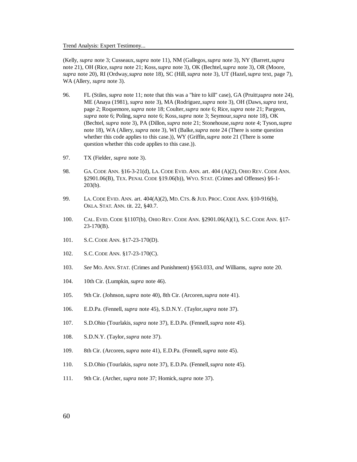(Kelly, *supra* note 3; Cusseaux, *supra* note 11), NM (Gallegos, *supra* note 3), NY (Barrett, *supra* note 21), OH (Rice, *supra* note 21; Koss, *supra* note 3), OK (Bechtel, *supra* note 3), OR (Moore, *supra* note 20), RI (Ordway, *supra* note 18), SC (Hill, *supra* note 3), UT (Hazel, *supra* text, page 7), WA (Allery, *supra* note 3).

- 96. FL (Stiles, *supra* note 11; note that this was a "hire to kill" case), GA (Pruitt, *supra* note 24), ME (Anaya (1981), *supra* note 3), MA (Rodriguez, *supra* note 3), OH (Daws, *supra* text, page 2; Roquemore, *supra* note 18; Coulter, *supra* note 6; Rice, *supra* note 21; Pargeon, *supra* note 6; Poling, *supra* note 6; Koss, *supra* note 3; Seymour, *supra* note 18), OK (Bechtel, *supra* note 3), PA (Dillon, *supra* note 21; Stonehouse, *supra* note 4; Tyson, *supra* note 18), WA (Allery, *supra* note 3), WI (Balke, *supra* note 24 (There is some question whether this code applies to this case.)), WY (Griffin, *supra* note 21 (There is some question whether this code applies to this case.)).
- 97. TX (Fielder, *supra* note 3).
- 98. GA. CODE ANN. §16-3-21(d), LA. CODE EVID. ANN. art. 404 (A)(2), OHIO REV. CODE ANN. §2901.06(B), TEX. PENAL CODE §19.06(b)), WYO. STAT. (Crimes and Offenses) §6-1- 203(b).
- 99. LA. CODE EVID. ANN. art. 404(A)(2), MD. CTS. & JUD. PROC. CODE ANN. §10-916(b), OKLA. STAT. ANN. tit. 22, §40.7.
- 100. CAL. EVID. CODE §1107(b), OHIO REV. CODE ANN. §2901.06(A)(1), S.C.CODE ANN. §17-  $23-170(B)$ .
- 101. S.C.CODE ANN. §17-23-170(D).
- 102. S.C.CODE ANN. §17-23-170(C).
- 103. *See* MO. ANN. STAT. (Crimes and Punishment) §563.033, *and* Williams, *supra* note 20.
- 104. 10th Cir. (Lumpkin, *supra* note 46).
- 105. 9th Cir. (Johnson, *supra* note 40), 8th Cir. (Arcoren, *supra* note 41).
- 106. E.D.Pa. (Fennell, *supra* note 45), S.D.N.Y. (Taylor, *supra* note 37).
- 107. S.D.Ohio (Tourlakis, *supra* note 37), E.D.Pa. (Fennell, *supra* note 45).
- 108. S.D.N.Y. (Taylor, *supra* note 37).
- 109. 8th Cir. (Arcoren, *supra* note 41), E.D.Pa. (Fennell, *supra* note 45).
- 110. S.D.Ohio (Tourlakis, *supra* note 37), E.D.Pa. (Fennell, *supra* note 45).
- 111. 9th Cir. (Archer, *supra* note 37; Homick, *supra* note 37).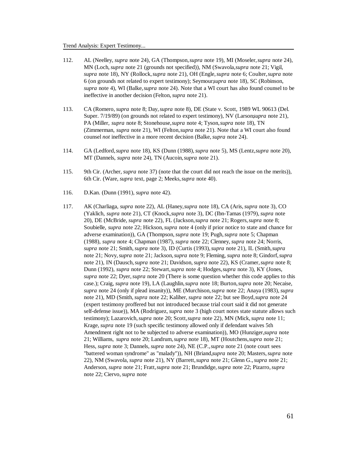- 112. AL (Neelley, *supra* note 24), GA (Thompson, *supra* note 19), MI (Moseler, *supra* note 24), MN (Loch, *supra* note 21 (grounds not specified)), NM (Swavola, *supra* note 21; Vigil, *supra* note 18), NY (Rollock, *supra* note 21), OH (Engle, *supra* note 6; Coulter, *supra* note 6 (on grounds not related to expert testimony); Seymour, *supra* note 18), SC (Robinson, *supra* note 4), WI (Balke, *supra* note 24). Note that a WI court has also found counsel to be ineffective in another decision (Felton, *supra* note 21).
- 113. CA (Romero, *supra* note 8; Day, *supra* note 8), DE (State v. Scott, 1989 WL 90613 (Del. Super. 7/19/89) (on grounds not related to expert testimony), NV (Larson, *supra* note 21), PA (Miller, *supra* note 8; Stonehouse, *supra* note 4; Tyson, *supra* note 18), TN (Zimmerman, *supra* note 21), WI (Felton, *supra* note 21). Note that a WI court also found counsel *not* ineffective in a more recent decision (Balke, *supra* note 24).
- 114. GA (Ledford, *supra* note 18), KS (Dunn (1988), *supra* note 5), MS (Lentz, *supra* note 20), MT (Dannels, *supra* note 24), TN (Aucoin, *supra* note 21).
- 115. 9th Cir. (Archer, *supra* note 37) (note that the court did not reach the issue on the merits)), 6th Cir. (Ware, *supra* text, page 2; Meeks, *supra* note 40).
- 116. D.Kan. (Dunn (1991), *supra* note 42).
- 117. AK (Charliaga, *supra* note 22), AL (Haney, *supra* note 18), CA (Aris, *supra* note 3), CO (Yaklich, *supra* note 21), CT (Knock, *supra* note 3), DC (Ibn-Tamas (1979), *supra* note 20), DE (McBride, *supra* note 22), FL (Jackson, *supra* note 21; Rogers, *supra* note 8; Soubielle, *supra* note 22; Hickson, *supra* note 4 (only if prior notice to state and chance for adverse examination)), GA (Thompson, *supra* note 19; Pugh, *supra* note 5; Chapman (1988), *supra* note 4; Chapman (1987), *supra* note 22; Clenney, *supra* note 24; Norris, *supra* note 21; Smith, *supra* note 3), ID (Curtis (1993), *supra* note 21), IL (Smith, *supra* note 21; Novy, *supra* note 21; Jackson, *supra* note 9; Fleming, *supra* note 8; Gindorf, *supra* note 21), IN (Dausch, *supra* note 21; Davidson, *supra* note 22), KS (Cramer, *supra* note 8; Dunn (1992), *supra* note 22; Stewart, *supra* note 4; Hodges, *supra* note 3), KY (Jones, *supra* note 22; Dyer, *supra* note 20 (There is some question whether this code applies to this case.); Craig, *supra* note 19), LA (Laughlin, *supra* note 18; Burton, *supra* note 20; Necaise, *supra* note 24 (only if plead insanity)), ME (Murchison, *supra* note 22; Anaya (1983), *supra* note 21), MD (Smith, *supra* note 22; Kaliher, *supra* note 22; but see Boyd, *supra* note 24 (expert testimony proffered but not introduced because trial court said it did not generate self-defense issue)), MA (Rodriguez, *supra* note 3 (high court notes state statute allows such testimony); Lazarovich, *supra* note 20; Scott, *supra* note 22), MN (Mick, *supra* note 11; Krage, *supra* note 19 (such specific testimony allowed only if defendant waives 5th Amendment right not to be subjected to adverse examination)), MO (Hunziger, *supra* note 21; Williams, *supra* note 20; Landrum, *supra* note 18), MT (Houtchens, *supra* note 21; Hess, *supra* note 3; Dannels, *supra* note 24), NE (C.P., *supra* note 21 (note court sees "battered woman syndrome" as "malady")), NH (Briand, *supra* note 20; Masters, *supra* note 22), NM (Swavola, *supra* note 21), NY (Barrett, *supra* note 21; Glenn G., *supra* note 21; Anderson, *supra* note 21; Fratt, *supra* note 21; Brundidge, *supra* note 22; Pizarro, *supra* note 22; Ciervo, *supra* note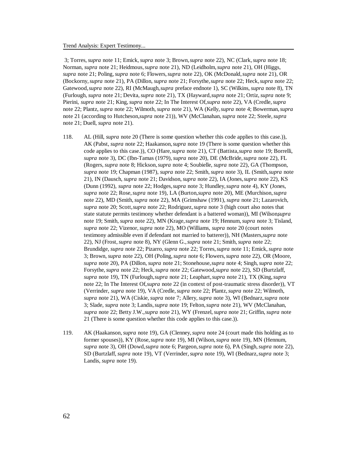3; Torres, *supra* note 11; Emick, *supra* note 3; Brown, *supra* note 22), NC (Clark, *supra* note 18; Norman, *supra* note 21; Heidmous, *supra* note 21), ND (Leidholm, *supra* note 21), OH (Higgs, *supra* note 21; Poling, *supra* note 6; Flowers, *supra* note 22), OK (McDonald, *supra* note 21), OR (Bockorny, *supra* note 21), PA (Dillon, *supra* note 21; Forsythe, *supra* note 22; Heck, *supra* note 22; Gatewood, *supra* note 22), RI (McMaugh, *supra* preface endnote 1), SC (Wilkins, *supra* note 8), TN (Furlough, *supra* note 21; Devita, *supra* note 21), TX (Hayward, *supra* note 21; Ortiz, *supra* note 9; Pierini, *supra* note 21; King, *supra* note 22; In The Interest Of, *supra* note 22), VA (Credle, *supra* note 22; Plantz, *supra* note 22; Wilmoth, *supra* note 21), WA (Kelly, *supra* note 4; Bowerman, *supra* note 21 (according to Hutcheson, *supra* note 21)), WV (McClanahan, *supra* note 22; Steele, *supra* note 21; Duell, *supra* note 21).

- 118. AL (Hill, *supra* note 20 (There is some question whether this code applies to this case.)), AK (Pabst, *supra* note 22; Haakanson, *supra* note 19 (There is some question whether this code applies to this case.)), CO (Hare, *supra* note 21), CT (Battista, *supra* note 19; Borrelli, *supra* note 3), DC (Ibn-Tamas (1979), *supra* note 20), DE (McBride, *supra* note 22), FL (Rogers, *supra* note 8; Hickson, *supra* note 4; Soubielle, *supra* note 22), GA (Thompson, *supra* note 19; Chapman (1987), *supra* note 22; Smith, *supra* note 3), IL (Smith, *supra* note 21), IN (Dausch, *supra* note 21; Davidson, *supra* note 22), IA (Jones, *supra* note 22), KS (Dunn (1992), *supra* note 22; Hodges, *supra* note 3; Hundley, *supra* note 4), KY (Jones, *supra* note 22; Rose, *supra* note 19), LA (Burton, *supra* note 20), ME (Murchison, *supra* note 22), MD (Smith, *supra* note 22), MA (Grimshaw (1991), *supra* note 21; Lazarovich, *supra* note 20; Scott, *supra* note 22; Rodriguez, *supra* note 3 (high court also notes that state statute permits testimony whether defendant is a battered woman)), MI (Wilson*supra* note 19; Smith, *supra* note 22), MN (Krage, *supra* note 19; Hennum, *supra* note 3; Tisland, *supra* note 22; Vizenor, *supra* note 22), MO (Williams, *supra* note 20 (court notes testimony admissible even if defendant not married to batterer)), NH (Masters, *supra* note 22), NJ (Frost, *supra* note 8), NY (Glenn G., *supra* note 21; Smith, *supra* note 22; Brundidge, *supra* note 22; Pizarro, *supra* note 22; Torres, *supra* note 11; Emick, *supra* note 3; Brown, *supra* note 22), OH (Poling, *supra* note 6; Flowers, *supra* note 22), OR (Moore, *supra* note 20), PA (Dillon, *supra* note 21; Stonehouse, *supra* note 4; Singh, *supra* note 22; Forsythe, *supra* note 22; Heck, *supra* note 22; Gatewood, *supra* note 22), SD (Burtzlaff, *supra* note 19), TN (Furlough, *supra* note 21; Leaphart, *supra* note 21), TX (King, *supra* note 22; In The Interest Of, *supra* note 22 (in context of post-traumatic stress disorder)), VT (Verrinder, *supra* note 19), VA (Credle, *supra* note 22; Plantz, *supra* note 22; Wilmoth, *supra* note 21), WA (Ciskie, *supra* note 7; Allery, *supra* note 3), WI (Bednarz, *supra* note 3; Slade, *supra* note 3; Landis, *supra* note 19; Felton, *supra* note 21), WV (McClanahan, *supra* note 22; Betty J.W., *supra* note 21), WY (Frenzel, *supra* note 21; Griffin, *supra* note 21 (There is some question whether this code applies to this case.)).
- 119. AK (Haakanson, *supra* note 19), GA (Clenney, *supra* note 24 (court made this holding as to former spouses)), KY (Rose, *supra* note 19), MI (Wilson, *supra* note 19), MN (Hennum, *supra* note 3), OH (Dowd, *supra* note 6; Pargeon, *supra* note 6), PA (Singh, *supra* note 22), SD (Burtzlaff, *supra* note 19), VT (Verrinder, *supra* note 19), WI (Bednarz, *supra* note 3; Landis, *supra* note 19).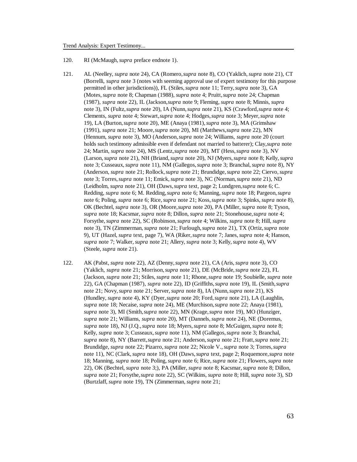- 120. RI (McMaugh, *supra* preface endnote 1).
- 121. AL (Neelley, *supra* note 24), CA (Romero, *supra* note 8), CO (Yaklich, *supra* note 21), CT (Borrelli, *supra* note 3 (notes with seeming approval use of expert testimony for this purpose permitted in other jurisdictions)), FL (Stiles, *supra* note 11; Terry, *supra* note 3), GA (Motes, *supra* note 8; Chapman (1988), *supra* note 4; Pruitt, *supra* note 24; Chapman (1987), *supra* note 22), IL (Jackson, *supra* note 9; Fleming, *supra* note 8; Minnis, *supra* note 3), IN (Fultz, *supra* note 20), IA (Nunn, *supra* note 21), KS (Crawford, *supra* note 4; Clements, *supra* note 4; Stewart, *supra* note 4; Hodges, *supra* note 3; Meyer, *supra* note 19), LA (Burton, *supra* note 20), ME (Anaya (1981), *supra* note 3), MA (Grimshaw (1991), *supra* note 21; Moore, *supra* note 20), MI (Matthews, *supra* note 22), MN (Hennum, *supra* note 3), MO (Anderson, *supra* note 24; Williams, *supra* note 20 (court holds such testimony admissible even if defendant not married to batterer); Clay, *supra* note 24; Martin, *supra* note 24), MS (Lentz, *supra* note 20), MT (Hess, *supra* note 3), NV (Larson, *supra* note 21), NH (Briand, *supra* note 20), NJ (Myers, *supra* note 8; Kelly, *supra* note 3; Cusseaux, *supra* note 11), NM (Gallegos, *supra* note 3; Branchal, *supra* note 8), NY (Anderson, *supra* note 21; Rollock, *supra* note 21; Brundidge, *supra* note 22; Ciervo, *supra* note 3; Torres, *supra* note 11; Emick, *supra* note 3), NC (Norman, *supra* note 21), ND (Leidholm, *supra* note 21), OH (Daws, *supra* text, page 2; Lundgren, *supra* note 6; C. Redding, *supra* note 6; M. Redding, *supra* note 6; Manning, *supra* note 18; Pargeon, *supra* note 6; Poling, *supra* note 6; Rice, *supra* note 21; Koss, *supra* note 3; Spinks, *supra* note 8), OK (Bechtel, *supra* note 3), OR (Moore, *supra* note 20), PA (Miller, *supra* note 8; Tyson, *supra* note 18; Kacsmar, *supra* note 8; Dillon, *supra* note 21; Stonehouse, *supra* note 4; Forsythe, *supra* note 22), SC (Robinson, *supra* note 4; Wilkins, *supra* note 8; Hill, *supra* note 3), TN (Zimmerman, *supra* note 21; Furlough, *supra* note 21), TX (Ortiz, *supra* note 9), UT (Hazel, *supra* text, page 7), WA (Riker, *supra* note 7; Janes, *supra* note 4; Hanson, *supra* note 7; Walker, *supra* note 21; Allery, *supra* note 3; Kelly, *supra* note 4), WV (Steele, *supra* note 21).
- 122. AK (Pabst, *supra* note 22), AZ (Denny, *supra* note 21), CA (Aris, *supra* note 3), CO (Yaklich, *supra* note 21; Morrison, *supra* note 21), DE (McBride, *supra* note 22), FL (Jackson, *supra* note 21; Stiles, *supra* note 11; Rhone, *supra* note 19; Soubielle, *supra* note 22), GA (Chapman (1987), *supra* note 22), ID (Griffiths, *supra* note 19), IL (Smith, *supra* note 21; Novy, *supra* note 21; Server, *supra* note 8), IA (Nunn, *supra* note 21), KS (Hundley, *supra* note 4), KY (Dyer, *supra* note 20; Ford, *supra* note 21), LA (Laughlin, *supra* note 18; Necaise, *supra* note 24), ME (Murchison, *supra* note 22; Anaya (1981), *supra* note 3), MI (Smith, *supra* note 22), MN (Krage, *supra* note 19), MO (Hunziger, *supra* note 21; Williams, *supra* note 20), MT (Dannels, *supra* note 24), NE (Doremus, *supra* note 18), NJ (J.Q., *supra* note 18; Myers, *supra* note 8; McGuigen, *supra* note 8; Kelly, *supra* note 3; Cusseaux, *supra* note 11), NM (Gallegos, *supra* note 3; Branchal, *supra* note 8), NY (Barrett, *supra* note 21; Anderson, *supra* note 21; Fratt, *supra* note 21; Brundidge, *supra* note 22; Pizarro, *supra* note 22; Nicole V., *supra* note 3; Torres, *supra* note 11), NC (Clark, *supra* note 18), OH (Daws, *supra* text, page 2; Roquemore, *supra* note 18; Manning, *supra* note 18; Poling, *supra* note 6; Rice, *supra* note 21; Flowers, *supra* note 22), OK (Bechtel, *supra* note 3;), PA (Miller, *supra* note 8; Kacsmar, *supra* note 8; Dillon, *supra* note 21; Forsythe, *supra* note 22), SC (Wilkins, *supra* note 8; Hill, *supra* note 3), SD (Burtzlaff, *supra* note 19), TN (Zimmerman, *supra* note 21;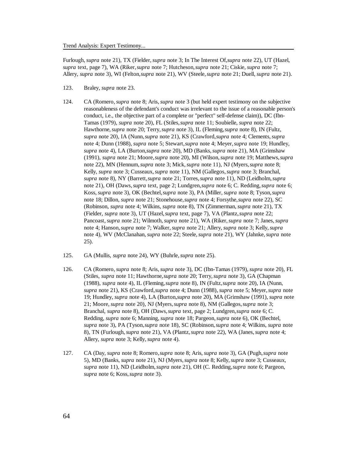Furlough, *supra* note 21), TX (Fielder, *supra* note 3; In The Interest Of, *supra* note 22), UT (Hazel, *supra* text, page 7), WA (Riker, *supra* note 7; Hutcheson, *supra* note 21; Ciskie, *supra* note 7; Allery, *supra* note 3), WI (Felton, *supra* note 21), WV (Steele, *supra* note 21; Duell, *supra* note 21).

- 123. Braley, *supra* note 23.
- 124. CA (Romero, *supra* note 8; Aris, *supra* note 3 (but held expert testimony on the subjective reasonableness of the defendant's conduct was irrelevant to the issue of a reasonable person's conduct, i.e., the objective part of a complete or "perfect" self-defense claim)), DC (Ibn-Tamas (1979), *supra* note 20), FL (Stiles, *supra* note 11; Soubielle, *supra* note 22; Hawthorne, *supra* note 20; Terry, *supra* note 3), IL (Fleming, *supra* note 8), IN (Fultz, *supra* note 20), IA (Nunn, *supra* note 21), KS (Crawford, *supra* note 4; Clements, *supra* note 4; Dunn (1988), *supra* note 5; Stewart, *supra* note 4; Meyer, *supra* note 19; Hundley, *supra* note 4), LA (Burton, *supra* note 20), MD (Banks, *supra* note 21), MA (Grimshaw (1991), *supra* note 21; Moore, *supra* note 20), MI (Wilson, *supra* note 19; Matthews, *supra* note 22), MN (Hennum, *supra* note 3; Mick, *supra* note 11), NJ (Myers, *supra* note 8; Kelly, *supra* note 3; Cusseaux, *supra* note 11), NM (Gallegos, *supra* note 3; Branchal, *supra* note 8), NY (Barrett, *supra* note 21; Torres, *supra* note 11), ND (Leidholm, *supra* note 21), OH (Daws, *supra* text, page 2; Lundgren, *supra* note 6; C. Redding, *supra* note 6; Koss, *supra* note 3), OK (Bechtel, *supra* note 3), PA (Miller, *supra* note 8; Tyson, *supra* note 18; Dillon, *supra* note 21; Stonehouse, *supra* note 4; Forsythe, *supra* note 22), SC (Robinson, *supra* note 4; Wilkins, *supra* note 8), TN (Zimmerman, *supra* note 21), TX (Fielder, *supra* note 3), UT (Hazel, *supra* text, page 7), VA (Plantz, *supra* note 22; Pancoast, *supra* note 21; Wilmoth, *supra* note 21), WA (Riker, *supra* note 7; Janes, *supra* note 4; Hanson, *supra* note 7; Walker, *supra* note 21; Allery, *supra* note 3; Kelly, *supra* note 4), WV (McClanahan, *supra* note 22; Steele, *supra* note 21), WY (Jahnke, *supra* note 25).
- 125. GA (Mullis, *supra* note 24), WY (Buhrle, *supra* note 25).
- 126. CA (Romero, *supra* note 8; Aris, *supra* note 3), DC (Ibn-Tamas (1979), *supra* note 20), FL (Stiles, *supra* note 11; Hawthorne, *supra* note 20; Terry, *supra* note 3), GA (Chapman (1988), *supra* note 4), IL (Fleming, *supra* note 8), IN (Fultz, *supra* note 20), IA (Nunn, *supra* note 21), KS (Crawford, *supra* note 4; Dunn (1988), *supra* note 5; Meyer, *supra* note 19; Hundley, *supra* note 4), LA (Burton, *supra* note 20), MA (Grimshaw (1991), *supra* note 21; Moore, *supra* note 20), NJ (Myers, *supra* note 8), NM (Gallegos, *supra* note 3; Branchal, *supra* note 8), OH (Daws, *supra* text, page 2; Lundgren, *supra* note 6; C. Redding, *supra* note 6; Manning, *supra* note 18; Pargeon, *supra* note 6), OK (Bechtel, *supra* note 3), PA (Tyson, *supra* note 18), SC (Robinson, *supra* note 4; Wilkins, *supra* note 8), TN (Furlough, *supra* note 21), VA (Plantz, *supra* note 22), WA (Janes, *supra* note 4; Allery, *supra* note 3; Kelly, *supra* note 4).
- 127. CA (Day, *supra* note 8; Romero, *supra* note 8; Aris, *supra* note 3), GA (Pugh, *supra* note 5), MD (Banks, *supra* note 21), NJ (Myers, *supra* note 8; Kelly, *supra* note 3; Cusseaux, *supra* note 11), ND (Leidholm, *supra* note 21), OH (C. Redding, *supra* note 6; Pargeon, *supra* note 6; Koss, *supra* note 3).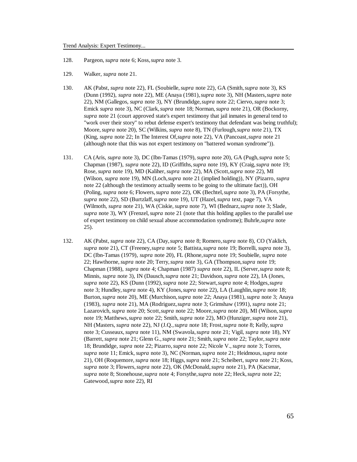- 128. Pargeon, *supra* note 6; Koss, *supra* note 3.
- 129. Walker, *supra* note 21.
- 130. AK (Pabst, *supra* note 22), FL (Soubielle, *supra* note 22), GA (Smith, *supra* note 3), KS (Dunn (1992), *supra* note 22), ME (Anaya (1981), *supra* note 3), NH (Masters, *supra* note 22), NM (Gallegos, *supra* note 3), NY (Brundidge, *supra* note 22; Ciervo, *supra* note 3; Emick *supra* note 3), NC (Clark, *supra* note 18; Norman, *supra* note 21), OR (Bockorny, *supra* note 21 (court approved state's expert testimony that jail inmates in general tend to "work over their story" to rebut defense expert's testimony that defendant was being truthful); Moore, *supra* note 20), SC (Wilkins, *supra* note 8), TN (Furlough, *supra* note 21), TX (King, *supra* note 22; In The Interest Of, *supra* note 22), VA (Pancoast, *supra* note 21 (although note that this was not expert testimony on "battered woman syndrome")).
- 131. CA (Aris, *supra* note 3), DC (Ibn-Tamas (1979), *supra* note 20), GA (Pugh, *supra* note 5; Chapman (1987), *supra* note 22), ID (Griffiths, *supra* note 19), KY (Craig, *supra* note 19; Rose, *supra* note 19), MD (Kaliher, *supra* note 22), MA (Scott, *supra* note 22), MI (Wilson, *supra* note 19), MN (Loch, *supra* note 21 (implied holding)), NY (Pizarro, *supra* note 22 (although the testimony actually seems to be going to the ultimate fact)), OH (Poling, *supra* note 6; Flowers, *supra* note 22), OK (Bechtel, *supra* note 3), PA (Forsythe, *supra* note 22), SD (Burtzlaff, *supra* note 19), UT (Hazel, *supra* text, page 7), VA (Wilmoth, *supra* note 21), WA (Ciskie, *supra* note 7), WI (Bednarz, *supra* note 3; Slade, *supra* note 3), WY (Frenzel, *supra* note 21 (note that this holding applies to the parallel use of expert testimony on child sexual abuse accommodation syndrome); Buhrle, *supra* note 25).
- 132. AK (Pabst, *supra* note 22), CA (Day, *supra* note 8; Romero, *supra* note 8), CO (Yaklich, *supra* note 21), CT (Freeney, *supra* note 5; Battista, *supra* note 19; Borrelli, *supra* note 3), DC (Ibn-Tamas (1979), *supra* note 20), FL (Rhone, *supra* note 19; Soubielle, *supra* note 22; Hawthorne, *supra* note 20; Terry, *supra* note 3), GA (Thompson, *supra* note 19; Chapman (1988), *supra* note 4; Chapman (1987) *supra* note 22), IL (Server, *supra* note 8; Minnis, *supra* note 3), IN (Dausch, *supra* note 21; Davidson, *supra* note 22), IA (Jones, *supra* note 22), KS (Dunn (1992), *supra* note 22; Stewart, *supra* note 4; Hodges, *supra* note 3; Hundley, *supra* note 4), KY (Jones, *supra* note 22), LA (Laughlin, *supra* note 18; Burton, *supra* note 20), ME (Murchison, *supra* note 22; Anaya (1981), *supra* note 3; Anaya (1983), *supra* note 21), MA (Rodriguez, *supra* note 3; Grimshaw (1991), *supra* note 21; Lazarovich, *supra* note 20; Scott, *supra* note 22; Moore, *supra* note 20), MI (Wilson, *supra* note 19; Matthews, *supra* note 22; Smith, *supra* note 22), MO (Hunziger, *supra* note 21), NH (Masters, *supra* note 22), NJ (J.Q., *supra* note 18; Frost, *supra* note 8; Kelly, *supra* note 3; Cusseaux, *supra* note 11), NM (Swavola, *supra* note 21; Vigil, *supra* note 18), NY (Barrett, *supra* note 21; Glenn G., *supra* note 21; Smith, *supra* note 22; Taylor, *supra* note 18; Brundidge, *supra* note 22; Pizarro, *supra* note 22; Nicole V., *supra* note 3; Torres, *supra* note 11; Emick, *supra* note 3), NC (Norman, *supra* note 21; Heidmous, *supra* note 21), OH (Roquemore, *supra* note 18; Higgs, *supra* note 21; Scheibert, *supra* note 21; Koss, *supra* note 3; Flowers, *supra* note 22), OK (McDonald, *supra* note 21), PA (Kacsmar, *supra* note 8; Stonehouse, *supra* note 4; Forsythe, *supra* note 22; Heck, *supra* note 22; Gatewood, *supra* note 22), RI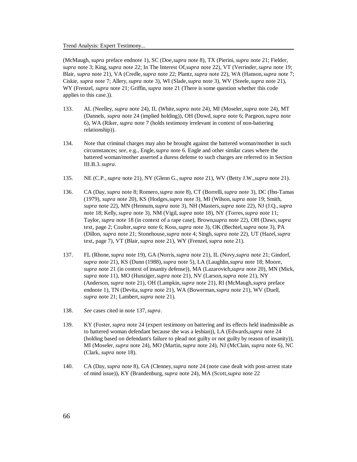(McMaugh, *supra* preface endnote 1), SC (Doe, *supra* note 8), TX (Pierini, *supra* note 21; Fielder, *supra* note 3; King, *supra* note 22; In The Interest Of, *supra* note 22), VT (Verrinder, *supra* note 19; Blair, *supra* note 21), VA (Credle, *supra* note 22; Plantz, *supra* note 22), WA (Hanson, *supra* note 7; Ciskie, *supra* note 7; Allery, *supra* note 3), WI (Slade, *supra* note 3), WV (Steele, *supra* note 21), WY (Frenzel, *supra* note 21; Griffin, *supra* note 21 (There is some question whether this code applies to this case.)).

- 133. AL (Neelley, *supra* note 24), IL (White, *supra* note 24), MI (Moseler, *supra* note 24), MT (Dannels, *supra* note 24 (implied holding)), OH (Dowd, *supra* note 6; Pargeon, *supra* note 6), WA (Riker, *supra* note 7 (holds testimony irrelevant in context of non-battering relationship)).
- 134. Note that criminal charges may also be brought against the battered woman/mother in such circumstances; *see*, e.g., Engle, *supra* note 6. Engle and other similar cases where the battered woman/mother asserted a duress defense to such charges are referred to in Section III.B.3. *supra*.
- 135. NE (C.P., *supra* note 21), NY (Glenn G., *supra* note 21), WV (Betty J.W., *supra* note 21).
- 136. CA (Day, *supra* note 8; Romero, *supra* note 8), CT (Borrelli, *supra* note 3), DC (Ibn-Tamas (1979), *supra* note 20), KS (Hodges, *supra* note 3), MI (Wilson, *supra* note 19; Smith, *supra* note 22), MN (Hennum, *supra* note 3), NH (Masters, *supra* note 22), NJ (J.Q., *supra* note 18; Kelly, *supra* note 3), NM (Vigil, *supra* note 18), NY (Torres, *supra* note 11; Taylor, *supra* note 18 (in context of a rape case), Brown, *supra* note 22), OH (Daws, *supra* text, page 2; Coulter, *supra* note 6; Koss, *supra* note 3), OK (Bechtel, *supra* note 3), PA (Dillon, *supra* note 21; Stonehouse, *supra* note 4; Singh, *supra* note 22), UT (Hazel, *supra* text, page 7), VT (Blair, *supra* note 21), WY (Frenzel, *supra* note 21).
- 137. FL (Rhone, *supra* note 19), GA (Norris, *supra* note 21), IL (Novy, *supra* note 21; Gindorf, *supra* note 21), KS (Dunn (1988), *supra* note 5), LA (Laughlin, *supra* note 18; Moore, *supra* note 21 (in context of insanity defense)), MA (Lazarovich, *supra* note 20), MN (Mick, *supra* note 11), MO (Hunziger, *supra* note 21), NV (Larson, *supra* note 21), NY (Anderson, *supra* note 21), OH (Lampkin, *supra* note 21), RI (McMaugh, *supra* preface endnote 1), TN (Devita, *supra* note 21), WA (Bowerman, *supra* note 21), WV (Duell, *supra* note 21; Lambert, *supra* note 21).
- 138. *See* cases cited in note 137, *supra*.
- 139. KY (Foster, *supra* note 24 (expert testimony on battering and its effects held inadmissible as to battered woman defendant because she was a lesbian)), LA (Edwards, *supra* note 24 (holding based on defendant's failure to plead not guilty or not guilty by reason of insanity)), MI (Moseler, *supra* note 24), MO (Martin, *supra* note 24), NJ (McClain, *supra* note 6), NC (Clark, *supra* note 18).
- 140. CA (Day, *supra* note 8), GA (Clenney, *supra* note 24 (note case dealt with post-arrest state of mind issue)), KY (Brandenburg, *supra* note 24), MA (Scott, *supra* note 22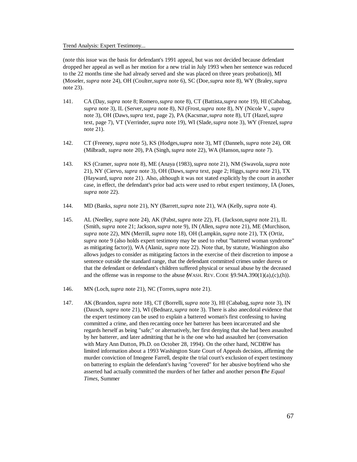(note this issue was the basis for defendant's 1991 appeal, but was not decided because defendant dropped her appeal as well as her motion for a new trial in July 1993 when her sentence was reduced to the 22 months time she had already served and she was placed on three years probation)), MI (Moseler, *supra* note 24), OH (Coulter, *supra* note 6), SC (Doe, *supra* note 8), WY (Braley, *supra* note 23).

- 141. CA (Day, *supra* note 8; Romero, *supra* note 8), CT (Battista, *supra* note 19), HI (Cababag, *supra* note 3), IL (Server, *supra* note 8), NJ (Frost, *supra* note 8), NY (Nicole V., *supra* note 3), OH (Daws, *supra* text, page 2), PA (Kacsmar, *supra* note 8), UT (Hazel, *supra* text, page 7), VT (Verrinder, *supra* note 19), WI (Slade, *supra* note 3), WY (Frenzel, *supra* note 21).
- 142. CT (Freeney, *supra* note 5), KS (Hodges, *supra* note 3), MT (Dannels, *supra* note 24), OR (Milbradt, *supra* note 20), PA (Singh, *supra* note 22), WA (Hanson, *supra* note 7).
- 143. KS (Cramer, *supra* note 8), ME (Anaya (1983), *supra* note 21), NM (Swavola, *supra* note 21), NY (Ciervo, *supra* note 3), OH (Daws, *supra* text, page 2; Higgs, *supra* note 21), TX (Hayward, *supra* note 21). Also, although it was not stated explicitly by the court in another case, in effect, the defendant's prior bad acts were used to rebut expert testimony, IA (Jones, *supra* note 22).
- 144. MD (Banks, *supra* note 21), NY (Barrett, *supra* note 21), WA (Kelly, *supra* note 4).
- 145. AL (Neelley, *supra* note 24), AK (Pabst, *supra* note 22), FL (Jackson, *supra* note 21), IL (Smith, *supra* note 21; Jackson, *supra* note 9), IN (Allen, *supra* note 21), ME (Murchison, *supra* note 22), MN (Merrill, *supra* note 18), OH (Lampkin, *supra* note 21), TX (Ortiz, *supra* note 9 (also holds expert testimony may be used to rebut "battered woman syndrome" as mitigating factor)), WA (Alaniz, *supra* note 22). Note that, by statute, Washington also allows judges to consider as mitigating factors in the exercise of their discretion to impose a sentence outside the standard range, that the defendant committed crimes under duress or that the defendant or defendant's children suffered physical or sexual abuse by the deceased and the offense was in response to the abuse (WASH. REV. CODE  $\S 9.94A.390(1)(a),(c),(h)$ ).
- 146. MN (Loch, *supra* note 21), NC (Torres, *supra* note 21).
- 147. AK (Brandon, *supra* note 18), CT (Borrelli, *supra* note 3), HI (Cababag, *supra* note 3), IN (Dausch, *supra* note 21), WI (Bednarz, *supra* note 3). There is also anecdotal evidence that the expert testimony can be used to explain a battered woman's first confessing to having committed a crime, and then recanting once her batterer has been incarcerated and she regards herself as being "safe;" or alternatively, her first denying that she had been assaulted by her batterer, and later admitting that he is the one who had assaulted her (conversation with Mary Ann Dutton, Ph.D. on October 28, 1994). On the other hand, NCDBW has limited information about a 1993 Washington State Court of Appeals decision, affirming the murder conviction of Imogene Farrell, despite the trial court's exclusion of expert testimony on battering to explain the defendant's having "covered" for her abusive boyfriend who she asserted had actually committed the murders of her father and another person (*The Equal Times*, Summer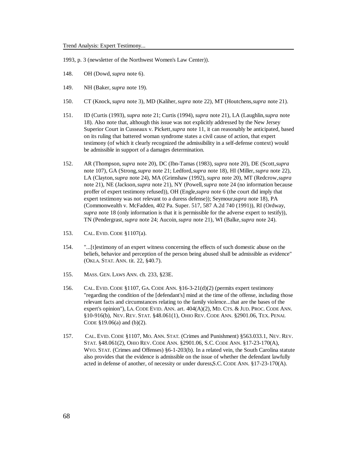- 1993, p. 3 (newsletter of the Northwest Women's Law Center)).
- 148. OH (Dowd, *supra* note 6).
- 149. NH (Baker, *supra* note 19).
- 150. CT (Knock, *supra* note 3), MD (Kaliher, *supra* note 22), MT (Houtchens, *supra* note 21).
- 151. ID (Curtis (1993), *supra* note 21; Curtis (1994), *supra* note 21), LA (Laughlin, *supra* note 18). Also note that, although this issue was not explicitly addressed by the New Jersey Superior Court in Cusseaux v. Pickett, *supra* note 11, it can reasonably be anticipated, based on its ruling that battered woman syndrome states a civil cause of action, that expert testimony (of which it clearly recognized the admissibility in a self-defense context) would be admissible in support of a damages determination.
- 152. AR (Thompson, *supra* note 20), DC (Ibn-Tamas (1983), *supra* note 20), DE (Scott, *supra* note 107), GA (Strong, *supra* note 21; Ledford, *supra* note 18), HI (Miller, *supra* note 22), LA (Clayton, *supra* note 24), MA (Grimshaw (1992), *supra* note 20), MT (Redcrow, *supra* note 21), NE (Jackson, *supra* note 21), NY (Powell, *supra* note 24 (no information because proffer of expert testimony refused)), OH (Engle, *supra* note 6 (the court did imply that expert testimony was not relevant to a duress defense)); Seymour, *supra* note 18), PA (Commonwealth v. McFadden, 402 Pa. Super. 517, 587 A.2d 740 (1991)), RI (Ordway, *supra* note 18 (only information is that it is permissible for the adverse expert to testify)), TN (Pendergrast, *supra* note 24; Aucoin, *supra* note 21), WI (Balke, *supra* note 24).
- 153. CAL. EVID. CODE §1107(a).
- 154. "...[t]estimony of an expert witness concerning the effects of such domestic abuse on the beliefs, behavior and perception of the person being abused shall be admissible as evidence" (OKLA. STAT. ANN. tit. 22, §40.7).
- 155. MASS. GEN. LAWS ANN. ch. 233, §23E.
- 156. CAL. EVID. CODE §1107, GA. CODE ANN. §16-3-21(d)(2) (permits expert testimony "regarding the condition of the [defendant's] mind at the time of the offense, including those relevant facts and circumstances relating to the family violence...that are the bases of the expert's opinion"), LA. CODE EVID. ANN. art. 404(A)(2), MD. CTS. & JUD. PROC. CODE ANN. §10-916(b), NEV. REV. STAT. §48.061(1), OHIO REV. CODE ANN. §2901.06, TEX. PENAL CODE §19.06(a) and (b)(2).
- 157. CAL. EVID. CODE §1107, MO. ANN. STAT. (Crimes and Punishment) §563.033.1, NEV. REV. STAT. §48.061(2), OHIO REV. CODE ANN. §2901.06, S.C.CODE ANN. §17-23-170(A), WYO. STAT. (Crimes and Offenses) §6-1-203(b). In a related vein, the South Carolina statute also provides that the evidence is admissible on the issue of whether the defendant lawfully acted in defense of another, of necessity or under duress, S.C.CODE ANN. §17-23-170(A).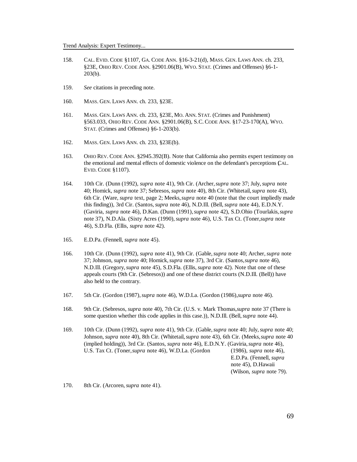- 158. CAL. EVID. CODE §1107, GA. CODE ANN. §16-3-21(d), MASS. GEN. LAWS ANN. ch. 233, §23E, OHIO REV. CODE ANN. §2901.06(B), WYO. STAT. (Crimes and Offenses) §6-1- 203(b).
- 159. *See* citations in preceding note.
- 160. MASS. GEN. LAWS ANN. ch. 233, §23E.
- 161. MASS. GEN. LAWS ANN. ch. 233, §23E, MO. ANN. STAT. (Crimes and Punishment) §563.033, OHIO REV. CODE ANN. §2901.06(B), S.C.CODE ANN. §17-23-170(A), WYO. STAT. (Crimes and Offenses) §6-1-203(b).
- 162. MASS. GEN. LAWS ANN. ch. 233, §23E(b).
- 163. OHIO REV. CODE ANN. §2945.392(B). Note that California also permits expert testimony on the emotional and mental effects of domestic violence on the defendant's perceptions (CAL. EVID. CODE §1107).
- 164. 10th Cir. (Dunn (1992), *supra* note 41), 9th Cir. (Archer, *supra* note 37; July, *supra* note 40; Homick, *supra* note 37; Sebresos, *supra* note 40), 8th Cir. (Whitetail, *supra* note 43), 6th Cir. (Ware, *supra* text, page 2; Meeks, *supra* note 40 (note that the court impliedly made this finding)), 3rd Cir. (Santos, *supra* note 46), N.D.Ill. (Bell, *supra* note 44), E.D.N.Y. (Gaviria, *supra* note 46), D.Kan. (Dunn (1991), *supra* note 42), S.D.Ohio (Tourlakis, *supra* note 37), N.D.Ala. (Sixty Acres (1990), *supra* note 46), U.S. Tax Ct. (Toner, *supra* note 46), S.D.Fla. (Ellis, *supra* note 42).
- 165. E.D.Pa. (Fennell, *supra* note 45).
- 166. 10th Cir. (Dunn (1992), *supra* note 41), 9th Cir. (Gable, *supra* note 40; Archer, *supra* note 37; Johnson, *supra* note 40; Homick, *supra* note 37), 3rd Cir. (Santos, *supra* note 46), N.D.Ill. (Gregory, *supra* note 45), S.D.Fla. (Ellis, *supra* note 42). Note that one of these appeals courts (9th Cir. (Sebresos)) and one of these district courts (N.D.Ill. (Bell)) have also held to the contrary.
- 167. 5th Cir. (Gordon (1987), *supra* note 46), W.D.La. (Gordon (1986), *supra* note 46).
- 168. 9th Cir. (Sebresos, *supra* note 40), 7th Cir. (U.S. v. Mark Thomas, *supra* note 37 (There is some question whether this code applies in this case.)), N.D.Ill. (Bell, *supra* note 44).
- 169. 10th Cir. (Dunn (1992), *supra* note 41), 9th Cir. (Gable, *supra* note 40; July, *supra* note 40; Johnson, *supra* note 40), 8th Cir. (Whitetail, *supra* note 43), 6th Cir. (Meeks, *supra* note 40 (implied holding)), 3rd Cir. (Santos, *supra* note 46), E.D.N.Y. (Gaviria, *supra* note 46), U.S. Tax Ct. (Toner, *supra* note 46), W.D.La. (Gordon (1986), *supra* note 46), E.D.Pa. (Fennell, *supra*

note 45), D.Hawaii (Wilson, *supra* note 79).

170. 8th Cir. (Arcoren, *supra* note 41).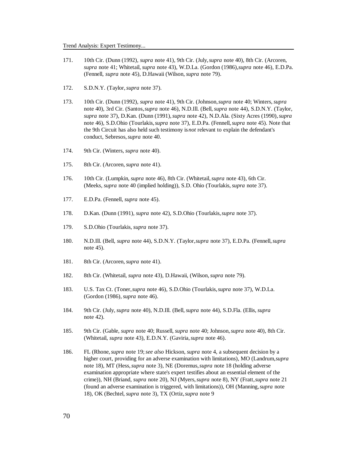- 171. 10th Cir. (Dunn (1992), *supra* note 41), 9th Cir. (July, *supra* note 40), 8th Cir. (Arcoren, *supra* note 41; Whitetail, *supra* note 43), W.D.La. (Gordon (1986), *supra* note 46), E.D.Pa. (Fennell, *supra* note 45), D.Hawaii (Wilson, *supra* note 79).
- 172. S.D.N.Y. (Taylor, *supra* note 37).
- 173. 10th Cir. (Dunn (1992), *supra* note 41), 9th Cir. (Johnson, *supra* note 40; Winters, *supra* note 40), 3rd Cir. (Santos, *supra* note 46), N.D.Ill. (Bell, *supra* note 44), S.D.N.Y. (Taylor, *supra* note 37), D.Kan. (Dunn (1991), *supra* note 42), N.D.Ala. (Sixty Acres (1990), *supra* note 46), S.D.Ohio (Tourlakis, *supra* note 37), E.D.Pa. (Fennell, *supra* note 45). Note that the 9th Circuit has also held such testimony is *not* relevant to explain the defendant's conduct, Sebresos, *supra* note 40.
- 174. 9th Cir. (Winters, *supra* note 40).
- 175. 8th Cir. (Arcoren, *supra* note 41).
- 176. 10th Cir. (Lumpkin, *supra* note 46), 8th Cir. (Whitetail, *supra* note 43), 6th Cir. (Meeks, *supra* note 40 (implied holding)), S.D. Ohio (Tourlakis, *supra* note 37).
- 177. E.D.Pa. (Fennell, *supra* note 45).
- 178. D.Kan. (Dunn (1991), *supra* note 42), S.D.Ohio (Tourlakis, *supra* note 37).
- 179. S.D.Ohio (Tourlakis, *supra* note 37).
- 180. N.D.Ill. (Bell, *supra* note 44), S.D.N.Y. (Taylor, *supra* note 37), E.D.Pa. (Fennell, *supra* note 45).
- 181. 8th Cir. (Arcoren, *supra* note 41).
- 182. 8th Cir. (Whitetail, *supra* note 43), D.Hawaii, (Wilson, *supra* note 79).
- 183. U.S. Tax Ct. (Toner, *supra* note 46), S.D.Ohio (Tourlakis, *supra* note 37), W.D.La. (Gordon (1986), *supra* note 46).
- 184. 9th Cir. (July, *supra* note 40), N.D.Ill. (Bell, *supra* note 44), S.D.Fla. (Ellis, *supra* note 42).
- 185. 9th Cir. (Gable, *supra* note 40; Russell, *supra* note 40; Johnson, *supra* note 40), 8th Cir. (Whitetail, *supra* note 43), E.D.N.Y. (Gaviria, *supra* note 46).
- 186. FL (Rhone, *supra* note 19; *see also* Hickson, *supra* note 4, a subsequent decision by a higher court, providing for an adverse examination with limitations), MO (Landrum, *supra* note 18), MT (Hess, *supra* note 3), NE (Doremus, *supra* note 18 (holding adverse examination appropriate where state's expert testifies about an essential element of the crime)), NH (Briand, *supra* note 20), NJ (Myers, *supra* note 8), NY (Fratt, *supra* note 21 (found an adverse examination is triggered, with limitations)), OH (Manning, *supra* note 18), OK (Bechtel, *supra* note 3), TX (Ortiz, *supra* note 9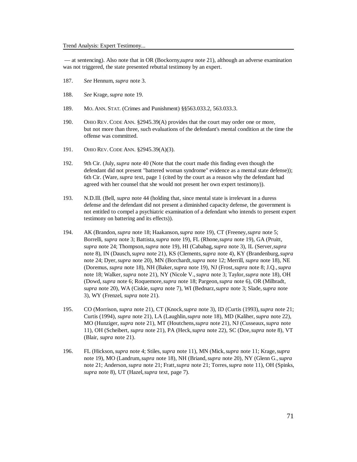— at sentencing). Also note that in OR (Bockorny, *supra* note 21), although an adverse examination was not triggered, the state presented rebuttal testimony by an expert.

- 187. *See* Hennum, *supra* note 3.
- 188. *See* Krage, *supra* note 19.
- 189. MO. ANN. STAT. (Crimes and Punishment) §§563.033.2, 563.033.3.
- 190. OHIO REV. CODE ANN. §2945.39(A) provides that the court may order one or more, but not more than three, such evaluations of the defendant's mental condition at the time the offense was committed.
- 191. OHIO REV. CODE ANN. §2945.39(A)(3).
- 192. 9th Cir. (July, *supra* note 40 (Note that the court made this finding even though the defendant did not present "battered woman syndrome" evidence as a mental state defense)); 6th Cir. (Ware, *supra* text, page 1 (cited by the court as a reason why the defendant had agreed with her counsel that she would not present her own expert testimony)).
- 193. N.D.Ill. (Bell, *supra* note 44 (holding that, since mental state is irrelevant in a duress defense and the defendant did not present a diminished capacity defense, the government is not entitled to compel a psychiatric examination of a defendant who intends to present expert testimony on battering and its effects)).
- 194. AK (Brandon, *supra* note 18; Haakanson, *supra* note 19), CT (Freeney, *supra* note 5; Borrelli, *supra* note 3; Battista, *supra* note 19), FL (Rhone, *supra* note 19), GA (Pruitt, *supra* note 24; Thompson, *supra* note 19), HI (Cababag, *supra* note 3), IL (Server, *supra* note 8), IN (Dausch, *supra* note 21), KS (Clements, *supra* note 4), KY (Brandenburg, *supra* note 24; Dyer, *supra* note 20), MN (Borchardt, *supra* note 12; Merrill, *supra* note 18), NE (Doremus, *supra* note 18), NH (Baker, *supra* note 19), NJ (Frost, *supra* note 8; J.Q., *supra* note 18; Walker, *supra* note 21), NY (Nicole V., *supra* note 3; Taylor, *supra* note 18), OH (Dowd, *supra* note 6; Roquemore, *supra* note 18; Pargeon, *supra* note 6), OR (Milbradt, *supra* note 20), WA (Ciskie, *supra* note 7), WI (Bednarz, *supra* note 3; Slade, *supra* note 3), WY (Frenzel, *supra* note 21).
- 195. CO (Morrison, *supra* note 21), CT (Knock, *supra* note 3), ID (Curtis (1993), *supra* note 21; Curtis (1994), *supra* note 21), LA (Laughlin, *supra* note 18), MD (Kaliher, *supra* note 22), MO (Hunziger, *supra* note 21), MT (Houtchens, *supra* note 21), NJ (Cusseaux, *supra* note 11), OH (Scheibert, *supra* note 21), PA (Heck, *supra* note 22), SC (Doe, *supra* note 8), VT (Blair, *supra* note 21).
- 196. FL (Hickson, *supra* note 4; Stiles, *supra* note 11), MN (Mick, *supra* note 11; Krage, *supra* note 19), MO (Landrum, *supra* note 18), NH (Briand, *supra* note 20), NY (Glenn G., *supra* note 21; Anderson, *supra* note 21; Fratt, *supra* note 21; Torres, *supra* note 11), OH (Spinks, *supra* note 8), UT (Hazel, *supra* text, page 7).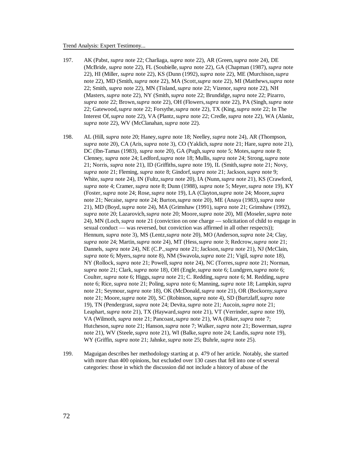- 197. AK (Pabst, *supra* note 22; Charliaga, *supra* note 22), AR (Green, *supra* note 24), DE (McBride, *supra* note 22), FL (Soubielle, *supra* note 22), GA (Chapman (1987), *supra* note 22), HI (Miller, *supra* note 22), KS (Dunn (1992), *supra* note 22), ME (Murchison, *supra* note 22), MD (Smith, *supra* note 22), MA (Scott, *supra* note 22), MI (Matthews, *supra* note 22; Smith, *supra* note 22), MN (Tisland, *supra* note 22; Vizenor, *supra* note 22), NH (Masters, *supra* note 22), NY (Smith, *supra* note 22; Brundidge, *supra* note 22; Pizarro, *supra* note 22; Brown, *supra* note 22), OH (Flowers, *supra* note 22), PA (Singh, *supra* note 22; Gatewood, *supra* note 22; Forsythe, *supra* note 22), TX (King, *supra* note 22; In The Interest Of, *supra* note 22), VA (Plantz, *supra* note 22; Credle, *supra* note 22), WA (Alaniz, *supra* note 22), WV (McClanahan, *supra* note 22).
- 198. AL (Hill, *supra* note 20; Haney, *supra* note 18; Neelley, *supra* note 24), AR (Thompson, *supra* note 20), CA (Aris, *supra* note 3), CO (Yaklich, *supra* note 21; Hare, *supra* note 21), DC (Ibn-Tamas (1983), *supra* note 20), GA (Pugh, *supra* note 5; Motes, *supra* note 8; Clenney, *supra* note 24; Ledford, *supra* note 18; Mullis, *supra* note 24; Strong, *supra* note 21; Norris, *supra* note 21), ID (Griffiths, *supra* note 19), IL (Smith, *supra* note 21; Novy, *supra* note 21; Fleming, *supra* note 8; Gindorf, *supra* note 21; Jackson, *supra* note 9; White, *supra* note 24), IN (Fultz, *supra* note 20), IA (Nunn, *supra* note 21), KS (Crawford, *supra* note 4; Cramer, *supra* note 8; Dunn (1988), *supra* note 5; Meyer, *supra* note 19), KY (Foster, *supra* note 24; Rose, *supra* note 19), LA (Clayton, *supra* note 24; Moore, *supra* note 21; Necaise, *supra* note 24; Burton, *supra* note 20), ME (Anaya (1983), *supra* note 21), MD (Boyd, *supra* note 24), MA (Grimshaw (1991), *supra* note 21; Grimshaw (1992), *supra* note 20; Lazarovich, *supra* note 20; Moore, *supra* note 20), MI (Moseler, *supra* note 24), MN (Loch, *supra* note 21 (conviction on one charge — solicitation of child to engage in sexual conduct — was reversed, but conviction was affirmed in all other respects)); Hennum, *supra* note 3), MS (Lentz, *supra* note 20), MO (Anderson, *supra* note 24; Clay, *supra* note 24; Martin, *supra* note 24), MT (Hess, *supra* note 3; Redcrow, *supra* note 21; Dannels, *supra* note 24), NE (C.P., *supra* note 21; Jackson, *supra* note 21), NJ (McClain, *supra* note 6; Myers, *supra* note 8), NM (Swavola, *supra* note 21; Vigil, *supra* note 18), NY (Rollock, *supra* note 21; Powell, *supra* note 24), NC (Torres, *supra* note 21; Norman, *supra* note 21; Clark, *supra* note 18), OH (Engle, *supra* note 6; Lundgren, *supra* note 6; Coulter, *supra* note 6; Higgs, *supra* note 21; C. Redding, *supra* note 6; M. Redding, *supra* note 6; Rice, *supra* note 21; Poling, *supra* note 6; Manning, *supra* note 18; Lampkin, *supra* note 21; Seymour, *supra* note 18), OK (McDonald, *supra* note 21), OR (Bockorny, *supra* note 21; Moore, *supra* note 20), SC (Robinson, *supra* note 4), SD (Burtzlaff, *supra* note 19), TN (Pendergrast, *supra* note 24; Devita, *supra* note 21; Aucoin, *supra* note 21; Leaphart, *supra* note 21), TX (Hayward, *supra* note 21), VT (Verrinder, *supra* note 19), VA (Wilmoth, *supra* note 21; Pancoast, *supra* note 21), WA (Riker, *supra* note 7; Hutcheson, *supra* note 21; Hanson, *supra* note 7; Walker, *supra* note 21; Bowerman, *supra* note 21), WV (Steele, *supra* note 21), WI (Balke, *supra* note 24; Landis, *supra* note 19), WY (Griffin, *supra* note 21; Jahnke, *supra* note 25; Buhrle, *supra* note 25).
- 199. Maguigan describes her methodology starting at p. 479 of her article. Notably, she started with more than 400 opinions, but excluded over 130 cases that fell into one of several categories: those in which the discussion did not include a history of abuse of the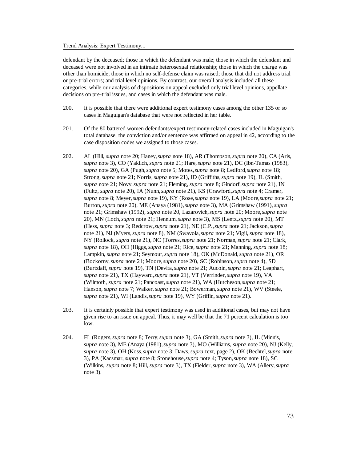defendant by the deceased; those in which the defendant was male; those in which the defendant and deceased were not involved in an intimate heterosexual relationship; those in which the charge was other than homicide; those in which no self-defense claim was raised; those that did not address trial or pre-trial errors; and trial level opinions. By contrast, our overall analysis included all these categories, while our analysis of dispositions on appeal excluded only trial level opinions, appellate decisions on pre-trial issues, and cases in which the defendant was male.

- 200. It is possible that there were additional expert testimony cases among the other 135 or so cases in Maguigan's database that were not reflected in her table.
- 201. Of the 80 battered women defendants/expert testimony-related cases included in Maguigan's total database, the conviction and/or sentence was affirmed on appeal in 42, according to the case disposition codes we assigned to those cases.
- 202. AL (Hill, *supra* note 20; Haney, *supra* note 18), AR (Thompson, *supra* note 20), CA (Aris, *supra* note 3), CO (Yaklich, *supra* note 21; Hare, *supra* note 21), DC (Ibn-Tamas (1983), *supra* note 20), GA (Pugh, *supra* note 5; Motes, *supra* note 8; Ledford, *supra* note 18; Strong, *supra* note 21; Norris, *supra* note 21), ID (Griffiths, *supra* note 19), IL (Smith, *supra* note 21; Novy, *supra* note 21; Fleming, *supra* note 8; Gindorf, *supra* note 21), IN (Fultz, *supra* note 20), IA (Nunn, *supra* note 21), KS (Crawford, *supra* note 4; Cramer, *supra* note 8; Meyer, *supra* note 19), KY (Rose, *supra* note 19), LA (Moore, *supra* note 21; Burton, *supra* note 20), ME (Anaya (1981), *supra* note 3), MA (Grimshaw (1991), *supra* note 21; Grimshaw (1992), *supra* note 20, Lazarovich, *supra* note 20; Moore, *supra* note 20), MN (Loch, *supra* note 21; Hennum, *supra* note 3), MS (Lentz, *supra* note 20), MT (Hess, *supra* note 3; Redcrow, *supra* note 21), NE (C.P., *supra* note 21; Jackson, *supra* note 21), NJ (Myers, *supra* note 8), NM (Swavola, *supra* note 21; Vigil, *supra* note 18), NY (Rollock, *supra* note 21), NC (Torres, *supra* note 21; Norman, *supra* note 21; Clark, *supra* note 18), OH (Higgs, *supra* note 21; Rice, *supra* note 21; Manning, *supra* note 18; Lampkin, *supra* note 21; Seymour, *supra* note 18), OK (McDonald, *supra* note 21), OR (Bockorny, *supra* note 21; Moore, *supra* note 20), SC (Robinson, *supra* note 4), SD (Burtzlaff, *supra* note 19), TN (Devita, *supra* note 21; Aucoin, *supra* note 21; Leaphart, *supra* note 21), TX (Hayward, *supra* note 21), VT (Verrinder, *supra* note 19), VA (Wilmoth, *supra* note 21; Pancoast, *supra* note 21), WA (Hutcheson, *supra* note 21; Hanson, *supra* note 7; Walker, *supra* note 21; Bowerman, *supra* note 21), WV (Steele, *supra* note 21), WI (Landis, *supra* note 19), WY (Griffin, *supra* note 21).
- 203. It is certainly possible that expert testimony was used in additional cases, but may not have given rise to an issue on appeal. Thus, it may well be that the 71 percent calculation is too low.
- 204. FL (Rogers, *supra* note 8; Terry, *supra* note 3), GA (Smith, *supra* note 3), IL (Minnis, *supra* note 3), ME (Anaya (1981), *supra* note 3), MO (Williams, *supra* note 20), NJ (Kelly, *supra* note 3), OH (Koss, *supra* note 3; Daws, *supra* text, page 2), OK (Bechtel, *supra* note 3), PA (Kacsmar, *supra* note 8; Stonehouse, *supra* note 4; Tyson, *supra* note 18), SC (Wilkins, *supra* note 8; Hill, *supra* note 3), TX (Fielder, *supra* note 3), WA (Allery, *supra* note 3).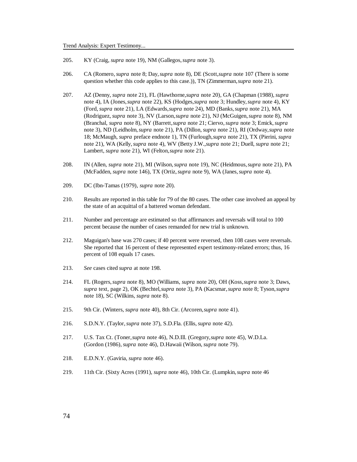- 205. KY (Craig, *supra* note 19), NM (Gallegos, *supra* note 3).
- 206. CA (Romero, *supra* note 8; Day, *supra* note 8), DE (Scott, *supra* note 107 (There is some question whether this code applies to this case.)), TN (Zimmerman, *supra* note 21).
- 207. AZ (Denny, *supra* note 21), FL (Hawthorne, *supra* note 20), GA (Chapman (1988), *supra* note 4), IA (Jones, *supra* note 22), KS (Hodges, *supra* note 3; Hundley, *supra* note 4), KY (Ford, *supra* note 21), LA (Edwards, *supra* note 24), MD (Banks, *supra* note 21), MA (Rodriguez, *supra* note 3), NV (Larson, *supra* note 21), NJ (McGuigen, *supra* note 8), NM (Branchal, *supra* note 8), NY (Barrett, *supra* note 21; Ciervo, *supra* note 3; Emick, *supra* note 3), ND (Leidholm, *supra* note 21), PA (Dillon, *supra* note 21), RI (Ordway, *supra* note 18; McMaugh, *supra* preface endnote 1), TN (Furlough, *supra* note 21), TX (Pierini, *supra* note 21), WA (Kelly, *supra* note 4), WV (Betty J.W., *supra* note 21; Duell, *supra* note 21; Lambert, *supra* note 21), WI (Felton, *supra* note 21).
- 208. IN (Allen, *supra* note 21), MI (Wilson, *supra* note 19), NC (Heidmous, *supra* note 21), PA (McFadden, *supra* note 146), TX (Ortiz, *supra* note 9), WA (Janes, *supra* note 4).
- 209. DC (Ibn-Tamas (1979), *supra* note 20).
- 210. Results are reported in this table for 79 of the 80 cases. The other case involved an appeal by the state of an acquittal of a battered woman defendant.
- 211. Number and percentage are estimated so that affirmances and reversals will total to 100 percent because the number of cases remanded for new trial is unknown.
- 212. Maguigan's base was 270 cases; if 40 percent were reversed, then 108 cases were reversals. She reported that 16 percent of these represented expert testimony-related errors; thus, 16 percent of 108 equals 17 cases.
- 213. *See* cases cited *supra* at note 198.
- 214. FL (Rogers, *supra* note 8), MO (Williams, *supra* note 20), OH (Koss, *supra* note 3; Daws, *supra* text, page 2), OK (Bechtel, *supra* note 3), PA (Kacsmar, *supra* note 8; Tyson, *supra* note 18), SC (Wilkins, *supra* note 8).
- 215. 9th Cir. (Winters, *supra* note 40), 8th Cir. (Arcoren, *supra* note 41).
- 216. S.D.N.Y. (Taylor, *supra* note 37), S.D.Fla. (Ellis, *supra* note 42).
- 217. U.S. Tax Ct. (Toner, *supra* note 46), N.D.Ill. (Gregory, *supra* note 45), W.D.La. (Gordon (1986), *supra* note 46), D.Hawaii (Wilson, *supra* note 79).
- 218. E.D.N.Y. (Gaviria, *supra* note 46).
- 219. 11th Cir. (Sixty Acres (1991), *supra* note 46), 10th Cir. (Lumpkin, *supra* note 46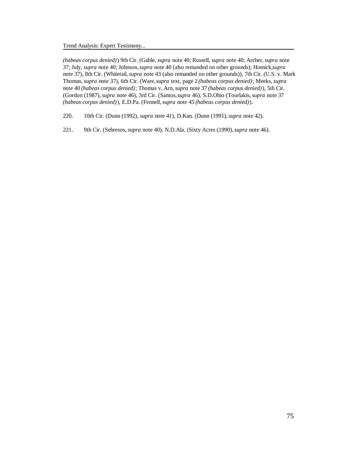*(habeas corpus denied)*) 9th Cir. (Gable, *supra* note 40; Russell, *supra* note 40; Archer, *supra* note 37; July, *supra* note 40; Johnson, *supra* note 40 (also remanded on other grounds); Homick, *supra* note 37), 8th Cir. (Whitetail, *supra* note 43 (also remanded on other grounds)), 7th Cir. (U.S. v. Mark Thomas, *supra* note 37), 6th Cir. (Ware, *supra* text, page 2 *(habeas corpus denied)*; Meeks, *supra* note 40 *(habeas corpus denied)*; Thomas v. Arn, *supra* note 37 *(habeas corpus denied)*), 5th Cir. (Gordon (1987), *supra* note 46), 3rd Cir. (Santos, *supra* 46), S.D.Ohio (Tourlakis, *supra* note 37 *(habeas corpus denied)*), E.D.Pa. (Fennell, *supra* note 45 *(habeas corpus denied)*).

- 220. 10th Cir. (Dunn (1992), *supra* note 41), D.Kan. (Dunn (1991), *supra* note 42).
- 221. 9th Cir. (Sebresos, *supra* note 40), N.D.Ala. (Sixty Acres (1990), *supra* note 46).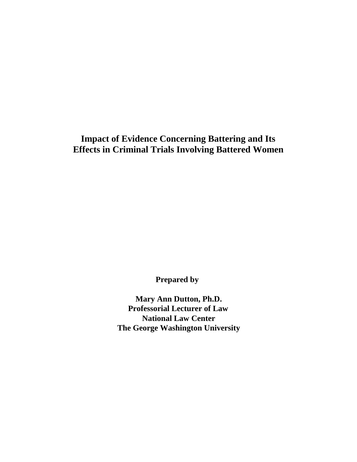**Impact of Evidence Concerning Battering and Its Effects in Criminal Trials Involving Battered Women**

**Prepared by** 

**Mary Ann Dutton, Ph.D. Professorial Lecturer of Law National Law Center The George Washington University**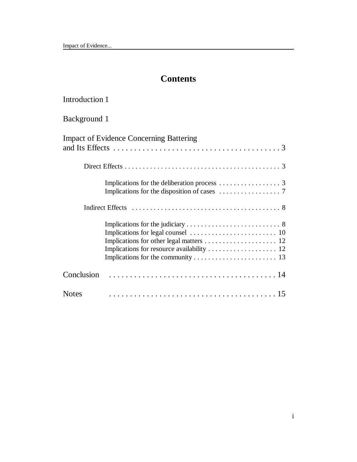# **Contents**

Introduction 1

Background 1

|              | <b>Impact of Evidence Concerning Battering</b>                                                                                                         |
|--------------|--------------------------------------------------------------------------------------------------------------------------------------------------------|
|              |                                                                                                                                                        |
|              |                                                                                                                                                        |
|              | Implications for the deliberation process $\dots \dots \dots \dots \dots$<br>Implications for the disposition of cases $\dots \dots \dots \dots \dots$ |
|              |                                                                                                                                                        |
|              |                                                                                                                                                        |
| Conclusion   |                                                                                                                                                        |
| <b>Notes</b> |                                                                                                                                                        |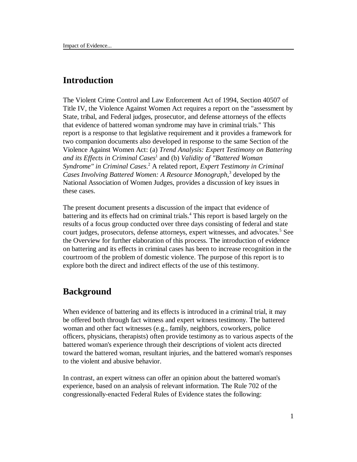## **Introduction**

The Violent Crime Control and Law Enforcement Act of 1994, Section 40507 of Title IV, the Violence Against Women Act requires a report on the "assessment by State, tribal, and Federal judges, prosecutor, and defense attorneys of the effects that evidence of battered woman syndrome may have in criminal trials." This report is a response to that legislative requirement and it provides a framework for two companion documents also developed in response to the same Section of the Violence Against Women Act: (a) *Trend Analysis: Expert Testimony on Battering* and its Effects in Criminal Cases<sup>1</sup> and (b) *Validity of "Battered Woman Syndrome" in Criminal Cases*. A related report, *Expert Testimony in Criminal* <sup>2</sup> *Cases Involving Battered Women: A Resource Monograph*,<sup>3</sup> developed by the National Association of Women Judges, provides a discussion of key issues in these cases.

The present document presents a discussion of the impact that evidence of battering and its effects had on criminal trials.<sup>4</sup> This report is based largely on the results of a focus group conducted over three days consisting of federal and state court judges, prosecutors, defense attorneys, expert witnesses, and advocates.<sup>5</sup> See the Overview for further elaboration of this process. The introduction of evidence on battering and its effects in criminal cases has been to increase recognition in the courtroom of the problem of domestic violence. The purpose of this report is to explore both the direct and indirect effects of the use of this testimony.

## **Background**

When evidence of battering and its effects is introduced in a criminal trial, it may be offered both through fact witness and expert witness testimony. The battered woman and other fact witnesses (e.g., family, neighbors, coworkers, police officers, physicians, therapists) often provide testimony as to various aspects of the battered woman's experience through their descriptions of violent acts directed toward the battered woman, resultant injuries, and the battered woman's responses to the violent and abusive behavior.

In contrast, an expert witness can offer an opinion about the battered woman's experience, based on an analysis of relevant information. The Rule 702 of the congressionally-enacted Federal Rules of Evidence states the following: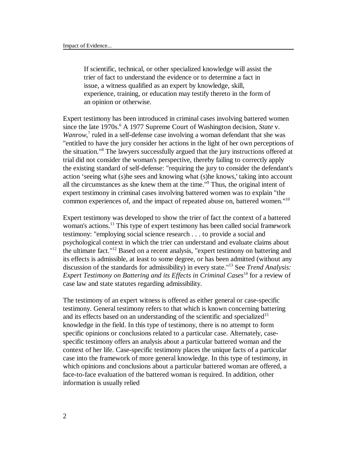If scientific, technical, or other specialized knowledge will assist the trier of fact to understand the evidence or to determine a fact in issue, a witness qualified as an expert by knowledge, skill, experience, training, or education may testify thereto in the form of an opinion or otherwise.

Expert testimony has been introduced in criminal cases involving battered women since the late 1970s.<sup>6</sup> A 1977 Supreme Court of Washington decision, *State* v. *Wanrow*,<sup>7</sup> ruled in a self-defense case involving a woman defendant that she was "entitled to have the jury consider her actions in the light of her own perceptions of the situation."<sup>8</sup> The lawyers successfully argued that the jury instructions offered at trial did not consider the woman's perspective, thereby failing to correctly apply the existing standard of self-defense: "requiring the jury to consider the defendant's action 'seeing what (s)he sees and knowing what (s)he knows,' taking into account all the circumstances as she knew them at the time."<sup>9</sup> Thus, the original intent of expert testimony in criminal cases involving battered women was to explain "the common experiences of, and the impact of repeated abuse on, battered women."<sup>10</sup>

Expert testimony was developed to show the trier of fact the context of a battered woman's actions.<sup>11</sup> This type of expert testimony has been called social framework testimony: "employing social science research . . . to provide a social and psychological context in which the trier can understand and evaluate claims about the ultimate fact."<sup>12</sup> Based on a recent analysis, "expert testimony on battering and its effects is admissible, at least to some degree, or has been admitted (without any discussion of the standards for admissibility) in every state.<sup>"13</sup> See *Trend Analysis: Expert Testimony on Battering and its Effects in Criminal Cases*<sup>14</sup> for a review of case law and state statutes regarding admissibility.

The testimony of an expert witness is offered as either general or case-specific testimony. General testimony refers to that which is known concerning battering and its effects based on an understanding of the scientific and specialized<sup>15</sup> knowledge in the field. In this type of testimony, there is no attempt to form specific opinions or conclusions related to a particular case. Alternately, casespecific testimony offers an analysis about a particular battered woman and the context of her life. Case-specific testimony places the unique facts of a particular case into the framework of more general knowledge. In this type of testimony, in which opinions and conclusions about a particular battered woman are offered, a face-to-face evaluation of the battered woman is required. In addition, other information is usually relied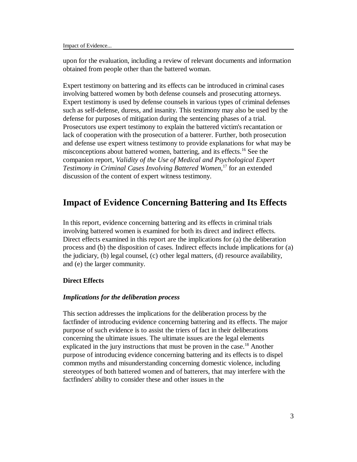upon for the evaluation, including a review of relevant documents and information obtained from people other than the battered woman.

Expert testimony on battering and its effects can be introduced in criminal cases involving battered women by both defense counsels and prosecuting attorneys. Expert testimony is used by defense counsels in various types of criminal defenses such as self-defense, duress, and insanity. This testimony may also be used by the defense for purposes of mitigation during the sentencing phases of a trial. Prosecutors use expert testimony to explain the battered victim's recantation or lack of cooperation with the prosecution of a batterer. Further, both prosecution and defense use expert witness testimony to provide explanations for what may be misconceptions about battered women, battering, and its effects.<sup>16</sup> See the companion report, *Validity of the Use of Medical and Psychological Expert Testimony in Criminal Cases Involving Battered Women*,<sup>17</sup> for an extended discussion of the content of expert witness testimony.

# **Impact of Evidence Concerning Battering and Its Effects**

In this report, evidence concerning battering and its effects in criminal trials involving battered women is examined for both its direct and indirect effects. Direct effects examined in this report are the implications for (a) the deliberation process and (b) the disposition of cases. Indirect effects include implications for (a) the judiciary, (b) legal counsel, (c) other legal matters, (d) resource availability, and (e) the larger community.

## **Direct Effects**

### *Implications for the deliberation process*

This section addresses the implications for the deliberation process by the factfinder of introducing evidence concerning battering and its effects. The major purpose of such evidence is to assist the triers of fact in their deliberations concerning the ultimate issues. The ultimate issues are the legal elements explicated in the jury instructions that must be proven in the case.<sup>18</sup> Another purpose of introducing evidence concerning battering and its effects is to dispel common myths and misunderstanding concerning domestic violence, including stereotypes of both battered women and of batterers, that may interfere with the factfinders' ability to consider these and other issues in the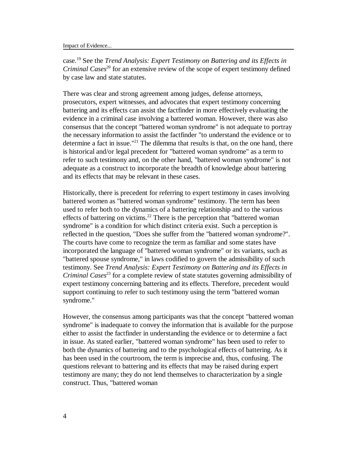case.<sup>19</sup> See the *Trend Analysis: Expert Testimony on Battering and its Effects in Criminal Cases*<sup>20</sup> for an extensive review of the scope of expert testimony defined by case law and state statutes.

There was clear and strong agreement among judges, defense attorneys, prosecutors, expert witnesses, and advocates that expert testimony concerning battering and its effects can assist the factfinder in more effectively evaluating the evidence in a criminal case involving a battered woman. However, there was also consensus that the concept "battered woman syndrome" is not adequate to portray the necessary information to assist the factfinder "to understand the evidence or to determine a fact in issue."<sup>21</sup> The dilemma that results is that, on the one hand, there is historical and/or legal precedent for "battered woman syndrome" as a term to refer to such testimony and, on the other hand, "battered woman syndrome" is not adequate as a construct to incorporate the breadth of knowledge about battering and its effects that may be relevant in these cases.

Historically, there is precedent for referring to expert testimony in cases involving battered women as "battered woman syndrome" testimony. The term has been used to refer both to the dynamics of a battering relationship and to the various effects of battering on victims.<sup>22</sup> There is the perception that "battered woman syndrome" is a condition for which distinct criteria exist. Such a perception is reflected in the question, "Does she suffer from the "battered woman syndrome?". The courts have come to recognize the term as familiar and some states have incorporated the language of "battered woman syndrome" or its variants, such as "battered spouse syndrome," in laws codified to govern the admissibility of such testimony. See *Trend Analysis: Expert Testimony on Battering and its Effects in Criminal Cases*<sup>23</sup> for a complete review of state statutes governing admissibility of expert testimony concerning battering and its effects. Therefore, precedent would support continuing to refer to such testimony using the term "battered woman syndrome."

However, the consensus among participants was that the concept "battered woman syndrome" is inadequate to convey the information that is available for the purpose either to assist the factfinder in understanding the evidence or to determine a fact in issue. As stated earlier, "battered woman syndrome" has been used to refer to both the dynamics of battering and to the psychological effects of battering. As it has been used in the courtroom, the term is imprecise and, thus, confusing. The questions relevant to battering and its effects that may be raised during expert testimony are many; they do not lend themselves to characterization by a single construct. Thus, "battered woman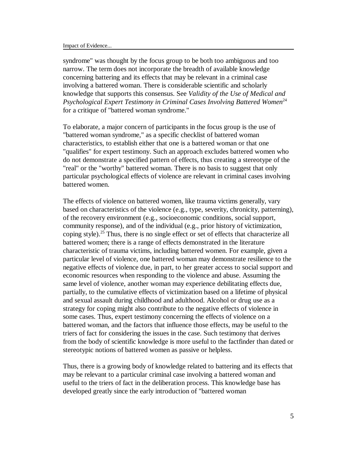syndrome" was thought by the focus group to be both too ambiguous and too narrow. The term does not incorporate the breadth of available knowledge concerning battering and its effects that may be relevant in a criminal case involving a battered woman. There is considerable scientific and scholarly knowledge that supports this consensus. See *Validity of the Use of Medical and Psychological Expert Testimony in Criminal Cases Involving Battered Women*<sup>24</sup> for a critique of "battered woman syndrome."

To elaborate, a major concern of participants in the focus group is the use of "battered woman syndrome," as a specific checklist of battered woman characteristics, to establish either that one is a battered woman or that one "qualifies" for expert testimony. Such an approach excludes battered women who do not demonstrate a specified pattern of effects, thus creating a stereotype of the "real" or the "worthy" battered woman. There is no basis to suggest that only particular psychological effects of violence are relevant in criminal cases involving battered women.

The effects of violence on battered women, like trauma victims generally, vary based on characteristics of the violence (e.g., type, severity, chronicity, patterning), of the recovery environment (e.g., socioeconomic conditions, social support, community response), and of the individual (e.g., prior history of victimization, coping style).<sup>25</sup> Thus, there is no single effect or set of effects that characterize all battered women; there is a range of effects demonstrated in the literature characteristic of trauma victims, including battered women. For example, given a particular level of violence, one battered woman may demonstrate resilience to the negative effects of violence due, in part, to her greater access to social support and economic resources when responding to the violence and abuse. Assuming the same level of violence, another woman may experience debilitating effects due, partially, to the cumulative effects of victimization based on a lifetime of physical and sexual assault during childhood and adulthood. Alcohol or drug use as a strategy for coping might also contribute to the negative effects of violence in some cases. Thus, expert testimony concerning the effects of violence on a battered woman, and the factors that influence those effects, may be useful to the triers of fact for considering the issues in the case. Such testimony that derives from the body of scientific knowledge is more useful to the factfinder than dated or stereotypic notions of battered women as passive or helpless.

Thus, there is a growing body of knowledge related to battering and its effects that may be relevant to a particular criminal case involving a battered woman and useful to the triers of fact in the deliberation process. This knowledge base has developed greatly since the early introduction of "battered woman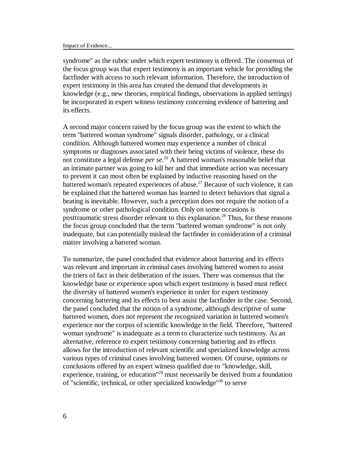syndrome" as the rubric under which expert testimony is offered. The consensus of the focus group was that expert testimony is an important vehicle for providing the factfinder with access to such relevant information. Therefore, the introduction of expert testimony in this area has created the demand that developments in knowledge (e.g., new theories, empirical findings, observations in applied settings) be incorporated in expert witness testimony concerning evidence of battering and its effects.

A second major concern raised by the focus group was the extent to which the term "battered woman syndrome" signals disorder, pathology, or a clinical condition. Although battered women may experience a number of clinical symptoms or diagnoses associated with their being victims of violence, these do not constitute a legal defense *per se*.<sup>26</sup> A battered woman's reasonable belief that an intimate partner was going to kill her and that immediate action was necessary to prevent it can most often be explained by inductive reasoning based on the battered woman's repeated experiences of abuse.<sup>27</sup> Because of such violence, it can be explained that the battered woman has learned to detect behaviors that signal a beating is inevitable. However, such a perception does not require the notion of a syndrome or other pathological condition. Only on some occasions is posttraumatic stress disorder relevant to this explanation.<sup>28</sup> Thus, for these reasons the focus group concluded that the term "battered woman syndrome" is not only inadequate, but can potentially mislead the factfinder in consideration of a criminal matter involving a battered woman.

To summarize, the panel concluded that evidence about battering and its effects was relevant and important in criminal cases involving battered women to assist the triers of fact in their deliberation of the issues. There was consensus that the knowledge base or experience upon which expert testimony is based must reflect the diversity of battered women's experience in order for expert testimony concerning battering and its effects to best assist the factfinder in the case. Second, the panel concluded that the notion of a syndrome, although descriptive of some battered women, does not represent the recognized variation in battered women's experience nor the corpus of scientific knowledge in the field. Therefore, "battered woman syndrome" is inadequate as a term to characterize such testimony. As an alternative, reference to expert testimony concerning battering and its effects allows for the introduction of relevant scientific and specialized knowledge across various types of criminal cases involving battered women. Of course, opinions or conclusions offered by an expert witness qualified due to "knowledge, skill, experience, training, or education<sup> $129$ </sup> must necessarily be derived from a foundation of "scientific, technical, or other specialized knowledge"<sup>30</sup> to serve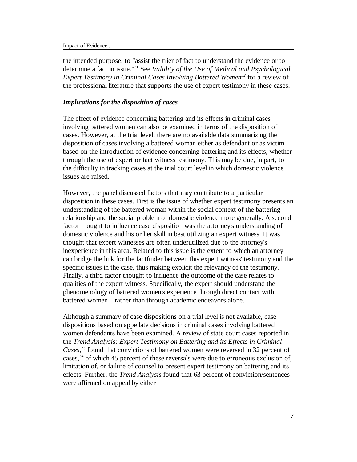the intended purpose: to "assist the trier of fact to understand the evidence or to determine a fact in issue."<sup>31</sup> See *Validity of the Use of Medical and Psychological Expert Testimony in Criminal Cases Involving Battered Women*<sup>32</sup> for a review of the professional literature that supports the use of expert testimony in these cases.

### *Implications for the disposition of cases*

The effect of evidence concerning battering and its effects in criminal cases involving battered women can also be examined in terms of the disposition of cases. However, at the trial level, there are no available data summarizing the disposition of cases involving a battered woman either as defendant or as victim based on the introduction of evidence concerning battering and its effects, whether through the use of expert or fact witness testimony. This may be due, in part, to the difficulty in tracking cases at the trial court level in which domestic violence issues are raised.

However, the panel discussed factors that may contribute to a particular disposition in these cases. First is the issue of whether expert testimony presents an understanding of the battered woman within the social context of the battering relationship and the social problem of domestic violence more generally. A second factor thought to influence case disposition was the attorney's understanding of domestic violence and his or her skill in best utilizing an expert witness. It was thought that expert witnesses are often underutilized due to the attorney's inexperience in this area. Related to this issue is the extent to which an attorney can bridge the link for the factfinder between this expert witness' testimony and the specific issues in the case, thus making explicit the relevancy of the testimony. Finally, a third factor thought to influence the outcome of the case relates to qualities of the expert witness. Specifically, the expert should understand the phenomenology of battered women's experience through direct contact with battered women—rather than through academic endeavors alone.

Although a summary of case dispositions on a trial level is not available, case dispositions based on appellate decisions in criminal cases involving battered women defendants have been examined. A review of state court cases reported in the *Trend Analysis: Expert Testimony on Battering and its Effects in Criminal Cases*,<sup>33</sup> found that convictions of battered women were reversed in 32 percent of cases,  $34$  of which 45 percent of these reversals were due to erroneous exclusion of, limitation of, or failure of counsel to present expert testimony on battering and its effects. Further, the *Trend Analysis* found that 63 percent of conviction/sentences were affirmed on appeal by either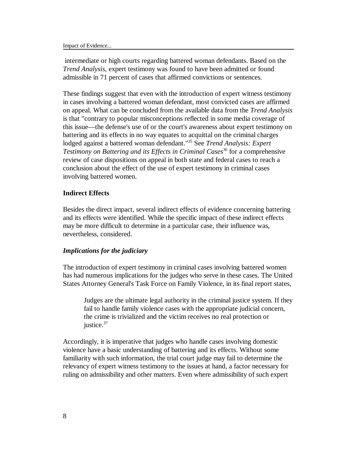intermediate or high courts regarding battered woman defendants. Based on the *Trend Analysis*, expert testimony was found to have been admitted or found admissible in 71 percent of cases that affirmed convictions or sentences.

These findings suggest that even with the introduction of expert witness testimony in cases involving a battered woman defendant, most convicted cases are affirmed on appeal. What can be concluded from the available data from the *Trend Analysis* is that "contrary to popular misconceptions reflected in some media coverage of this issue—the defense's use of or the court's awareness about expert testimony on battering and its effects in no way equates to acquittal on the criminal charges lodged against a battered woman defendant."<sup>35</sup> See *Trend Analysis: Expert Testimony on Battering and its Effects in Criminal Cases*<sup>36</sup> for a comprehensive review of case dispositions on appeal in both state and federal cases to reach a conclusion about the effect of the use of expert testimony in criminal cases involving battered women.

### **Indirect Effects**

Besides the direct impact, several indirect effects of evidence concerning battering and its effects were identified. While the specific impact of these indirect effects may be more difficult to determine in a particular case, their influence was, nevertheless, considered.

#### *Implications for the judiciary*

The introduction of expert testimony in criminal cases involving battered women has had numerous implications for the judges who serve in these cases. The United States Attorney General's Task Force on Family Violence, in its final report states,

Judges are the ultimate legal authority in the criminal justice system. If they fail to handle family violence cases with the appropriate judicial concern, the crime is trivialized and the victim receives no real protection or justice.<sup>37</sup>

Accordingly, it is imperative that judges who handle cases involving domestic violence have a basic understanding of battering and its effects. Without some familiarity with such information, the trial court judge may fail to determine the relevancy of expert witness testimony to the issues at hand, a factor necessary for ruling on admissibility and other matters. Even where admissibility of such expert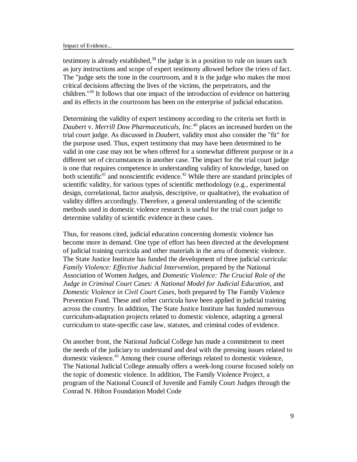testimony is already established,  $38$  the judge is in a position to rule on issues such as jury instructions and scope of expert testimony allowed before the triers of fact. The "judge sets the tone in the courtroom, and it is the judge who makes the most critical decisions affecting the lives of the victims, the perpetrators, and the children."<sup>39</sup> It follows that one impact of the introduction of evidence on battering and its effects in the courtroom has been on the enterprise of judicial education.

Determining the validity of expert testimony according to the criteria set forth in *Daubert* v. *Merrill Dow Pharmaceuticals, Inc.*<sup>40</sup> places an increased burden on the trial court judge. As discussed in *Daubert*, validity must also consider the "fit" for the purpose used. Thus, expert testimony that may have been determined to be valid in one case may not be when offered for a somewhat different purpose or in a different set of circumstances in another case. The impact for the trial court judge is one that requires competence in understanding validity of knowledge, based on both scientific<sup>41</sup> and nonscientific evidence.<sup>42</sup> While there are standard principles of scientific validity, for various types of scientific methodology (e.g., experimental design, correlational, factor analysis, descriptive, or qualitative), the evaluation of validity differs accordingly. Therefore, a general understanding of the scientific methods used in domestic violence research is useful for the trial court judge to determine validity of scientific evidence in these cases.

Thus, for reasons cited, judicial education concerning domestic violence has become more in demand. One type of effort has been directed at the development of judicial training curricula and other materials in the area of domestic violence. The State Justice Institute has funded the development of three judicial curricula: *Family Violence: Effective Judicial Intervention*, prepared by the National Association of Women Judges, and *Domestic Violence: The Crucial Role of the Judge in Criminal Court Cases: A National Model for Judicial Education,* and *Domestic Violence in Civil Court Cases*, both prepared by The Family Violence Prevention Fund. These and other curricula have been applied in judicial training across the country. In addition, The State Justice Institute has funded numerous curriculum-adaptation projects related to domestic violence, adapting a general curriculum to state-specific case law, statutes, and criminal codes of evidence.

On another front, the National Judicial College has made a commitment to meet the needs of the judiciary to understand and deal with the pressing issues related to domestic violence.<sup>43</sup> Among their course offerings related to domestic violence, The National Judicial College annually offers a week-long course focused solely on the topic of domestic violence. In addition, The Family Violence Project, a program of the National Council of Juvenile and Family Court Judges through the Conrad N. Hilton Foundation Model Code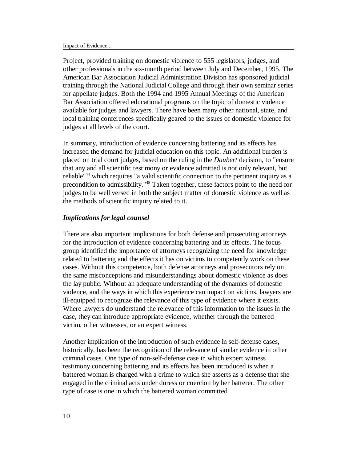Project, provided training on domestic violence to 555 legislators, judges, and other professionals in the six-month period between July and December, 1995. The American Bar Association Judicial Administration Division has sponsored judicial training through the National Judicial College and through their own seminar series for appellate judges. Both the 1994 and 1995 Annual Meetings of the American Bar Association offered educational programs on the topic of domestic violence available for judges and lawyers. There have been many other national, state, and local training conferences specifically geared to the issues of domestic violence for judges at all levels of the court.

In summary, introduction of evidence concerning battering and its effects has increased the demand for judicial education on this topic. An additional burden is placed on trial court judges, based on the ruling in the *Daubert* decision, to "ensure that any and all scientific testimony or evidence admitted is not only relevant, but reliable<sup>"44</sup> which requires "a valid scientific connection to the pertinent inquiry as a precondition to admissibility."<sup>45</sup> Taken together, these factors point to the need for judges to be well versed in both the subject matter of domestic violence as well as the methods of scientific inquiry related to it.

### *Implications for legal counsel*

There are also important implications for both defense and prosecuting attorneys for the introduction of evidence concerning battering and its effects. The focus group identified the importance of attorneys recognizing the need for knowledge related to battering and the effects it has on victims to competently work on these cases. Without this competence, both defense attorneys and prosecutors rely on the same misconceptions and misunderstandings about domestic violence as does the lay public. Without an adequate understanding of the dynamics of domestic violence, and the ways in which this experience can impact on victims, lawyers are ill-equipped to recognize the relevance of this type of evidence where it exists. Where lawyers do understand the relevance of this information to the issues in the case, they can introduce appropriate evidence, whether through the battered victim, other witnesses, or an expert witness.

Another implication of the introduction of such evidence in self-defense cases, historically, has been the recognition of the relevance of similar evidence in other criminal cases. One type of non-self-defense case in which expert witness testimony concerning battering and its effects has been introduced is when a battered woman is charged with a crime to which she asserts as a defense that she engaged in the criminal acts under duress or coercion by her batterer. The other type of case is one in which the battered woman committed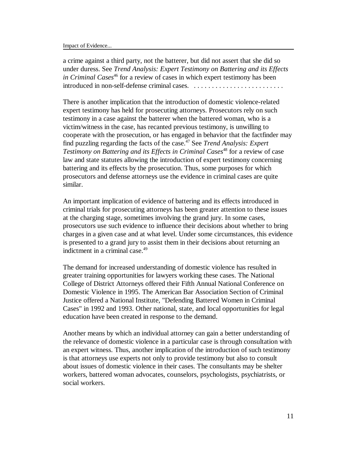a crime against a third party, not the batterer, but did not assert that she did so under duress. See *Trend Analysis: Expert Testimony on Battering and its Effects in Criminal Cases*<sup>46</sup> for a review of cases in which expert testimony has been introduced in non-self-defense criminal cases. .........................

There is another implication that the introduction of domestic violence-related expert testimony has held for prosecuting attorneys. Prosecutors rely on such testimony in a case against the batterer when the battered woman, who is a victim/witness in the case, has recanted previous testimony, is unwilling to cooperate with the prosecution, or has engaged in behavior that the factfinder may find puzzling regarding the facts of the case.<sup>47</sup> See *Trend Analysis: Expert Testimony on Battering and its Effects in Criminal Cases*<sup>48</sup> for a review of case law and state statutes allowing the introduction of expert testimony concerning battering and its effects by the prosecution. Thus, some purposes for which prosecutors and defense attorneys use the evidence in criminal cases are quite similar.

An important implication of evidence of battering and its effects introduced in criminal trials for prosecuting attorneys has been greater attention to these issues at the charging stage, sometimes involving the grand jury. In some cases, prosecutors use such evidence to influence their decisions about whether to bring charges in a given case and at what level. Under some circumstances, this evidence is presented to a grand jury to assist them in their decisions about returning an indictment in a criminal case.<sup>49</sup>

The demand for increased understanding of domestic violence has resulted in greater training opportunities for lawyers working these cases. The National College of District Attorneys offered their Fifth Annual National Conference on Domestic Violence in 1995. The American Bar Association Section of Criminal Justice offered a National Institute, "Defending Battered Women in Criminal Cases" in 1992 and 1993. Other national, state, and local opportunities for legal education have been created in response to the demand.

Another means by which an individual attorney can gain a better understanding of the relevance of domestic violence in a particular case is through consultation with an expert witness. Thus, another implication of the introduction of such testimony is that attorneys use experts not only to provide testimony but also to consult about issues of domestic violence in their cases. The consultants may be shelter workers, battered woman advocates, counselors, psychologists, psychiatrists, or social workers.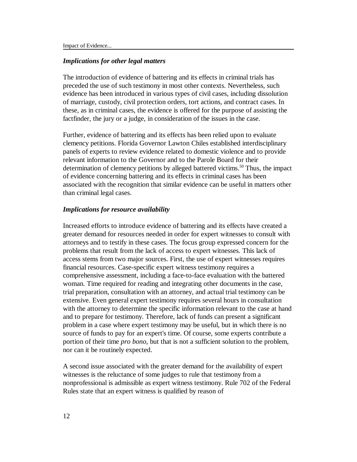## *Implications for other legal matters*

The introduction of evidence of battering and its effects in criminal trials has preceded the use of such testimony in most other contexts. Nevertheless, such evidence has been introduced in various types of civil cases, including dissolution of marriage, custody, civil protection orders, tort actions, and contract cases. In these, as in criminal cases, the evidence is offered for the purpose of assisting the factfinder, the jury or a judge, in consideration of the issues in the case.

Further, evidence of battering and its effects has been relied upon to evaluate clemency petitions. Florida Governor Lawton Chiles established interdisciplinary panels of experts to review evidence related to domestic violence and to provide relevant information to the Governor and to the Parole Board for their determination of clemency petitions by alleged battered victims.<sup>50</sup> Thus, the impact of evidence concerning battering and its effects in criminal cases has been associated with the recognition that similar evidence can be useful in matters other than criminal legal cases.

## *Implications for resource availability*

Increased efforts to introduce evidence of battering and its effects have created a greater demand for resources needed in order for expert witnesses to consult with attorneys and to testify in these cases. The focus group expressed concern for the problems that result from the lack of access to expert witnesses. This lack of access stems from two major sources. First, the use of expert witnesses requires financial resources. Case-specific expert witness testimony requires a comprehensive assessment, including a face-to-face evaluation with the battered woman. Time required for reading and integrating other documents in the case, trial preparation, consultation with an attorney, and actual trial testimony can be extensive. Even general expert testimony requires several hours in consultation with the attorney to determine the specific information relevant to the case at hand and to prepare for testimony. Therefore, lack of funds can present a significant problem in a case where expert testimony may be useful, but in which there is no source of funds to pay for an expert's time. Of course, some experts contribute a portion of their time *pro bono*, but that is not a sufficient solution to the problem, nor can it be routinely expected.

A second issue associated with the greater demand for the availability of expert witnesses is the reluctance of some judges to rule that testimony from a nonprofessional is admissible as expert witness testimony. Rule 702 of the Federal Rules state that an expert witness is qualified by reason of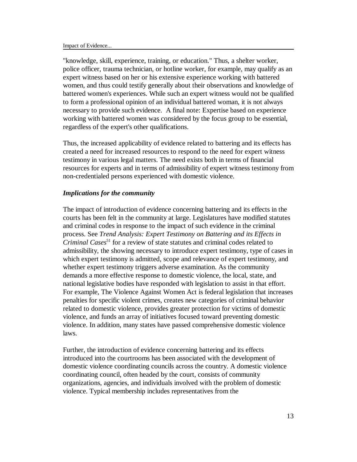"knowledge, skill, experience, training, or education." Thus, a shelter worker, police officer, trauma technician, or hotline worker, for example, may qualify as an expert witness based on her or his extensive experience working with battered women, and thus could testify generally about their observations and knowledge of battered women's experiences. While such an expert witness would not be qualified to form a professional opinion of an individual battered woman, it is not always necessary to provide such evidence. A final note: Expertise based on experience working with battered women was considered by the focus group to be essential, regardless of the expert's other qualifications.

Thus, the increased applicability of evidence related to battering and its effects has created a need for increased resources to respond to the need for expert witness testimony in various legal matters. The need exists both in terms of financial resources for experts and in terms of admissibility of expert witness testimony from non-credentialed persons experienced with domestic violence.

### *Implications for the community*

The impact of introduction of evidence concerning battering and its effects in the courts has been felt in the community at large. Legislatures have modified statutes and criminal codes in response to the impact of such evidence in the criminal process. See *Trend Analysis: Expert Testimony on Battering and its Effects in Criminal Cases*<sup>51</sup> for a review of state statutes and criminal codes related to admissibility, the showing necessary to introduce expert testimony, type of cases in which expert testimony is admitted, scope and relevance of expert testimony, and whether expert testimony triggers adverse examination. As the community demands a more effective response to domestic violence, the local, state, and national legislative bodies have responded with legislation to assist in that effort. For example, The Violence Against Women Act is federal legislation that increases penalties for specific violent crimes, creates new categories of criminal behavior related to domestic violence, provides greater protection for victims of domestic violence, and funds an array of initiatives focused toward preventing domestic violence. In addition, many states have passed comprehensive domestic violence laws.

Further, the introduction of evidence concerning battering and its effects introduced into the courtrooms has been associated with the development of domestic violence coordinating councils across the country. A domestic violence coordinating council, often headed by the court, consists of community organizations, agencies, and individuals involved with the problem of domestic violence. Typical membership includes representatives from the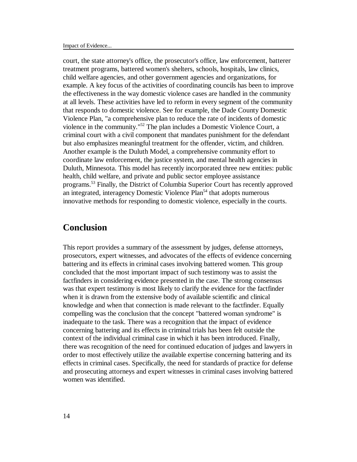court, the state attorney's office, the prosecutor's office, law enforcement, batterer treatment programs, battered women's shelters, schools, hospitals, law clinics, child welfare agencies, and other government agencies and organizations, for example. A key focus of the activities of coordinating councils has been to improve the effectiveness in the way domestic violence cases are handled in the community at all levels. These activities have led to reform in every segment of the community that responds to domestic violence. See for example, the Dade County Domestic Violence Plan, "a comprehensive plan to reduce the rate of incidents of domestic violence in the community." $52$  The plan includes a Domestic Violence Court, a criminal court with a civil component that mandates punishment for the defendant but also emphasizes meaningful treatment for the offender, victim, and children. Another example is the Duluth Model, a comprehensive community effort to coordinate law enforcement, the justice system, and mental health agencies in Duluth, Minnesota. This model has recently incorporated three new entities: public health, child welfare, and private and public sector employee assistance programs.<sup>53</sup> Finally, the District of Columbia Superior Court has recently approved an integrated, interagency Domestic Violence  $Plan<sup>54</sup>$  that adopts numerous innovative methods for responding to domestic violence, especially in the courts.

# **Conclusion**

This report provides a summary of the assessment by judges, defense attorneys, prosecutors, expert witnesses, and advocates of the effects of evidence concerning battering and its effects in criminal cases involving battered women. This group concluded that the most important impact of such testimony was to assist the factfinders in considering evidence presented in the case. The strong consensus was that expert testimony is most likely to clarify the evidence for the factfinder when it is drawn from the extensive body of available scientific and clinical knowledge and when that connection is made relevant to the factfinder. Equally compelling was the conclusion that the concept "battered woman syndrome" is inadequate to the task. There was a recognition that the impact of evidence concerning battering and its effects in criminal trials has been felt outside the context of the individual criminal case in which it has been introduced. Finally, there was recognition of the need for continued education of judges and lawyers in order to most effectively utilize the available expertise concerning battering and its effects in criminal cases. Specifically, the need for standards of practice for defense and prosecuting attorneys and expert witnesses in criminal cases involving battered women was identified.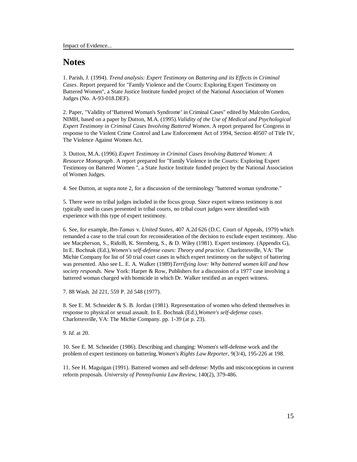# **Notes**

1. Parish, J. (1994). *Trend analysis: Expert Testimony on Battering and its Effects in Criminal Cases*. Report prepared for "Family Violence and the Courts: Exploring Expert Testimony on Battered Women", a State Justice Institute funded project of the National Association of Women Judges (No. A-93-018.DEF).

2. Paper, "Validity of Battered Woman's Syndrome' in Criminal Cases" edited by Malcolm Gordon, NIMH, based on a paper by Dutton, M.A. (1995). *Validity of the Use of Medical and Psychological Expert Testimony in Criminal Cases Involving Battered Women*. A report prepared for Congress in response to the Violent Crime Control and Law Enforcement Act of 1994, Section 40507 of Title IV, The Violence Against Women Act.

3. Dutton, M.A. (1996). *Expert Testimony in Criminal Cases Involving Battered Women: A Resource Monograph*. A report prepared for "Family Violence in the Courts: Exploring Expert Testimony on Battered Women ", a State Justice Institute funded project by the National Association of Women Judges.

4. See Dutton, at supra note 2, for a discussion of the terminology "battered woman syndrome."

5. There were no tribal judges included in the focus group. Since expert witness testimony is not typically used in cases presented in tribal courts, no tribal court judges were identified with experience with this type of expert testimony.

6. See, for example, *Ibn-Tamas* v. *United States*, 407 A.2d 626 (D.C. Court of Appeals, 1979) which remanded a case to the trial court for reconsideration of the decision to exclude expert testimony. Also see Macpherson, S., Ridolfi, K. Sternberg, S., & D. Wiley (1981). Expert testimony. (Appendix G), In E. Bochnak (Ed.), *Women's self-defense cases: Theory and practice.* Charlottesville, VA: The Michie Company for list of 50 trial court cases in which expert testimony on the subject of battering was presented. Also see L. E. A. Walker (1989) *Terrifying love: Why battered women kill and how society responds.* New York: Harper & Row, Publishers for a discussion of a 1977 case involving a battered woman charged with homicide in which Dr. Walker testified as an expert witness.

7. 88 Wash. 2d 221, 559 P. 2d 548 (1977).

8. See E. M. Schneider & S. B. Jordan (1981). Representation of women who defend themselves in response to physical or sexual assault. In E. Bochnak (Ed.), *Women's self-defense cases*. Charlottesville, VA: The Michie Company. pp. 1-39 (at p. 23).

9. *Id.* at 20.

10. See E. M. Schneider (1986). Describing and changing: Women's self-defense work and the problem of expert testimony on battering. *Women's Rights Law Reporter*, 9(3/4), 195-226 at 198.

11. See H. Maguigan (1991). Battered women and self-defense: Myths and misconceptions in current reform proposals. *University of Pennsylvania Law Review*, 140(2), 379-486.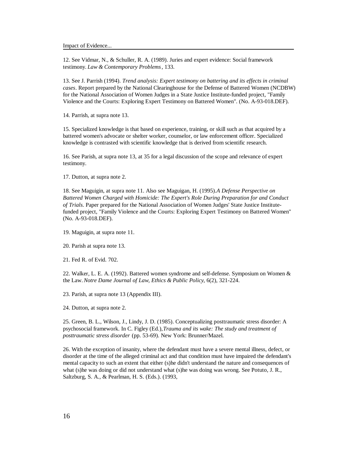12. See Vidmar, N., & Schuller, R. A. (1989). Juries and expert evidence: Social framework testimony. *Law & Contemporary Problems*, 133.

13. See J. Parrish (1994). *Trend analysis: Expert testimony on battering and its effects in criminal cases*. Report prepared by the National Clearinghouse for the Defense of Battered Women (NCDBW) for the National Association of Women Judges in a State Justice Institute-funded project, "Family Violence and the Courts: Exploring Expert Testimony on Battered Women". (No. A-93-018.DEF).

14. Parrish, at supra note 13.

15. Specialized knowledge is that based on experience, training, or skill such as that acquired by a battered women's advocate or shelter worker, counselor, or law enforcement officer. Specialized knowledge is contrasted with scientific knowledge that is derived from scientific research.

16. See Parish, at supra note 13, at 35 for a legal discussion of the scope and relevance of expert testimony.

17. Dutton, at supra note 2.

18. See Maguigin, at supra note 11. Also see Maguigan, H. (1995). *A Defense Perspective on Battered Women Charged with Homicide: The Expert's Role During Preparation for and Conduct of Trials*. Paper prepared for the National Association of Women Judges' State Justice Institutefunded project, "Family Violence and the Courts: Exploring Expert Testimony on Battered Women" (No. A-93-018.DEF).

19. Maguigin, at supra note 11.

20. Parish at supra note 13.

21. Fed R. of Evid. 702.

22. Walker, L. E. A. (1992). Battered women syndrome and self-defense. Symposium on Women & the Law. *Notre Dame Journal of Law, Ethics & Public Policy*, 6(2), 321-224.

23. Parish, at supra note 13 (Appendix III).

24. Dutton, at supra note 2.

25. Green, B. L., Wilson, J., Lindy, J. D. (1985). Conceptualizing posttraumatic stress disorder: A psychosocial framework. In C. Figley (Ed.), *Trauma and its wake: The study and treatment of posttraumatic stress disorder* (pp. 53-69). New York: Brunner/Mazel.

26. With the exception of insanity, where the defendant must have a severe mental illness, defect, or disorder at the time of the alleged criminal act and that condition must have impaired the defendant's mental capacity to such an extent that either (s)he didn't understand the nature and consequences of what (s)he was doing or did not understand what (s)he was doing was wrong. See Potuto, J. R., Saltzburg, S. A., & Pearlman, H. S. (Eds.). (1993,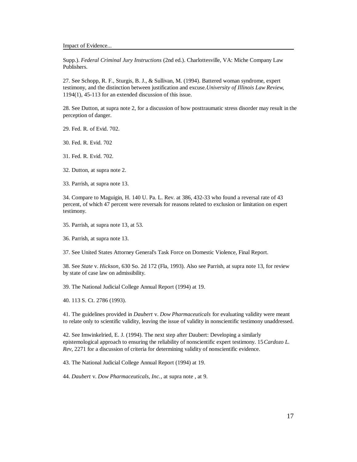Supp.). *Federal Criminal Jury Instructions* (2nd ed.). Charlottesville, VA: Miche Company Law Publishers.

27. See Schopp, R. F., Sturgis, B. J., & Sullivan, M. (1994). Battered woman syndrome, expert testimony, and the distinction between justification and excuse. *University of Illinois Law Review*, 1194(1), 45-113 for an extended discussion of this issue.

28. See Dutton, at supra note 2, for a discussion of how posttraumatic stress disorder may result in the perception of danger.

29. Fed. R. of Evid. 702.

30. Fed. R. Evid. 702

31. Fed. R. Evid. 702.

32. Dutton, at supra note 2.

33. Parrish, at supra note 13.

34. Compare to Maguigin, H. 140 U. Pa. L. Rev. at 386, 432-33 who found a reversal rate of 43 percent, of which 47 percent were reversals for reasons related to exclusion or limitation on expert testimony.

35. Parrish, at supra note 13, at 53.

36. Parrish, at supra note 13.

37. See United States Attorney General's Task Force on Domestic Violence, Final Report.

38. See *State* v. *Hickson*, 630 So. 2d 172 (Fla, 1993). Also see Parrish, at supra note 13, for review by state of case law on admissibility.

39. The National Judicial College Annual Report (1994) at 19.

40. 113 S. Ct. 2786 (1993).

41. The guidelines provided in *Daubert* v. *Dow Pharmaceuticals* for evaluating validity were meant to relate only to scientific validity, leaving the issue of validity in nonscientific testimony unaddressed.

42. See Imwinkelried, E. J. (1994). The next step after Daubert: Developing a similarly epistemological approach to ensuring the reliability of nonscientific expert testimony. 15 *Cardozo L. Rev*, 2271 for a discussion of criteria for determining validity of nonscientific evidence.

43. The National Judicial College Annual Report (1994) at 19.

44. *Daubert* v. *Dow Pharmaceuticals, Inc.*, at supra note , at 9.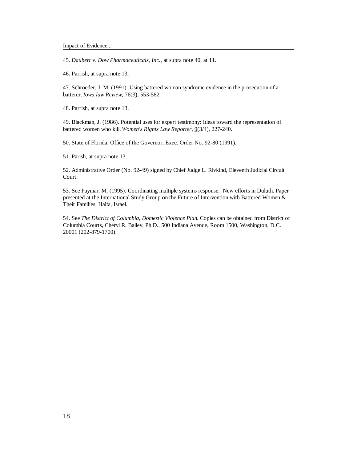45. *Daubert* v. *Dow Pharmaceuticals, Inc.*, at supra note 40, at 11.

46. Parrish, at supra note 13.

47. Schroeder, J. M. (1991). Using battered woman syndrome evidence in the prosecution of a batterer. *Iowa law Review*, 76(3), 553-582.

48. Parrish, at supra note 13.

49. Blackman, J. (1986). Potential uses for expert testimony: Ideas toward the representation of battered women who kill. *Women's Rights Law Reporter*, 9(3/4), 227-240.

50. State of Florida, Office of the Governor, Exec. Order No. 92-80 (1991).

51. Parish, at supra note 13.

52. Administrative Order (No. 92-49) signed by Chief Judge L. Rivkind, Eleventh Judicial Circuit Court.

53. See Paymar. M. (1995). Coordinating multiple systems response: New efforts in Duluth. Paper presented at the International Study Group on the Future of Intervention with Battered Women & Their Families. Haifa, Israel.

54. See *The District of Columbia, Domestic Violence Plan*. Copies can be obtained from District of Columbia Courts, Cheryl R. Bailey, Ph.D., 500 Indiana Avenue, Room 1500, Washington, D.C. 20001 (202-879-1700).